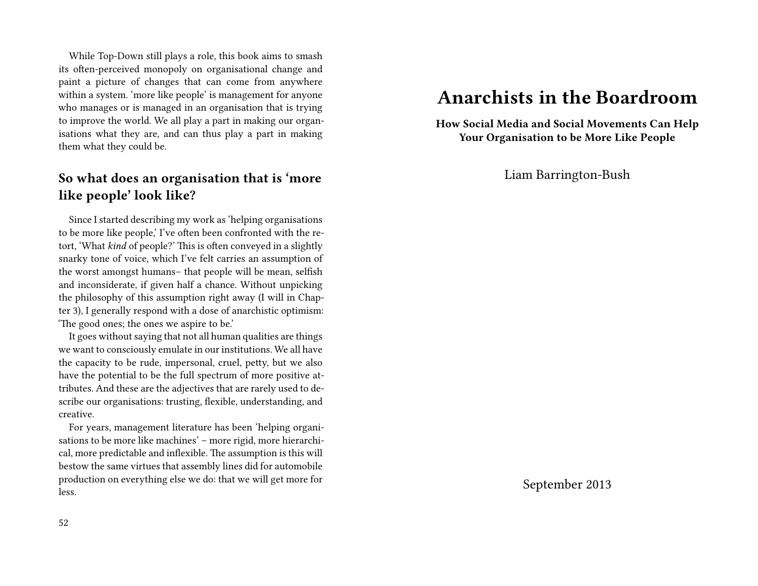While Top-Down still plays a role, this book aims to smash its often-perceived monopoly on organisational change and paint a picture of changes that can come from anywhere within a system. 'more like people' is management for anyone who manages or is managed in an organisation that is trying to improve the world. We all play a part in making our organisations what they are, and can thus play a part in making them what they could be.

# **So what does an organisation that is 'more like people' look like?**

Since I started describing my work as 'helping organisations to be more like people,' I've often been confronted with the retort, 'What *kind* of people?' This is often conveyed in a slightly snarky tone of voice, which I've felt carries an assumption of the worst amongst humans– that people will be mean, selfish and inconsiderate, if given half a chance. Without unpicking the philosophy of this assumption right away (I will in Chapter 3), I generally respond with a dose of anarchistic optimism: 'The good ones; the ones we aspire to be.'

It goes without saying that not all human qualities are things we want to consciously emulate in our institutions. We all have the capacity to be rude, impersonal, cruel, petty, but we also have the potential to be the full spectrum of more positive attributes. And these are the adjectives that are rarely used to describe our organisations: trusting, flexible, understanding, and creative.

For years, management literature has been 'helping organisations to be more like machines' – more rigid, more hierarchical, more predictable and inflexible. The assumption is this will bestow the same virtues that assembly lines did for automobile production on everything else we do: that we will get more for less.

#### 52

# **Anarchists in the Boardroom**

**How Social Media and Social Movements Can Help Your Organisation to be More Like People**

Liam Barrington-Bush

September 2013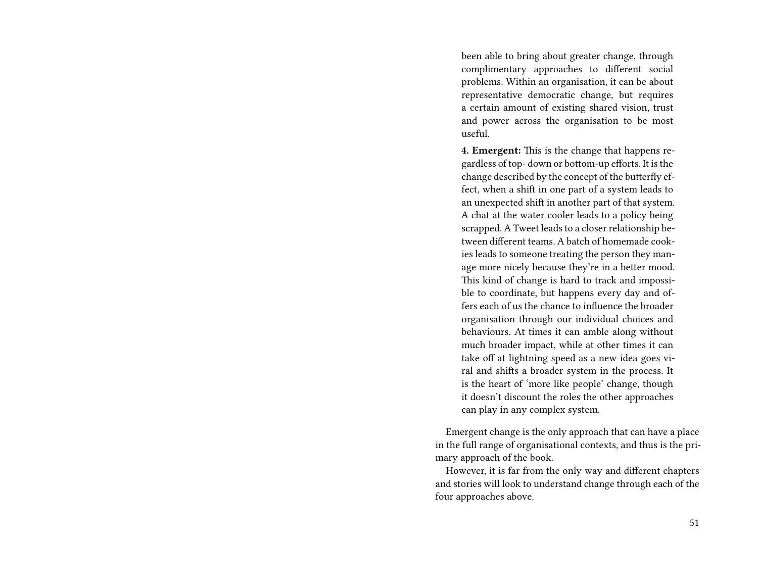been able to bring about greater change, through complimentary approaches to different social problems. Within an organisation, it can be about representative democratic change, but requires a certain amount of existing shared vision, trust and power across the organisation to be most useful.

**4. Emergent:** This is the change that happens regardless of top- down or bottom-up efforts. It is the change described by the concept of the butterfly effect, when a shift in one part of a system leads to an unexpected shift in another part of that system. A chat at the water cooler leads to a policy being scrapped. A Tweet leads to a closer relationship between different teams. A batch of homemade cookies leads to someone treating the person they manage more nicely because they're in a better mood. This kind of change is hard to track and impossible to coordinate, but happens every day and offers each of us the chance to influence the broader organisation through our individual choices and behaviours. At times it can amble along without much broader impact, while at other times it can take off at lightning speed as a new idea goes viral and shifts a broader system in the process. It is the heart of 'more like people' change, though it doesn't discount the roles the other approaches can play in any complex system.

Emergent change is the only approach that can have a place in the full range of organisational contexts, and thus is the primary approach of the book.

However, it is far from the only way and different chapters and stories will look to understand change through each of the four approaches above.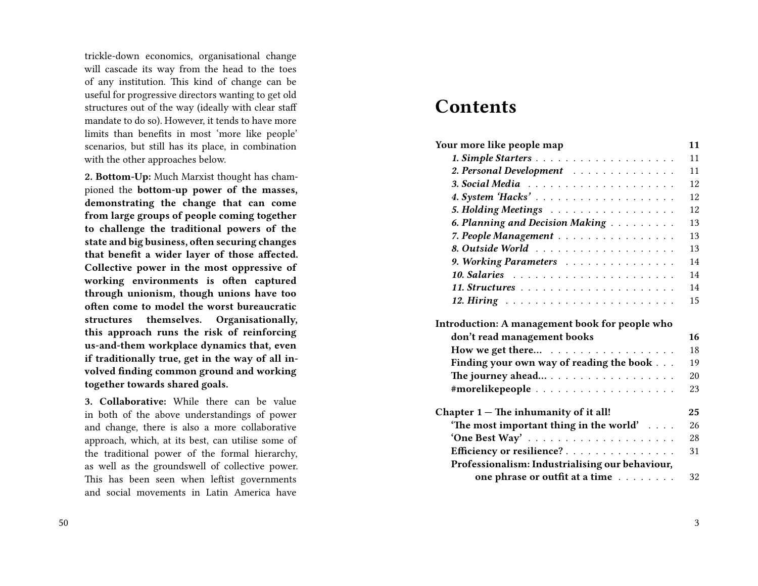trickle-down economics, organisational change will cascade its way from the head to the toes of any institution. This kind of change can be useful for progressive directors wanting to get old structures out of the way (ideally with clear staff mandate to do so). However, it tends to have more limits than benefits in most 'more like people' scenarios, but still has its place, in combination with the other approaches below.

**2. Bottom-Up:** Much Marxist thought has championed the **bottom-up power of the masses, demonstrating the change that can come from large groups of people coming together to challenge the traditional powers of the state and big business, often securing changes that benefit a wider layer of those affected. Collective power in the most oppressive of working environments is often captured through unionism, though unions have too often come to model the worst bureaucratic structures themselves. Organisationally, this approach runs the risk of reinforcing us-and-them workplace dynamics that, even if traditionally true, get in the way of all involved finding common ground and working together towards shared goals.**

**3. Collaborative:** While there can be value in both of the above understandings of power and change, there is also a more collaborative approach, which, at its best, can utilise some of the traditional power of the formal hierarchy, as well as the groundswell of collective power. This has been seen when leftist governments and social movements in Latin America have

# **Contents**

| Your more like people map                          | 11 |
|----------------------------------------------------|----|
|                                                    | 11 |
| 2. Personal Development                            | 11 |
|                                                    | 12 |
|                                                    | 12 |
| 5. Holding Meetings                                | 12 |
| 6. Planning and Decision Making                    | 13 |
| 7. People Management                               | 13 |
|                                                    | 13 |
| 9. Working Parameters                              | 14 |
|                                                    | 14 |
|                                                    | 14 |
|                                                    | 15 |
| Introduction: A management book for people who     |    |
| don't read management books                        | 16 |
|                                                    | 18 |
| Finding your own way of reading the book           | 19 |
| The journey ahead                                  | 20 |
|                                                    | 23 |
| Chapter $1$ – The inhumanity of it all!            | 25 |
| 'The most important thing in the world' $\ldots$ . | 26 |
| 'One Best Way'                                     | 28 |
| Efficiency or resilience?                          |    |
|                                                    | 31 |
| Professionalism: Industrialising our behaviour,    |    |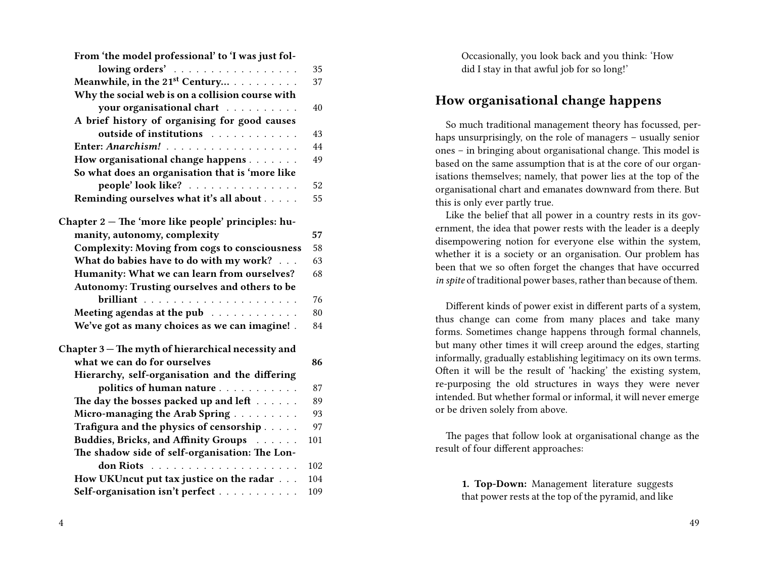| From 'the model professional' to 'I was just fol-    |     |
|------------------------------------------------------|-----|
| lowing orders'                                       | 35  |
| Meanwhile, in the 21 <sup>st</sup> Century           | 37  |
| Why the social web is on a collision course with     |     |
| your organisational chart                            | 40  |
| A brief history of organising for good causes        |     |
| outside of institutions                              | 43  |
| Enter: Anarchism!                                    | 44  |
| How organisational change happens                    | 49  |
| So what does an organisation that is 'more like      |     |
| people' look like?                                   | 52  |
| Reminding ourselves what it's all about              | 55  |
|                                                      |     |
| Chapter $2$ – The 'more like people' principles: hu- |     |
| manity, autonomy, complexity                         | 57  |
| <b>Complexity: Moving from cogs to consciousness</b> | 58  |
| What do babies have to do with my work?              | 63  |
| Humanity: What we can learn from ourselves?          | 68  |
| Autonomy: Trusting ourselves and others to be        |     |
|                                                      | 76  |
| Meeting agendas at the pub                           | 80  |
| We've got as many choices as we can imagine! .       | 84  |
| Chapter 3 - The myth of hierarchical necessity and   |     |
| what we can do for ourselves                         | 86  |
| Hierarchy, self-organisation and the differing       |     |
| politics of human nature                             | 87  |
| The day the bosses packed up and left                | 89  |
| Micro-managing the Arab Spring                       | 93  |
| Trafigura and the physics of censorship              | 97  |
| Buddies, Bricks, and Affinity Groups                 | 101 |
| The shadow side of self-organisation: The Lon-       |     |
|                                                      | 102 |
| How UKUncut put tax justice on the radar             | 104 |
| Self-organisation isn't perfect                      | 109 |
|                                                      |     |

Occasionally, you look back and you think: 'How did I stay in that awful job for so long!'

## **How organisational change happens**

So much traditional management theory has focussed, perhaps unsurprisingly, on the role of managers – usually senior ones – in bringing about organisational change. This model is based on the same assumption that is at the core of our organisations themselves; namely, that power lies at the top of the organisational chart and emanates downward from there. But this is only ever partly true.

Like the belief that all power in a country rests in its government, the idea that power rests with the leader is a deeply disempowering notion for everyone else within the system, whether it is a society or an organisation. Our problem has been that we so often forget the changes that have occurred *in spite* of traditional power bases, rather than because of them.

Different kinds of power exist in different parts of a system, thus change can come from many places and take many forms. Sometimes change happens through formal channels, but many other times it will creep around the edges, starting informally, gradually establishing legitimacy on its own terms. Often it will be the result of 'hacking' the existing system, re-purposing the old structures in ways they were never intended. But whether formal or informal, it will never emerge or be driven solely from above.

The pages that follow look at organisational change as the result of four different approaches:

> **1. Top-Down:** Management literature suggests that power rests at the top of the pyramid, and like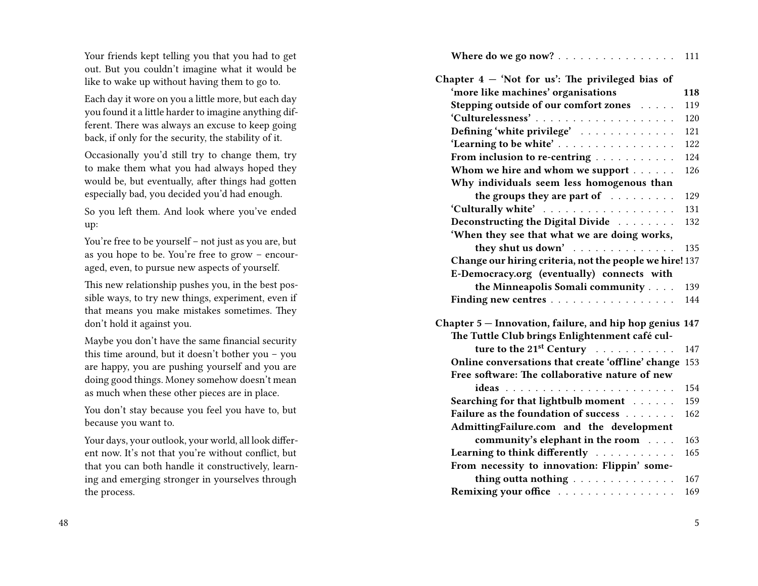Your friends kept telling you that you had to get out. But you couldn't imagine what it would be like to wake up without having them to go to.

Each day it wore on you a little more, but each day you found it a little harder to imagine anything different. There was always an excuse to keep going back, if only for the security, the stability of it.

Occasionally you'd still try to change them, try to make them what you had always hoped they would be, but eventually, after things had gotten especially bad, you decided you'd had enough.

So you left them. And look where you've ended up:

You're free to be yourself – not just as you are, but as you hope to be. You're free to grow – encouraged, even, to pursue new aspects of yourself.

This new relationship pushes you, in the best possible ways, to try new things, experiment, even if that means you make mistakes sometimes. They don't hold it against you.

Maybe you don't have the same financial security this time around, but it doesn't bother you – you are happy, you are pushing yourself and you are doing good things. Money somehow doesn't mean as much when these other pieces are in place.

You don't stay because you feel you have to, but because you want to.

Your days, your outlook, your world, all look different now. It's not that you're without conflict, but that you can both handle it constructively, learning and emerging stronger in yourselves through the process.

| Where do we go now? $\ldots \ldots \ldots \ldots \ldots$ |  |  |  |  |  |  |  |  |  |  |  |  |  |  |  |  | -111 |
|----------------------------------------------------------|--|--|--|--|--|--|--|--|--|--|--|--|--|--|--|--|------|
|----------------------------------------------------------|--|--|--|--|--|--|--|--|--|--|--|--|--|--|--|--|------|

| Chapter $4 - 'Not$ for us': The privileged bias of      |     |
|---------------------------------------------------------|-----|
| 'more like machines' organisations                      | 118 |
| Stepping outside of our comfort zones                   | 119 |
| 'Culturelessness'                                       | 120 |
| Defining 'white privilege'                              | 121 |
| 'Learning to be white'                                  | 122 |
| From inclusion to re-centring                           | 124 |
| Whom we hire and whom we support                        | 126 |
| Why individuals seem less homogenous than               |     |
| the groups they are part of $\ldots \ldots \ldots$      | 129 |
| 'Culturally white'                                      | 131 |
| Deconstructing the Digital Divide                       | 132 |
| 'When they see that what we are doing works,            |     |
| they shut us down'                                      | 135 |
| Change our hiring criteria, not the people we hire! 137 |     |
| E-Democracy.org (eventually) connects with              |     |
| the Minneapolis Somali community                        | 139 |
| Finding new centres                                     | 144 |
| Chapter 5 – Innovation, failure, and hip hop genius 147 |     |
| The Tuttle Club brings Enlightenment café cul-          |     |
| ture to the 21st Century                                | 147 |
| Online conversations that create 'offline' change       | 153 |
| Free software: The collaborative nature of new          |     |
|                                                         | 154 |
| Searching for that lightbulb moment                     | 159 |
| Failure as the foundation of success                    | 162 |
| AdmittingFailure.com and the development                |     |
| community's elephant in the room                        | 163 |
| Learning to think differently                           | 165 |
| From necessity to innovation: Flippin' some-            |     |
| thing outta nothing                                     | 167 |
| Remixing your office                                    | 169 |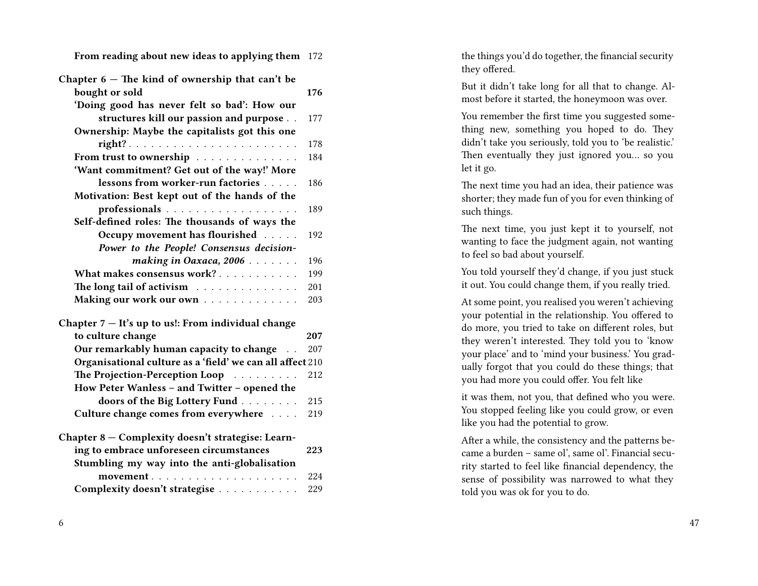| Chapter $6$ – The kind of ownership that can't be               |     |
|-----------------------------------------------------------------|-----|
| bought or sold                                                  | 176 |
| 'Doing good has never felt so bad': How our                     |     |
| structures kill our passion and purpose                         | 177 |
| Ownership: Maybe the capitalists got this one                   |     |
|                                                                 | 178 |
| From trust to ownership                                         | 184 |
| 'Want commitment? Get out of the way!' More                     |     |
| lessons from worker-run factories                               | 186 |
| Motivation: Best kept out of the hands of the                   |     |
|                                                                 | 189 |
| Self-defined roles: The thousands of ways the                   |     |
| Occupy movement has flourished                                  | 192 |
| Power to the People! Consensus decision-                        |     |
| making in Oaxaca, 2006                                          | 196 |
| What makes consensus work?                                      | 199 |
| The long tail of activism                                       | 201 |
| Making our work our own                                         | 203 |
| Chapter $7 - It's$ up to us!: From individual change            |     |
| to culture change                                               | 207 |
| Our remarkably human capacity to change<br>$\ddot{\phantom{a}}$ | 207 |
| Organisational culture as a 'field' we can all affect 210       |     |
| The Projection-Perception Loop                                  | 212 |
| How Peter Wanless - and Twitter - opened the                    |     |
| doors of the Big Lottery Fund                                   | 215 |
| Culture change comes from everywhere                            | 219 |
| Chapter 8 - Complexity doesn't strategise: Learn-               |     |
| ing to embrace unforeseen circumstances                         | 223 |
| Stumbling my way into the anti-globalisation                    |     |
| movement                                                        | 224 |
| Complexity doesn't strategise                                   | 229 |
|                                                                 |     |

**From reading about new ideas to applying them** 172

the things you'd do together, the financial security they offered.

But it didn't take long for all that to change. Almost before it started, the honeymoon was over.

You remember the first time you suggested something new, something you hoped to do. They didn't take you seriously, told you to 'be realistic.' Then eventually they just ignored you… so you let it go.

The next time you had an idea, their patience was shorter; they made fun of you for even thinking of such things.

The next time, you just kept it to yourself, not wanting to face the judgment again, not wanting to feel so bad about yourself.

You told yourself they'd change, if you just stuck it out. You could change them, if you really tried.

At some point, you realised you weren't achieving your potential in the relationship. You offered to do more, you tried to take on different roles, but they weren't interested. They told you to 'know your place' and to 'mind your business.' You gradually forgot that you could do these things; that you had more you could offer. You felt like

it was them, not you, that defined who you were. You stopped feeling like you could grow, or even like you had the potential to grow.

After a while, the consistency and the patterns became a burden – same ol', same ol'. Financial security started to feel like financial dependency, the sense of possibility was narrowed to what they told you was ok for you to do.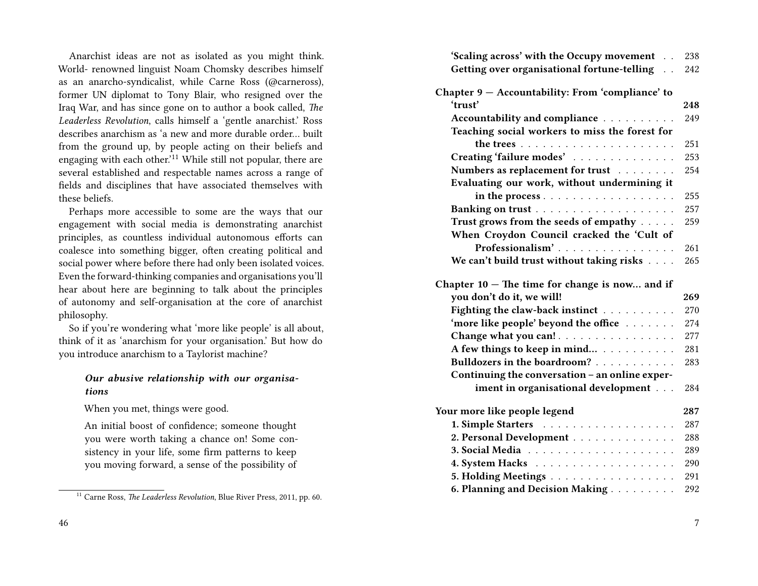Anarchist ideas are not as isolated as you might think. World- renowned linguist Noam Chomsky describes himself as an anarcho-syndicalist, while Carne Ross (@carneross), former UN diplomat to Tony Blair, who resigned over the Iraq War, and has since gone on to author a book called, *The Leaderless Revolution*, calls himself a 'gentle anarchist.' Ross describes anarchism as 'a new and more durable order… built from the ground up, by people acting on their beliefs and engaging with each other.'<sup>11</sup> While still not popular, there are several established and respectable names across a range of fields and disciplines that have associated themselves with these beliefs.

Perhaps more accessible to some are the ways that our engagement with social media is demonstrating anarchist principles, as countless individual autonomous efforts can coalesce into something bigger, often creating political and social power where before there had only been isolated voices. Even the forward-thinking companies and organisations you'll hear about here are beginning to talk about the principles of autonomy and self-organisation at the core of anarchist philosophy.

So if you're wondering what 'more like people' is all about, think of it as 'anarchism for your organisation.' But how do you introduce anarchism to a Taylorist machine?

#### *Our abusive relationship with our organisations*

When you met, things were good.

An initial boost of confidence; someone thought you were worth taking a chance on! Some consistency in your life, some firm patterns to keep you moving forward, a sense of the possibility of

| 'Scaling across' with the Occupy movement                           | 238 |
|---------------------------------------------------------------------|-----|
| Getting over organisational fortune-telling<br>$\ddot{\phantom{a}}$ | 242 |
| Chapter 9 - Accountability: From 'compliance' to                    |     |
| 'trust'                                                             | 248 |
| Accountability and compliance                                       | 249 |
| Teaching social workers to miss the forest for                      |     |
|                                                                     | 251 |
| Creating 'failure modes'                                            | 253 |
| Numbers as replacement for trust                                    | 254 |
| Evaluating our work, without undermining it                         |     |
|                                                                     | 255 |
|                                                                     | 257 |
| Trust grows from the seeds of empathy                               | 259 |
| When Croydon Council cracked the 'Cult of                           |     |
| Professionalism'                                                    | 261 |
| We can't build trust without taking risks                           | 265 |
| Chapter $10$ – The time for change is now and if                    |     |
| you don't do it, we will!                                           | 269 |
| Fighting the claw-back instinct                                     | 270 |
| 'more like people' beyond the office                                | 274 |
| Change what you can!                                                | 277 |
| A few things to keep in mind                                        | 281 |
| Bulldozers in the boardroom?                                        | 283 |
| Continuing the conversation - an online exper-                      |     |
|                                                                     |     |
| iment in organisational development                                 | 284 |
| Your more like people legend                                        | 287 |
|                                                                     | 287 |
| 1. Simple Starters<br>2. Personal Development                       | 288 |
|                                                                     | 289 |
|                                                                     | 290 |
| 5. Holding Meetings                                                 | 291 |

<sup>11</sup> Carne Ross, *The Leaderless Revolution*, Blue River Press, 2011, pp. 60.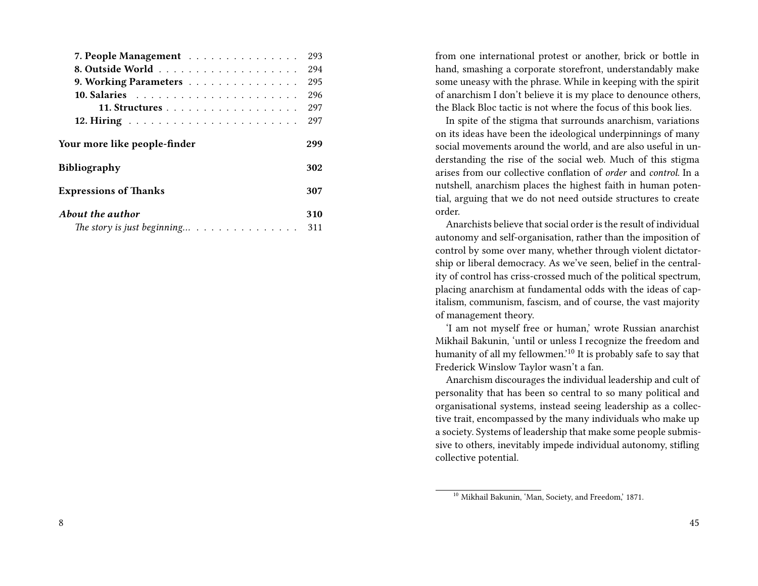| 7. People Management                                             | 293        |
|------------------------------------------------------------------|------------|
|                                                                  | 294        |
| 9. Working Parameters                                            | 295        |
|                                                                  | 296        |
|                                                                  | 297        |
|                                                                  | 297        |
| Your more like people-finder                                     | 299<br>302 |
| <b>Bibliography</b>                                              |            |
| <b>Expressions of Thanks</b>                                     | 307        |
| About the author                                                 | 310        |
| The story is just beginning $\ldots \ldots \ldots \ldots \ldots$ | 311        |

from one international protest or another, brick or bottle in hand, smashing a corporate storefront, understandably make some uneasy with the phrase. While in keeping with the spirit of anarchism I don't believe it is my place to denounce others, the Black Bloc tactic is not where the focus of this book lies.

In spite of the stigma that surrounds anarchism, variations on its ideas have been the ideological underpinnings of many social movements around the world, and are also useful in understanding the rise of the social web. Much of this stigma arises from our collective conflation of *order* and *control*. In a nutshell, anarchism places the highest faith in human potential, arguing that we do not need outside structures to create order.

Anarchists believe that social order is the result of individual autonomy and self-organisation, rather than the imposition of control by some over many, whether through violent dictatorship or liberal democracy. As we've seen, belief in the centrality of control has criss-crossed much of the political spectrum, placing anarchism at fundamental odds with the ideas of capitalism, communism, fascism, and of course, the vast majority of management theory.

'I am not myself free or human,' wrote Russian anarchist Mikhail Bakunin, 'until or unless I recognize the freedom and humanity of all my fellowmen.<sup>'10</sup> It is probably safe to say that Frederick Winslow Taylor wasn't a fan.

Anarchism discourages the individual leadership and cult of personality that has been so central to so many political and organisational systems, instead seeing leadership as a collective trait, encompassed by the many individuals who make up a society. Systems of leadership that make some people submissive to others, inevitably impede individual autonomy, stifling collective potential.

<sup>&</sup>lt;sup>10</sup> Mikhail Bakunin, 'Man, Society, and Freedom,' 1871.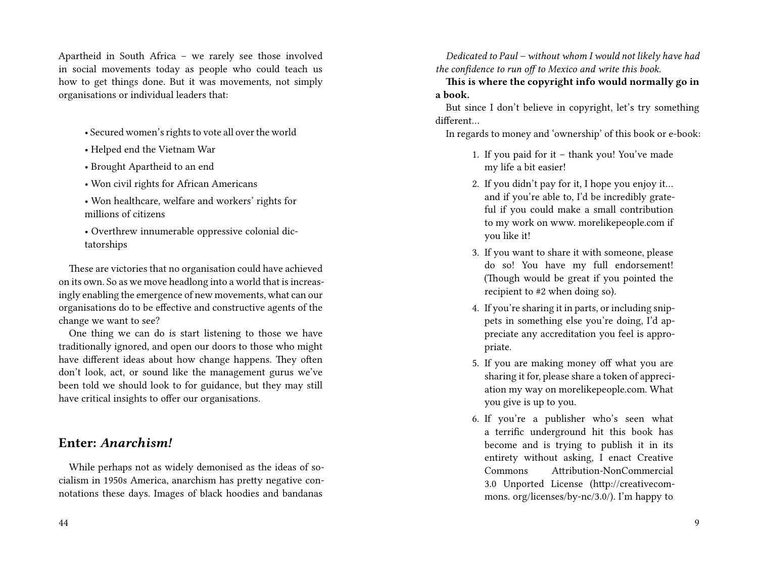Apartheid in South Africa – we rarely see those involved in social movements today as people who could teach us how to get things done. But it was movements, not simply organisations or individual leaders that:

- Secured women's rights to vote all over the world
- Helped end the Vietnam War
- Brought Apartheid to an end
- Won civil rights for African Americans
- Won healthcare, welfare and workers' rights for millions of citizens
- Overthrew innumerable oppressive colonial dictatorships

These are victories that no organisation could have achieved on its own. So as we move headlong into a world that is increasingly enabling the emergence of new movements, what can our organisations do to be effective and constructive agents of the change we want to see?

One thing we can do is start listening to those we have traditionally ignored, and open our doors to those who might have different ideas about how change happens. They often don't look, act, or sound like the management gurus we've been told we should look to for guidance, but they may still have critical insights to offer our organisations.

# **Enter:** *Anarchism!*

While perhaps not as widely demonised as the ideas of socialism in 1950s America, anarchism has pretty negative connotations these days. Images of black hoodies and bandanas

*Dedicated to Paul – without whom I would not likely have had the confidence to run off to Mexico and write this book.*

**This is where the copyright info would normally go in a book.**

But since I don't believe in copyright, let's try something different…

In regards to money and 'ownership' of this book or e-book:

- 1. If you paid for it thank you! You've made my life a bit easier!
- 2. If you didn't pay for it, I hope you enjoy it… and if you're able to, I'd be incredibly grateful if you could make a small contribution to my work on www. morelikepeople.com if you like it!
- 3. If you want to share it with someone, please do so! You have my full endorsement! (Though would be great if you pointed the recipient to #2 when doing so).
- 4. If you're sharing it in parts, or including snippets in something else you're doing, I'd appreciate any accreditation you feel is appropriate.
- 5. If you are making money off what you are sharing it for, please share a token of appreciation my way on morelikepeople.com. What you give is up to you.
- 6. If you're a publisher who's seen what a terrific underground hit this book has become and is trying to publish it in its entirety without asking, I enact Creative Commons Attribution-NonCommercial 3.0 Unported License (http://creativecommons. org/licenses/by-nc/3.0/). I'm happy to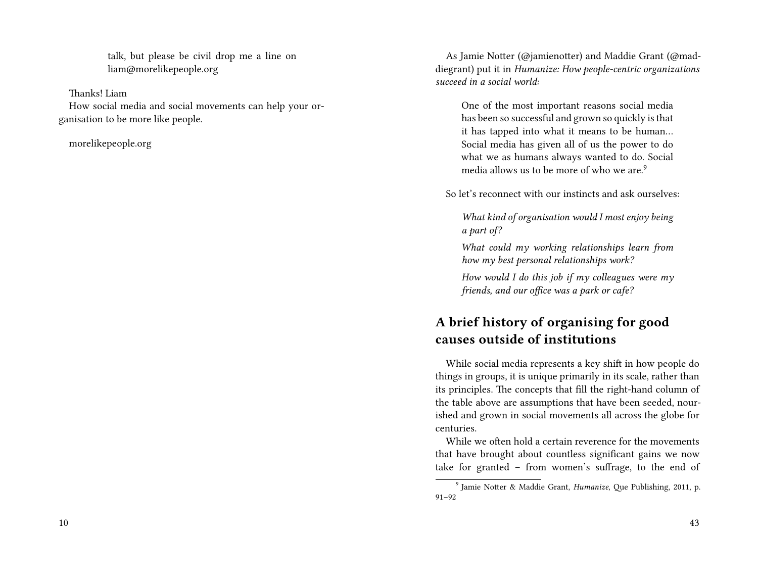talk, but please be civil drop me a line on liam@morelikepeople.org

Thanks! Liam

How social media and social movements can help your organisation to be more like people.

morelikepeople.org

As Jamie Notter (@jamienotter) and Maddie Grant (@maddiegrant) put it in *Humanize: How people-centric organizations succeed in a social world:*

> One of the most important reasons social media has been so successful and grown so quickly is that it has tapped into what it means to be human… Social media has given all of us the power to do what we as humans always wanted to do. Social media allows us to be more of who we are.<sup>9</sup>

So let's reconnect with our instincts and ask ourselves:

*What kind of organisation would I most enjoy being a part of?*

*What could my working relationships learn from how my best personal relationships work?*

*How would I do this job if my colleagues were my friends, and our office was a park or cafe?*

# **A brief history of organising for good causes outside of institutions**

While social media represents a key shift in how people do things in groups, it is unique primarily in its scale, rather than its principles. The concepts that fill the right-hand column of the table above are assumptions that have been seeded, nourished and grown in social movements all across the globe for centuries.

While we often hold a certain reverence for the movements that have brought about countless significant gains we now take for granted – from women's suffrage, to the end of

<sup>9</sup> Jamie Notter & Maddie Grant, *Humanize*, Que Publishing, 2011, p. 91–92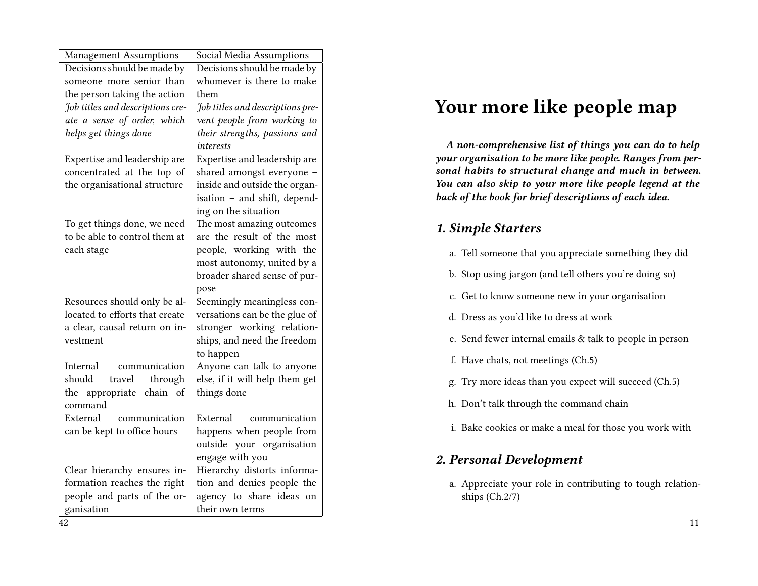| <b>Management Assumptions</b>                              | Social Media Assumptions                                   |
|------------------------------------------------------------|------------------------------------------------------------|
| Decisions should be made by                                | Decisions should be made by                                |
| someone more senior than                                   | whomever is there to make                                  |
| the person taking the action                               | them                                                       |
| Job titles and descriptions cre-                           | Job titles and descriptions pre-                           |
| ate a sense of order, which                                | vent people from working to                                |
| helps get things done                                      | their strengths, passions and                              |
|                                                            | <i>interests</i><br>Expertise and leadership are           |
| Expertise and leadership are                               |                                                            |
| concentrated at the top of<br>the organisational structure | shared amongst everyone -<br>inside and outside the organ- |
|                                                            | isation - and shift, depend-                               |
|                                                            | ing on the situation                                       |
| To get things done, we need                                | The most amazing outcomes                                  |
| to be able to control them at                              | are the result of the most                                 |
| each stage                                                 | people, working with the                                   |
|                                                            | most autonomy, united by a                                 |
|                                                            | broader shared sense of pur-                               |
|                                                            | pose                                                       |
| Resources should only be al-                               | Seemingly meaningless con-                                 |
| located to efforts that create                             | versations can be the glue of                              |
| a clear, causal return on in-                              | stronger working relation-                                 |
| vestment                                                   | ships, and need the freedom                                |
|                                                            | to happen                                                  |
| Internal<br>communication                                  | Anyone can talk to anyone                                  |
| should<br>travel<br>through                                | else, if it will help them get                             |
| appropriate<br>chain of<br>the                             | things done                                                |
| command                                                    |                                                            |
| External<br>communication                                  | External<br>communication                                  |
| can be kept to office hours                                | happens when people from                                   |
|                                                            | outside your organisation                                  |
|                                                            | engage with you                                            |
| Clear hierarchy ensures in-                                | Hierarchy distorts informa-                                |
| formation reaches the right                                | tion and denies people the                                 |
| people and parts of the or-                                | agency to share ideas<br>on                                |
| ganisation                                                 | their own terms                                            |

# **Your more like people map**

*A non-comprehensive list of things you can do to help your organisation to be more like people. Ranges from personal habits to structural change and much in between. You can also skip to your more like people legend at the back of the book for brief descriptions of each idea.*

# *1. Simple Starters*

- a. Tell someone that you appreciate something they did
- b. Stop using jargon (and tell others you're doing so)
- c. Get to know someone new in your organisation
- d. Dress as you'd like to dress at work
- e. Send fewer internal emails & talk to people in person
- f. Have chats, not meetings (Ch.5)
- g. Try more ideas than you expect will succeed (Ch.5)
- h. Don't talk through the command chain
- i. Bake cookies or make a meal for those you work with

# *2. Personal Development*

a. Appreciate your role in contributing to tough relationships (Ch.2/7)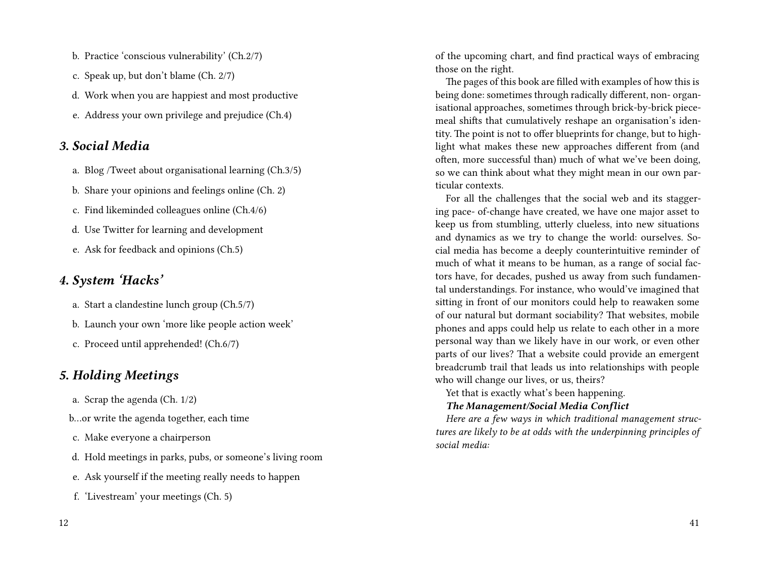b. Practice 'conscious vulnerability' (Ch.2/7)

c. Speak up, but don't blame (Ch. 2/7)

d. Work when you are happiest and most productive

e. Address your own privilege and prejudice (Ch.4)

# *3. Social Media*

- a. Blog /Tweet about organisational learning (Ch.3/5)
- b. Share your opinions and feelings online (Ch. 2)
- c. Find likeminded colleagues online (Ch.4/6)
- d. Use Twitter for learning and development
- e. Ask for feedback and opinions (Ch.5)

# *4. System 'Hacks'*

- a. Start a clandestine lunch group (Ch.5/7)
- b. Launch your own 'more like people action week'
- c. Proceed until apprehended! (Ch.6/7)

# *5. Holding Meetings*

- a. Scrap the agenda (Ch. 1/2)
- b…or write the agenda together, each time
- c. Make everyone a chairperson
- d. Hold meetings in parks, pubs, or someone's living room
- e. Ask yourself if the meeting really needs to happen
- f. 'Livestream' your meetings (Ch. 5)

of the upcoming chart, and find practical ways of embracing those on the right.

The pages of this book are filled with examples of how this is being done: sometimes through radically different, non- organisational approaches, sometimes through brick-by-brick piecemeal shifts that cumulatively reshape an organisation's identity. The point is not to offer blueprints for change, but to highlight what makes these new approaches different from (and often, more successful than) much of what we've been doing, so we can think about what they might mean in our own particular contexts.

For all the challenges that the social web and its staggering pace- of-change have created, we have one major asset to keep us from stumbling, utterly clueless, into new situations and dynamics as we try to change the world: ourselves. Social media has become a deeply counterintuitive reminder of much of what it means to be human, as a range of social factors have, for decades, pushed us away from such fundamental understandings. For instance, who would've imagined that sitting in front of our monitors could help to reawaken some of our natural but dormant sociability? That websites, mobile phones and apps could help us relate to each other in a more personal way than we likely have in our work, or even other parts of our lives? That a website could provide an emergent breadcrumb trail that leads us into relationships with people who will change our lives, or us, theirs?

Yet that is exactly what's been happening.

#### *The Management/Social Media Conflict*

*Here are a few ways in which traditional management structures are likely to be at odds with the underpinning principles of social media:*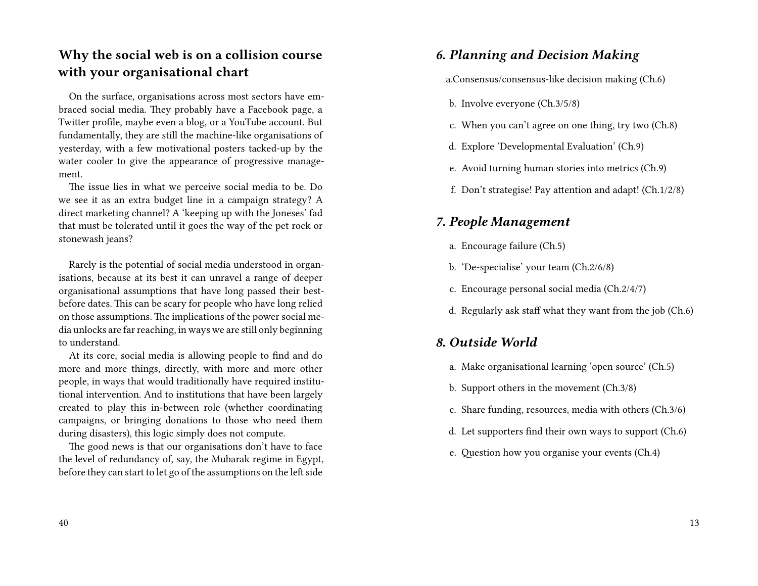# **Why the social web is on a collision course with your organisational chart**

On the surface, organisations across most sectors have embraced social media. They probably have a Facebook page, a Twitter profile, maybe even a blog, or a YouTube account. But fundamentally, they are still the machine-like organisations of yesterday, with a few motivational posters tacked-up by the water cooler to give the appearance of progressive management.

The issue lies in what we perceive social media to be. Do we see it as an extra budget line in a campaign strategy? A direct marketing channel? A 'keeping up with the Joneses' fad that must be tolerated until it goes the way of the pet rock or stonewash jeans?

Rarely is the potential of social media understood in organisations, because at its best it can unravel a range of deeper organisational assumptions that have long passed their bestbefore dates. This can be scary for people who have long relied on those assumptions. The implications of the power social media unlocks are far reaching, in ways we are still only beginning to understand.

At its core, social media is allowing people to find and do more and more things, directly, with more and more other people, in ways that would traditionally have required institutional intervention. And to institutions that have been largely created to play this in-between role (whether coordinating campaigns, or bringing donations to those who need them during disasters), this logic simply does not compute.

The good news is that our organisations don't have to face the level of redundancy of, say, the Mubarak regime in Egypt, before they can start to let go of the assumptions on the left side

## *6. Planning and Decision Making*

a.Consensus/consensus-like decision making (Ch.6)

- b. Involve everyone (Ch.3/5/8)
- c. When you can't agree on one thing, try two (Ch.8)
- d. Explore 'Developmental Evaluation' (Ch.9)
- e. Avoid turning human stories into metrics (Ch.9)
- f. Don't strategise! Pay attention and adapt! (Ch.1/2/8)

#### *7. People Management*

- a. Encourage failure (Ch.5)
- b. 'De-specialise' your team (Ch.2/6/8)
- c. Encourage personal social media (Ch.2/4/7)
- d. Regularly ask staff what they want from the job (Ch.6)

#### *8. Outside World*

- a. Make organisational learning 'open source' (Ch.5)
- b. Support others in the movement (Ch.3/8)
- c. Share funding, resources, media with others (Ch.3/6)
- d. Let supporters find their own ways to support (Ch.6)
- e. Question how you organise your events (Ch.4)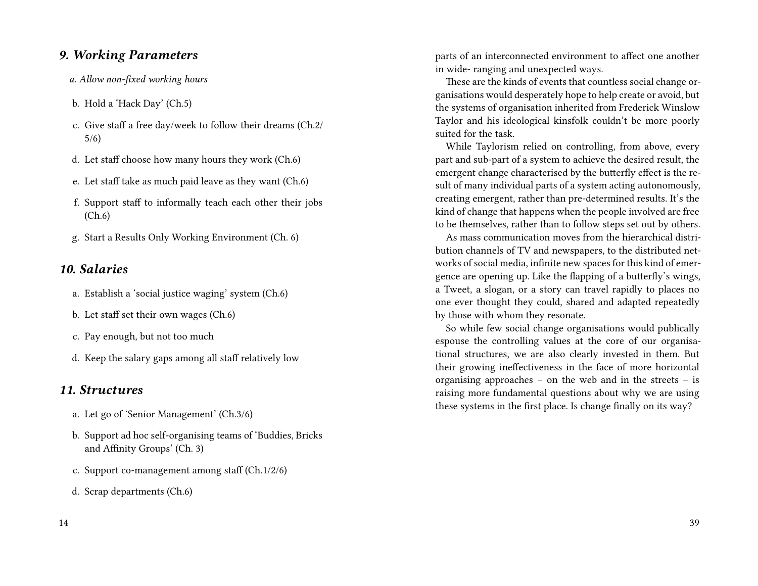#### *9. Working Parameters*

- *a. Allow non-fixed working hours*
- b. Hold a 'Hack Day' (Ch.5)
- c. Give staff a free day/week to follow their dreams (Ch.2/ 5/6)
- d. Let staff choose how many hours they work (Ch.6)
- e. Let staff take as much paid leave as they want (Ch.6)
- f. Support staff to informally teach each other their jobs (Ch.6)
- g. Start a Results Only Working Environment (Ch. 6)

#### *10. Salaries*

- a. Establish a 'social justice waging' system (Ch.6)
- b. Let staff set their own wages (Ch.6)
- c. Pay enough, but not too much
- d. Keep the salary gaps among all staff relatively low

#### *11. Structures*

- a. Let go of 'Senior Management' (Ch.3/6)
- b. Support ad hoc self-organising teams of 'Buddies, Bricks and Affinity Groups' (Ch. 3)
- c. Support co-management among staff (Ch.1/2/6)
- d. Scrap departments (Ch.6)

parts of an interconnected environment to affect one another in wide- ranging and unexpected ways.

These are the kinds of events that countless social change organisations would desperately hope to help create or avoid, but the systems of organisation inherited from Frederick Winslow Taylor and his ideological kinsfolk couldn't be more poorly suited for the task.

While Taylorism relied on controlling, from above, every part and sub-part of a system to achieve the desired result, the emergent change characterised by the butterfly effect is the result of many individual parts of a system acting autonomously, creating emergent, rather than pre-determined results. It's the kind of change that happens when the people involved are free to be themselves, rather than to follow steps set out by others.

As mass communication moves from the hierarchical distribution channels of TV and newspapers, to the distributed networks of social media, infinite new spaces for this kind of emergence are opening up. Like the flapping of a butterfly's wings, a Tweet, a slogan, or a story can travel rapidly to places no one ever thought they could, shared and adapted repeatedly by those with whom they resonate.

So while few social change organisations would publically espouse the controlling values at the core of our organisational structures, we are also clearly invested in them. But their growing ineffectiveness in the face of more horizontal organising approaches – on the web and in the streets – is raising more fundamental questions about why we are using these systems in the first place. Is change finally on its way?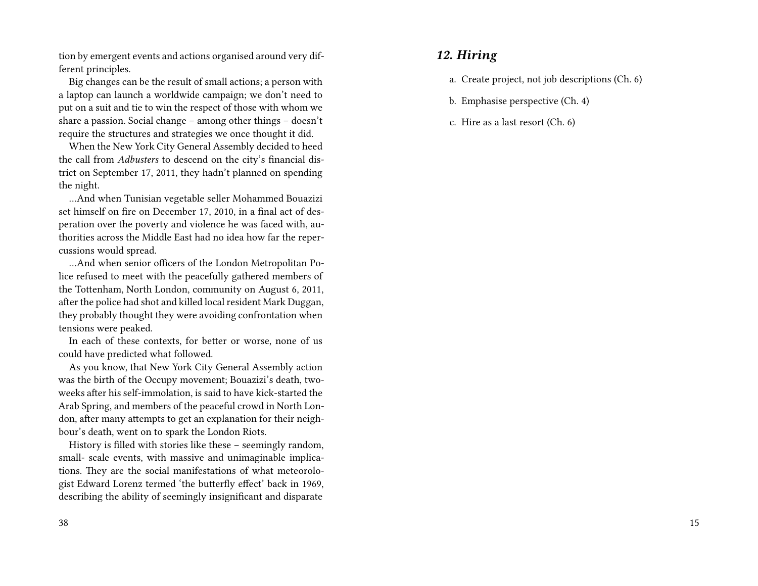tion by emergent events and actions organised around very different principles.

Big changes can be the result of small actions; a person with a laptop can launch a worldwide campaign; we don't need to put on a suit and tie to win the respect of those with whom we share a passion. Social change – among other things – doesn't require the structures and strategies we once thought it did.

When the New York City General Assembly decided to heed the call from *Adbusters* to descend on the city's financial district on September 17, 2011, they hadn't planned on spending the night.

…And when Tunisian vegetable seller Mohammed Bouazizi set himself on fire on December 17, 2010, in a final act of desperation over the poverty and violence he was faced with, authorities across the Middle East had no idea how far the repercussions would spread.

…And when senior officers of the London Metropolitan Police refused to meet with the peacefully gathered members of the Tottenham, North London, community on August 6, 2011, after the police had shot and killed local resident Mark Duggan, they probably thought they were avoiding confrontation when tensions were peaked.

In each of these contexts, for better or worse, none of us could have predicted what followed.

As you know, that New York City General Assembly action was the birth of the Occupy movement; Bouazizi's death, twoweeks after his self-immolation, is said to have kick-started the Arab Spring, and members of the peaceful crowd in North London, after many attempts to get an explanation for their neighbour's death, went on to spark the London Riots.

History is filled with stories like these – seemingly random, small- scale events, with massive and unimaginable implications. They are the social manifestations of what meteorologist Edward Lorenz termed 'the butterfly effect' back in 1969, describing the ability of seemingly insignificant and disparate

#### *12. Hiring*

- a. Create project, not job descriptions (Ch. 6)
- b. Emphasise perspective (Ch. 4)
- c. Hire as a last resort (Ch. 6)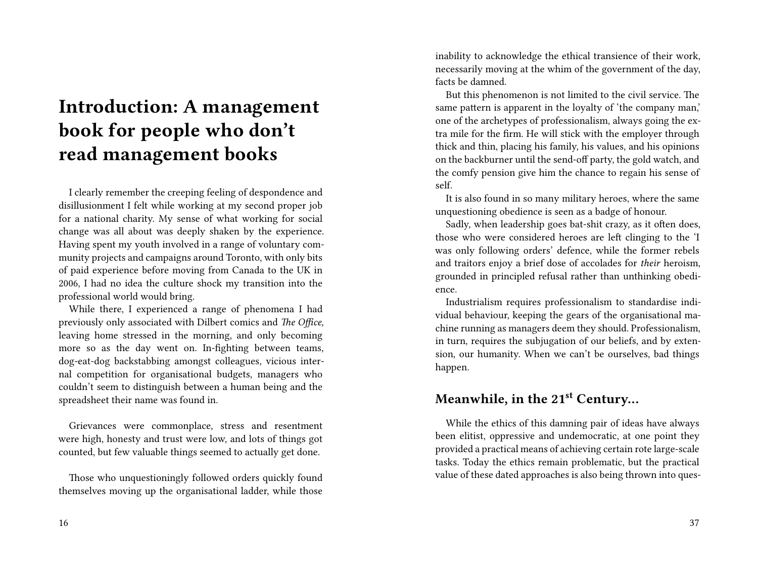# **Introduction: A management book for people who don't read management books**

I clearly remember the creeping feeling of despondence and disillusionment I felt while working at my second proper job for a national charity. My sense of what working for social change was all about was deeply shaken by the experience. Having spent my youth involved in a range of voluntary community projects and campaigns around Toronto, with only bits of paid experience before moving from Canada to the UK in 2006, I had no idea the culture shock my transition into the professional world would bring.

While there, I experienced a range of phenomena I had previously only associated with Dilbert comics and *The Office,* leaving home stressed in the morning, and only becoming more so as the day went on. In-fighting between teams, dog-eat-dog backstabbing amongst colleagues, vicious internal competition for organisational budgets, managers who couldn't seem to distinguish between a human being and the spreadsheet their name was found in.

Grievances were commonplace, stress and resentment were high, honesty and trust were low, and lots of things got counted, but few valuable things seemed to actually get done.

Those who unquestioningly followed orders quickly found themselves moving up the organisational ladder, while those inability to acknowledge the ethical transience of their work, necessarily moving at the whim of the government of the day, facts be damned.

But this phenomenon is not limited to the civil service. The same pattern is apparent in the loyalty of 'the company man,' one of the archetypes of professionalism, always going the extra mile for the firm. He will stick with the employer through thick and thin, placing his family, his values, and his opinions on the backburner until the send-off party, the gold watch, and the comfy pension give him the chance to regain his sense of self.

It is also found in so many military heroes, where the same unquestioning obedience is seen as a badge of honour.

Sadly, when leadership goes bat-shit crazy, as it often does, those who were considered heroes are left clinging to the 'I was only following orders' defence, while the former rebels and traitors enjoy a brief dose of accolades for *their* heroism, grounded in principled refusal rather than unthinking obedience.

Industrialism requires professionalism to standardise individual behaviour, keeping the gears of the organisational machine running as managers deem they should. Professionalism, in turn, requires the subjugation of our beliefs, and by extension, our humanity. When we can't be ourselves, bad things happen.

# **Meanwhile, in the 21st Century…**

While the ethics of this damning pair of ideas have always been elitist, oppressive and undemocratic, at one point they provided a practical means of achieving certain rote large-scale tasks. Today the ethics remain problematic, but the practical value of these dated approaches is also being thrown into ques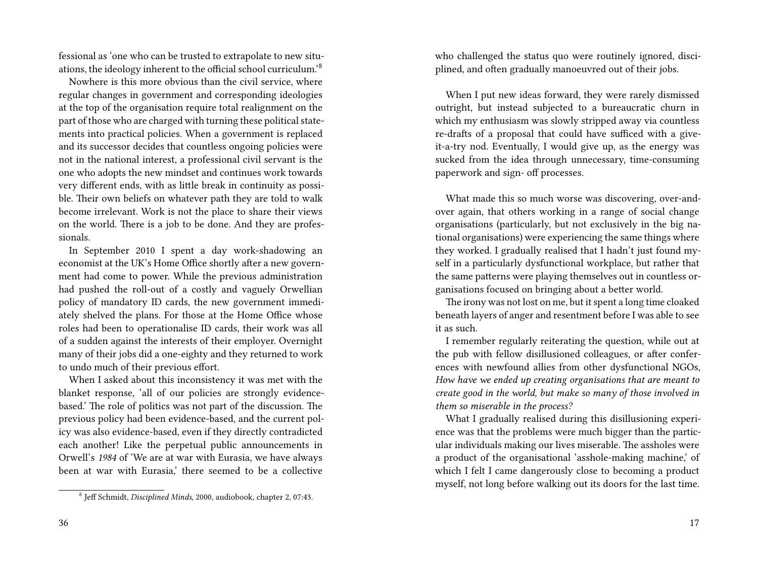fessional as 'one who can be trusted to extrapolate to new situations, the ideology inherent to the official school curriculum.'<sup>8</sup>

Nowhere is this more obvious than the civil service, where regular changes in government and corresponding ideologies at the top of the organisation require total realignment on the part of those who are charged with turning these political statements into practical policies. When a government is replaced and its successor decides that countless ongoing policies were not in the national interest, a professional civil servant is the one who adopts the new mindset and continues work towards very different ends, with as little break in continuity as possible. Their own beliefs on whatever path they are told to walk become irrelevant. Work is not the place to share their views on the world. There is a job to be done. And they are professionals.

In September 2010 I spent a day work-shadowing an economist at the UK's Home Office shortly after a new government had come to power. While the previous administration had pushed the roll-out of a costly and vaguely Orwellian policy of mandatory ID cards, the new government immediately shelved the plans. For those at the Home Office whose roles had been to operationalise ID cards, their work was all of a sudden against the interests of their employer. Overnight many of their jobs did a one-eighty and they returned to work to undo much of their previous effort.

When I asked about this inconsistency it was met with the blanket response, 'all of our policies are strongly evidencebased.' The role of politics was not part of the discussion. The previous policy had been evidence-based, and the current policy was also evidence-based, even if they directly contradicted each another! Like the perpetual public announcements in Orwell's *1984* of 'We are at war with Eurasia, we have always been at war with Eurasia,' there seemed to be a collective

who challenged the status quo were routinely ignored, disciplined, and often gradually manoeuvred out of their jobs.

When I put new ideas forward, they were rarely dismissed outright, but instead subjected to a bureaucratic churn in which my enthusiasm was slowly stripped away via countless re-drafts of a proposal that could have sufficed with a giveit-a-try nod. Eventually, I would give up, as the energy was sucked from the idea through unnecessary, time-consuming paperwork and sign- off processes.

What made this so much worse was discovering, over-andover again, that others working in a range of social change organisations (particularly, but not exclusively in the big national organisations) were experiencing the same things where they worked. I gradually realised that I hadn't just found myself in a particularly dysfunctional workplace, but rather that the same patterns were playing themselves out in countless organisations focused on bringing about a better world.

The irony was not lost on me, but it spent a long time cloaked beneath layers of anger and resentment before I was able to see it as such.

I remember regularly reiterating the question, while out at the pub with fellow disillusioned colleagues, or after conferences with newfound allies from other dysfunctional NGOs, *How have we ended up creating organisations that are meant to create good in the world, but make so many of those involved in them so miserable in the process?*

What I gradually realised during this disillusioning experience was that the problems were much bigger than the particular individuals making our lives miserable. The assholes were a product of the organisational 'asshole-making machine,' of which I felt I came dangerously close to becoming a product myself, not long before walking out its doors for the last time.

<sup>8</sup> Jeff Schmidt, *Disciplined Minds*, 2000, audiobook, chapter 2, 07:43.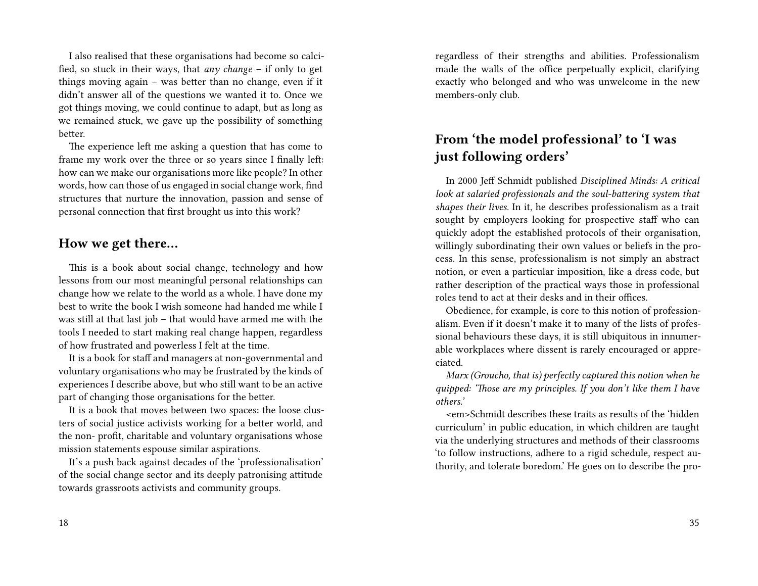I also realised that these organisations had become so calcified, so stuck in their ways, that *any change* – if only to get things moving again – was better than no change, even if it didn't answer all of the questions we wanted it to. Once we got things moving, we could continue to adapt, but as long as we remained stuck, we gave up the possibility of something better.

The experience left me asking a question that has come to frame my work over the three or so years since I finally left: how can we make our organisations more like people? In other words, how can those of us engaged in social change work, find structures that nurture the innovation, passion and sense of personal connection that first brought us into this work?

## **How we get there…**

This is a book about social change, technology and how lessons from our most meaningful personal relationships can change how we relate to the world as a whole. I have done my best to write the book I wish someone had handed me while I was still at that last job – that would have armed me with the tools I needed to start making real change happen, regardless of how frustrated and powerless I felt at the time.

It is a book for staff and managers at non-governmental and voluntary organisations who may be frustrated by the kinds of experiences I describe above, but who still want to be an active part of changing those organisations for the better.

It is a book that moves between two spaces: the loose clusters of social justice activists working for a better world, and the non- profit, charitable and voluntary organisations whose mission statements espouse similar aspirations.

It's a push back against decades of the 'professionalisation' of the social change sector and its deeply patronising attitude towards grassroots activists and community groups.

regardless of their strengths and abilities. Professionalism made the walls of the office perpetually explicit, clarifying exactly who belonged and who was unwelcome in the new members-only club.

# **From 'the model professional' to 'I was just following orders'**

In 2000 Jeff Schmidt published *Disciplined Minds: A critical look at salaried professionals and the soul-battering system that shapes their lives.* In it, he describes professionalism as a trait sought by employers looking for prospective staff who can quickly adopt the established protocols of their organisation, willingly subordinating their own values or beliefs in the process. In this sense, professionalism is not simply an abstract notion, or even a particular imposition, like a dress code, but rather description of the practical ways those in professional roles tend to act at their desks and in their offices.

Obedience, for example, is core to this notion of professionalism. Even if it doesn't make it to many of the lists of professional behaviours these days, it is still ubiquitous in innumerable workplaces where dissent is rarely encouraged or appreciated.

*Marx (Groucho, that is) perfectly captured this notion when he quipped: 'Those are my principles. If you don't like them I have others.'*

<em>Schmidt describes these traits as results of the 'hidden curriculum' in public education, in which children are taught via the underlying structures and methods of their classrooms 'to follow instructions, adhere to a rigid schedule, respect authority, and tolerate boredom.' He goes on to describe the pro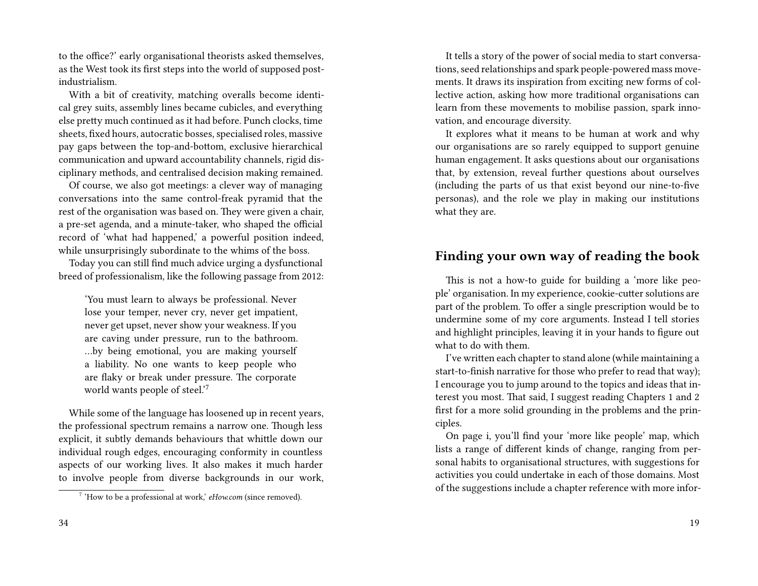to the office?' early organisational theorists asked themselves, as the West took its first steps into the world of supposed postindustrialism.

With a bit of creativity, matching overalls become identical grey suits, assembly lines became cubicles, and everything else pretty much continued as it had before. Punch clocks, time sheets, fixed hours, autocratic bosses, specialised roles, massive pay gaps between the top-and-bottom, exclusive hierarchical communication and upward accountability channels, rigid disciplinary methods, and centralised decision making remained.

Of course, we also got meetings: a clever way of managing conversations into the same control-freak pyramid that the rest of the organisation was based on. They were given a chair, a pre-set agenda, and a minute-taker, who shaped the official record of 'what had happened,' a powerful position indeed, while unsurprisingly subordinate to the whims of the boss.

Today you can still find much advice urging a dysfunctional breed of professionalism, like the following passage from 2012:

'You must learn to always be professional. Never lose your temper, never cry, never get impatient, never get upset, never show your weakness. If you are caving under pressure, run to the bathroom. …by being emotional, you are making yourself a liability. No one wants to keep people who are flaky or break under pressure. The corporate world wants people of steel.'<sup>7</sup>

While some of the language has loosened up in recent years, the professional spectrum remains a narrow one. Though less explicit, it subtly demands behaviours that whittle down our individual rough edges, encouraging conformity in countless aspects of our working lives. It also makes it much harder to involve people from diverse backgrounds in our work,

It tells a story of the power of social media to start conversations, seed relationships and spark people-powered mass movements. It draws its inspiration from exciting new forms of collective action, asking how more traditional organisations can learn from these movements to mobilise passion, spark innovation, and encourage diversity.

It explores what it means to be human at work and why our organisations are so rarely equipped to support genuine human engagement. It asks questions about our organisations that, by extension, reveal further questions about ourselves (including the parts of us that exist beyond our nine-to-five personas), and the role we play in making our institutions what they are.

#### **Finding your own way of reading the book**

This is not a how-to guide for building a 'more like people' organisation. In my experience, cookie-cutter solutions are part of the problem. To offer a single prescription would be to undermine some of my core arguments. Instead I tell stories and highlight principles, leaving it in your hands to figure out what to do with them.

I've written each chapter to stand alone (while maintaining a start-to-finish narrative for those who prefer to read that way); I encourage you to jump around to the topics and ideas that interest you most. That said, I suggest reading Chapters 1 and 2 first for a more solid grounding in the problems and the principles.

On page i, you'll find your 'more like people' map, which lists a range of different kinds of change, ranging from personal habits to organisational structures, with suggestions for activities you could undertake in each of those domains. Most of the suggestions include a chapter reference with more infor-

<sup>7</sup> 'How to be a professional at work,' *eHow.com* (since removed).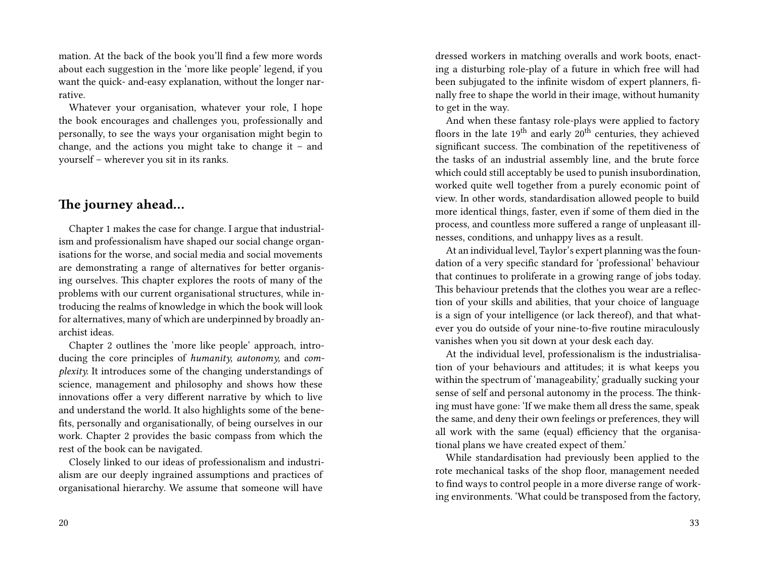mation. At the back of the book you'll find a few more words about each suggestion in the 'more like people' legend, if you want the quick- and-easy explanation, without the longer narrative.

Whatever your organisation, whatever your role, I hope the book encourages and challenges you, professionally and personally, to see the ways your organisation might begin to change, and the actions you might take to change it – and yourself – wherever you sit in its ranks.

#### **The journey ahead…**

Chapter 1 makes the case for change. I argue that industrialism and professionalism have shaped our social change organisations for the worse, and social media and social movements are demonstrating a range of alternatives for better organising ourselves. This chapter explores the roots of many of the problems with our current organisational structures, while introducing the realms of knowledge in which the book will look for alternatives, many of which are underpinned by broadly anarchist ideas.

Chapter 2 outlines the 'more like people' approach, introducing the core principles of *humanity, autonomy,* and *complexity.* It introduces some of the changing understandings of science, management and philosophy and shows how these innovations offer a very different narrative by which to live and understand the world. It also highlights some of the benefits, personally and organisationally, of being ourselves in our work. Chapter 2 provides the basic compass from which the rest of the book can be navigated.

Closely linked to our ideas of professionalism and industrialism are our deeply ingrained assumptions and practices of organisational hierarchy. We assume that someone will have

dressed workers in matching overalls and work boots, enacting a disturbing role-play of a future in which free will had been subjugated to the infinite wisdom of expert planners, finally free to shape the world in their image, without humanity to get in the way.

And when these fantasy role-plays were applied to factory floors in the late  $19<sup>th</sup>$  and early  $20<sup>th</sup>$  centuries, they achieved significant success. The combination of the repetitiveness of the tasks of an industrial assembly line, and the brute force which could still acceptably be used to punish insubordination, worked quite well together from a purely economic point of view. In other words, standardisation allowed people to build more identical things, faster, even if some of them died in the process, and countless more suffered a range of unpleasant illnesses, conditions, and unhappy lives as a result.

At an individual level, Taylor's expert planning was the foundation of a very specific standard for 'professional' behaviour that continues to proliferate in a growing range of jobs today. This behaviour pretends that the clothes you wear are a reflection of your skills and abilities, that your choice of language is a sign of your intelligence (or lack thereof), and that whatever you do outside of your nine-to-five routine miraculously vanishes when you sit down at your desk each day.

At the individual level, professionalism is the industrialisation of your behaviours and attitudes; it is what keeps you within the spectrum of 'manageability,' gradually sucking your sense of self and personal autonomy in the process. The thinking must have gone: 'If we make them all dress the same, speak the same, and deny their own feelings or preferences, they will all work with the same (equal) efficiency that the organisational plans we have created expect of them.'

While standardisation had previously been applied to the rote mechanical tasks of the shop floor, management needed to find ways to control people in a more diverse range of working environments. 'What could be transposed from the factory,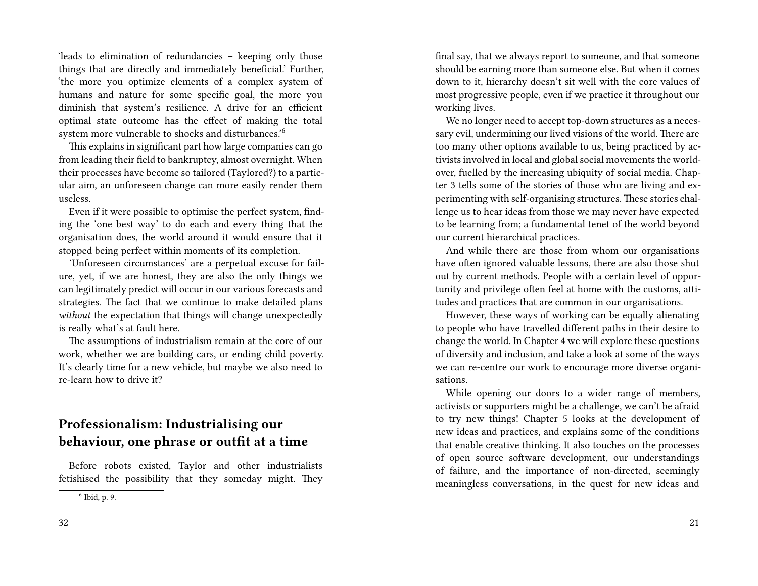'leads to elimination of redundancies – keeping only those things that are directly and immediately beneficial.' Further, 'the more you optimize elements of a complex system of humans and nature for some specific goal, the more you diminish that system's resilience. A drive for an efficient optimal state outcome has the effect of making the total system more vulnerable to shocks and disturbances.'<sup>6</sup>

This explains in significant part how large companies can go from leading their field to bankruptcy, almost overnight. When their processes have become so tailored (Taylored?) to a particular aim, an unforeseen change can more easily render them useless.

Even if it were possible to optimise the perfect system, finding the 'one best way' to do each and every thing that the organisation does, the world around it would ensure that it stopped being perfect within moments of its completion.

'Unforeseen circumstances' are a perpetual excuse for failure, yet, if we are honest, they are also the only things we can legitimately predict will occur in our various forecasts and strategies. The fact that we continue to make detailed plans *without* the expectation that things will change unexpectedly is really what's at fault here.

The assumptions of industrialism remain at the core of our work, whether we are building cars, or ending child poverty. It's clearly time for a new vehicle, but maybe we also need to re-learn how to drive it?

# **Professionalism: Industrialising our behaviour, one phrase or outfit at a time**

Before robots existed, Taylor and other industrialists fetishised the possibility that they someday might. They

final say, that we always report to someone, and that someone should be earning more than someone else. But when it comes down to it, hierarchy doesn't sit well with the core values of most progressive people, even if we practice it throughout our working lives.

We no longer need to accept top-down structures as a necessary evil, undermining our lived visions of the world. There are too many other options available to us, being practiced by activists involved in local and global social movements the worldover, fuelled by the increasing ubiquity of social media. Chapter 3 tells some of the stories of those who are living and experimenting with self-organising structures. These stories challenge us to hear ideas from those we may never have expected to be learning from; a fundamental tenet of the world beyond our current hierarchical practices.

And while there are those from whom our organisations have often ignored valuable lessons, there are also those shut out by current methods. People with a certain level of opportunity and privilege often feel at home with the customs, attitudes and practices that are common in our organisations.

However, these ways of working can be equally alienating to people who have travelled different paths in their desire to change the world. In Chapter 4 we will explore these questions of diversity and inclusion, and take a look at some of the ways we can re-centre our work to encourage more diverse organisations.

While opening our doors to a wider range of members, activists or supporters might be a challenge, we can't be afraid to try new things! Chapter 5 looks at the development of new ideas and practices, and explains some of the conditions that enable creative thinking. It also touches on the processes of open source software development, our understandings of failure, and the importance of non-directed, seemingly meaningless conversations, in the quest for new ideas and

<sup>6</sup> Ibid, p. 9.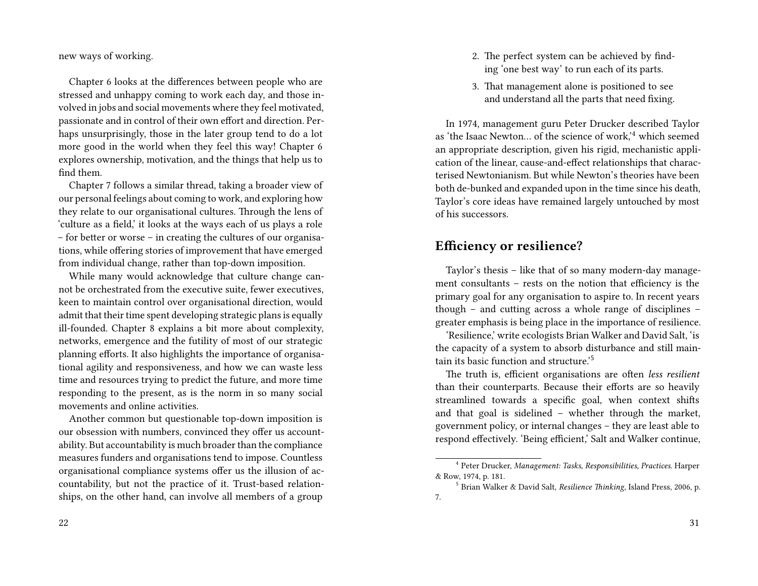new ways of working.

Chapter 6 looks at the differences between people who are stressed and unhappy coming to work each day, and those involved in jobs and social movements where they feel motivated, passionate and in control of their own effort and direction. Perhaps unsurprisingly, those in the later group tend to do a lot more good in the world when they feel this way! Chapter 6 explores ownership, motivation, and the things that help us to find them.

Chapter 7 follows a similar thread, taking a broader view of our personal feelings about coming to work, and exploring how they relate to our organisational cultures. Through the lens of 'culture as a field,' it looks at the ways each of us plays a role – for better or worse – in creating the cultures of our organisations, while offering stories of improvement that have emerged from individual change, rather than top-down imposition.

While many would acknowledge that culture change cannot be orchestrated from the executive suite, fewer executives, keen to maintain control over organisational direction, would admit that their time spent developing strategic plans is equally ill-founded. Chapter 8 explains a bit more about complexity, networks, emergence and the futility of most of our strategic planning efforts. It also highlights the importance of organisational agility and responsiveness, and how we can waste less time and resources trying to predict the future, and more time responding to the present, as is the norm in so many social movements and online activities.

Another common but questionable top-down imposition is our obsession with numbers, convinced they offer us accountability. But accountability is much broader than the compliance measures funders and organisations tend to impose. Countless organisational compliance systems offer us the illusion of accountability, but not the practice of it. Trust-based relationships, on the other hand, can involve all members of a group

- 2. The perfect system can be achieved by finding 'one best way' to run each of its parts.
- 3. That management alone is positioned to see and understand all the parts that need fixing.

In 1974, management guru Peter Drucker described Taylor as 'the Isaac Newton… of the science of work,'<sup>4</sup> which seemed an appropriate description, given his rigid, mechanistic application of the linear, cause-and-effect relationships that characterised Newtonianism. But while Newton's theories have been both de-bunked and expanded upon in the time since his death, Taylor's core ideas have remained largely untouched by most of his successors.

#### **Efficiency or resilience?**

Taylor's thesis – like that of so many modern-day management consultants – rests on the notion that efficiency is the primary goal for any organisation to aspire to. In recent years though – and cutting across a whole range of disciplines – greater emphasis is being place in the importance of resilience.

'Resilience,' write ecologists Brian Walker and David Salt, 'is the capacity of a system to absorb disturbance and still maintain its basic function and structure.'<sup>5</sup>

The truth is, efficient organisations are often *less resilient* than their counterparts. Because their efforts are so heavily streamlined towards a specific goal, when context shifts and that goal is sidelined – whether through the market, government policy, or internal changes – they are least able to respond effectively. 'Being efficient,' Salt and Walker continue,

<sup>4</sup> Peter Drucker, *Management: Tasks, Responsibilities, Practices*. Harper & Row, 1974, p. 181.

<sup>5</sup> Brian Walker & David Salt, *Resilience Thinking*, Island Press, 2006, p. 7.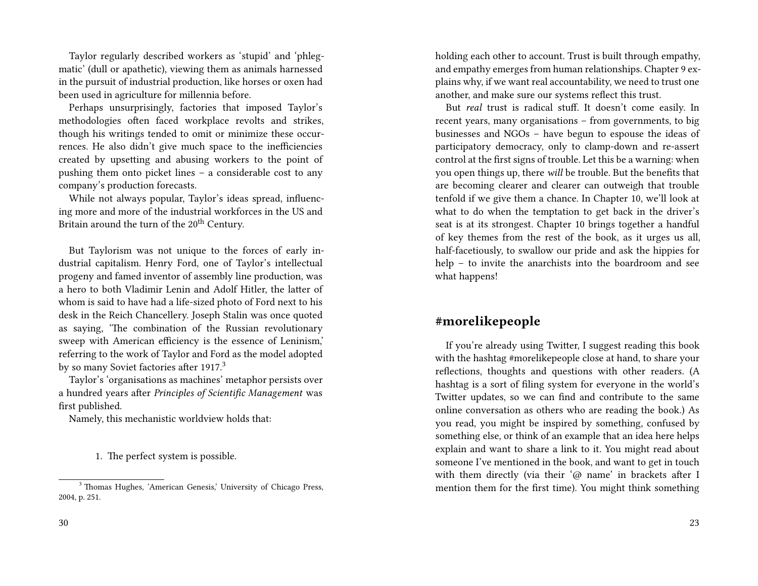Taylor regularly described workers as 'stupid' and 'phlegmatic' (dull or apathetic), viewing them as animals harnessed in the pursuit of industrial production, like horses or oxen had been used in agriculture for millennia before.

Perhaps unsurprisingly, factories that imposed Taylor's methodologies often faced workplace revolts and strikes, though his writings tended to omit or minimize these occurrences. He also didn't give much space to the inefficiencies created by upsetting and abusing workers to the point of pushing them onto picket lines – a considerable cost to any company's production forecasts.

While not always popular, Taylor's ideas spread, influencing more and more of the industrial workforces in the US and Britain around the turn of the  $20<sup>th</sup>$  Century.

But Taylorism was not unique to the forces of early industrial capitalism. Henry Ford, one of Taylor's intellectual progeny and famed inventor of assembly line production, was a hero to both Vladimir Lenin and Adolf Hitler, the latter of whom is said to have had a life-sized photo of Ford next to his desk in the Reich Chancellery. Joseph Stalin was once quoted as saying, 'The combination of the Russian revolutionary sweep with American efficiency is the essence of Leninism,' referring to the work of Taylor and Ford as the model adopted by so many Soviet factories after 1917.<sup>3</sup>

Taylor's 'organisations as machines' metaphor persists over a hundred years after *Principles of Scientific Management* was first published.

Namely, this mechanistic worldview holds that:

1. The perfect system is possible.

holding each other to account. Trust is built through empathy, and empathy emerges from human relationships. Chapter 9 explains why, if we want real accountability, we need to trust one another, and make sure our systems reflect this trust.

But *real* trust is radical stuff. It doesn't come easily. In recent years, many organisations – from governments, to big businesses and NGOs – have begun to espouse the ideas of participatory democracy, only to clamp-down and re-assert control at the first signs of trouble. Let this be a warning: when you open things up, there *will* be trouble. But the benefits that are becoming clearer and clearer can outweigh that trouble tenfold if we give them a chance. In Chapter 10, we'll look at what to do when the temptation to get back in the driver's seat is at its strongest. Chapter 10 brings together a handful of key themes from the rest of the book, as it urges us all, half-facetiously, to swallow our pride and ask the hippies for help – to invite the anarchists into the boardroom and see what happens!

#### **#morelikepeople**

If you're already using Twitter, I suggest reading this book with the hashtag #morelikepeople close at hand, to share your reflections, thoughts and questions with other readers. (A hashtag is a sort of filing system for everyone in the world's Twitter updates, so we can find and contribute to the same online conversation as others who are reading the book.) As you read, you might be inspired by something, confused by something else, or think of an example that an idea here helps explain and want to share a link to it. You might read about someone I've mentioned in the book, and want to get in touch with them directly (via their '@ name' in brackets after I mention them for the first time). You might think something

<sup>&</sup>lt;sup>3</sup> Thomas Hughes, 'American Genesis,' University of Chicago Press, 2004, p. 251.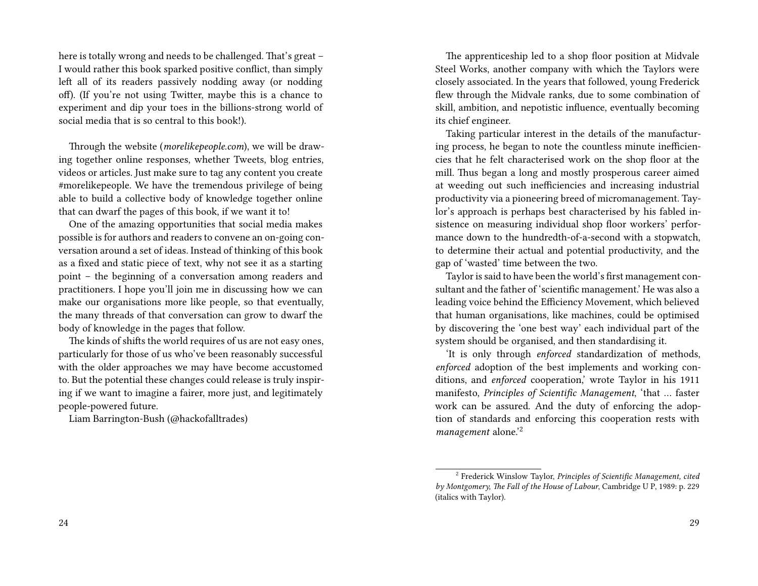here is totally wrong and needs to be challenged. That's great – I would rather this book sparked positive conflict, than simply left all of its readers passively nodding away (or nodding off). (If you're not using Twitter, maybe this is a chance to experiment and dip your toes in the billions-strong world of social media that is so central to this book!).

Through the website (*morelikepeople.com*), we will be drawing together online responses, whether Tweets, blog entries, videos or articles. Just make sure to tag any content you create #morelikepeople. We have the tremendous privilege of being able to build a collective body of knowledge together online that can dwarf the pages of this book, if we want it to!

One of the amazing opportunities that social media makes possible is for authors and readers to convene an on-going conversation around a set of ideas. Instead of thinking of this book as a fixed and static piece of text, why not see it as a starting point – the beginning of a conversation among readers and practitioners. I hope you'll join me in discussing how we can make our organisations more like people, so that eventually, the many threads of that conversation can grow to dwarf the body of knowledge in the pages that follow.

The kinds of shifts the world requires of us are not easy ones, particularly for those of us who've been reasonably successful with the older approaches we may have become accustomed to. But the potential these changes could release is truly inspiring if we want to imagine a fairer, more just, and legitimately people-powered future.

Liam Barrington-Bush (@hackofalltrades)

The apprenticeship led to a shop floor position at Midvale Steel Works, another company with which the Taylors were closely associated. In the years that followed, young Frederick flew through the Midvale ranks, due to some combination of skill, ambition, and nepotistic influence, eventually becoming its chief engineer.

Taking particular interest in the details of the manufacturing process, he began to note the countless minute inefficiencies that he felt characterised work on the shop floor at the mill. Thus began a long and mostly prosperous career aimed at weeding out such inefficiencies and increasing industrial productivity via a pioneering breed of micromanagement. Taylor's approach is perhaps best characterised by his fabled insistence on measuring individual shop floor workers' performance down to the hundredth-of-a-second with a stopwatch, to determine their actual and potential productivity, and the gap of 'wasted' time between the two.

Taylor is said to have been the world's first management consultant and the father of 'scientific management.' He was also a leading voice behind the Efficiency Movement, which believed that human organisations, like machines, could be optimised by discovering the 'one best way' each individual part of the system should be organised, and then standardising it.

'It is only through *enforced* standardization of methods, *enforced* adoption of the best implements and working conditions, and *enforced* cooperation,' wrote Taylor in his 1911 manifesto, *Principles of Scientific Management*, 'that … faster work can be assured. And the duty of enforcing the adoption of standards and enforcing this cooperation rests with management alone.<sup>2</sup>

<sup>2</sup> Frederick Winslow Taylor, *Principles of Scientific Management, cited by Montgomery, The Fall of the House of Labour*, Cambridge U P, 1989: p. 229 (italics with Taylor).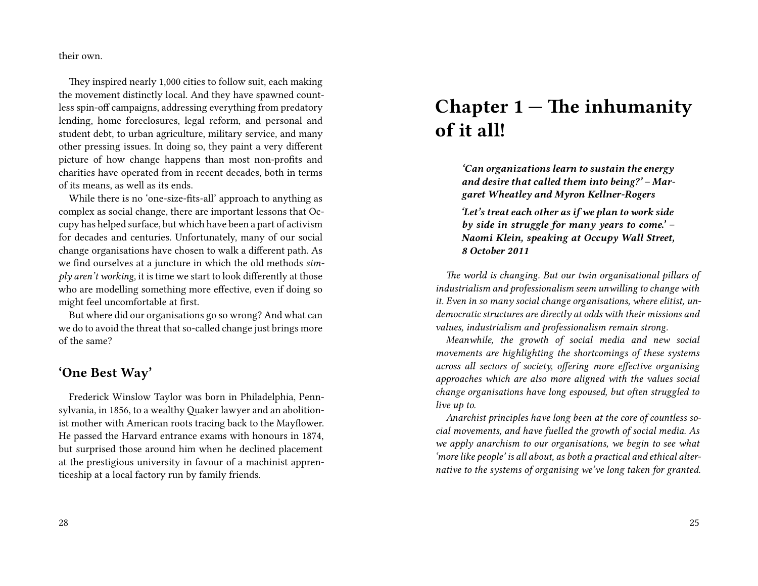their own.

They inspired nearly 1,000 cities to follow suit, each making the movement distinctly local. And they have spawned countless spin-off campaigns, addressing everything from predatory lending, home foreclosures, legal reform, and personal and student debt, to urban agriculture, military service, and many other pressing issues. In doing so, they paint a very different picture of how change happens than most non-profits and charities have operated from in recent decades, both in terms of its means, as well as its ends.

While there is no 'one-size-fits-all' approach to anything as complex as social change, there are important lessons that Occupy has helped surface, but which have been a part of activism for decades and centuries. Unfortunately, many of our social change organisations have chosen to walk a different path. As we find ourselves at a juncture in which the old methods *simply aren't working*, it is time we start to look differently at those who are modelling something more effective, even if doing so might feel uncomfortable at first.

But where did our organisations go so wrong? And what can we do to avoid the threat that so-called change just brings more of the same?

## **'One Best Way'**

Frederick Winslow Taylor was born in Philadelphia, Pennsylvania, in 1856, to a wealthyQuaker lawyer and an abolitionist mother with American roots tracing back to the Mayflower. He passed the Harvard entrance exams with honours in 1874, but surprised those around him when he declined placement at the prestigious university in favour of a machinist apprenticeship at a local factory run by family friends.

# **Chapter 1 — The inhumanity of it all!**

*'Can organizations learn to sustain the energy and desire that called them into being?' – Margaret Wheatley and Myron Kellner-Rogers*

*'Let's treat each other as if we plan to work side by side in struggle for many years to come.' – Naomi Klein, speaking at Occupy Wall Street, 8 October 2011*

*The world is changing. But our twin organisational pillars of industrialism and professionalism seem unwilling to change with it. Even in so many social change organisations, where elitist, undemocratic structures are directly at odds with their missions and values, industrialism and professionalism remain strong.*

*Meanwhile, the growth of social media and new social movements are highlighting the shortcomings of these systems across all sectors of society, offering more effective organising approaches which are also more aligned with the values social change organisations have long espoused, but often struggled to live up to.*

*Anarchist principles have long been at the core of countless social movements, and have fuelled the growth of social media. As we apply anarchism to our organisations, we begin to see what 'more like people' is all about, as both a practical and ethical alternative to the systems of organising we've long taken for granted.*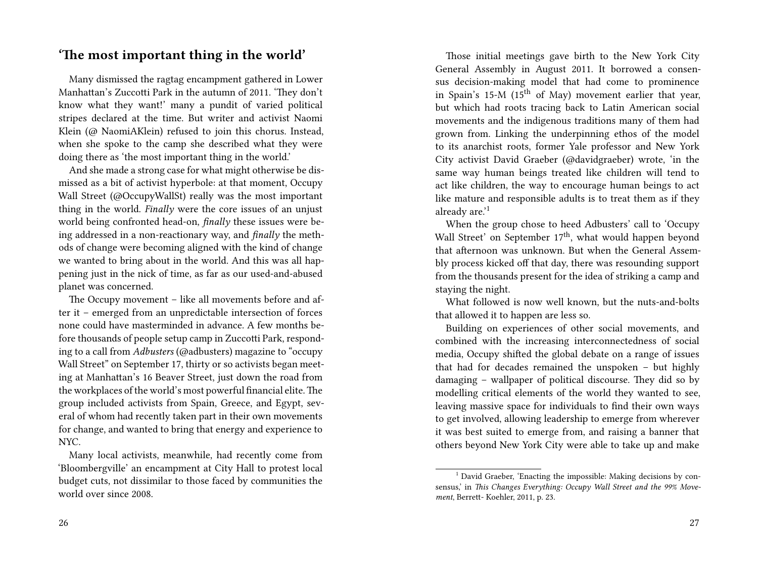#### **'The most important thing in the world'**

Many dismissed the ragtag encampment gathered in Lower Manhattan's Zuccotti Park in the autumn of 2011. 'They don't know what they want!' many a pundit of varied political stripes declared at the time. But writer and activist Naomi Klein (@ NaomiAKlein) refused to join this chorus. Instead, when she spoke to the camp she described what they were doing there as 'the most important thing in the world.'

And she made a strong case for what might otherwise be dismissed as a bit of activist hyperbole: at that moment, Occupy Wall Street (@OccupyWallSt) really was the most important thing in the world. *Finally* were the core issues of an unjust world being confronted head-on, *finally* these issues were being addressed in a non-reactionary way, and *finally* the methods of change were becoming aligned with the kind of change we wanted to bring about in the world. And this was all happening just in the nick of time, as far as our used-and-abused planet was concerned.

The Occupy movement – like all movements before and after it – emerged from an unpredictable intersection of forces none could have masterminded in advance. A few months before thousands of people setup camp in Zuccotti Park, responding to a call from *Adbusters* (@adbusters) magazine to "occupy Wall Street" on September 17, thirty or so activists began meeting at Manhattan's 16 Beaver Street, just down the road from the workplaces of the world's most powerful financial elite.The group included activists from Spain, Greece, and Egypt, several of whom had recently taken part in their own movements for change, and wanted to bring that energy and experience to NYC.

Those initial meetings gave birth to the New York City General Assembly in August 2011. It borrowed a consensus decision-making model that had come to prominence in Spain's 15-M (15<sup>th</sup> of May) movement earlier that year, but which had roots tracing back to Latin American social movements and the indigenous traditions many of them had grown from. Linking the underpinning ethos of the model to its anarchist roots, former Yale professor and New York City activist David Graeber (@davidgraeber) wrote, 'in the same way human beings treated like children will tend to act like children, the way to encourage human beings to act like mature and responsible adults is to treat them as if they already are.'<sup>1</sup>

When the group chose to heed Adbusters' call to 'Occupy Wall Street' on September 17<sup>th</sup>, what would happen beyond that afternoon was unknown. But when the General Assembly process kicked off that day, there was resounding support from the thousands present for the idea of striking a camp and staying the night.

What followed is now well known, but the nuts-and-bolts that allowed it to happen are less so.

Building on experiences of other social movements, and combined with the increasing interconnectedness of social media, Occupy shifted the global debate on a range of issues that had for decades remained the unspoken – but highly damaging – wallpaper of political discourse. They did so by modelling critical elements of the world they wanted to see, leaving massive space for individuals to find their own ways to get involved, allowing leadership to emerge from wherever it was best suited to emerge from, and raising a banner that others beyond New York City were able to take up and make

Many local activists, meanwhile, had recently come from 'Bloombergville' an encampment at City Hall to protest local budget cuts, not dissimilar to those faced by communities the world over since 2008.

<sup>&</sup>lt;sup>1</sup> David Graeber, 'Enacting the impossible: Making decisions by consensus,' in *This Changes Everything: Occupy Wall Street and the 99% Movement*, Berrett- Koehler, 2011, p. 23.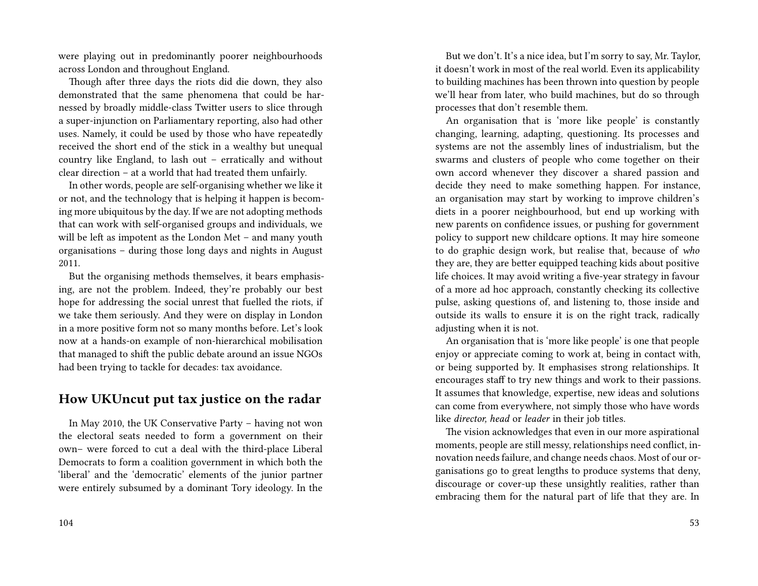were playing out in predominantly poorer neighbourhoods across London and throughout England.

Though after three days the riots did die down, they also demonstrated that the same phenomena that could be harnessed by broadly middle-class Twitter users to slice through a super-injunction on Parliamentary reporting, also had other uses. Namely, it could be used by those who have repeatedly received the short end of the stick in a wealthy but unequal country like England, to lash out – erratically and without clear direction – at a world that had treated them unfairly.

In other words, people are self-organising whether we like it or not, and the technology that is helping it happen is becoming more ubiquitous by the day. If we are not adopting methods that can work with self-organised groups and individuals, we will be left as impotent as the London Met – and many youth organisations – during those long days and nights in August 2011.

But the organising methods themselves, it bears emphasising, are not the problem. Indeed, they're probably our best hope for addressing the social unrest that fuelled the riots, if we take them seriously. And they were on display in London in a more positive form not so many months before. Let's look now at a hands-on example of non-hierarchical mobilisation that managed to shift the public debate around an issue NGOs had been trying to tackle for decades: tax avoidance.

#### **How UKUncut put tax justice on the radar**

In May 2010, the UK Conservative Party – having not won the electoral seats needed to form a government on their own– were forced to cut a deal with the third-place Liberal Democrats to form a coalition government in which both the 'liberal' and the 'democratic' elements of the junior partner were entirely subsumed by a dominant Tory ideology. In the

But we don't. It's a nice idea, but I'm sorry to say, Mr. Taylor, it doesn't work in most of the real world. Even its applicability to building machines has been thrown into question by people we'll hear from later, who build machines, but do so through processes that don't resemble them.

An organisation that is 'more like people' is constantly changing, learning, adapting, questioning. Its processes and systems are not the assembly lines of industrialism, but the swarms and clusters of people who come together on their own accord whenever they discover a shared passion and decide they need to make something happen. For instance, an organisation may start by working to improve children's diets in a poorer neighbourhood, but end up working with new parents on confidence issues, or pushing for government policy to support new childcare options. It may hire someone to do graphic design work, but realise that, because of *who* they are, they are better equipped teaching kids about positive life choices. It may avoid writing a five-year strategy in favour of a more ad hoc approach, constantly checking its collective pulse, asking questions of, and listening to, those inside and outside its walls to ensure it is on the right track, radically adjusting when it is not.

An organisation that is 'more like people' is one that people enjoy or appreciate coming to work at, being in contact with, or being supported by. It emphasises strong relationships. It encourages staff to try new things and work to their passions. It assumes that knowledge, expertise, new ideas and solutions can come from everywhere, not simply those who have words like *director, head* or *leader* in their job titles.

The vision acknowledges that even in our more aspirational moments, people are still messy, relationships need conflict, innovation needs failure, and change needs chaos. Most of our organisations go to great lengths to produce systems that deny, discourage or cover-up these unsightly realities, rather than embracing them for the natural part of life that they are. In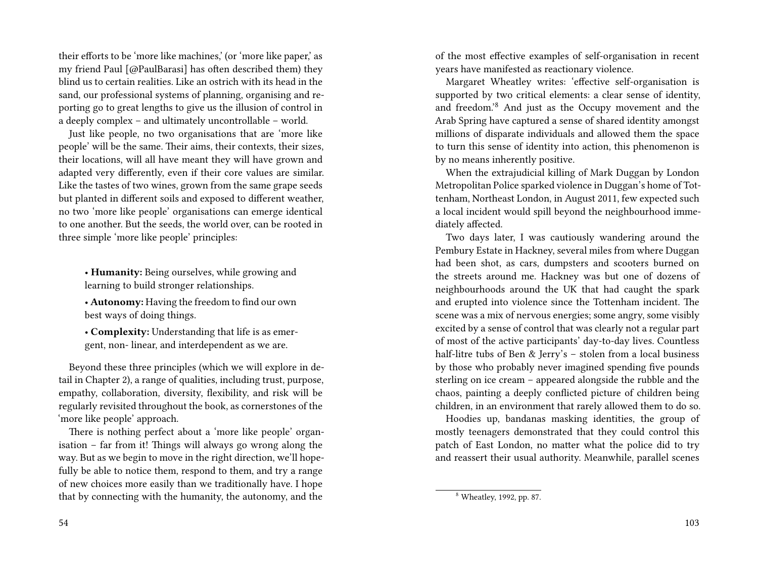their efforts to be 'more like machines,' (or 'more like paper,' as my friend Paul [@PaulBarasi] has often described them) they blind us to certain realities. Like an ostrich with its head in the sand, our professional systems of planning, organising and reporting go to great lengths to give us the illusion of control in a deeply complex – and ultimately uncontrollable – world.

Just like people, no two organisations that are 'more like people' will be the same. Their aims, their contexts, their sizes, their locations, will all have meant they will have grown and adapted very differently, even if their core values are similar. Like the tastes of two wines, grown from the same grape seeds but planted in different soils and exposed to different weather, no two 'more like people' organisations can emerge identical to one another. But the seeds, the world over, can be rooted in three simple 'more like people' principles:

• **Humanity:** Being ourselves, while growing and learning to build stronger relationships.

• **Autonomy:** Having the freedom to find our own best ways of doing things.

• **Complexity:** Understanding that life is as emergent, non- linear, and interdependent as we are.

Beyond these three principles (which we will explore in detail in Chapter 2), a range of qualities, including trust, purpose, empathy, collaboration, diversity, flexibility, and risk will be regularly revisited throughout the book, as cornerstones of the 'more like people' approach.

There is nothing perfect about a 'more like people' organisation – far from it! Things will always go wrong along the way. But as we begin to move in the right direction, we'll hopefully be able to notice them, respond to them, and try a range of new choices more easily than we traditionally have. I hope that by connecting with the humanity, the autonomy, and the

of the most effective examples of self-organisation in recent years have manifested as reactionary violence.

Margaret Wheatley writes: 'effective self-organisation is supported by two critical elements: a clear sense of identity, and freedom.'<sup>8</sup> And just as the Occupy movement and the Arab Spring have captured a sense of shared identity amongst millions of disparate individuals and allowed them the space to turn this sense of identity into action, this phenomenon is by no means inherently positive.

When the extrajudicial killing of Mark Duggan by London Metropolitan Police sparked violence in Duggan's home of Tottenham, Northeast London, in August 2011, few expected such a local incident would spill beyond the neighbourhood immediately affected.

Two days later, I was cautiously wandering around the Pembury Estate in Hackney, several miles from where Duggan had been shot, as cars, dumpsters and scooters burned on the streets around me. Hackney was but one of dozens of neighbourhoods around the UK that had caught the spark and erupted into violence since the Tottenham incident. The scene was a mix of nervous energies; some angry, some visibly excited by a sense of control that was clearly not a regular part of most of the active participants' day-to-day lives. Countless half-litre tubs of Ben & Jerry's – stolen from a local business by those who probably never imagined spending five pounds sterling on ice cream – appeared alongside the rubble and the chaos, painting a deeply conflicted picture of children being children, in an environment that rarely allowed them to do so.

Hoodies up, bandanas masking identities, the group of mostly teenagers demonstrated that they could control this patch of East London, no matter what the police did to try and reassert their usual authority. Meanwhile, parallel scenes

<sup>8</sup> Wheatley, 1992, pp. 87.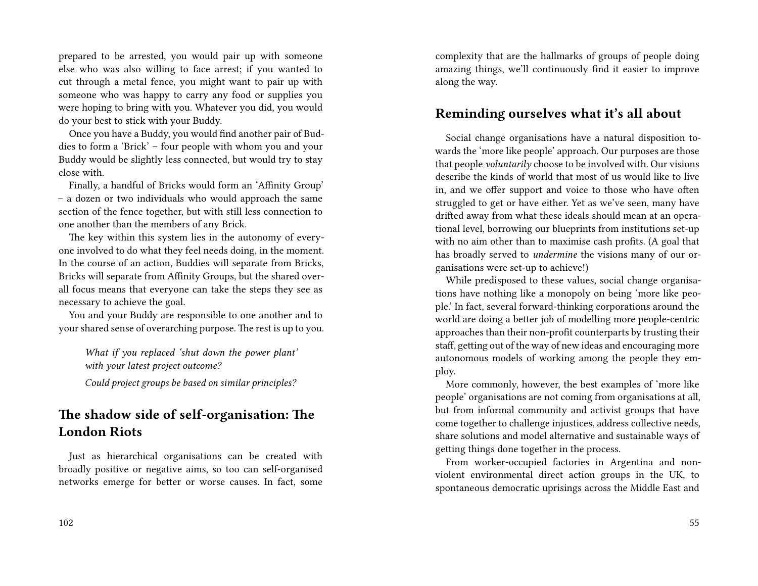prepared to be arrested, you would pair up with someone else who was also willing to face arrest; if you wanted to cut through a metal fence, you might want to pair up with someone who was happy to carry any food or supplies you were hoping to bring with you. Whatever you did, you would do your best to stick with your Buddy.

Once you have a Buddy, you would find another pair of Buddies to form a 'Brick' – four people with whom you and your Buddy would be slightly less connected, but would try to stay close with.

Finally, a handful of Bricks would form an 'Affinity Group' – a dozen or two individuals who would approach the same section of the fence together, but with still less connection to one another than the members of any Brick.

The key within this system lies in the autonomy of everyone involved to do what they feel needs doing, in the moment. In the course of an action, Buddies will separate from Bricks, Bricks will separate from Affinity Groups, but the shared overall focus means that everyone can take the steps they see as necessary to achieve the goal.

You and your Buddy are responsible to one another and to your shared sense of overarching purpose. The rest is up to you.

*What if you replaced 'shut down the power plant' with your latest project outcome?*

*Could project groups be based on similar principles?*

# **The shadow side of self-organisation: The London Riots**

Just as hierarchical organisations can be created with broadly positive or negative aims, so too can self-organised networks emerge for better or worse causes. In fact, some complexity that are the hallmarks of groups of people doing amazing things, we'll continuously find it easier to improve along the way.

#### **Reminding ourselves what it's all about**

Social change organisations have a natural disposition towards the 'more like people' approach. Our purposes are those that people *voluntarily* choose to be involved with. Our visions describe the kinds of world that most of us would like to live in, and we offer support and voice to those who have often struggled to get or have either. Yet as we've seen, many have drifted away from what these ideals should mean at an operational level, borrowing our blueprints from institutions set-up with no aim other than to maximise cash profits. (A goal that has broadly served to *undermine* the visions many of our organisations were set-up to achieve!)

While predisposed to these values, social change organisations have nothing like a monopoly on being 'more like people.' In fact, several forward-thinking corporations around the world are doing a better job of modelling more people-centric approaches than their non-profit counterparts by trusting their staff, getting out of the way of new ideas and encouraging more autonomous models of working among the people they employ.

More commonly, however, the best examples of 'more like people' organisations are not coming from organisations at all, but from informal community and activist groups that have come together to challenge injustices, address collective needs, share solutions and model alternative and sustainable ways of getting things done together in the process.

From worker-occupied factories in Argentina and nonviolent environmental direct action groups in the UK, to spontaneous democratic uprisings across the Middle East and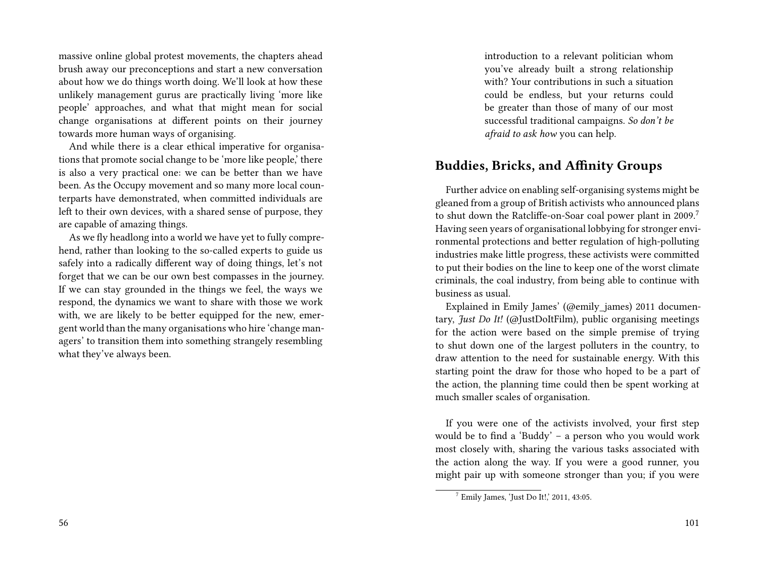massive online global protest movements, the chapters ahead brush away our preconceptions and start a new conversation about how we do things worth doing. We'll look at how these unlikely management gurus are practically living 'more like people' approaches, and what that might mean for social change organisations at different points on their journey towards more human ways of organising.

And while there is a clear ethical imperative for organisations that promote social change to be 'more like people,' there is also a very practical one: we can be better than we have been. As the Occupy movement and so many more local counterparts have demonstrated, when committed individuals are left to their own devices, with a shared sense of purpose, they are capable of amazing things.

As we fly headlong into a world we have yet to fully comprehend, rather than looking to the so-called experts to guide us safely into a radically different way of doing things, let's not forget that we can be our own best compasses in the journey. If we can stay grounded in the things we feel, the ways we respond, the dynamics we want to share with those we work with, we are likely to be better equipped for the new, emergent world than the many organisations who hire 'change managers' to transition them into something strangely resembling what they've always been.

56

introduction to a relevant politician whom you've already built a strong relationship with? Your contributions in such a situation could be endless, but your returns could be greater than those of many of our most successful traditional campaigns. *So don't be afraid to ask how* you can help.

## **Buddies, Bricks, and Affinity Groups**

Further advice on enabling self-organising systems might be gleaned from a group of British activists who announced plans to shut down the Ratcliffe-on-Soar coal power plant in 2009.<sup>7</sup> Having seen years of organisational lobbying for stronger environmental protections and better regulation of high-polluting industries make little progress, these activists were committed to put their bodies on the line to keep one of the worst climate criminals, the coal industry, from being able to continue with business as usual.

Explained in Emily James' (@emily\_james) 2011 documentary, *Just Do It!* (@JustDoItFilm), public organising meetings for the action were based on the simple premise of trying to shut down one of the largest polluters in the country, to draw attention to the need for sustainable energy. With this starting point the draw for those who hoped to be a part of the action, the planning time could then be spent working at much smaller scales of organisation.

If you were one of the activists involved, your first step would be to find a 'Buddy' – a person who you would work most closely with, sharing the various tasks associated with the action along the way. If you were a good runner, you might pair up with someone stronger than you; if you were

 $7$  Emily James, 'Just Do It!,' 2011, 43:05.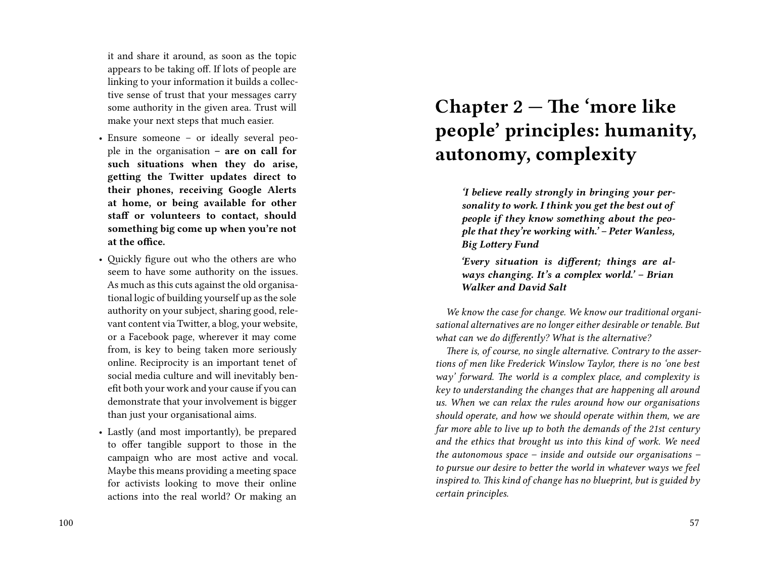it and share it around, as soon as the topic appears to be taking off. If lots of people are linking to your information it builds a collective sense of trust that your messages carry some authority in the given area. Trust will make your next steps that much easier.

- Ensure someone or ideally several people in the organisation **– are on call for such situations when they do arise, getting the Twitter updates direct to their phones, receiving Google Alerts at home, or being available for other staff or volunteers to contact, should something big come up when you're not at the office.**
- Quickly figure out who the others are who seem to have some authority on the issues. As much as this cuts against the old organisational logic of building yourself up as the sole authority on your subject, sharing good, relevant content via Twitter, a blog, your website, or a Facebook page, wherever it may come from, is key to being taken more seriously online. Reciprocity is an important tenet of social media culture and will inevitably benefit both your work and your cause if you can demonstrate that your involvement is bigger than just your organisational aims.
- Lastly (and most importantly), be prepared to offer tangible support to those in the campaign who are most active and vocal. Maybe this means providing a meeting space for activists looking to move their online actions into the real world? Or making an

# **Chapter 2 — The 'more like people' principles: humanity, autonomy, complexity**

*'I believe really strongly in bringing your personality to work. I think you get the best out of people if they know something about the people that they're working with.' – Peter Wanless, Big Lottery Fund*

*'Every situation is different; things are always changing. It's a complex world.' – Brian Walker and David Salt*

*We know the case for change. We know our traditional organisational alternatives are no longer either desirable or tenable. But what can we do differently? What is the alternative?*

*There is, of course, no single alternative. Contrary to the assertions of men like Frederick Winslow Taylor, there is no 'one best way' forward. The world is a complex place, and complexity is key to understanding the changes that are happening all around us. When we can relax the rules around how our organisations should operate, and how we should operate within them, we are far more able to live up to both the demands of the 21st century and the ethics that brought us into this kind of work. We need the autonomous space – inside and outside our organisations – to pursue our desire to better the world in whatever ways we feel inspired to. This kind of change has no blueprint, but is guided by certain principles.*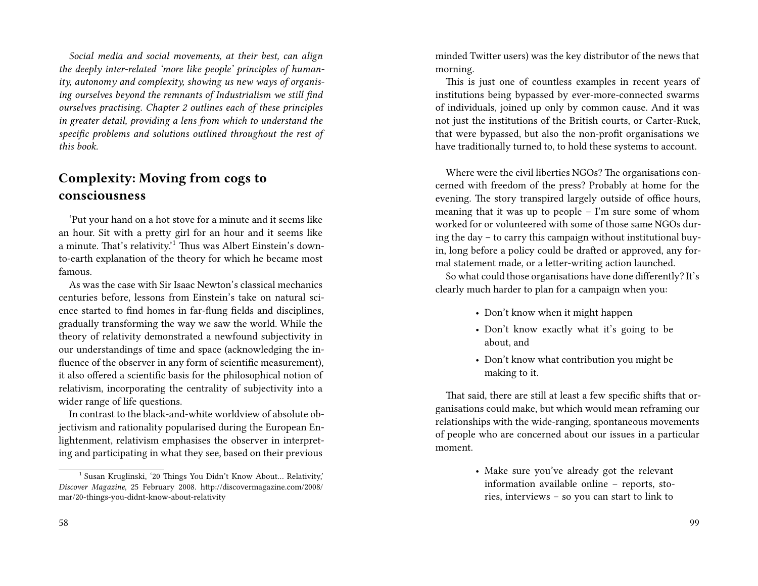*Social media and social movements, at their best, can align the deeply inter-related 'more like people' principles of humanity, autonomy and complexity, showing us new ways of organising ourselves beyond the remnants of Industrialism we still find ourselves practising. Chapter 2 outlines each of these principles in greater detail, providing a lens from which to understand the specific problems and solutions outlined throughout the rest of this book.*

# **Complexity: Moving from cogs to consciousness**

'Put your hand on a hot stove for a minute and it seems like an hour. Sit with a pretty girl for an hour and it seems like a minute. That's relativity.'<sup>1</sup> Thus was Albert Einstein's downto-earth explanation of the theory for which he became most famous.

As was the case with Sir Isaac Newton's classical mechanics centuries before, lessons from Einstein's take on natural science started to find homes in far-flung fields and disciplines, gradually transforming the way we saw the world. While the theory of relativity demonstrated a newfound subjectivity in our understandings of time and space (acknowledging the influence of the observer in any form of scientific measurement), it also offered a scientific basis for the philosophical notion of relativism, incorporating the centrality of subjectivity into a wider range of life questions.

In contrast to the black-and-white worldview of absolute objectivism and rationality popularised during the European Enlightenment, relativism emphasises the observer in interpreting and participating in what they see, based on their previous

minded Twitter users) was the key distributor of the news that morning.

This is just one of countless examples in recent years of institutions being bypassed by ever-more-connected swarms of individuals, joined up only by common cause. And it was not just the institutions of the British courts, or Carter-Ruck, that were bypassed, but also the non-profit organisations we have traditionally turned to, to hold these systems to account.

Where were the civil liberties NGOs? The organisations concerned with freedom of the press? Probably at home for the evening. The story transpired largely outside of office hours, meaning that it was up to people – I'm sure some of whom worked for or volunteered with some of those same NGOs during the day – to carry this campaign without institutional buyin, long before a policy could be drafted or approved, any formal statement made, or a letter-writing action launched.

So what could those organisations have done differently? It's clearly much harder to plan for a campaign when you:

- Don't know when it might happen
- Don't know exactly what it's going to be about, and
- Don't know what contribution you might be making to it.

That said, there are still at least a few specific shifts that organisations could make, but which would mean reframing our relationships with the wide-ranging, spontaneous movements of people who are concerned about our issues in a particular moment.

> • Make sure you've already got the relevant information available online – reports, stories, interviews – so you can start to link to

<sup>&</sup>lt;sup>1</sup> Susan Kruglinski, '20 Things You Didn't Know About... Relativity,' *Discover Magazine*, 25 February 2008. http://discovermagazine.com/2008/ mar/20-things-you-didnt-know-about-relativity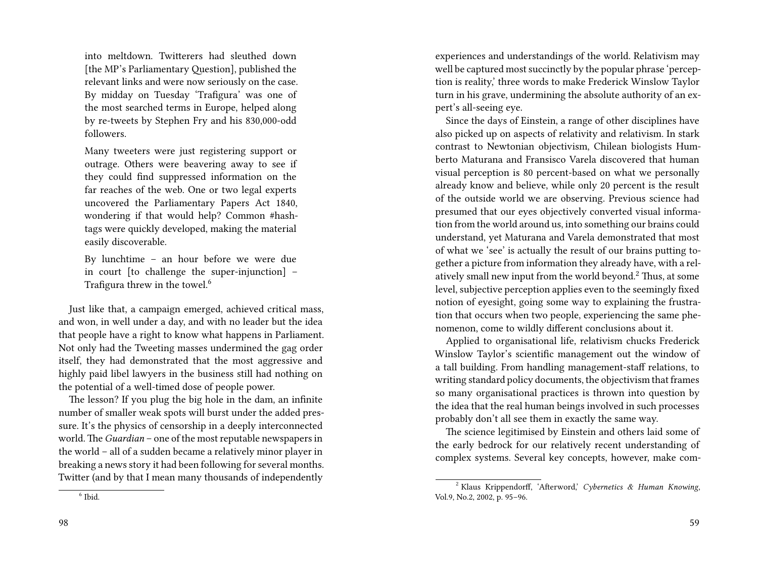into meltdown. Twitterers had sleuthed down [the MP's Parliamentary Question], published the relevant links and were now seriously on the case. By midday on Tuesday 'Trafigura' was one of the most searched terms in Europe, helped along by re-tweets by Stephen Fry and his 830,000-odd followers.

Many tweeters were just registering support or outrage. Others were beavering away to see if they could find suppressed information on the far reaches of the web. One or two legal experts uncovered the Parliamentary Papers Act 1840, wondering if that would help? Common #hashtags were quickly developed, making the material easily discoverable.

By lunchtime – an hour before we were due in court [to challenge the super-injunction] – Trafigura threw in the towel.<sup>6</sup>

Just like that, a campaign emerged, achieved critical mass, and won, in well under a day, and with no leader but the idea that people have a right to know what happens in Parliament. Not only had the Tweeting masses undermined the gag order itself, they had demonstrated that the most aggressive and highly paid libel lawyers in the business still had nothing on the potential of a well-timed dose of people power.

The lesson? If you plug the big hole in the dam, an infinite number of smaller weak spots will burst under the added pressure. It's the physics of censorship in a deeply interconnected world. The *Guardian* – one of the most reputable newspapers in the world – all of a sudden became a relatively minor player in breaking a news story it had been following for several months. Twitter (and by that I mean many thousands of independently

experiences and understandings of the world. Relativism may well be captured most succinctly by the popular phrase 'perception is reality,' three words to make Frederick Winslow Taylor turn in his grave, undermining the absolute authority of an expert's all-seeing eye.

Since the days of Einstein, a range of other disciplines have also picked up on aspects of relativity and relativism. In stark contrast to Newtonian objectivism, Chilean biologists Humberto Maturana and Fransisco Varela discovered that human visual perception is 80 percent-based on what we personally already know and believe, while only 20 percent is the result of the outside world we are observing. Previous science had presumed that our eyes objectively converted visual information from the world around us, into something our brains could understand, yet Maturana and Varela demonstrated that most of what we 'see' is actually the result of our brains putting together a picture from information they already have, with a relatively small new input from the world beyond.<sup>2</sup> Thus, at some level, subjective perception applies even to the seemingly fixed notion of eyesight, going some way to explaining the frustration that occurs when two people, experiencing the same phenomenon, come to wildly different conclusions about it.

Applied to organisational life, relativism chucks Frederick Winslow Taylor's scientific management out the window of a tall building. From handling management-staff relations, to writing standard policy documents, the objectivism that frames so many organisational practices is thrown into question by the idea that the real human beings involved in such processes probably don't all see them in exactly the same way.

The science legitimised by Einstein and others laid some of the early bedrock for our relatively recent understanding of complex systems. Several key concepts, however, make com-

<sup>6</sup> Ibid.

<sup>2</sup> Klaus Krippendorff, 'Afterword,' *Cybernetics & Human Knowing*, Vol.9, No.2, 2002, p. 95–96.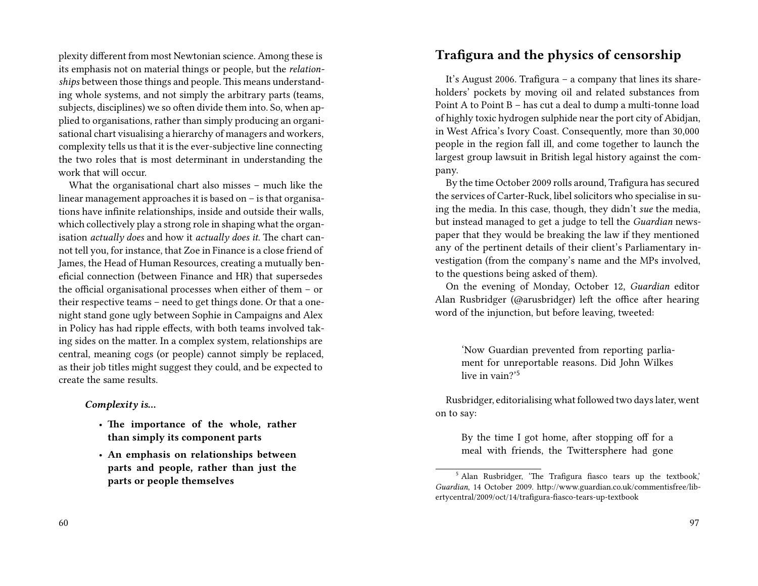plexity different from most Newtonian science. Among these is its emphasis not on material things or people, but the *relationships* between those things and people. This means understanding whole systems, and not simply the arbitrary parts (teams, subjects, disciplines) we so often divide them into. So, when applied to organisations, rather than simply producing an organisational chart visualising a hierarchy of managers and workers, complexity tells us that it is the ever-subjective line connecting the two roles that is most determinant in understanding the work that will occur.

What the organisational chart also misses – much like the linear management approaches it is based on – is that organisations have infinite relationships, inside and outside their walls, which collectively play a strong role in shaping what the organisation *actually does* and how it *actually does it*. The chart cannot tell you, for instance, that Zoe in Finance is a close friend of James, the Head of Human Resources, creating a mutually beneficial connection (between Finance and HR) that supersedes the official organisational processes when either of them – or their respective teams – need to get things done. Or that a onenight stand gone ugly between Sophie in Campaigns and Alex in Policy has had ripple effects, with both teams involved taking sides on the matter. In a complex system, relationships are central, meaning cogs (or people) cannot simply be replaced, as their job titles might suggest they could, and be expected to create the same results.

#### *Complexity is…*

- **The importance of the whole, rather than simply its component parts**
- **An emphasis on relationships between parts and people, rather than just the parts or people themselves**

#### **Trafigura and the physics of censorship**

It's August 2006. Trafigura – a company that lines its shareholders' pockets by moving oil and related substances from Point A to Point B – has cut a deal to dump a multi-tonne load of highly toxic hydrogen sulphide near the port city of Abidjan, in West Africa's Ivory Coast. Consequently, more than 30,000 people in the region fall ill, and come together to launch the largest group lawsuit in British legal history against the company.

By the time October 2009 rolls around, Trafigura has secured the services of Carter-Ruck, libel solicitors who specialise in suing the media. In this case, though, they didn't *sue* the media, but instead managed to get a judge to tell the *Guardian* newspaper that they would be breaking the law if they mentioned any of the pertinent details of their client's Parliamentary investigation (from the company's name and the MPs involved, to the questions being asked of them).

On the evening of Monday, October 12, *Guardian* editor Alan Rusbridger (@arusbridger) left the office after hearing word of the injunction, but before leaving, tweeted:

'Now Guardian prevented from reporting parliament for unreportable reasons. Did John Wilkes live in vain?'<sup>5</sup>

Rusbridger, editorialising what followed two days later, went on to say:

By the time I got home, after stopping off for a meal with friends, the Twittersphere had gone

<sup>5</sup> Alan Rusbridger, 'The Trafigura fiasco tears up the textbook,' *Guardian*, 14 October 2009. http://www.guardian.co.uk/commentisfree/libertycentral/2009/oct/14/trafigura-fiasco-tears-up-textbook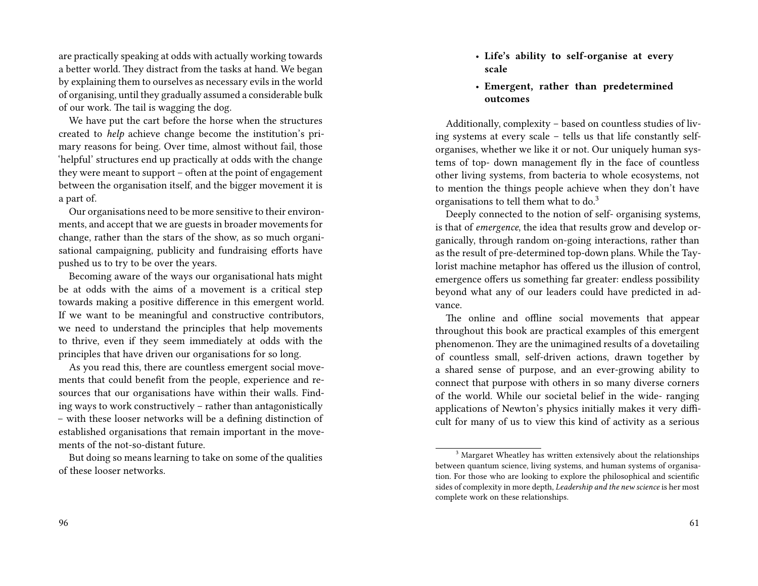are practically speaking at odds with actually working towards a better world. They distract from the tasks at hand. We began by explaining them to ourselves as necessary evils in the world of organising, until they gradually assumed a considerable bulk of our work. The tail is wagging the dog.

We have put the cart before the horse when the structures created to *help* achieve change become the institution's primary reasons for being. Over time, almost without fail, those 'helpful' structures end up practically at odds with the change they were meant to support – often at the point of engagement between the organisation itself, and the bigger movement it is a part of.

Our organisations need to be more sensitive to their environments, and accept that we are guests in broader movements for change, rather than the stars of the show, as so much organisational campaigning, publicity and fundraising efforts have pushed us to try to be over the years.

Becoming aware of the ways our organisational hats might be at odds with the aims of a movement is a critical step towards making a positive difference in this emergent world. If we want to be meaningful and constructive contributors, we need to understand the principles that help movements to thrive, even if they seem immediately at odds with the principles that have driven our organisations for so long.

As you read this, there are countless emergent social movements that could benefit from the people, experience and resources that our organisations have within their walls. Finding ways to work constructively – rather than antagonistically – with these looser networks will be a defining distinction of established organisations that remain important in the movements of the not-so-distant future.

But doing so means learning to take on some of the qualities of these looser networks.

- **Life's ability to self-organise at every scale**
- **Emergent, rather than predetermined outcomes**

Additionally, complexity – based on countless studies of living systems at every scale – tells us that life constantly selforganises, whether we like it or not. Our uniquely human systems of top- down management fly in the face of countless other living systems, from bacteria to whole ecosystems, not to mention the things people achieve when they don't have organisations to tell them what to do.<sup>3</sup>

Deeply connected to the notion of self- organising systems, is that of *emergence*, the idea that results grow and develop organically, through random on-going interactions, rather than as the result of pre-determined top-down plans. While the Taylorist machine metaphor has offered us the illusion of control, emergence offers us something far greater: endless possibility beyond what any of our leaders could have predicted in advance.

The online and offline social movements that appear throughout this book are practical examples of this emergent phenomenon. They are the unimagined results of a dovetailing of countless small, self-driven actions, drawn together by a shared sense of purpose, and an ever-growing ability to connect that purpose with others in so many diverse corners of the world. While our societal belief in the wide- ranging applications of Newton's physics initially makes it very difficult for many of us to view this kind of activity as a serious

<sup>&</sup>lt;sup>3</sup> Margaret Wheatley has written extensively about the relationships between quantum science, living systems, and human systems of organisation. For those who are looking to explore the philosophical and scientific sides of complexity in more depth, *Leadership and the new science* is her most complete work on these relationships.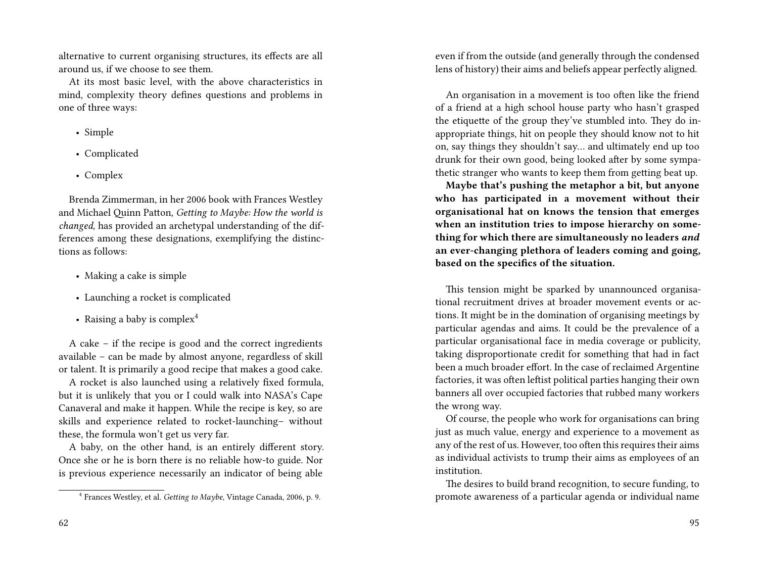alternative to current organising structures, its effects are all around us, if we choose to see them.

At its most basic level, with the above characteristics in mind, complexity theory defines questions and problems in one of three ways:

- Simple
- Complicated
- Complex

Brenda Zimmerman, in her 2006 book with Frances Westley and Michael Quinn Patton, *Getting to Maybe: How the world is changed*, has provided an archetypal understanding of the differences among these designations, exemplifying the distinctions as follows:

- Making a cake is simple
- Launching a rocket is complicated
- Raising a baby is complex<sup>4</sup>

A cake – if the recipe is good and the correct ingredients available – can be made by almost anyone, regardless of skill or talent. It is primarily a good recipe that makes a good cake.

A rocket is also launched using a relatively fixed formula, but it is unlikely that you or I could walk into NASA's Cape Canaveral and make it happen. While the recipe is key, so are skills and experience related to rocket-launching– without these, the formula won't get us very far.

A baby, on the other hand, is an entirely different story. Once she or he is born there is no reliable how-to guide. Nor is previous experience necessarily an indicator of being able

even if from the outside (and generally through the condensed lens of history) their aims and beliefs appear perfectly aligned.

An organisation in a movement is too often like the friend of a friend at a high school house party who hasn't grasped the etiquette of the group they've stumbled into. They do inappropriate things, hit on people they should know not to hit on, say things they shouldn't say… and ultimately end up too drunk for their own good, being looked after by some sympathetic stranger who wants to keep them from getting beat up.

**Maybe that's pushing the metaphor a bit, but anyone who has participated in a movement without their organisational hat on knows the tension that emerges when an institution tries to impose hierarchy on something for which there are simultaneously no leaders** *and* **an ever-changing plethora of leaders coming and going, based on the specifics of the situation.**

This tension might be sparked by unannounced organisational recruitment drives at broader movement events or actions. It might be in the domination of organising meetings by particular agendas and aims. It could be the prevalence of a particular organisational face in media coverage or publicity, taking disproportionate credit for something that had in fact been a much broader effort. In the case of reclaimed Argentine factories, it was often leftist political parties hanging their own banners all over occupied factories that rubbed many workers the wrong way.

Of course, the people who work for organisations can bring just as much value, energy and experience to a movement as any of the rest of us. However, too often this requires their aims as individual activists to trump their aims as employees of an institution.

The desires to build brand recognition, to secure funding, to promote awareness of a particular agenda or individual name

<sup>4</sup> Frances Westley, et al. *Getting to Maybe*, Vintage Canada, 2006, p. 9.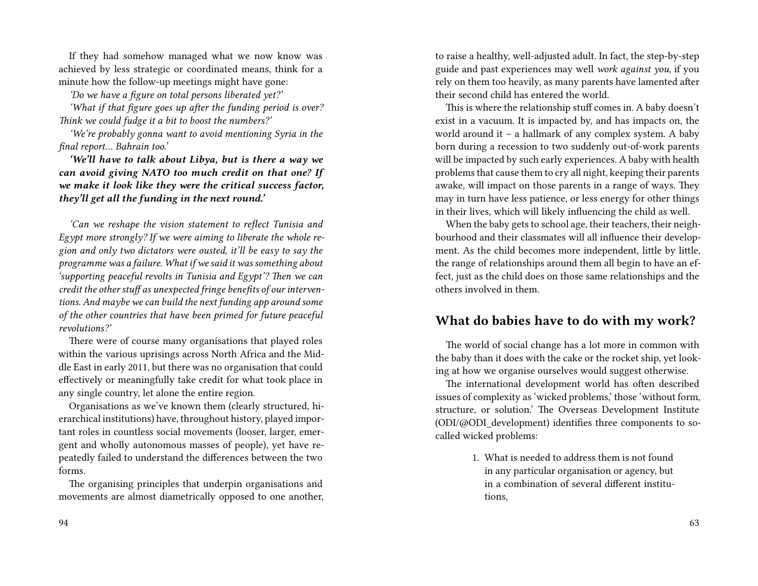If they had somehow managed what we now know was achieved by less strategic or coordinated means, think for a minute how the follow-up meetings might have gone:

*'Do we have a figure on total persons liberated yet?'*

*'What if that figure goes up after the funding period is over? Think we could fudge it a bit to boost the numbers?'*

*'We're probably gonna want to avoid mentioning Syria in the final report… Bahrain too.'*

*'We'll have to talk about Libya, but is there a way we can avoid giving NATO too much credit on that one? If we make it look like they were the critical success factor, they'll get all the funding in the next round.'*

*'Can we reshape the vision statement to reflect Tunisia and Egypt more strongly? If we were aiming to liberate the whole region and only two dictators were ousted, it'll be easy to say the programme was a failure. What if we said it was something about 'supporting peaceful revolts in Tunisia and Egypt'? Then we can credit the other stuff as unexpected fringe benefits of our interventions. And maybe we can build the next funding app around some of the other countries that have been primed for future peaceful revolutions?'*

There were of course many organisations that played roles within the various uprisings across North Africa and the Middle East in early 2011, but there was no organisation that could effectively or meaningfully take credit for what took place in any single country, let alone the entire region.

Organisations as we've known them (clearly structured, hierarchical institutions) have, throughout history, played important roles in countless social movements (looser, larger, emergent and wholly autonomous masses of people), yet have repeatedly failed to understand the differences between the two forms.

The organising principles that underpin organisations and movements are almost diametrically opposed to one another, to raise a healthy, well-adjusted adult. In fact, the step-by-step guide and past experiences may well *work against you*, if you rely on them too heavily, as many parents have lamented after their second child has entered the world.

This is where the relationship stuff comes in. A baby doesn't exist in a vacuum. It is impacted by, and has impacts on, the world around it – a hallmark of any complex system. A baby born during a recession to two suddenly out-of-work parents will be impacted by such early experiences. A baby with health problems that cause them to cry all night, keeping their parents awake, will impact on those parents in a range of ways. They may in turn have less patience, or less energy for other things in their lives, which will likely influencing the child as well.

When the baby gets to school age, their teachers, their neighbourhood and their classmates will all influence their development. As the child becomes more independent, little by little, the range of relationships around them all begin to have an effect, just as the child does on those same relationships and the others involved in them.

## **What do babies have to do with my work?**

The world of social change has a lot more in common with the baby than it does with the cake or the rocket ship, yet looking at how we organise ourselves would suggest otherwise.

The international development world has often described issues of complexity as 'wicked problems,' those 'without form, structure, or solution.' The Overseas Development Institute (ODI/@ODI\_development) identifies three components to socalled wicked problems:

> 1. What is needed to address them is not found in any particular organisation or agency, but in a combination of several different institutions,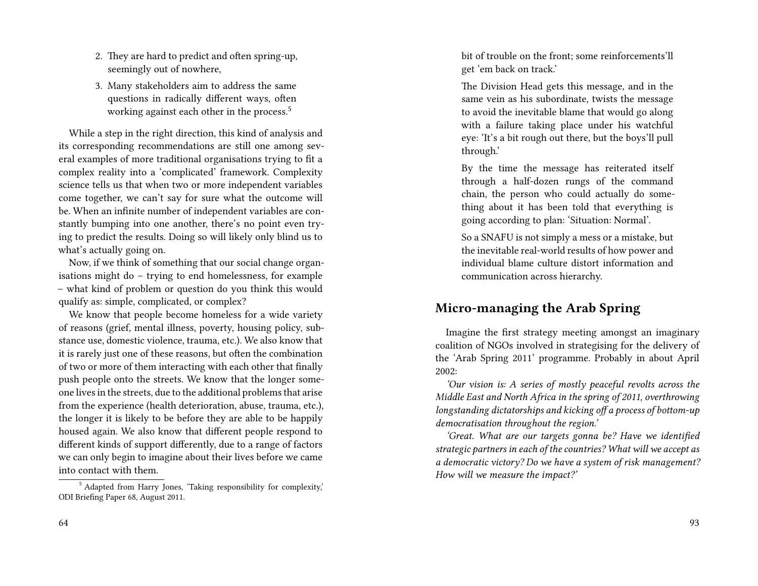- 2. They are hard to predict and often spring-up, seemingly out of nowhere,
- 3. Many stakeholders aim to address the same questions in radically different ways, often working against each other in the process.<sup>5</sup>

While a step in the right direction, this kind of analysis and its corresponding recommendations are still one among several examples of more traditional organisations trying to fit a complex reality into a 'complicated' framework. Complexity science tells us that when two or more independent variables come together, we can't say for sure what the outcome will be. When an infinite number of independent variables are constantly bumping into one another, there's no point even trying to predict the results. Doing so will likely only blind us to what's actually going on.

Now, if we think of something that our social change organisations might do – trying to end homelessness, for example – what kind of problem or question do you think this would qualify as: simple, complicated, or complex?

We know that people become homeless for a wide variety of reasons (grief, mental illness, poverty, housing policy, substance use, domestic violence, trauma, etc.). We also know that it is rarely just one of these reasons, but often the combination of two or more of them interacting with each other that finally push people onto the streets. We know that the longer someone lives in the streets, due to the additional problems that arise from the experience (health deterioration, abuse, trauma, etc.), the longer it is likely to be before they are able to be happily housed again. We also know that different people respond to different kinds of support differently, due to a range of factors we can only begin to imagine about their lives before we came into contact with them.

64

bit of trouble on the front; some reinforcements'll get 'em back on track.'

The Division Head gets this message, and in the same vein as his subordinate, twists the message to avoid the inevitable blame that would go along with a failure taking place under his watchful eye: 'It's a bit rough out there, but the boys'll pull through.'

By the time the message has reiterated itself through a half-dozen rungs of the command chain, the person who could actually do something about it has been told that everything is going according to plan: 'Situation: Normal'.

So a SNAFU is not simply a mess or a mistake, but the inevitable real-world results of how power and individual blame culture distort information and communication across hierarchy.

## **Micro-managing the Arab Spring**

Imagine the first strategy meeting amongst an imaginary coalition of NGOs involved in strategising for the delivery of the 'Arab Spring 2011' programme. Probably in about April 2002:

*'Our vision is: A series of mostly peaceful revolts across the Middle East and North Africa in the spring of 2011, overthrowing longstanding dictatorships and kicking off a process of bottom-up democratisation throughout the region.'*

*'Great. What are our targets gonna be? Have we identified strategic partners in each of the countries? What will we accept as a democratic victory? Do we have a system of risk management? How will we measure the impact?'*

<sup>5</sup> Adapted from Harry Jones, 'Taking responsibility for complexity,' ODI Briefing Paper 68, August 2011.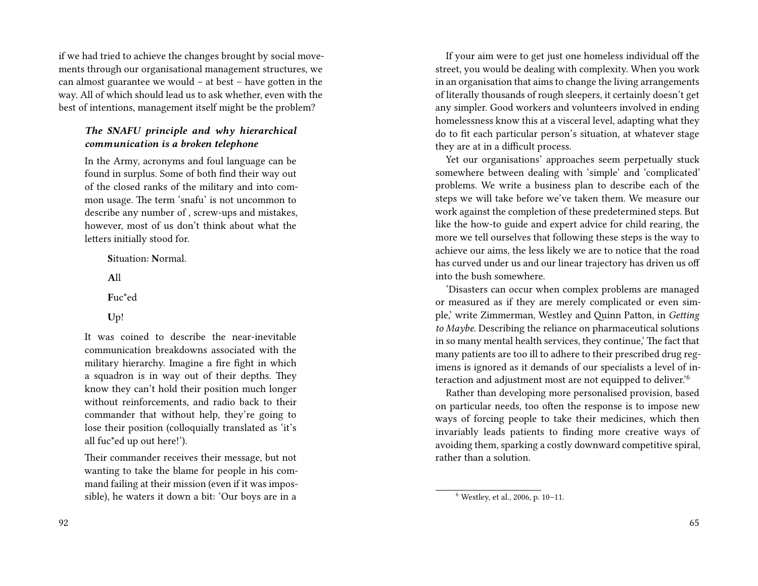if we had tried to achieve the changes brought by social movements through our organisational management structures, we can almost guarantee we would – at best – have gotten in the way. All of which should lead us to ask whether, even with the best of intentions, management itself might be the problem?

### *The SNAFU principle and why hierarchical communication is a broken telephone*

In the Army, acronyms and foul language can be found in surplus. Some of both find their way out of the closed ranks of the military and into common usage. The term 'snafu' is not uncommon to describe any number of , screw-ups and mistakes, however, most of us don't think about what the letters initially stood for.

**S**ituation: **N**ormal.

**A**ll

**F**uc\*ed

**U**p!

It was coined to describe the near-inevitable communication breakdowns associated with the military hierarchy. Imagine a fire fight in which a squadron is in way out of their depths. They know they can't hold their position much longer without reinforcements, and radio back to their commander that without help, they're going to lose their position (colloquially translated as 'it's all fuc\*ed up out here!').

Their commander receives their message, but not wanting to take the blame for people in his command failing at their mission (even if it was impossible), he waters it down a bit: 'Our boys are in a

If your aim were to get just one homeless individual off the street, you would be dealing with complexity. When you work in an organisation that aims to change the living arrangements of literally thousands of rough sleepers, it certainly doesn't get any simpler. Good workers and volunteers involved in ending homelessness know this at a visceral level, adapting what they do to fit each particular person's situation, at whatever stage they are at in a difficult process.

Yet our organisations' approaches seem perpetually stuck somewhere between dealing with 'simple' and 'complicated' problems. We write a business plan to describe each of the steps we will take before we've taken them. We measure our work against the completion of these predetermined steps. But like the how-to guide and expert advice for child rearing, the more we tell ourselves that following these steps is the way to achieve our aims, the less likely we are to notice that the road has curved under us and our linear trajectory has driven us off into the bush somewhere.

'Disasters can occur when complex problems are managed or measured as if they are merely complicated or even simple,' write Zimmerman, Westley and Quinn Patton, in *Getting to Maybe*. Describing the reliance on pharmaceutical solutions in so many mental health services, they continue,' The fact that many patients are too ill to adhere to their prescribed drug regimens is ignored as it demands of our specialists a level of interaction and adjustment most are not equipped to deliver.'<sup>6</sup>

Rather than developing more personalised provision, based on particular needs, too often the response is to impose new ways of forcing people to take their medicines, which then invariably leads patients to finding more creative ways of avoiding them, sparking a costly downward competitive spiral, rather than a solution.

<sup>6</sup> Westley, et al., 2006, p. 10–11.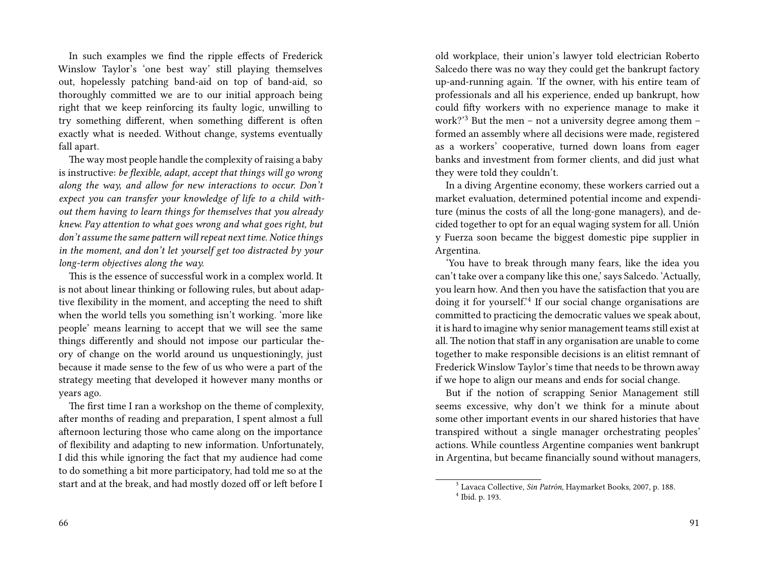In such examples we find the ripple effects of Frederick Winslow Taylor's 'one best way' still playing themselves out, hopelessly patching band-aid on top of band-aid, so thoroughly committed we are to our initial approach being right that we keep reinforcing its faulty logic, unwilling to try something different, when something different is often exactly what is needed. Without change, systems eventually fall apart.

The way most people handle the complexity of raising a baby is instructive: *be flexible, adapt, accept that things will go wrong along the way, and allow for new interactions to occur. Don't expect you can transfer your knowledge of life to a child without them having to learn things for themselves that you already knew. Pay attention to what goes wrong and what goes right, but don't assume the same pattern will repeat next time. Notice things in the moment, and don't let yourself get too distracted by your long-term objectives along the way.*

This is the essence of successful work in a complex world. It is not about linear thinking or following rules, but about adaptive flexibility in the moment, and accepting the need to shift when the world tells you something isn't working. 'more like people' means learning to accept that we will see the same things differently and should not impose our particular theory of change on the world around us unquestioningly, just because it made sense to the few of us who were a part of the strategy meeting that developed it however many months or years ago.

The first time I ran a workshop on the theme of complexity, after months of reading and preparation, I spent almost a full afternoon lecturing those who came along on the importance of flexibility and adapting to new information. Unfortunately, I did this while ignoring the fact that my audience had come to do something a bit more participatory, had told me so at the start and at the break, and had mostly dozed off or left before I

old workplace, their union's lawyer told electrician Roberto Salcedo there was no way they could get the bankrupt factory up-and-running again. 'If the owner, with his entire team of professionals and all his experience, ended up bankrupt, how could fifty workers with no experience manage to make it work?<sup>3</sup> But the men – not a university degree among them – formed an assembly where all decisions were made, registered as a workers' cooperative, turned down loans from eager banks and investment from former clients, and did just what they were told they couldn't.

In a diving Argentine economy, these workers carried out a market evaluation, determined potential income and expenditure (minus the costs of all the long-gone managers), and decided together to opt for an equal waging system for all. Unión y Fuerza soon became the biggest domestic pipe supplier in Argentina.

'You have to break through many fears, like the idea you can't take over a company like this one,' says Salcedo. 'Actually, you learn how. And then you have the satisfaction that you are doing it for yourself.<sup>24</sup> If our social change organisations are committed to practicing the democratic values we speak about, it is hard to imagine why senior management teams still exist at all. The notion that staff in any organisation are unable to come together to make responsible decisions is an elitist remnant of Frederick Winslow Taylor's time that needs to be thrown away if we hope to align our means and ends for social change.

But if the notion of scrapping Senior Management still seems excessive, why don't we think for a minute about some other important events in our shared histories that have transpired without a single manager orchestrating peoples' actions. While countless Argentine companies went bankrupt in Argentina, but became financially sound without managers,

<sup>3</sup> Lavaca Collective, *Sin Patrón*, Haymarket Books, 2007, p. 188. 4 Ibid. p. 193.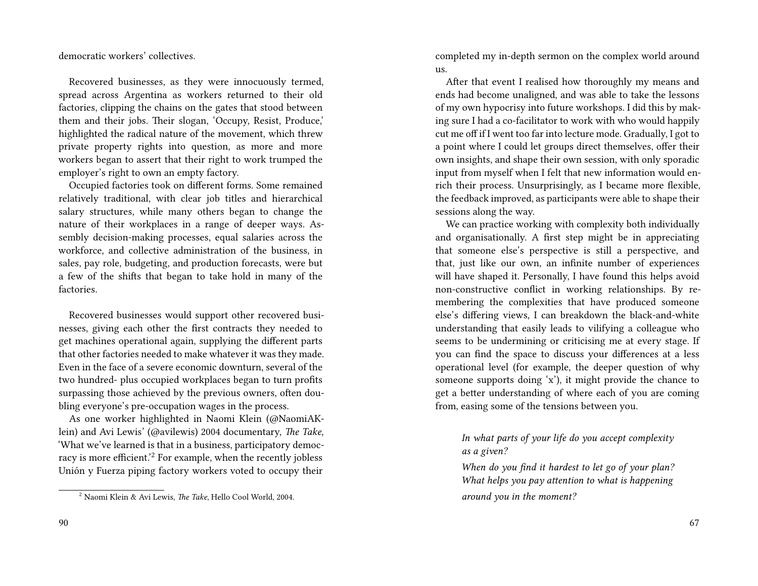democratic workers' collectives.

Recovered businesses, as they were innocuously termed, spread across Argentina as workers returned to their old factories, clipping the chains on the gates that stood between them and their jobs. Their slogan, 'Occupy, Resist, Produce,' highlighted the radical nature of the movement, which threw private property rights into question, as more and more workers began to assert that their right to work trumped the employer's right to own an empty factory.

Occupied factories took on different forms. Some remained relatively traditional, with clear job titles and hierarchical salary structures, while many others began to change the nature of their workplaces in a range of deeper ways. Assembly decision-making processes, equal salaries across the workforce, and collective administration of the business, in sales, pay role, budgeting, and production forecasts, were but a few of the shifts that began to take hold in many of the factories.

Recovered businesses would support other recovered businesses, giving each other the first contracts they needed to get machines operational again, supplying the different parts that other factories needed to make whatever it was they made. Even in the face of a severe economic downturn, several of the two hundred- plus occupied workplaces began to turn profits surpassing those achieved by the previous owners, often doubling everyone's pre-occupation wages in the process.

As one worker highlighted in Naomi Klein (@NaomiAKlein) and Avi Lewis' (@avilewis) 2004 documentary, *The Take*, 'What we've learned is that in a business, participatory democracy is more efficient.'<sup>2</sup> For example, when the recently jobless Unión y Fuerza piping factory workers voted to occupy their

us. After that event I realised how thoroughly my means and

ends had become unaligned, and was able to take the lessons of my own hypocrisy into future workshops. I did this by making sure I had a co-facilitator to work with who would happily cut me off if I went too far into lecture mode. Gradually, I got to a point where I could let groups direct themselves, offer their own insights, and shape their own session, with only sporadic input from myself when I felt that new information would enrich their process. Unsurprisingly, as I became more flexible, the feedback improved, as participants were able to shape their sessions along the way.

completed my in-depth sermon on the complex world around

We can practice working with complexity both individually and organisationally. A first step might be in appreciating that someone else's perspective is still a perspective, and that, just like our own, an infinite number of experiences will have shaped it. Personally, I have found this helps avoid non-constructive conflict in working relationships. By remembering the complexities that have produced someone else's differing views, I can breakdown the black-and-white understanding that easily leads to vilifying a colleague who seems to be undermining or criticising me at every stage. If you can find the space to discuss your differences at a less operational level (for example, the deeper question of why someone supports doing 'x'), it might provide the chance to get a better understanding of where each of you are coming from, easing some of the tensions between you.

*In what parts of your life do you accept complexity as a given?*

*When do you find it hardest to let go of your plan? What helps you pay attention to what is happening around you in the moment?*

<sup>2</sup> Naomi Klein & Avi Lewis, *The Take*, Hello Cool World, 2004.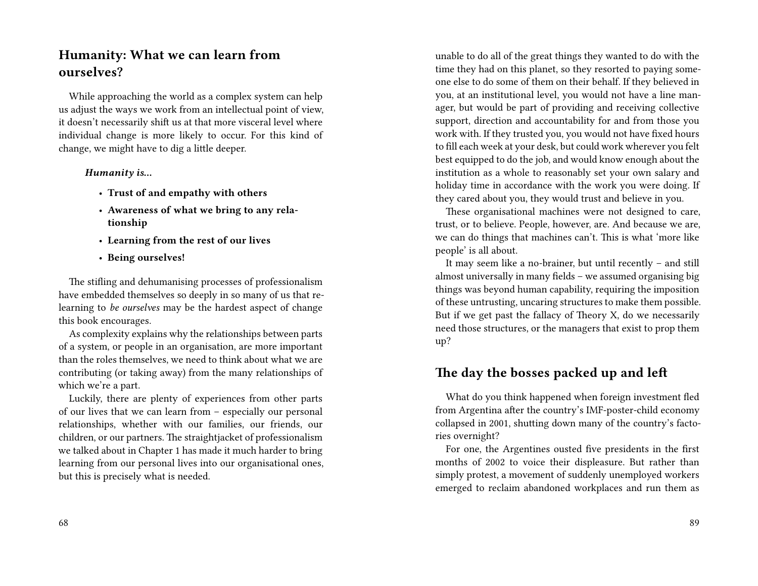# **Humanity: What we can learn from ourselves?**

While approaching the world as a complex system can help us adjust the ways we work from an intellectual point of view, it doesn't necessarily shift us at that more visceral level where individual change is more likely to occur. For this kind of change, we might have to dig a little deeper.

### *Humanity is…*

- **Trust of and empathy with others**
- **Awareness of what we bring to any relationship**
- **Learning from the rest of our lives**
- **Being ourselves!**

The stifling and dehumanising processes of professionalism have embedded themselves so deeply in so many of us that relearning to *be ourselves* may be the hardest aspect of change this book encourages.

As complexity explains why the relationships between parts of a system, or people in an organisation, are more important than the roles themselves, we need to think about what we are contributing (or taking away) from the many relationships of which we're a part.

Luckily, there are plenty of experiences from other parts of our lives that we can learn from – especially our personal relationships, whether with our families, our friends, our children, or our partners. The straightjacket of professionalism we talked about in Chapter 1 has made it much harder to bring learning from our personal lives into our organisational ones, but this is precisely what is needed.

unable to do all of the great things they wanted to do with the time they had on this planet, so they resorted to paying someone else to do some of them on their behalf. If they believed in you, at an institutional level, you would not have a line manager, but would be part of providing and receiving collective support, direction and accountability for and from those you work with. If they trusted you, you would not have fixed hours to fill each week at your desk, but could work wherever you felt best equipped to do the job, and would know enough about the institution as a whole to reasonably set your own salary and holiday time in accordance with the work you were doing. If they cared about you, they would trust and believe in you.

These organisational machines were not designed to care, trust, or to believe. People, however, are. And because we are, we can do things that machines can't. This is what 'more like people' is all about.

It may seem like a no-brainer, but until recently – and still almost universally in many fields – we assumed organising big things was beyond human capability, requiring the imposition of these untrusting, uncaring structures to make them possible. But if we get past the fallacy of Theory X, do we necessarily need those structures, or the managers that exist to prop them up?

## **The day the bosses packed up and left**

What do you think happened when foreign investment fled from Argentina after the country's IMF-poster-child economy collapsed in 2001, shutting down many of the country's factories overnight?

For one, the Argentines ousted five presidents in the first months of 2002 to voice their displeasure. But rather than simply protest, a movement of suddenly unemployed workers emerged to reclaim abandoned workplaces and run them as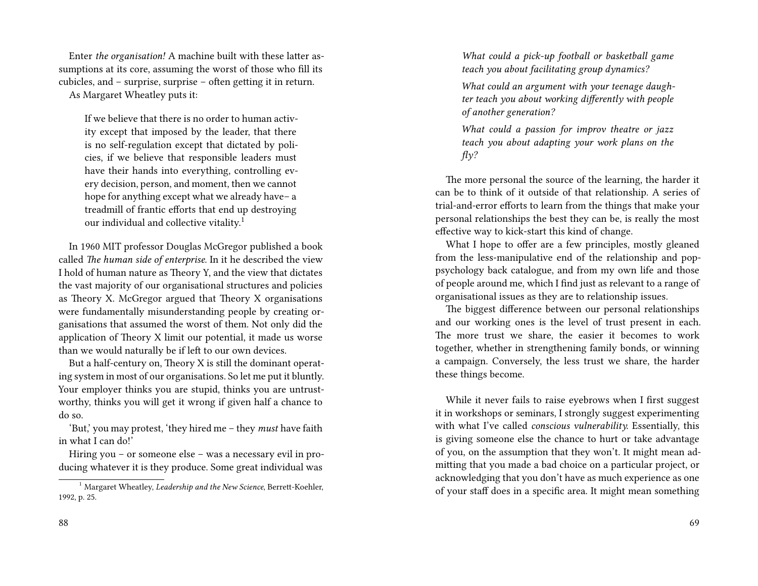Enter *the organisation!* A machine built with these latter assumptions at its core, assuming the worst of those who fill its cubicles, and – surprise, surprise – often getting it in return. As Margaret Wheatley puts it:

If we believe that there is no order to human activity except that imposed by the leader, that there is no self-regulation except that dictated by policies, if we believe that responsible leaders must have their hands into everything, controlling every decision, person, and moment, then we cannot hope for anything except what we already have– a treadmill of frantic efforts that end up destroying our individual and collective vitality.<sup>1</sup>

In 1960 MIT professor Douglas McGregor published a book called *The human side of enterprise.* In it he described the view I hold of human nature as Theory Y, and the view that dictates the vast majority of our organisational structures and policies as Theory X. McGregor argued that Theory X organisations were fundamentally misunderstanding people by creating organisations that assumed the worst of them. Not only did the application of Theory X limit our potential, it made us worse than we would naturally be if left to our own devices.

But a half-century on, Theory X is still the dominant operating system in most of our organisations. So let me put it bluntly. Your employer thinks you are stupid, thinks you are untrustworthy, thinks you will get it wrong if given half a chance to do so.

'But,' you may protest, 'they hired me – they *must* have faith in what I can do!'

Hiring you – or someone else – was a necessary evil in producing whatever it is they produce. Some great individual was

*What could a pick-up football or basketball game teach you about facilitating group dynamics?*

*What could an argument with your teenage daughter teach you about working differently with people of another generation?*

*What could a passion for improv theatre or jazz teach you about adapting your work plans on the fly?*

The more personal the source of the learning, the harder it can be to think of it outside of that relationship. A series of trial-and-error efforts to learn from the things that make your personal relationships the best they can be, is really the most effective way to kick-start this kind of change.

What I hope to offer are a few principles, mostly gleaned from the less-manipulative end of the relationship and poppsychology back catalogue, and from my own life and those of people around me, which I find just as relevant to a range of organisational issues as they are to relationship issues.

The biggest difference between our personal relationships and our working ones is the level of trust present in each. The more trust we share, the easier it becomes to work together, whether in strengthening family bonds, or winning a campaign. Conversely, the less trust we share, the harder these things become.

While it never fails to raise eyebrows when I first suggest it in workshops or seminars, I strongly suggest experimenting with what I've called *conscious vulnerability.* Essentially, this is giving someone else the chance to hurt or take advantage of you, on the assumption that they won't. It might mean admitting that you made a bad choice on a particular project, or acknowledging that you don't have as much experience as one of your staff does in a specific area. It might mean something

<sup>1</sup> Margaret Wheatley, *Leadership and the New Science*, Berrett-Koehler, 1992, p. 25.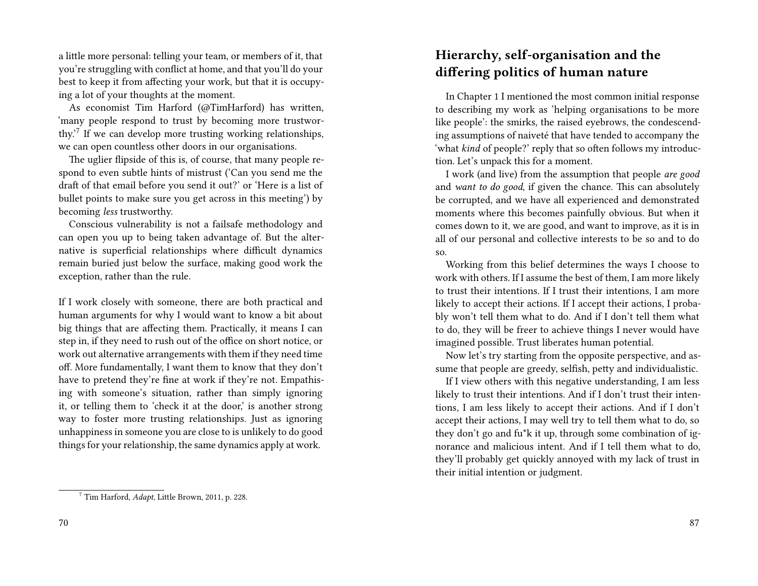a little more personal: telling your team, or members of it, that you're struggling with conflict at home, and that you'll do your best to keep it from affecting your work, but that it is occupying a lot of your thoughts at the moment.

As economist Tim Harford (@TimHarford) has written, 'many people respond to trust by becoming more trustworthy.'<sup>7</sup> If we can develop more trusting working relationships, we can open countless other doors in our organisations.

The uglier flipside of this is, of course, that many people respond to even subtle hints of mistrust ('Can you send me the draft of that email before you send it out?' or 'Here is a list of bullet points to make sure you get across in this meeting') by becoming *less* trustworthy.

Conscious vulnerability is not a failsafe methodology and can open you up to being taken advantage of. But the alternative is superficial relationships where difficult dynamics remain buried just below the surface, making good work the exception, rather than the rule.

If I work closely with someone, there are both practical and human arguments for why I would want to know a bit about big things that are affecting them. Practically, it means I can step in, if they need to rush out of the office on short notice, or work out alternative arrangements with them if they need time off. More fundamentally, I want them to know that they don't have to pretend they're fine at work if they're not. Empathising with someone's situation, rather than simply ignoring it, or telling them to 'check it at the door,' is another strong way to foster more trusting relationships. Just as ignoring unhappiness in someone you are close to is unlikely to do good things for your relationship, the same dynamics apply at work.

# **Hierarchy, self-organisation and the differing politics of human nature**

In Chapter 1 I mentioned the most common initial response to describing my work as 'helping organisations to be more like people': the smirks, the raised eyebrows, the condescending assumptions of naiveté that have tended to accompany the 'what *kind* of people?' reply that so often follows my introduction. Let's unpack this for a moment.

I work (and live) from the assumption that people *are good* and *want to do good*, if given the chance. This can absolutely be corrupted, and we have all experienced and demonstrated moments where this becomes painfully obvious. But when it comes down to it, we are good, and want to improve, as it is in all of our personal and collective interests to be so and to do so.

Working from this belief determines the ways I choose to work with others. If I assume the best of them, I am more likely to trust their intentions. If I trust their intentions, I am more likely to accept their actions. If I accept their actions, I probably won't tell them what to do. And if I don't tell them what to do, they will be freer to achieve things I never would have imagined possible. Trust liberates human potential.

Now let's try starting from the opposite perspective, and assume that people are greedy, selfish, petty and individualistic.

If I view others with this negative understanding, I am less likely to trust their intentions. And if I don't trust their intentions, I am less likely to accept their actions. And if I don't accept their actions, I may well try to tell them what to do, so they don't go and fu\*k it up, through some combination of ignorance and malicious intent. And if I tell them what to do, they'll probably get quickly annoyed with my lack of trust in their initial intention or judgment.

<sup>7</sup> Tim Harford, *Adapt*, Little Brown, 2011, p. 228.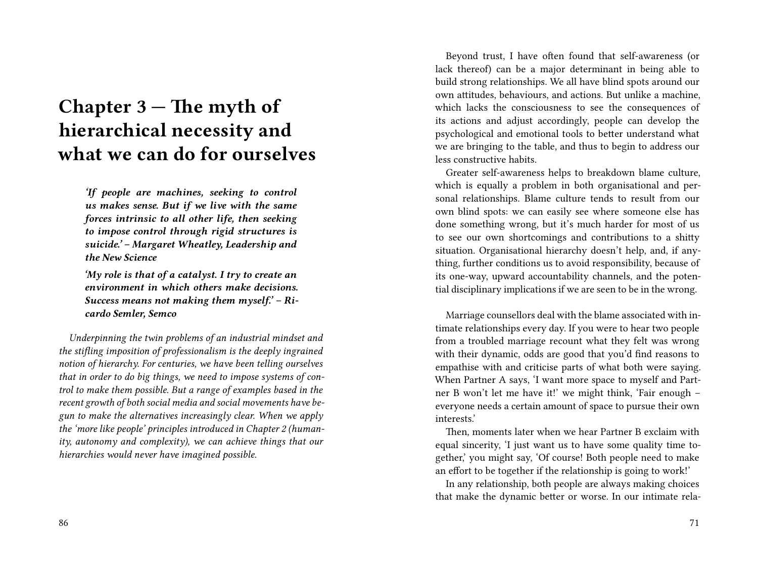# **Chapter 3 — The myth of hierarchical necessity and what we can do for ourselves**

*'If people are machines, seeking to control us makes sense. But if we live with the same forces intrinsic to all other life, then seeking to impose control through rigid structures is suicide.' – Margaret Wheatley, Leadership and the New Science*

*'My role is that of a catalyst. I try to create an environment in which others make decisions. Success means not making them myself.' – Ricardo Semler, Semco*

*Underpinning the twin problems of an industrial mindset and the stifling imposition of professionalism is the deeply ingrained notion of hierarchy. For centuries, we have been telling ourselves that in order to do big things, we need to impose systems of control to make them possible. But a range of examples based in the recent growth of both social media and social movements have begun to make the alternatives increasingly clear. When we apply the 'more like people' principles introduced in Chapter 2 (humanity, autonomy and complexity), we can achieve things that our hierarchies would never have imagined possible.*

Beyond trust, I have often found that self-awareness (or lack thereof) can be a major determinant in being able to build strong relationships. We all have blind spots around our own attitudes, behaviours, and actions. But unlike a machine, which lacks the consciousness to see the consequences of its actions and adjust accordingly, people can develop the psychological and emotional tools to better understand what we are bringing to the table, and thus to begin to address our less constructive habits.

Greater self-awareness helps to breakdown blame culture, which is equally a problem in both organisational and personal relationships. Blame culture tends to result from our own blind spots: we can easily see where someone else has done something wrong, but it's much harder for most of us to see our own shortcomings and contributions to a shitty situation. Organisational hierarchy doesn't help, and, if anything, further conditions us to avoid responsibility, because of its one-way, upward accountability channels, and the potential disciplinary implications if we are seen to be in the wrong.

Marriage counsellors deal with the blame associated with intimate relationships every day. If you were to hear two people from a troubled marriage recount what they felt was wrong with their dynamic, odds are good that you'd find reasons to empathise with and criticise parts of what both were saying. When Partner A says, 'I want more space to myself and Partner B won't let me have it!' we might think, 'Fair enough – everyone needs a certain amount of space to pursue their own interests.'

Then, moments later when we hear Partner B exclaim with equal sincerity, 'I just want us to have some quality time together,' you might say, 'Of course! Both people need to make an effort to be together if the relationship is going to work!'

In any relationship, both people are always making choices that make the dynamic better or worse. In our intimate rela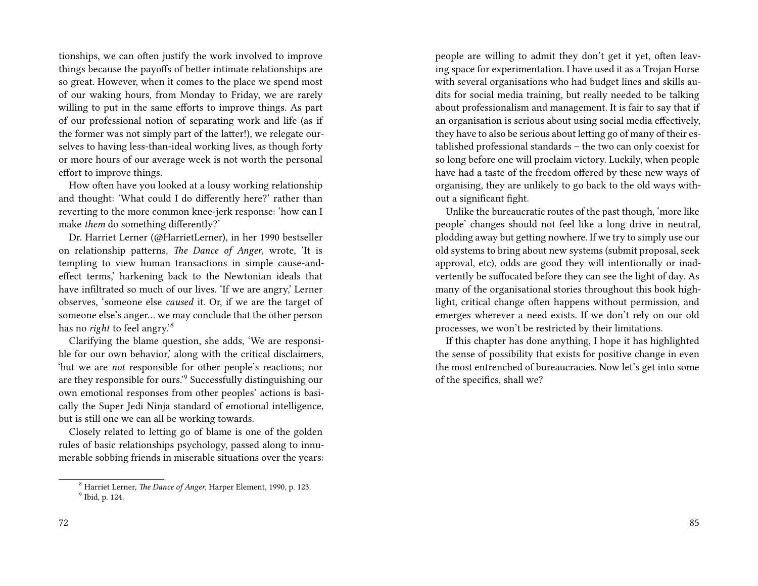tionships, we can often justify the work involved to improve things because the payoffs of better intimate relationships are so great. However, when it comes to the place we spend most of our waking hours, from Monday to Friday, we are rarely willing to put in the same efforts to improve things. As part of our professional notion of separating work and life (as if the former was not simply part of the latter!), we relegate ourselves to having less-than-ideal working lives, as though forty or more hours of our average week is not worth the personal effort to improve things.

How often have you looked at a lousy working relationship and thought: 'What could I do differently here?' rather than reverting to the more common knee-jerk response: 'how can I make *them* do something differently?'

Dr. Harriet Lerner (@HarrietLerner), in her 1990 bestseller on relationship patterns, *The Dance of Anger*, wrote, 'It is tempting to view human transactions in simple cause-andeffect terms,' harkening back to the Newtonian ideals that have infiltrated so much of our lives. 'If we are angry,' Lerner observes, 'someone else *caused* it. Or, if we are the target of someone else's anger… we may conclude that the other person has no *right* to feel angry.'<sup>8</sup>

Clarifying the blame question, she adds, 'We are responsible for our own behavior,' along with the critical disclaimers, 'but we are *not* responsible for other people's reactions; nor are they responsible for ours.'<sup>9</sup> Successfully distinguishing our own emotional responses from other peoples' actions is basically the Super Jedi Ninja standard of emotional intelligence, but is still one we can all be working towards.

Closely related to letting go of blame is one of the golden rules of basic relationships psychology, passed along to innumerable sobbing friends in miserable situations over the years: people are willing to admit they don't get it yet, often leaving space for experimentation. I have used it as a Trojan Horse with several organisations who had budget lines and skills audits for social media training, but really needed to be talking about professionalism and management. It is fair to say that if an organisation is serious about using social media effectively, they have to also be serious about letting go of many of their established professional standards – the two can only coexist for so long before one will proclaim victory. Luckily, when people have had a taste of the freedom offered by these new ways of organising, they are unlikely to go back to the old ways without a significant fight.

Unlike the bureaucratic routes of the past though, 'more like people' changes should not feel like a long drive in neutral, plodding away but getting nowhere. If we try to simply use our old systems to bring about new systems (submit proposal, seek approval, etc), odds are good they will intentionally or inadvertently be suffocated before they can see the light of day. As many of the organisational stories throughout this book highlight, critical change often happens without permission, and emerges wherever a need exists. If we don't rely on our old processes, we won't be restricted by their limitations.

If this chapter has done anything, I hope it has highlighted the sense of possibility that exists for positive change in even the most entrenched of bureaucracies. Now let's get into some of the specifics, shall we?

<sup>8</sup> Harriet Lerner, *The Dance of Anger*, Harper Element, 1990, p. 123. 9 Ibid, p. 124.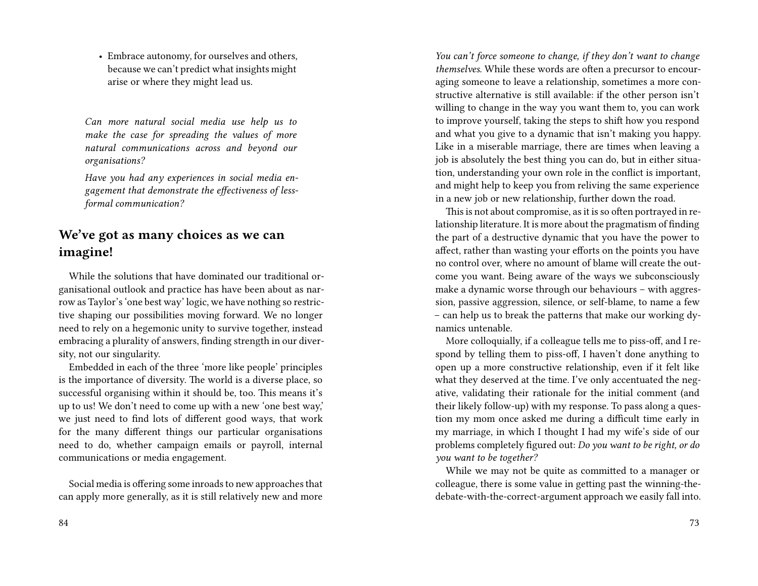• Embrace autonomy, for ourselves and others, because we can't predict what insights might arise or where they might lead us.

*Can more natural social media use help us to make the case for spreading the values of more natural communications across and beyond our organisations?*

*Have you had any experiences in social media engagement that demonstrate the effectiveness of lessformal communication?*

# **We've got as many choices as we can imagine!**

While the solutions that have dominated our traditional organisational outlook and practice has have been about as narrow as Taylor's 'one best way' logic, we have nothing so restrictive shaping our possibilities moving forward. We no longer need to rely on a hegemonic unity to survive together, instead embracing a plurality of answers, finding strength in our diversity, not our singularity.

Embedded in each of the three 'more like people' principles is the importance of diversity. The world is a diverse place, so successful organising within it should be, too. This means it's up to us! We don't need to come up with a new 'one best way,' we just need to find lots of different good ways, that work for the many different things our particular organisations need to do, whether campaign emails or payroll, internal communications or media engagement.

Social media is offering some inroads to new approaches that can apply more generally, as it is still relatively new and more *You can't force someone to change, if they don't want to change themselves*. While these words are often a precursor to encouraging someone to leave a relationship, sometimes a more constructive alternative is still available: if the other person isn't willing to change in the way you want them to, you can work to improve yourself, taking the steps to shift how you respond and what you give to a dynamic that isn't making you happy. Like in a miserable marriage, there are times when leaving a job is absolutely the best thing you can do, but in either situation, understanding your own role in the conflict is important, and might help to keep you from reliving the same experience in a new job or new relationship, further down the road.

This is not about compromise, as it is so often portrayed in relationship literature. It is more about the pragmatism of finding the part of a destructive dynamic that you have the power to affect, rather than wasting your efforts on the points you have no control over, where no amount of blame will create the outcome you want. Being aware of the ways we subconsciously make a dynamic worse through our behaviours – with aggression, passive aggression, silence, or self-blame, to name a few – can help us to break the patterns that make our working dynamics untenable.

More colloquially, if a colleague tells me to piss-off, and I respond by telling them to piss-off, I haven't done anything to open up a more constructive relationship, even if it felt like what they deserved at the time. I've only accentuated the negative, validating their rationale for the initial comment (and their likely follow-up) with my response. To pass along a question my mom once asked me during a difficult time early in my marriage, in which I thought I had my wife's side of our problems completely figured out: *Do you want to be right, or do you want to be together?*

While we may not be quite as committed to a manager or colleague, there is some value in getting past the winning-thedebate-with-the-correct-argument approach we easily fall into.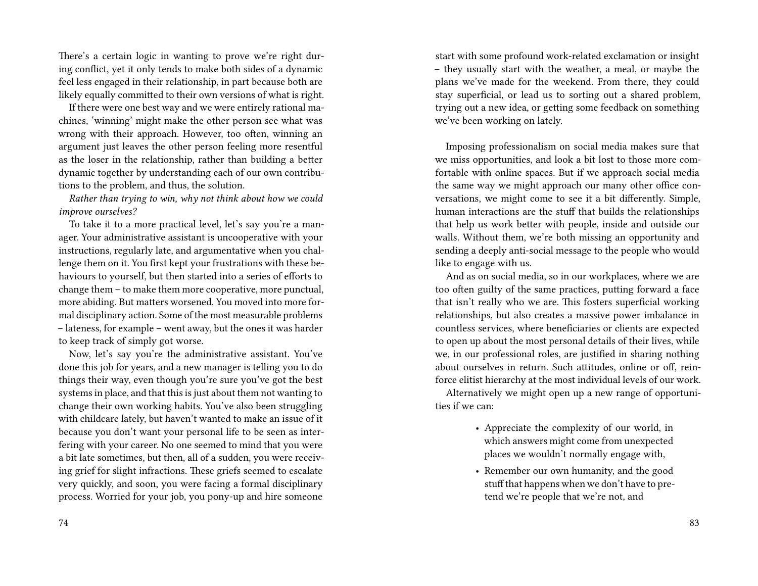There's a certain logic in wanting to prove we're right during conflict, yet it only tends to make both sides of a dynamic feel less engaged in their relationship, in part because both are likely equally committed to their own versions of what is right.

If there were one best way and we were entirely rational machines, 'winning' might make the other person see what was wrong with their approach. However, too often, winning an argument just leaves the other person feeling more resentful as the loser in the relationship, rather than building a better dynamic together by understanding each of our own contributions to the problem, and thus, the solution.

*Rather than trying to win, why not think about how we could improve ourselves?*

To take it to a more practical level, let's say you're a manager. Your administrative assistant is uncooperative with your instructions, regularly late, and argumentative when you challenge them on it. You first kept your frustrations with these behaviours to yourself, but then started into a series of efforts to change them – to make them more cooperative, more punctual, more abiding. But matters worsened. You moved into more formal disciplinary action. Some of the most measurable problems – lateness, for example – went away, but the ones it was harder to keep track of simply got worse.

Now, let's say you're the administrative assistant. You've done this job for years, and a new manager is telling you to do things their way, even though you're sure you've got the best systems in place, and that this is just about them not wanting to change their own working habits. You've also been struggling with childcare lately, but haven't wanted to make an issue of it because you don't want your personal life to be seen as interfering with your career. No one seemed to mind that you were a bit late sometimes, but then, all of a sudden, you were receiving grief for slight infractions. These griefs seemed to escalate very quickly, and soon, you were facing a formal disciplinary process. Worried for your job, you pony-up and hire someone

start with some profound work-related exclamation or insight – they usually start with the weather, a meal, or maybe the plans we've made for the weekend. From there, they could stay superficial, or lead us to sorting out a shared problem, trying out a new idea, or getting some feedback on something we've been working on lately.

Imposing professionalism on social media makes sure that we miss opportunities, and look a bit lost to those more comfortable with online spaces. But if we approach social media the same way we might approach our many other office conversations, we might come to see it a bit differently. Simple, human interactions are the stuff that builds the relationships that help us work better with people, inside and outside our walls. Without them, we're both missing an opportunity and sending a deeply anti-social message to the people who would like to engage with us.

And as on social media, so in our workplaces, where we are too often guilty of the same practices, putting forward a face that isn't really who we are. This fosters superficial working relationships, but also creates a massive power imbalance in countless services, where beneficiaries or clients are expected to open up about the most personal details of their lives, while we, in our professional roles, are justified in sharing nothing about ourselves in return. Such attitudes, online or off, reinforce elitist hierarchy at the most individual levels of our work.

Alternatively we might open up a new range of opportunities if we can:

- Appreciate the complexity of our world, in which answers might come from unexpected places we wouldn't normally engage with,
- Remember our own humanity, and the good stuff that happens when we don't have to pretend we're people that we're not, and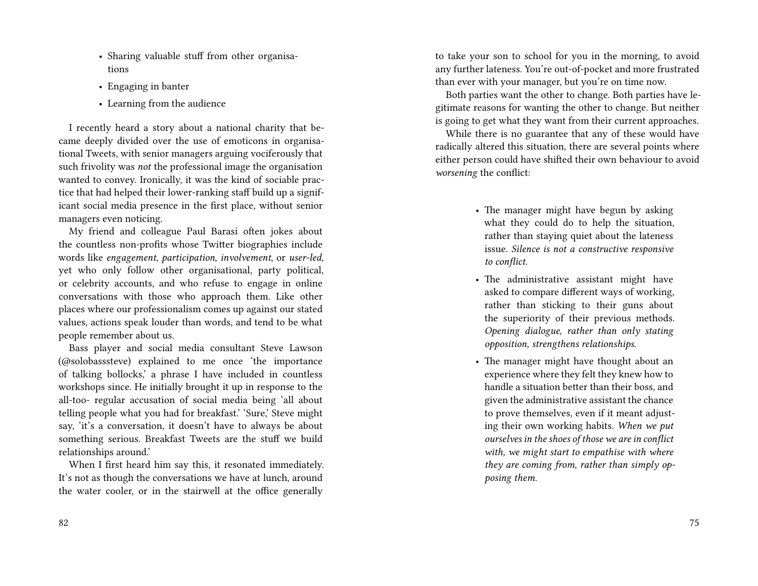- Sharing valuable stuff from other organisations
- Engaging in banter
- Learning from the audience

I recently heard a story about a national charity that became deeply divided over the use of emoticons in organisational Tweets, with senior managers arguing vociferously that such frivolity was *not* the professional image the organisation wanted to convey. Ironically, it was the kind of sociable practice that had helped their lower-ranking staff build up a significant social media presence in the first place, without senior managers even noticing.

My friend and colleague Paul Barasi often jokes about the countless non-profits whose Twitter biographies include words like *engagement*, *participation*, *involvement*, or *user-led,* yet who only follow other organisational, party political, or celebrity accounts, and who refuse to engage in online conversations with those who approach them. Like other places where our professionalism comes up against our stated values, actions speak louder than words, and tend to be what people remember about us.

Bass player and social media consultant Steve Lawson (@solobasssteve) explained to me once 'the importance of talking bollocks,' a phrase I have included in countless workshops since. He initially brought it up in response to the all-too- regular accusation of social media being 'all about telling people what you had for breakfast.' 'Sure,' Steve might say, 'it's a conversation, it doesn't have to always be about something serious. Breakfast Tweets are the stuff we build relationships around.'

When I first heard him say this, it resonated immediately. It's not as though the conversations we have at lunch, around the water cooler, or in the stairwell at the office generally

to take your son to school for you in the morning, to avoid any further lateness. You're out-of-pocket and more frustrated than ever with your manager, but you're on time now.

Both parties want the other to change. Both parties have legitimate reasons for wanting the other to change. But neither is going to get what they want from their current approaches.

While there is no guarantee that any of these would have radically altered this situation, there are several points where either person could have shifted their own behaviour to avoid *worsening* the conflict:

- The manager might have begun by asking what they could do to help the situation, rather than staying quiet about the lateness issue. *Silence is not a constructive responsive to conflict.*
- The administrative assistant might have asked to compare different ways of working, rather than sticking to their guns about the superiority of their previous methods. *Opening dialogue, rather than only stating opposition, strengthens relationships.*
- The manager might have thought about an experience where they felt they knew how to handle a situation better than their boss, and given the administrative assistant the chance to prove themselves, even if it meant adjusting their own working habits. *When we put ourselves in the shoes of those we are in conflict with, we might start to empathise with where they are coming from, rather than simply opposing them.*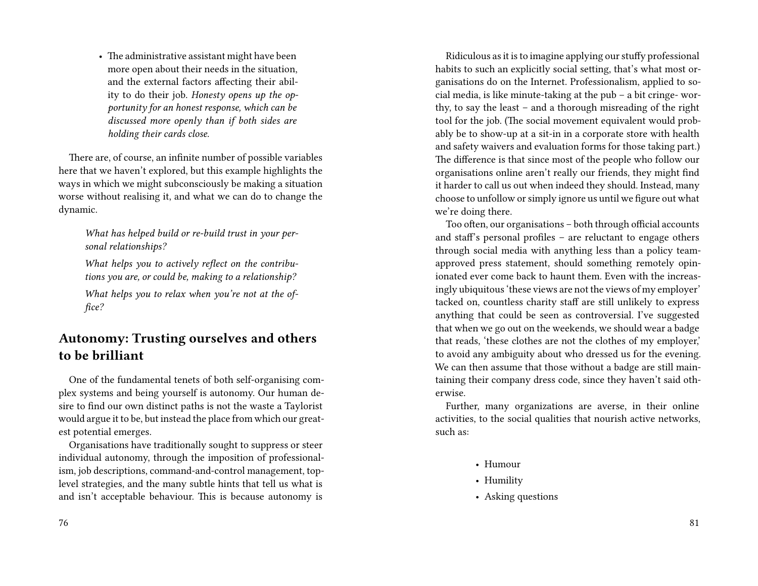• The administrative assistant might have been more open about their needs in the situation, and the external factors affecting their ability to do their job. *Honesty opens up the opportunity for an honest response, which can be discussed more openly than if both sides are holding their cards close.*

There are, of course, an infinite number of possible variables here that we haven't explored, but this example highlights the ways in which we might subconsciously be making a situation worse without realising it, and what we can do to change the dynamic.

> *What has helped build or re-build trust in your personal relationships?*

> *What helps you to actively reflect on the contributions you are, or could be, making to a relationship?*

> *What helps you to relax when you're not at the office?*

# **Autonomy: Trusting ourselves and others to be brilliant**

One of the fundamental tenets of both self-organising complex systems and being yourself is autonomy. Our human desire to find our own distinct paths is not the waste a Taylorist would argue it to be, but instead the place from which our greatest potential emerges.

Organisations have traditionally sought to suppress or steer individual autonomy, through the imposition of professionalism, job descriptions, command-and-control management, toplevel strategies, and the many subtle hints that tell us what is and isn't acceptable behaviour. This is because autonomy is

Ridiculous as it is to imagine applying our stuffy professional habits to such an explicitly social setting, that's what most organisations do on the Internet. Professionalism, applied to social media, is like minute-taking at the pub – a bit cringe- worthy, to say the least – and a thorough misreading of the right tool for the job. (The social movement equivalent would probably be to show-up at a sit-in in a corporate store with health and safety waivers and evaluation forms for those taking part.) The difference is that since most of the people who follow our organisations online aren't really our friends, they might find it harder to call us out when indeed they should. Instead, many choose to unfollow or simply ignore us until we figure out what we're doing there.

Too often, our organisations – both through official accounts and staff's personal profiles – are reluctant to engage others through social media with anything less than a policy teamapproved press statement, should something remotely opinionated ever come back to haunt them. Even with the increasingly ubiquitous 'these views are not the views of my employer' tacked on, countless charity staff are still unlikely to express anything that could be seen as controversial. I've suggested that when we go out on the weekends, we should wear a badge that reads, 'these clothes are not the clothes of my employer,' to avoid any ambiguity about who dressed us for the evening. We can then assume that those without a badge are still maintaining their company dress code, since they haven't said otherwise.

Further, many organizations are averse, in their online activities, to the social qualities that nourish active networks, such as:

- Humour
- Humility
- Asking questions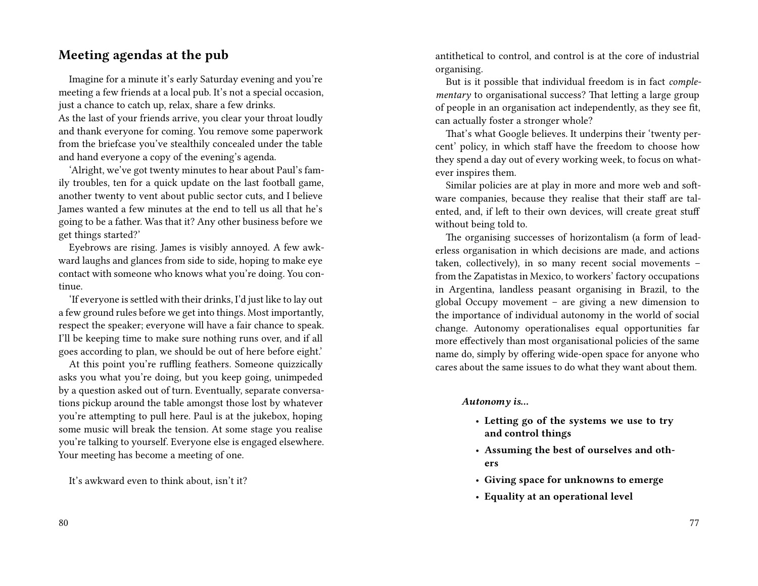## **Meeting agendas at the pub**

Imagine for a minute it's early Saturday evening and you're meeting a few friends at a local pub. It's not a special occasion, just a chance to catch up, relax, share a few drinks.

As the last of your friends arrive, you clear your throat loudly and thank everyone for coming. You remove some paperwork from the briefcase you've stealthily concealed under the table and hand everyone a copy of the evening's agenda.

'Alright, we've got twenty minutes to hear about Paul's family troubles, ten for a quick update on the last football game, another twenty to vent about public sector cuts, and I believe James wanted a few minutes at the end to tell us all that he's going to be a father. Was that it? Any other business before we get things started?'

Eyebrows are rising. James is visibly annoyed. A few awkward laughs and glances from side to side, hoping to make eye contact with someone who knows what you're doing. You continue.

'If everyone is settled with their drinks, I'd just like to lay out a few ground rules before we get into things. Most importantly, respect the speaker; everyone will have a fair chance to speak. I'll be keeping time to make sure nothing runs over, and if all goes according to plan, we should be out of here before eight.'

At this point you're ruffling feathers. Someone quizzically asks you what you're doing, but you keep going, unimpeded by a question asked out of turn. Eventually, separate conversations pickup around the table amongst those lost by whatever you're attempting to pull here. Paul is at the jukebox, hoping some music will break the tension. At some stage you realise you're talking to yourself. Everyone else is engaged elsewhere. Your meeting has become a meeting of one.

It's awkward even to think about, isn't it?

80

antithetical to control, and control is at the core of industrial organising.

But is it possible that individual freedom is in fact *complementary* to organisational success? That letting a large group of people in an organisation act independently, as they see fit, can actually foster a stronger whole?

That's what Google believes. It underpins their 'twenty percent' policy, in which staff have the freedom to choose how they spend a day out of every working week, to focus on whatever inspires them.

Similar policies are at play in more and more web and software companies, because they realise that their staff are talented, and, if left to their own devices, will create great stuff without being told to.

The organising successes of horizontalism (a form of leaderless organisation in which decisions are made, and actions taken, collectively), in so many recent social movements – from the Zapatistas in Mexico, to workers' factory occupations in Argentina, landless peasant organising in Brazil, to the global Occupy movement – are giving a new dimension to the importance of individual autonomy in the world of social change. Autonomy operationalises equal opportunities far more effectively than most organisational policies of the same name do, simply by offering wide-open space for anyone who cares about the same issues to do what they want about them.

*Autonomy is…*

- **Letting go of the systems we use to try and control things**
- **Assuming the best of ourselves and others**
- **Giving space for unknowns to emerge**
- **Equality at an operational level**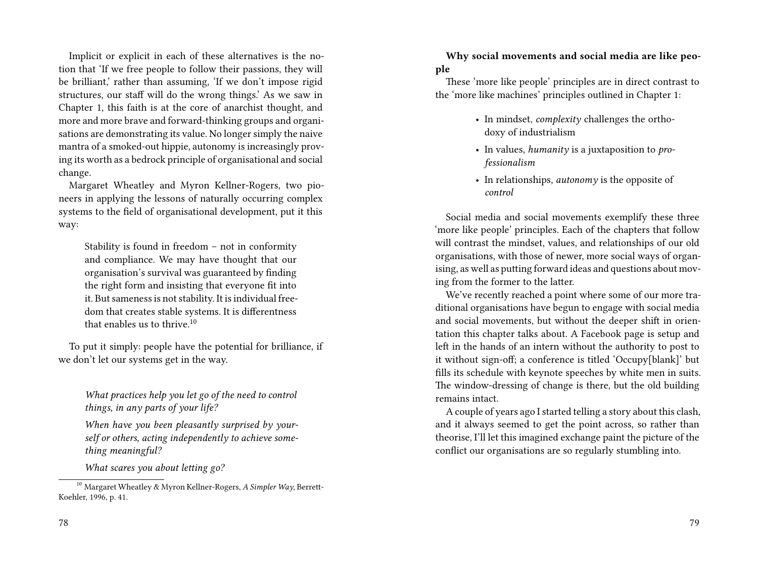Implicit or explicit in each of these alternatives is the notion that 'If we free people to follow their passions, they will be brilliant,' rather than assuming, 'If we don't impose rigid structures, our staff will do the wrong things.' As we saw in Chapter 1, this faith is at the core of anarchist thought, and more and more brave and forward-thinking groups and organisations are demonstrating its value. No longer simply the naive mantra of a smoked-out hippie, autonomy is increasingly proving its worth as a bedrock principle of organisational and social change.

Margaret Wheatley and Myron Kellner-Rogers, two pioneers in applying the lessons of naturally occurring complex systems to the field of organisational development, put it this way:

Stability is found in freedom – not in conformity and compliance. We may have thought that our organisation's survival was guaranteed by finding the right form and insisting that everyone fit into it. But sameness is not stability. It is individual freedom that creates stable systems. It is differentness that enables us to thrive.<sup>10</sup>

To put it simply: people have the potential for brilliance, if we don't let our systems get in the way.

> *What practices help you let go of the need to control things, in any parts of your life?*

> *When have you been pleasantly surprised by yourself or others, acting independently to achieve something meaningful?*

*What scares you about letting go?*

<sup>10</sup> Margaret Wheatley & Myron Kellner-Rogers, *A Simpler Way*, Berrett-Koehler, 1996, p. 41.

#### 78

### **Why social movements and social media are like people**

These 'more like people' principles are in direct contrast to the 'more like machines' principles outlined in Chapter 1:

- In mindset, *complexity* challenges the orthodoxy of industrialism
- In values, *humanity* is a juxtaposition to *professionalism*
- In relationships, *autonomy* is the opposite of *control*

Social media and social movements exemplify these three 'more like people' principles. Each of the chapters that follow will contrast the mindset, values, and relationships of our old organisations, with those of newer, more social ways of organising, as well as putting forward ideas and questions about moving from the former to the latter.

We've recently reached a point where some of our more traditional organisations have begun to engage with social media and social movements, but without the deeper shift in orientation this chapter talks about. A Facebook page is setup and left in the hands of an intern without the authority to post to it without sign-off; a conference is titled 'Occupy[blank]' but fills its schedule with keynote speeches by white men in suits. The window-dressing of change is there, but the old building remains intact.

A couple of years ago I started telling a story about this clash, and it always seemed to get the point across, so rather than theorise, I'll let this imagined exchange paint the picture of the conflict our organisations are so regularly stumbling into.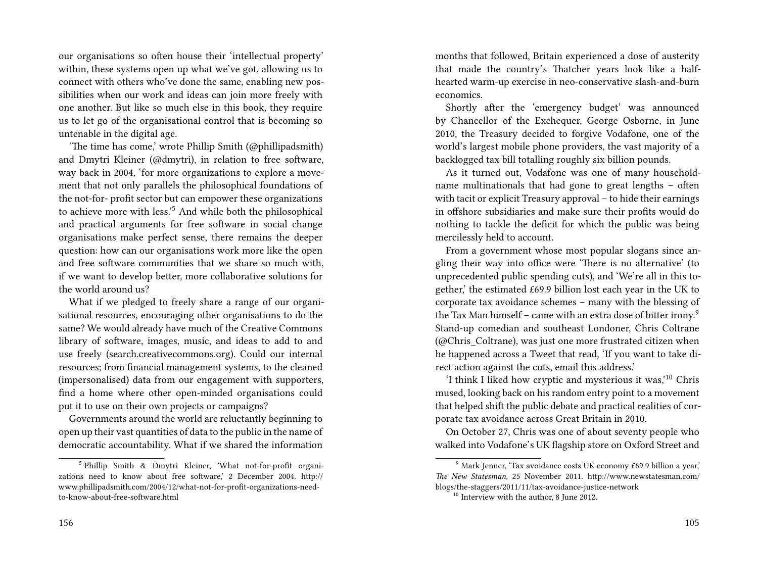our organisations so often house their 'intellectual property' within, these systems open up what we've got, allowing us to connect with others who've done the same, enabling new possibilities when our work and ideas can join more freely with one another. But like so much else in this book, they require us to let go of the organisational control that is becoming so untenable in the digital age.

'The time has come,' wrote Phillip Smith (@phillipadsmith) and Dmytri Kleiner (@dmytri), in relation to free software, way back in 2004, 'for more organizations to explore a movement that not only parallels the philosophical foundations of the not-for- profit sector but can empower these organizations to achieve more with less.'<sup>5</sup> And while both the philosophical and practical arguments for free software in social change organisations make perfect sense, there remains the deeper question: how can our organisations work more like the open and free software communities that we share so much with, if we want to develop better, more collaborative solutions for the world around us?

What if we pledged to freely share a range of our organisational resources, encouraging other organisations to do the same? We would already have much of the Creative Commons library of software, images, music, and ideas to add to and use freely (search.creativecommons.org). Could our internal resources; from financial management systems, to the cleaned (impersonalised) data from our engagement with supporters, find a home where other open-minded organisations could put it to use on their own projects or campaigns?

Governments around the world are reluctantly beginning to open up their vast quantities of data to the public in the name of democratic accountability. What if we shared the information

months that followed, Britain experienced a dose of austerity that made the country's Thatcher years look like a halfhearted warm-up exercise in neo-conservative slash-and-burn economics.

Shortly after the 'emergency budget' was announced by Chancellor of the Exchequer, George Osborne, in June 2010, the Treasury decided to forgive Vodafone, one of the world's largest mobile phone providers, the vast majority of a backlogged tax bill totalling roughly six billion pounds.

As it turned out, Vodafone was one of many householdname multinationals that had gone to great lengths – often with tacit or explicit Treasury approval – to hide their earnings in offshore subsidiaries and make sure their profits would do nothing to tackle the deficit for which the public was being mercilessly held to account.

From a government whose most popular slogans since angling their way into office were 'There is no alternative' (to unprecedented public spending cuts), and 'We're all in this together,' the estimated £69.9 billion lost each year in the UK to corporate tax avoidance schemes – many with the blessing of the Tax Man himself – came with an extra dose of bitter irony.<sup>9</sup> Stand-up comedian and southeast Londoner, Chris Coltrane  $(QOchris$  Coltrane), was just one more frustrated citizen when he happened across a Tweet that read, 'If you want to take direct action against the cuts, email this address.'

'I think I liked how cryptic and mysterious it was,'<sup>10</sup> Chris mused, looking back on his random entry point to a movement that helped shift the public debate and practical realities of corporate tax avoidance across Great Britain in 2010.

On October 27, Chris was one of about seventy people who walked into Vodafone's UK flagship store on Oxford Street and

<sup>&</sup>lt;sup>5</sup> Phillip Smith & Dmytri Kleiner, 'What not-for-profit organizations need to know about free software,' 2 December 2004. http:// www.phillipadsmith.com/2004/12/what-not-for-profit-organizations-needto-know-about-free-software.html

<sup>9</sup> Mark Jenner, 'Tax avoidance costs UK economy £69.9 billion a year,' *The New Statesman*, 25 November 2011. http://www.newstatesman.com/ blogs/the-staggers/2011/11/tax-avoidance-justice-network

 $^{10}$  Interview with the author, 8 June 2012.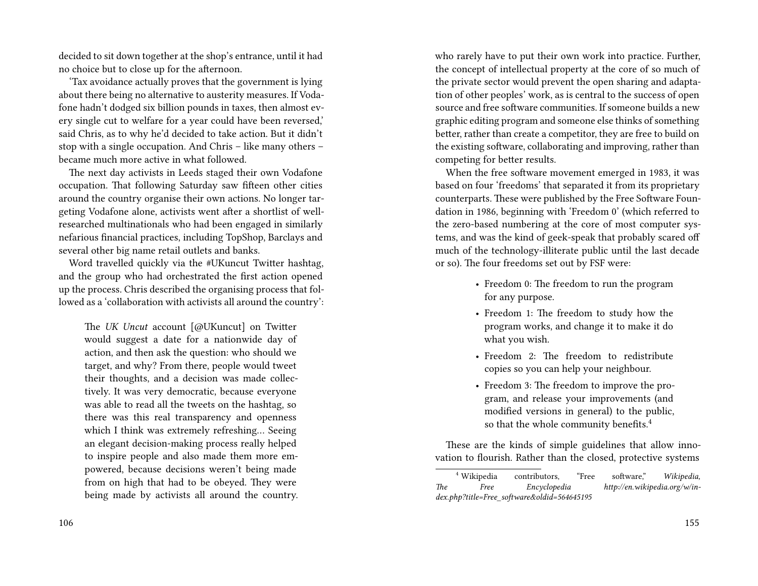decided to sit down together at the shop's entrance, until it had no choice but to close up for the afternoon.

'Tax avoidance actually proves that the government is lying about there being no alternative to austerity measures. If Vodafone hadn't dodged six billion pounds in taxes, then almost every single cut to welfare for a year could have been reversed,' said Chris, as to why he'd decided to take action. But it didn't stop with a single occupation. And Chris – like many others – became much more active in what followed.

The next day activists in Leeds staged their own Vodafone occupation. That following Saturday saw fifteen other cities around the country organise their own actions. No longer targeting Vodafone alone, activists went after a shortlist of wellresearched multinationals who had been engaged in similarly nefarious financial practices, including TopShop, Barclays and several other big name retail outlets and banks.

Word travelled quickly via the #UKuncut Twitter hashtag, and the group who had orchestrated the first action opened up the process. Chris described the organising process that followed as a 'collaboration with activists all around the country':

The *UK Uncut* account [@UKuncut] on Twitter would suggest a date for a nationwide day of action, and then ask the question: who should we target, and why? From there, people would tweet their thoughts, and a decision was made collectively. It was very democratic, because everyone was able to read all the tweets on the hashtag, so there was this real transparency and openness which I think was extremely refreshing… Seeing an elegant decision-making process really helped to inspire people and also made them more empowered, because decisions weren't being made from on high that had to be obeyed. They were being made by activists all around the country. who rarely have to put their own work into practice. Further, the concept of intellectual property at the core of so much of the private sector would prevent the open sharing and adaptation of other peoples' work, as is central to the success of open source and free software communities. If someone builds a new graphic editing program and someone else thinks of something better, rather than create a competitor, they are free to build on the existing software, collaborating and improving, rather than competing for better results.

When the free software movement emerged in 1983, it was based on four 'freedoms' that separated it from its proprietary counterparts. These were published by the Free Software Foundation in 1986, beginning with 'Freedom 0' (which referred to the zero-based numbering at the core of most computer systems, and was the kind of geek-speak that probably scared off much of the technology-illiterate public until the last decade or so). The four freedoms set out by FSF were:

- Freedom 0: The freedom to run the program for any purpose.
- Freedom 1: The freedom to study how the program works, and change it to make it do what you wish.
- Freedom 2: The freedom to redistribute copies so you can help your neighbour.
- Freedom 3: The freedom to improve the program, and release your improvements (and modified versions in general) to the public, so that the whole community benefits.<sup>4</sup>

These are the kinds of simple guidelines that allow innovation to flourish. Rather than the closed, protective systems

<sup>4</sup> Wikipedia contributors, "Free software," *Wikipedia, The Free Encyclopedia http://en.wikipedia.org/w/index.php?title=Free\_software&oldid=564645195*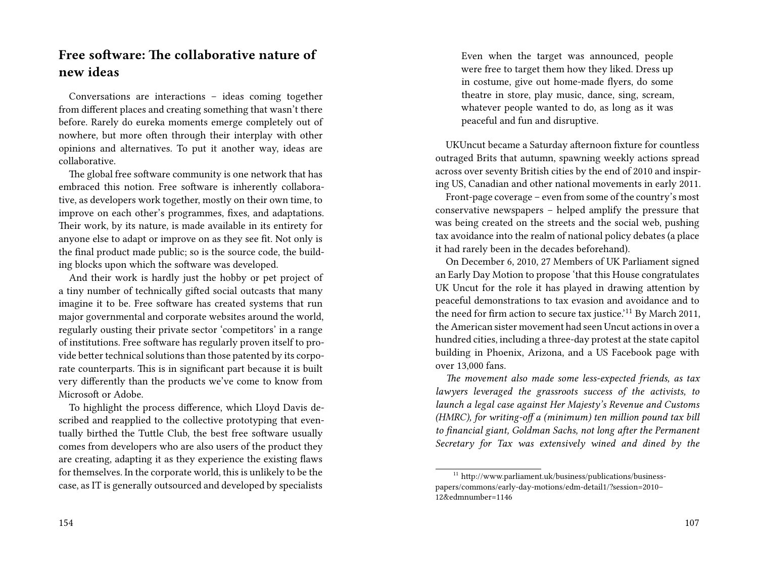# **Free software: The collaborative nature of new ideas**

Conversations are interactions – ideas coming together from different places and creating something that wasn't there before. Rarely do eureka moments emerge completely out of nowhere, but more often through their interplay with other opinions and alternatives. To put it another way, ideas are collaborative.

The global free software community is one network that has embraced this notion. Free software is inherently collaborative, as developers work together, mostly on their own time, to improve on each other's programmes, fixes, and adaptations. Their work, by its nature, is made available in its entirety for anyone else to adapt or improve on as they see fit. Not only is the final product made public; so is the source code, the building blocks upon which the software was developed.

And their work is hardly just the hobby or pet project of a tiny number of technically gifted social outcasts that many imagine it to be. Free software has created systems that run major governmental and corporate websites around the world, regularly ousting their private sector 'competitors' in a range of institutions. Free software has regularly proven itself to provide better technical solutions than those patented by its corporate counterparts. This is in significant part because it is built very differently than the products we've come to know from Microsoft or Adobe.

To highlight the process difference, which Lloyd Davis described and reapplied to the collective prototyping that eventually birthed the Tuttle Club, the best free software usually comes from developers who are also users of the product they are creating, adapting it as they experience the existing flaws for themselves. In the corporate world, this is unlikely to be the case, as IT is generally outsourced and developed by specialists

Even when the target was announced, people were free to target them how they liked. Dress up in costume, give out home-made flyers, do some theatre in store, play music, dance, sing, scream, whatever people wanted to do, as long as it was peaceful and fun and disruptive.

UKUncut became a Saturday afternoon fixture for countless outraged Brits that autumn, spawning weekly actions spread across over seventy British cities by the end of 2010 and inspiring US, Canadian and other national movements in early 2011.

Front-page coverage – even from some of the country's most conservative newspapers – helped amplify the pressure that was being created on the streets and the social web, pushing tax avoidance into the realm of national policy debates (a place it had rarely been in the decades beforehand).

On December 6, 2010, 27 Members of UK Parliament signed an Early Day Motion to propose 'that this House congratulates UK Uncut for the role it has played in drawing attention by peaceful demonstrations to tax evasion and avoidance and to the need for firm action to secure tax justice.'<sup>11</sup> By March 2011, the American sister movement had seen Uncut actions in over a hundred cities, including a three-day protest at the state capitol building in Phoenix, Arizona, and a US Facebook page with over 13,000 fans.

*The movement also made some less-expected friends, as tax lawyers leveraged the grassroots success of the activists, to launch a legal case against Her Majesty's Revenue and Customs (HMRC), for writing-off a (minimum) ten million pound tax bill to financial giant, Goldman Sachs, not long after the Permanent Secretary for Tax was extensively wined and dined by the*

 $^{11}$ http://www.parliament.uk/business/publications/businesspapers/commons/early-day-motions/edm-detail1/?session=2010– 12&edmnumber=1146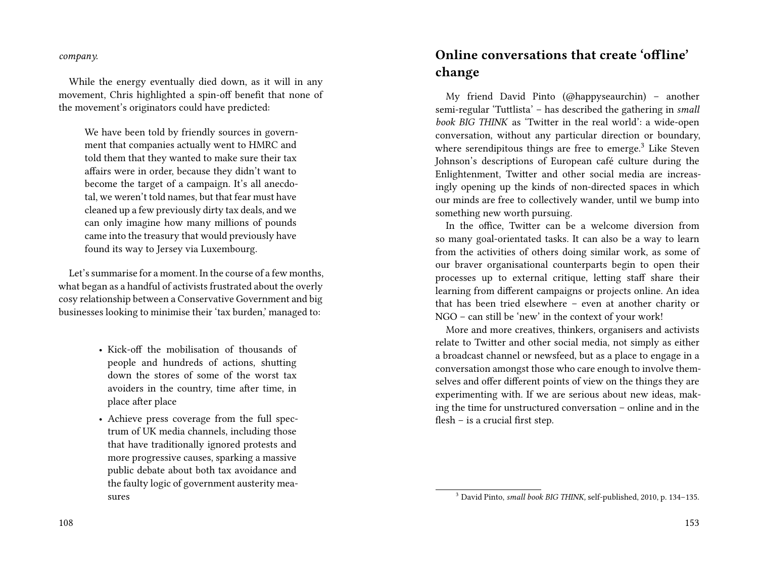*company.*

While the energy eventually died down, as it will in any movement, Chris highlighted a spin-off benefit that none of the movement's originators could have predicted:

We have been told by friendly sources in government that companies actually went to HMRC and told them that they wanted to make sure their tax affairs were in order, because they didn't want to become the target of a campaign. It's all anecdotal, we weren't told names, but that fear must have cleaned up a few previously dirty tax deals, and we can only imagine how many millions of pounds came into the treasury that would previously have found its way to Jersey via Luxembourg.

Let's summarise for a moment. In the course of a few months, what began as a handful of activists frustrated about the overly cosy relationship between a Conservative Government and big businesses looking to minimise their 'tax burden,' managed to:

- Kick-off the mobilisation of thousands of people and hundreds of actions, shutting down the stores of some of the worst tax avoiders in the country, time after time, in place after place
- Achieve press coverage from the full spectrum of UK media channels, including those that have traditionally ignored protests and more progressive causes, sparking a massive public debate about both tax avoidance and the faulty logic of government austerity measures

# **Online conversations that create 'offline' change**

My friend David Pinto (@happyseaurchin) – another semi-regular 'Tuttlista' – has described the gathering in *small book BIG THINK* as 'Twitter in the real world': a wide-open conversation, without any particular direction or boundary, where serendipitous things are free to emerge. $3$  Like Steven Johnson's descriptions of European café culture during the Enlightenment, Twitter and other social media are increasingly opening up the kinds of non-directed spaces in which our minds are free to collectively wander, until we bump into something new worth pursuing.

In the office, Twitter can be a welcome diversion from so many goal-orientated tasks. It can also be a way to learn from the activities of others doing similar work, as some of our braver organisational counterparts begin to open their processes up to external critique, letting staff share their learning from different campaigns or projects online. An idea that has been tried elsewhere – even at another charity or NGO – can still be 'new' in the context of your work!

More and more creatives, thinkers, organisers and activists relate to Twitter and other social media, not simply as either a broadcast channel or newsfeed, but as a place to engage in a conversation amongst those who care enough to involve themselves and offer different points of view on the things they are experimenting with. If we are serious about new ideas, making the time for unstructured conversation – online and in the flesh – is a crucial first step.

<sup>3</sup> David Pinto, *small book BIG THINK,* self-published, 2010, p. 134–135.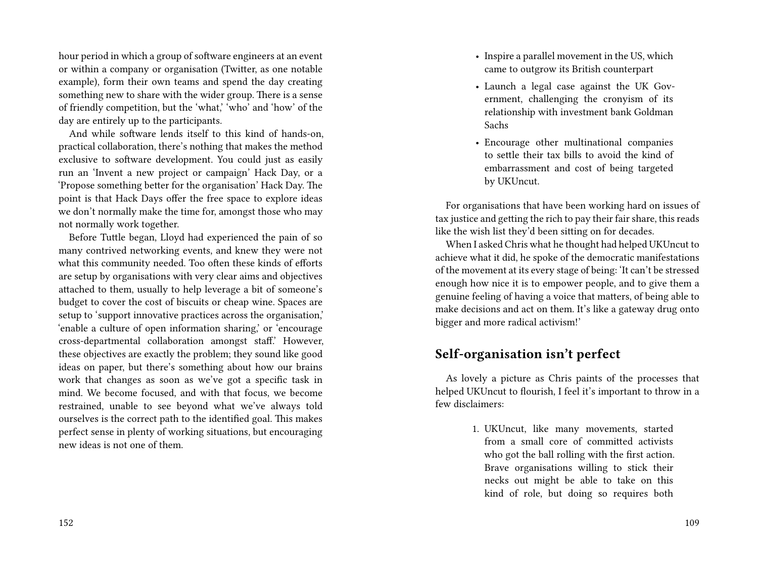hour period in which a group of software engineers at an event or within a company or organisation (Twitter, as one notable example), form their own teams and spend the day creating something new to share with the wider group. There is a sense of friendly competition, but the 'what,' 'who' and 'how' of the day are entirely up to the participants.

And while software lends itself to this kind of hands-on, practical collaboration, there's nothing that makes the method exclusive to software development. You could just as easily run an 'Invent a new project or campaign' Hack Day, or a 'Propose something better for the organisation' Hack Day. The point is that Hack Days offer the free space to explore ideas we don't normally make the time for, amongst those who may not normally work together.

Before Tuttle began, Lloyd had experienced the pain of so many contrived networking events, and knew they were not what this community needed. Too often these kinds of efforts are setup by organisations with very clear aims and objectives attached to them, usually to help leverage a bit of someone's budget to cover the cost of biscuits or cheap wine. Spaces are setup to 'support innovative practices across the organisation,' 'enable a culture of open information sharing,' or 'encourage cross-departmental collaboration amongst staff.' However, these objectives are exactly the problem; they sound like good ideas on paper, but there's something about how our brains work that changes as soon as we've got a specific task in mind. We become focused, and with that focus, we become restrained, unable to see beyond what we've always told ourselves is the correct path to the identified goal. This makes perfect sense in plenty of working situations, but encouraging new ideas is not one of them.

- Inspire a parallel movement in the US, which came to outgrow its British counterpart
- Launch a legal case against the UK Government, challenging the cronyism of its relationship with investment bank Goldman Sachs
- Encourage other multinational companies to settle their tax bills to avoid the kind of embarrassment and cost of being targeted by UKUncut.

For organisations that have been working hard on issues of tax justice and getting the rich to pay their fair share, this reads like the wish list they'd been sitting on for decades.

When I asked Chris what he thought had helped UKUncut to achieve what it did, he spoke of the democratic manifestations of the movement at its every stage of being: 'It can't be stressed enough how nice it is to empower people, and to give them a genuine feeling of having a voice that matters, of being able to make decisions and act on them. It's like a gateway drug onto bigger and more radical activism!'

## **Self-organisation isn't perfect**

As lovely a picture as Chris paints of the processes that helped UKUncut to flourish, I feel it's important to throw in a few disclaimers:

> 1. UKUncut, like many movements, started from a small core of committed activists who got the ball rolling with the first action. Brave organisations willing to stick their necks out might be able to take on this kind of role, but doing so requires both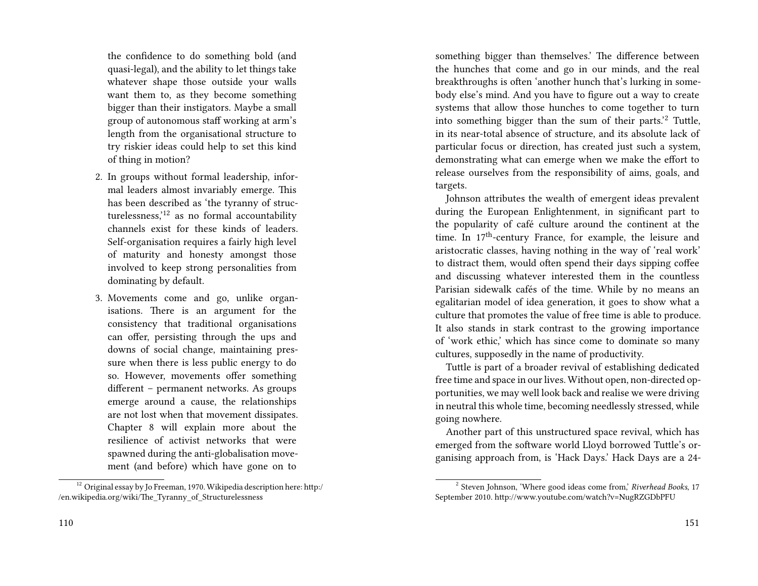the confidence to do something bold (and quasi-legal), and the ability to let things take whatever shape those outside your walls want them to, as they become something bigger than their instigators. Maybe a small group of autonomous staff working at arm's length from the organisational structure to try riskier ideas could help to set this kind of thing in motion?

- 2. In groups without formal leadership, informal leaders almost invariably emerge. This has been described as 'the tyranny of structurelessness,'<sup>12</sup> as no formal accountability channels exist for these kinds of leaders. Self-organisation requires a fairly high level of maturity and honesty amongst those involved to keep strong personalities from dominating by default.
- 3. Movements come and go, unlike organisations. There is an argument for the consistency that traditional organisations can offer, persisting through the ups and downs of social change, maintaining pressure when there is less public energy to do so. However, movements offer something different – permanent networks. As groups emerge around a cause, the relationships are not lost when that movement dissipates. Chapter 8 will explain more about the resilience of activist networks that were spawned during the anti-globalisation movement (and before) which have gone on to

something bigger than themselves.' The difference between the hunches that come and go in our minds, and the real breakthroughs is often 'another hunch that's lurking in somebody else's mind. And you have to figure out a way to create systems that allow those hunches to come together to turn into something bigger than the sum of their parts.'<sup>2</sup> Tuttle, in its near-total absence of structure, and its absolute lack of particular focus or direction, has created just such a system, demonstrating what can emerge when we make the effort to release ourselves from the responsibility of aims, goals, and targets.

Johnson attributes the wealth of emergent ideas prevalent during the European Enlightenment, in significant part to the popularity of café culture around the continent at the time. In 17<sup>th</sup>-century France, for example, the leisure and aristocratic classes, having nothing in the way of 'real work' to distract them, would often spend their days sipping coffee and discussing whatever interested them in the countless Parisian sidewalk cafés of the time. While by no means an egalitarian model of idea generation, it goes to show what a culture that promotes the value of free time is able to produce. It also stands in stark contrast to the growing importance of 'work ethic,' which has since come to dominate so many cultures, supposedly in the name of productivity.

Tuttle is part of a broader revival of establishing dedicated free time and space in our lives. Without open, non-directed opportunities, we may well look back and realise we were driving in neutral this whole time, becoming needlessly stressed, while going nowhere.

Another part of this unstructured space revival, which has emerged from the software world Lloyd borrowed Tuttle's organising approach from, is 'Hack Days.' Hack Days are a 24-

<sup>12</sup> Original essay by Jo Freeman, 1970. Wikipedia description here: http:/ /en.wikipedia.org/wiki/The\_Tyranny\_of\_Structurelessness

<sup>2</sup> Steven Johnson, 'Where good ideas come from,' *Riverhead Books*, 17 September 2010. http://www.youtube.com/watch?v=NugRZGDbPFU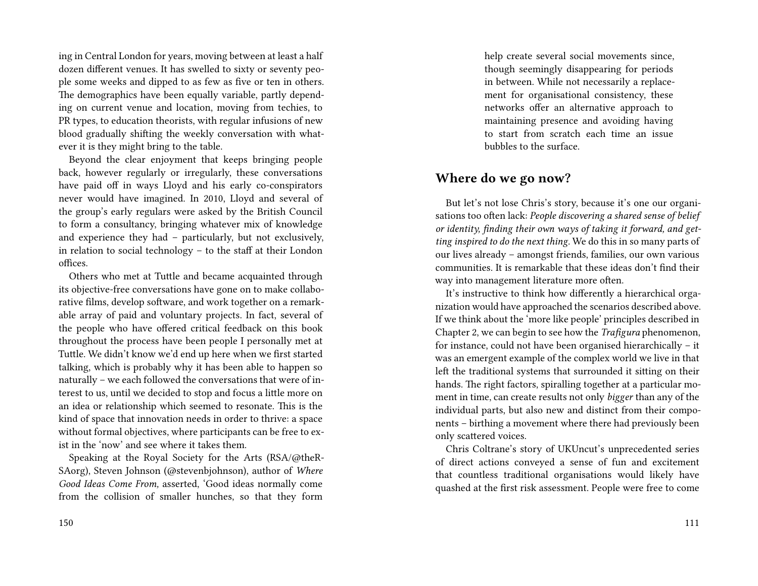ing in Central London for years, moving between at least a half dozen different venues. It has swelled to sixty or seventy people some weeks and dipped to as few as five or ten in others. The demographics have been equally variable, partly depending on current venue and location, moving from techies, to PR types, to education theorists, with regular infusions of new blood gradually shifting the weekly conversation with whatever it is they might bring to the table.

Beyond the clear enjoyment that keeps bringing people back, however regularly or irregularly, these conversations have paid off in ways Lloyd and his early co-conspirators never would have imagined. In 2010, Lloyd and several of the group's early regulars were asked by the British Council to form a consultancy, bringing whatever mix of knowledge and experience they had – particularly, but not exclusively, in relation to social technology – to the staff at their London offices.

Others who met at Tuttle and became acquainted through its objective-free conversations have gone on to make collaborative films, develop software, and work together on a remarkable array of paid and voluntary projects. In fact, several of the people who have offered critical feedback on this book throughout the process have been people I personally met at Tuttle. We didn't know we'd end up here when we first started talking, which is probably why it has been able to happen so naturally – we each followed the conversations that were of interest to us, until we decided to stop and focus a little more on an idea or relationship which seemed to resonate. This is the kind of space that innovation needs in order to thrive: a space without formal objectives, where participants can be free to exist in the 'now' and see where it takes them.

Speaking at the Royal Society for the Arts (RSA/@theR-SAorg), Steven Johnson (@stevenbjohnson), author of *Where Good Ideas Come From,* asserted, 'Good ideas normally come from the collision of smaller hunches, so that they form

help create several social movements since, though seemingly disappearing for periods in between. While not necessarily a replacement for organisational consistency, these networks offer an alternative approach to maintaining presence and avoiding having to start from scratch each time an issue bubbles to the surface.

### **Where do we go now?**

But let's not lose Chris's story, because it's one our organisations too often lack: *People discovering a shared sense of belief or identity, finding their own ways of taking it forward, and getting inspired to do the next thing.* We do this in so many parts of our lives already – amongst friends, families, our own various communities. It is remarkable that these ideas don't find their way into management literature more often.

It's instructive to think how differently a hierarchical organization would have approached the scenarios described above. If we think about the 'more like people' principles described in Chapter 2, we can begin to see how the *Trafigura* phenomenon, for instance, could not have been organised hierarchically – it was an emergent example of the complex world we live in that left the traditional systems that surrounded it sitting on their hands. The right factors, spiralling together at a particular moment in time, can create results not only *bigger* than any of the individual parts, but also new and distinct from their components – birthing a movement where there had previously been only scattered voices.

Chris Coltrane's story of UKUncut's unprecedented series of direct actions conveyed a sense of fun and excitement that countless traditional organisations would likely have quashed at the first risk assessment. People were free to come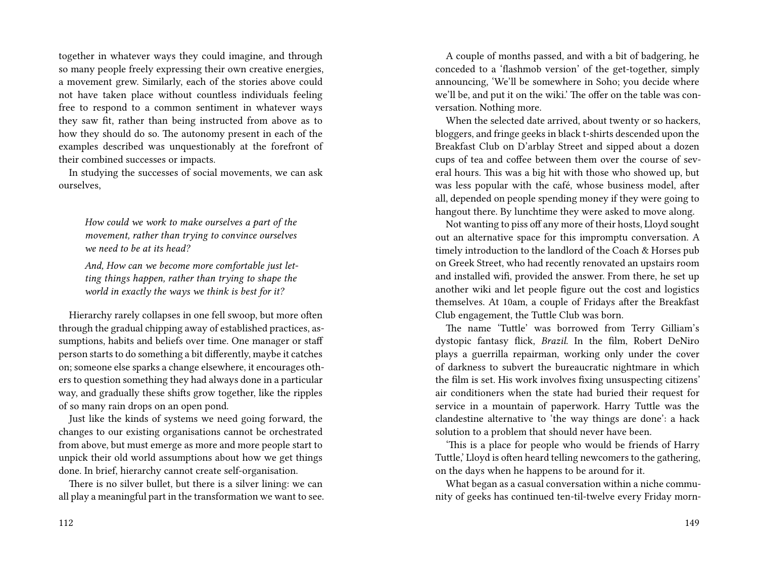together in whatever ways they could imagine, and through so many people freely expressing their own creative energies, a movement grew. Similarly, each of the stories above could not have taken place without countless individuals feeling free to respond to a common sentiment in whatever ways they saw fit, rather than being instructed from above as to how they should do so. The autonomy present in each of the examples described was unquestionably at the forefront of their combined successes or impacts.

In studying the successes of social movements, we can ask ourselves,

*How could we work to make ourselves a part of the movement, rather than trying to convince ourselves we need to be at its head?*

*And, How can we become more comfortable just letting things happen, rather than trying to shape the world in exactly the ways we think is best for it?*

Hierarchy rarely collapses in one fell swoop, but more often through the gradual chipping away of established practices, assumptions, habits and beliefs over time. One manager or staff person starts to do something a bit differently, maybe it catches on; someone else sparks a change elsewhere, it encourages others to question something they had always done in a particular way, and gradually these shifts grow together, like the ripples of so many rain drops on an open pond.

Just like the kinds of systems we need going forward, the changes to our existing organisations cannot be orchestrated from above, but must emerge as more and more people start to unpick their old world assumptions about how we get things done. In brief, hierarchy cannot create self-organisation.

There is no silver bullet, but there is a silver lining: we can all play a meaningful part in the transformation we want to see.

A couple of months passed, and with a bit of badgering, he conceded to a 'flashmob version' of the get-together, simply announcing, 'We'll be somewhere in Soho; you decide where we'll be, and put it on the wiki.' The offer on the table was conversation. Nothing more.

When the selected date arrived, about twenty or so hackers, bloggers, and fringe geeks in black t-shirts descended upon the Breakfast Club on D'arblay Street and sipped about a dozen cups of tea and coffee between them over the course of several hours. This was a big hit with those who showed up, but was less popular with the café, whose business model, after all, depended on people spending money if they were going to hangout there. By lunchtime they were asked to move along.

Not wanting to piss off any more of their hosts, Lloyd sought out an alternative space for this impromptu conversation. A timely introduction to the landlord of the Coach & Horses pub on Greek Street, who had recently renovated an upstairs room and installed wifi, provided the answer. From there, he set up another wiki and let people figure out the cost and logistics themselves. At 10am, a couple of Fridays after the Breakfast Club engagement, the Tuttle Club was born.

The name 'Tuttle' was borrowed from Terry Gilliam's dystopic fantasy flick, *Brazil*. In the film, Robert DeNiro plays a guerrilla repairman, working only under the cover of darkness to subvert the bureaucratic nightmare in which the film is set. His work involves fixing unsuspecting citizens' air conditioners when the state had buried their request for service in a mountain of paperwork. Harry Tuttle was the clandestine alternative to 'the way things are done': a hack solution to a problem that should never have been.

'This is a place for people who would be friends of Harry Tuttle,' Lloyd is often heard telling newcomers to the gathering, on the days when he happens to be around for it.

What began as a casual conversation within a niche community of geeks has continued ten-til-twelve every Friday morn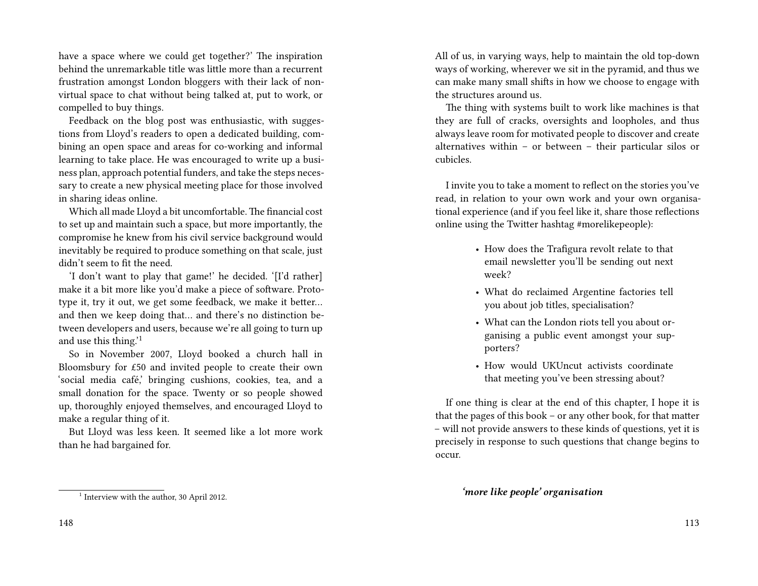have a space where we could get together?' The inspiration behind the unremarkable title was little more than a recurrent frustration amongst London bloggers with their lack of nonvirtual space to chat without being talked at, put to work, or compelled to buy things.

Feedback on the blog post was enthusiastic, with suggestions from Lloyd's readers to open a dedicated building, combining an open space and areas for co-working and informal learning to take place. He was encouraged to write up a business plan, approach potential funders, and take the steps necessary to create a new physical meeting place for those involved in sharing ideas online.

Which all made Lloyd a bit uncomfortable. The financial cost to set up and maintain such a space, but more importantly, the compromise he knew from his civil service background would inevitably be required to produce something on that scale, just didn't seem to fit the need.

'I don't want to play that game!' he decided. '[I'd rather] make it a bit more like you'd make a piece of software. Prototype it, try it out, we get some feedback, we make it better… and then we keep doing that… and there's no distinction between developers and users, because we're all going to turn up and use this thing.'<sup>1</sup>

So in November 2007, Lloyd booked a church hall in Bloomsbury for £50 and invited people to create their own 'social media café,' bringing cushions, cookies, tea, and a small donation for the space. Twenty or so people showed up, thoroughly enjoyed themselves, and encouraged Lloyd to make a regular thing of it.

But Lloyd was less keen. It seemed like a lot more work than he had bargained for.

148

All of us, in varying ways, help to maintain the old top-down ways of working, wherever we sit in the pyramid, and thus we can make many small shifts in how we choose to engage with the structures around us.

The thing with systems built to work like machines is that they are full of cracks, oversights and loopholes, and thus always leave room for motivated people to discover and create alternatives within – or between – their particular silos or cubicles.

I invite you to take a moment to reflect on the stories you've read, in relation to your own work and your own organisational experience (and if you feel like it, share those reflections online using the Twitter hashtag #morelikepeople):

- How does the Trafigura revolt relate to that email newsletter you'll be sending out next week?
- What do reclaimed Argentine factories tell you about job titles, specialisation?
- What can the London riots tell you about organising a public event amongst your supporters?
- How would UKUncut activists coordinate that meeting you've been stressing about?

If one thing is clear at the end of this chapter, I hope it is that the pages of this book – or any other book, for that matter – will not provide answers to these kinds of questions, yet it is precisely in response to such questions that change begins to occur.

#### *'more like people' organisation*

<sup>&</sup>lt;sup>1</sup> Interview with the author, 30 April 2012.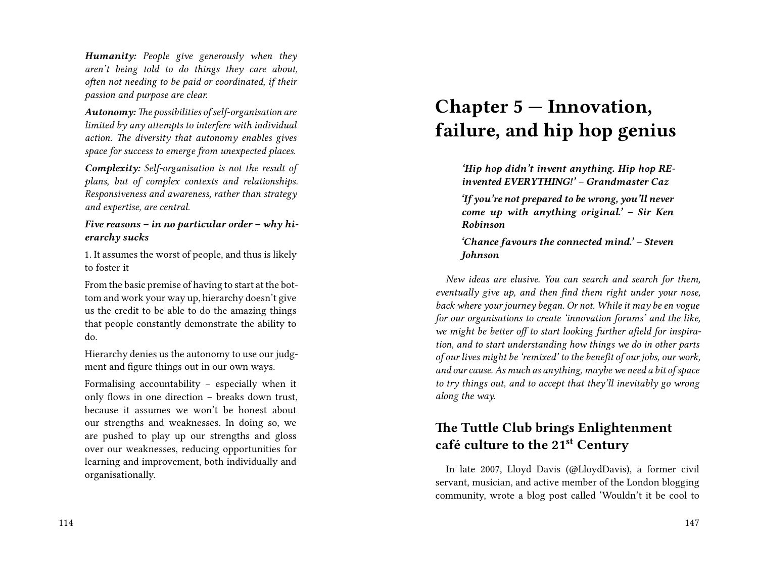*Humanity: People give generously when they aren't being told to do things they care about, often not needing to be paid or coordinated, if their passion and purpose are clear.*

*Autonomy: The possibilities of self-organisation are limited by any attempts to interfere with individual action. The diversity that autonomy enables gives space for success to emerge from unexpected places.*

*Complexity: Self-organisation is not the result of plans, but of complex contexts and relationships. Responsiveness and awareness, rather than strategy and expertise, are central.*

*Five reasons – in no particular order – why hierarchy sucks*

1. It assumes the worst of people, and thus is likely to foster it

From the basic premise of having to start at the bottom and work your way up, hierarchy doesn't give us the credit to be able to do the amazing things that people constantly demonstrate the ability to do.

Hierarchy denies us the autonomy to use our judgment and figure things out in our own ways.

Formalising accountability – especially when it only flows in one direction – breaks down trust, because it assumes we won't be honest about our strengths and weaknesses. In doing so, we are pushed to play up our strengths and gloss over our weaknesses, reducing opportunities for learning and improvement, both individually and organisationally.

# **Chapter 5 — Innovation, failure, and hip hop genius**

*'Hip hop didn't invent anything. Hip hop REinvented EVERYTHING!' – Grandmaster Caz*

*'If you're not prepared to be wrong, you'll never come up with anything original.' – Sir Ken Robinson*

*'Chance favours the connected mind.' – Steven Johnson*

*New ideas are elusive. You can search and search for them, eventually give up, and then find them right under your nose, back where your journey began. Or not. While it may be en vogue for our organisations to create 'innovation forums' and the like, we might be better off to start looking further afield for inspiration, and to start understanding how things we do in other parts of our lives might be 'remixed' to the benefit of our jobs, our work, and our cause. As much as anything, maybe we need a bit of space to try things out, and to accept that they'll inevitably go wrong along the way.*

# **The Tuttle Club brings Enlightenment café culture to the 21st Century**

In late 2007, Lloyd Davis (@LloydDavis), a former civil servant, musician, and active member of the London blogging community, wrote a blog post called 'Wouldn't it be cool to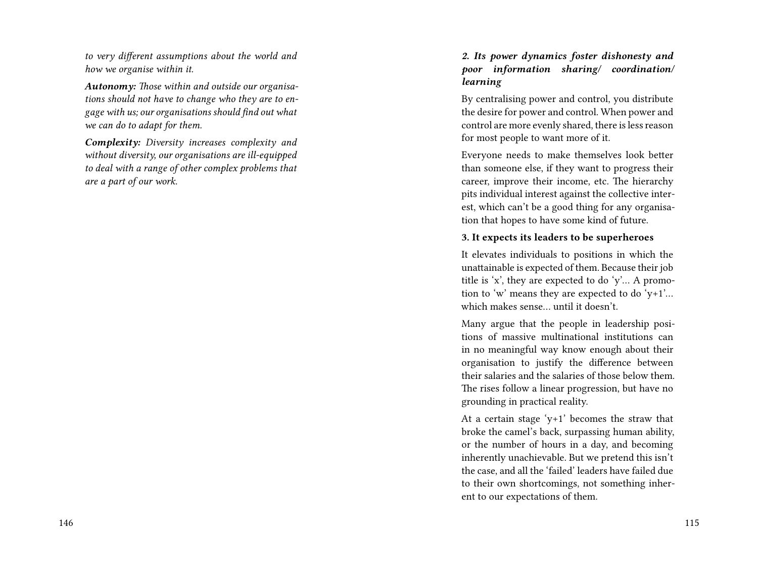*to very different assumptions about the world and how we organise within it.*

*Autonomy: Those within and outside our organisations should not have to change who they are to engage with us; our organisations should find out what we can do to adapt for them.*

*Complexity: Diversity increases complexity and without diversity, our organisations are ill-equipped to deal with a range of other complex problems that are a part of our work.*

### *2. Its power dynamics foster dishonesty and poor information sharing/ coordination/ learning*

By centralising power and control, you distribute the desire for power and control. When power and control are more evenly shared, there is less reason for most people to want more of it.

Everyone needs to make themselves look better than someone else, if they want to progress their career, improve their income, etc. The hierarchy pits individual interest against the collective interest, which can't be a good thing for any organisation that hopes to have some kind of future.

### **3. It expects its leaders to be superheroes**

It elevates individuals to positions in which the unattainable is expected of them. Because their job title is 'x', they are expected to do 'y'… A promotion to 'w' means they are expected to do 'y+1'… which makes sense… until it doesn't.

Many argue that the people in leadership positions of massive multinational institutions can in no meaningful way know enough about their organisation to justify the difference between their salaries and the salaries of those below them. The rises follow a linear progression, but have no grounding in practical reality.

At a certain stage ' $y+1$ ' becomes the straw that broke the camel's back, surpassing human ability, or the number of hours in a day, and becoming inherently unachievable. But we pretend this isn't the case, and all the 'failed' leaders have failed due to their own shortcomings, not something inherent to our expectations of them.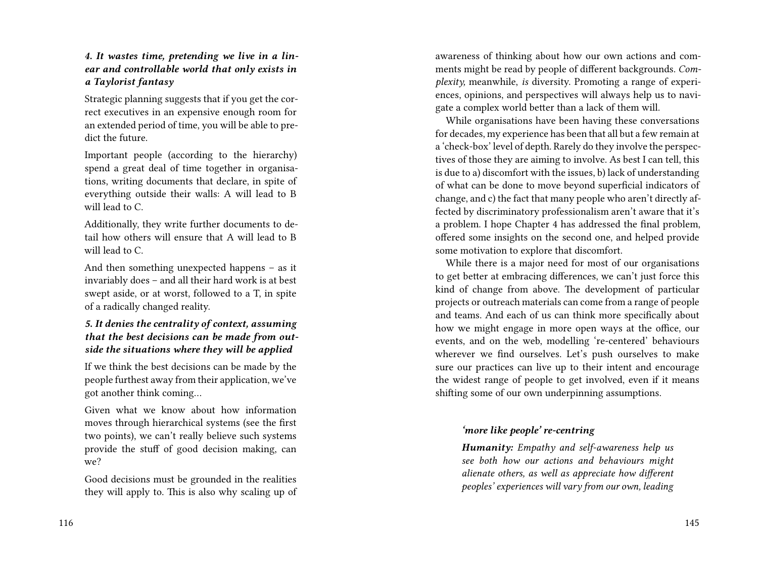*4. It wastes time, pretending we live in a linear and controllable world that only exists in a Taylorist fantasy*

Strategic planning suggests that if you get the correct executives in an expensive enough room for an extended period of time, you will be able to predict the future.

Important people (according to the hierarchy) spend a great deal of time together in organisations, writing documents that declare, in spite of everything outside their walls: A will lead to B will lead to C.

Additionally, they write further documents to detail how others will ensure that A will lead to B will lead to C.

And then something unexpected happens – as it invariably does – and all their hard work is at best swept aside, or at worst, followed to a T, in spite of a radically changed reality.

*5. It denies the centrality of context, assuming that the best decisions can be made from outside the situations where they will be applied*

If we think the best decisions can be made by the people furthest away from their application, we've got another think coming…

Given what we know about how information moves through hierarchical systems (see the first two points), we can't really believe such systems provide the stuff of good decision making, can we?

Good decisions must be grounded in the realities they will apply to. This is also why scaling up of awareness of thinking about how our own actions and comments might be read by people of different backgrounds. *Complexity,* meanwhile, *is* diversity. Promoting a range of experiences, opinions, and perspectives will always help us to navigate a complex world better than a lack of them will.

While organisations have been having these conversations for decades, my experience has been that all but a few remain at a 'check-box' level of depth. Rarely do they involve the perspectives of those they are aiming to involve. As best I can tell, this is due to a) discomfort with the issues, b) lack of understanding of what can be done to move beyond superficial indicators of change, and c) the fact that many people who aren't directly affected by discriminatory professionalism aren't aware that it's a problem. I hope Chapter 4 has addressed the final problem, offered some insights on the second one, and helped provide some motivation to explore that discomfort.

While there is a major need for most of our organisations to get better at embracing differences, we can't just force this kind of change from above. The development of particular projects or outreach materials can come from a range of people and teams. And each of us can think more specifically about how we might engage in more open ways at the office, our events, and on the web, modelling 're-centered' behaviours wherever we find ourselves. Let's push ourselves to make sure our practices can live up to their intent and encourage the widest range of people to get involved, even if it means shifting some of our own underpinning assumptions.

### *'more like people' re-centring*

*Humanity: Empathy and self-awareness help us see both how our actions and behaviours might alienate others, as well as appreciate how different peoples' experiences will vary from our own, leading*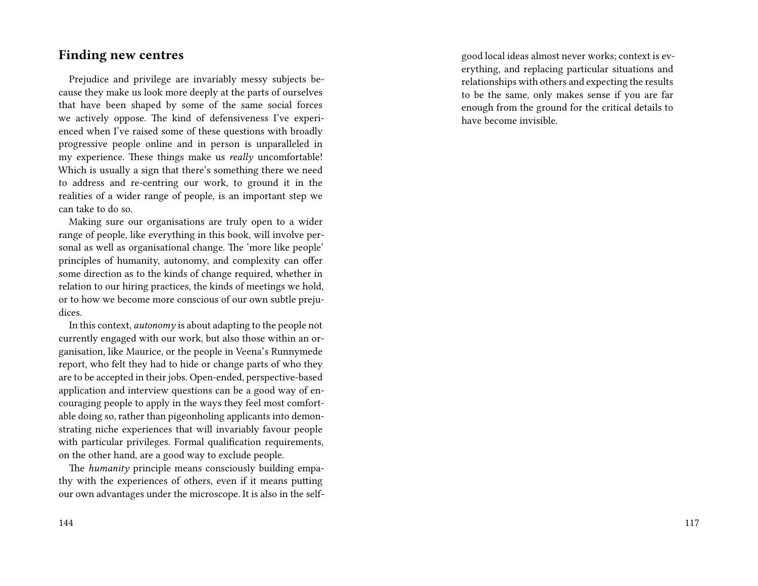### **Finding new centres**

Prejudice and privilege are invariably messy subjects because they make us look more deeply at the parts of ourselves that have been shaped by some of the same social forces we actively oppose. The kind of defensiveness I've experienced when I've raised some of these questions with broadly progressive people online and in person is unparalleled in my experience. These things make us *really* uncomfortable! Which is usually a sign that there's something there we need to address and re-centring our work, to ground it in the realities of a wider range of people, is an important step we can take to do so.

Making sure our organisations are truly open to a wider range of people, like everything in this book, will involve personal as well as organisational change. The 'more like people' principles of humanity, autonomy, and complexity can offer some direction as to the kinds of change required, whether in relation to our hiring practices, the kinds of meetings we hold, or to how we become more conscious of our own subtle prejudices.

In this context, *autonomy* is about adapting to the people not currently engaged with our work, but also those within an organisation, like Maurice, or the people in Veena's Runnymede report, who felt they had to hide or change parts of who they are to be accepted in their jobs. Open-ended, perspective-based application and interview questions can be a good way of encouraging people to apply in the ways they feel most comfortable doing so, rather than pigeonholing applicants into demonstrating niche experiences that will invariably favour people with particular privileges. Formal qualification requirements, on the other hand, are a good way to exclude people.

The *humanity* principle means consciously building empathy with the experiences of others, even if it means putting our own advantages under the microscope. It is also in the self-

good local ideas almost never works; context is everything, and replacing particular situations and relationships with others and expecting the results to be the same, only makes sense if you are far enough from the ground for the critical details to have become invisible.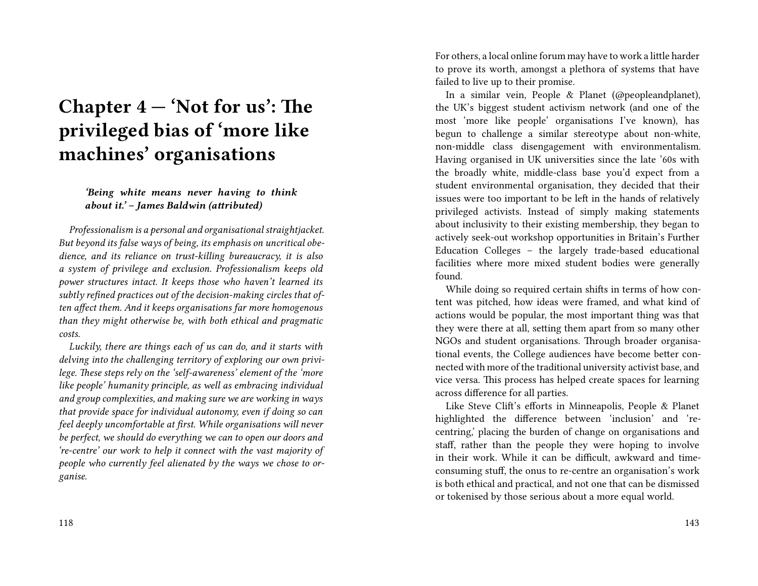# **Chapter 4 — 'Not for us': The privileged bias of 'more like machines' organisations**

### *'Being white means never having to think about it.' – James Baldwin (attributed)*

*Professionalism is a personal and organisational straightjacket. But beyond its false ways of being, its emphasis on uncritical obedience, and its reliance on trust-killing bureaucracy, it is also a system of privilege and exclusion. Professionalism keeps old power structures intact. It keeps those who haven't learned its subtly refined practices out of the decision-making circles that often affect them. And it keeps organisations far more homogenous than they might otherwise be, with both ethical and pragmatic costs.*

*Luckily, there are things each of us can do, and it starts with delving into the challenging territory of exploring our own privilege. These steps rely on the 'self-awareness' element of the 'more like people' humanity principle, as well as embracing individual and group complexities, and making sure we are working in ways that provide space for individual autonomy, even if doing so can feel deeply uncomfortable at first. While organisations will never be perfect, we should do everything we can to open our doors and 're-centre' our work to help it connect with the vast majority of people who currently feel alienated by the ways we chose to organise.*

For others, a local online forum may have to work a little harder to prove its worth, amongst a plethora of systems that have failed to live up to their promise.

In a similar vein, People & Planet (@peopleandplanet), the UK's biggest student activism network (and one of the most 'more like people' organisations I've known), has begun to challenge a similar stereotype about non-white, non-middle class disengagement with environmentalism. Having organised in UK universities since the late '60s with the broadly white, middle-class base you'd expect from a student environmental organisation, they decided that their issues were too important to be left in the hands of relatively privileged activists. Instead of simply making statements about inclusivity to their existing membership, they began to actively seek-out workshop opportunities in Britain's Further Education Colleges – the largely trade-based educational facilities where more mixed student bodies were generally found.

While doing so required certain shifts in terms of how content was pitched, how ideas were framed, and what kind of actions would be popular, the most important thing was that they were there at all, setting them apart from so many other NGOs and student organisations. Through broader organisational events, the College audiences have become better connected with more of the traditional university activist base, and vice versa. This process has helped create spaces for learning across difference for all parties.

Like Steve Clift's efforts in Minneapolis, People & Planet highlighted the difference between 'inclusion' and 'recentring,' placing the burden of change on organisations and staff, rather than the people they were hoping to involve in their work. While it can be difficult, awkward and timeconsuming stuff, the onus to re-centre an organisation's work is both ethical and practical, and not one that can be dismissed or tokenised by those serious about a more equal world.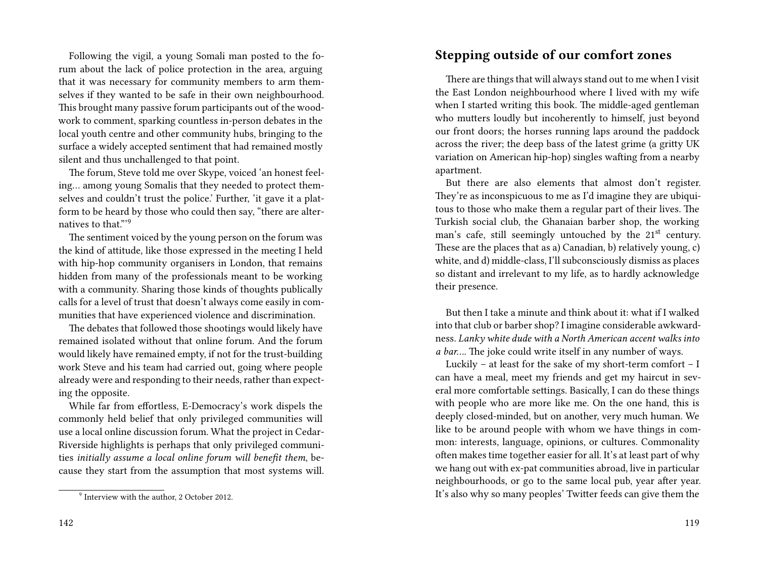Following the vigil, a young Somali man posted to the forum about the lack of police protection in the area, arguing that it was necessary for community members to arm themselves if they wanted to be safe in their own neighbourhood. This brought many passive forum participants out of the woodwork to comment, sparking countless in-person debates in the local youth centre and other community hubs, bringing to the surface a widely accepted sentiment that had remained mostly silent and thus unchallenged to that point.

The forum, Steve told me over Skype, voiced 'an honest feeling… among young Somalis that they needed to protect themselves and couldn't trust the police.' Further, 'it gave it a platform to be heard by those who could then say, "there are alternatives to that"<sup>9</sup>

The sentiment voiced by the young person on the forum was the kind of attitude, like those expressed in the meeting I held with hip-hop community organisers in London, that remains hidden from many of the professionals meant to be working with a community. Sharing those kinds of thoughts publically calls for a level of trust that doesn't always come easily in communities that have experienced violence and discrimination.

The debates that followed those shootings would likely have remained isolated without that online forum. And the forum would likely have remained empty, if not for the trust-building work Steve and his team had carried out, going where people already were and responding to their needs, rather than expecting the opposite.

While far from effortless, E-Democracy's work dispels the commonly held belief that only privileged communities will use a local online discussion forum. What the project in Cedar-Riverside highlights is perhaps that only privileged communities *initially assume a local online forum will benefit them*, because they start from the assumption that most systems will.

## **Stepping outside of our comfort zones**

There are things that will always stand out to me when I visit the East London neighbourhood where I lived with my wife when I started writing this book. The middle-aged gentleman who mutters loudly but incoherently to himself, just beyond our front doors; the horses running laps around the paddock across the river; the deep bass of the latest grime (a gritty UK variation on American hip-hop) singles wafting from a nearby apartment.

But there are also elements that almost don't register. They're as inconspicuous to me as I'd imagine they are ubiquitous to those who make them a regular part of their lives. The Turkish social club, the Ghanaian barber shop, the working man's cafe, still seemingly untouched by the 21<sup>st</sup> century. These are the places that as a) Canadian, b) relatively young, c) white, and d) middle-class, I'll subconsciously dismiss as places so distant and irrelevant to my life, as to hardly acknowledge their presence.

But then I take a minute and think about it: what if I walked into that club or barber shop? I imagine considerable awkwardness. *Lanky white dude with a North American accent walks into a bar….* The joke could write itself in any number of ways.

Luckily – at least for the sake of my short-term comfort –  $I$ can have a meal, meet my friends and get my haircut in several more comfortable settings. Basically, I can do these things with people who are more like me. On the one hand, this is deeply closed-minded, but on another, very much human. We like to be around people with whom we have things in common: interests, language, opinions, or cultures. Commonality often makes time together easier for all. It's at least part of why we hang out with ex-pat communities abroad, live in particular neighbourhoods, or go to the same local pub, year after year. It's also why so many peoples' Twitter feeds can give them the

<sup>&</sup>lt;sup>9</sup> Interview with the author, 2 October 2012.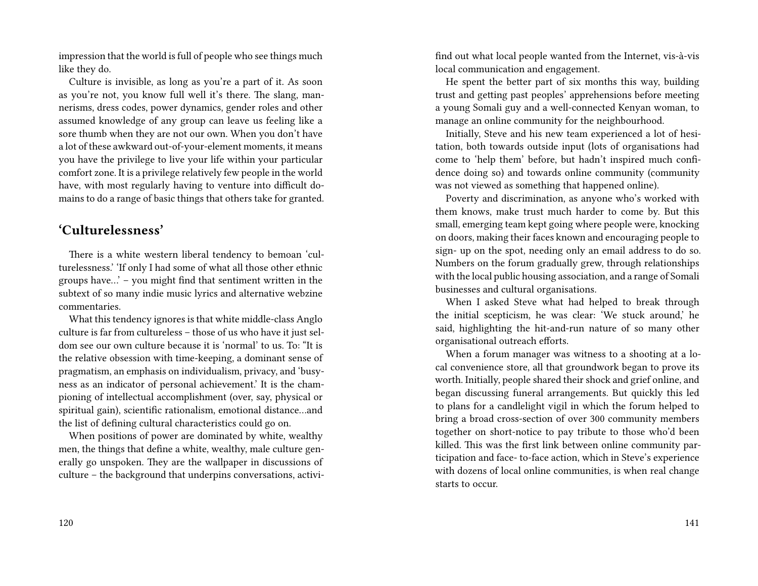impression that the world is full of people who see things much like they do.

Culture is invisible, as long as you're a part of it. As soon as you're not, you know full well it's there. The slang, mannerisms, dress codes, power dynamics, gender roles and other assumed knowledge of any group can leave us feeling like a sore thumb when they are not our own. When you don't have a lot of these awkward out-of-your-element moments, it means you have the privilege to live your life within your particular comfort zone. It is a privilege relatively few people in the world have, with most regularly having to venture into difficult domains to do a range of basic things that others take for granted.

## **'Culturelessness'**

There is a white western liberal tendency to bemoan 'culturelessness.' 'If only I had some of what all those other ethnic groups have…' – you might find that sentiment written in the subtext of so many indie music lyrics and alternative webzine commentaries.

What this tendency ignores is that white middle-class Anglo culture is far from cultureless – those of us who have it just seldom see our own culture because it is 'normal' to us. To: "It is the relative obsession with time-keeping, a dominant sense of pragmatism, an emphasis on individualism, privacy, and 'busyness as an indicator of personal achievement.' It is the championing of intellectual accomplishment (over, say, physical or spiritual gain), scientific rationalism, emotional distance…and the list of defining cultural characteristics could go on.

When positions of power are dominated by white, wealthy men, the things that define a white, wealthy, male culture generally go unspoken. They are the wallpaper in discussions of culture – the background that underpins conversations, activi-

120

find out what local people wanted from the Internet, vis-à-vis local communication and engagement.

He spent the better part of six months this way, building trust and getting past peoples' apprehensions before meeting a young Somali guy and a well-connected Kenyan woman, to manage an online community for the neighbourhood.

Initially, Steve and his new team experienced a lot of hesitation, both towards outside input (lots of organisations had come to 'help them' before, but hadn't inspired much confidence doing so) and towards online community (community was not viewed as something that happened online).

Poverty and discrimination, as anyone who's worked with them knows, make trust much harder to come by. But this small, emerging team kept going where people were, knocking on doors, making their faces known and encouraging people to sign- up on the spot, needing only an email address to do so. Numbers on the forum gradually grew, through relationships with the local public housing association, and a range of Somali businesses and cultural organisations.

When I asked Steve what had helped to break through the initial scepticism, he was clear: 'We stuck around,' he said, highlighting the hit-and-run nature of so many other organisational outreach efforts.

When a forum manager was witness to a shooting at a local convenience store, all that groundwork began to prove its worth. Initially, people shared their shock and grief online, and began discussing funeral arrangements. But quickly this led to plans for a candlelight vigil in which the forum helped to bring a broad cross-section of over 300 community members together on short-notice to pay tribute to those who'd been killed. This was the first link between online community participation and face- to-face action, which in Steve's experience with dozens of local online communities, is when real change starts to occur.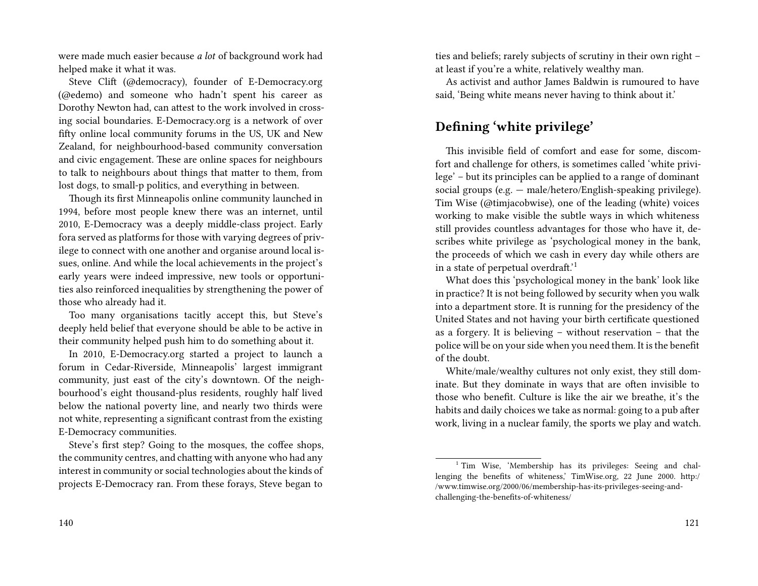were made much easier because *a lot* of background work had helped make it what it was.

Steve Clift (@democracy), founder of E-Democracy.org (@edemo) and someone who hadn't spent his career as Dorothy Newton had, can attest to the work involved in crossing social boundaries. E-Democracy.org is a network of over fifty online local community forums in the US, UK and New Zealand, for neighbourhood-based community conversation and civic engagement. These are online spaces for neighbours to talk to neighbours about things that matter to them, from lost dogs, to small-p politics, and everything in between.

Though its first Minneapolis online community launched in 1994, before most people knew there was an internet, until 2010, E-Democracy was a deeply middle-class project. Early fora served as platforms for those with varying degrees of privilege to connect with one another and organise around local issues, online. And while the local achievements in the project's early years were indeed impressive, new tools or opportunities also reinforced inequalities by strengthening the power of those who already had it.

Too many organisations tacitly accept this, but Steve's deeply held belief that everyone should be able to be active in their community helped push him to do something about it.

In 2010, E-Democracy.org started a project to launch a forum in Cedar-Riverside, Minneapolis' largest immigrant community, just east of the city's downtown. Of the neighbourhood's eight thousand-plus residents, roughly half lived below the national poverty line, and nearly two thirds were not white, representing a significant contrast from the existing E-Democracy communities.

Steve's first step? Going to the mosques, the coffee shops, the community centres, and chatting with anyone who had any interest in community or social technologies about the kinds of projects E-Democracy ran. From these forays, Steve began to

ties and beliefs; rarely subjects of scrutiny in their own right – at least if you're a white, relatively wealthy man.

As activist and author James Baldwin is rumoured to have said, 'Being white means never having to think about it.'

## **Defining 'white privilege'**

This invisible field of comfort and ease for some, discomfort and challenge for others, is sometimes called 'white privilege' – but its principles can be applied to a range of dominant social groups (e.g. — male/hetero/English-speaking privilege). Tim Wise (@timjacobwise), one of the leading (white) voices working to make visible the subtle ways in which whiteness still provides countless advantages for those who have it, describes white privilege as 'psychological money in the bank, the proceeds of which we cash in every day while others are in a state of perpetual overdraft.'<sup>1</sup>

What does this 'psychological money in the bank' look like in practice? It is not being followed by security when you walk into a department store. It is running for the presidency of the United States and not having your birth certificate questioned as a forgery. It is believing – without reservation – that the police will be on your side when you need them. It is the benefit of the doubt.

White/male/wealthy cultures not only exist, they still dominate. But they dominate in ways that are often invisible to those who benefit. Culture is like the air we breathe, it's the habits and daily choices we take as normal: going to a pub after work, living in a nuclear family, the sports we play and watch.

<sup>&</sup>lt;sup>1</sup> Tim Wise, 'Membership has its privileges: Seeing and challenging the benefits of whiteness,' TimWise.org, 22 June 2000. http:/ /www.timwise.org/2000/06/membership-has-its-privileges-seeing-andchallenging-the-benefits-of-whiteness/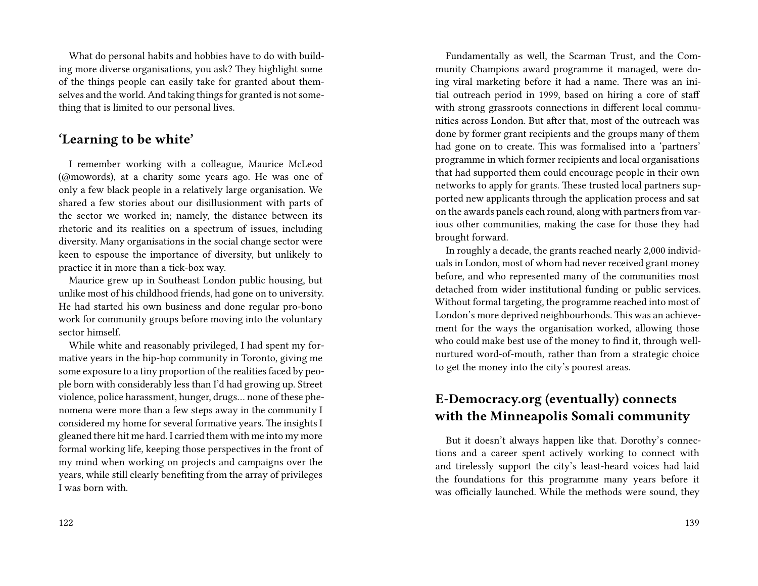What do personal habits and hobbies have to do with building more diverse organisations, you ask? They highlight some of the things people can easily take for granted about themselves and the world. And taking things for granted is not something that is limited to our personal lives.

## **'Learning to be white'**

I remember working with a colleague, Maurice McLeod (@mowords), at a charity some years ago. He was one of only a few black people in a relatively large organisation. We shared a few stories about our disillusionment with parts of the sector we worked in; namely, the distance between its rhetoric and its realities on a spectrum of issues, including diversity. Many organisations in the social change sector were keen to espouse the importance of diversity, but unlikely to practice it in more than a tick-box way.

Maurice grew up in Southeast London public housing, but unlike most of his childhood friends, had gone on to university. He had started his own business and done regular pro-bono work for community groups before moving into the voluntary sector himself.

While white and reasonably privileged, I had spent my formative years in the hip-hop community in Toronto, giving me some exposure to a tiny proportion of the realities faced by people born with considerably less than I'd had growing up. Street violence, police harassment, hunger, drugs… none of these phenomena were more than a few steps away in the community I considered my home for several formative years. The insights I gleaned there hit me hard. I carried them with me into my more formal working life, keeping those perspectives in the front of my mind when working on projects and campaigns over the years, while still clearly benefiting from the array of privileges I was born with.

Fundamentally as well, the Scarman Trust, and the Community Champions award programme it managed, were doing viral marketing before it had a name. There was an initial outreach period in 1999, based on hiring a core of staff with strong grassroots connections in different local communities across London. But after that, most of the outreach was done by former grant recipients and the groups many of them had gone on to create. This was formalised into a 'partners' programme in which former recipients and local organisations that had supported them could encourage people in their own networks to apply for grants. These trusted local partners supported new applicants through the application process and sat on the awards panels each round, along with partners from various other communities, making the case for those they had brought forward.

In roughly a decade, the grants reached nearly 2,000 individuals in London, most of whom had never received grant money before, and who represented many of the communities most detached from wider institutional funding or public services. Without formal targeting, the programme reached into most of London's more deprived neighbourhoods. This was an achievement for the ways the organisation worked, allowing those who could make best use of the money to find it, through wellnurtured word-of-mouth, rather than from a strategic choice to get the money into the city's poorest areas.

# **E-Democracy.org (eventually) connects with the Minneapolis Somali community**

But it doesn't always happen like that. Dorothy's connections and a career spent actively working to connect with and tirelessly support the city's least-heard voices had laid the foundations for this programme many years before it was officially launched. While the methods were sound, they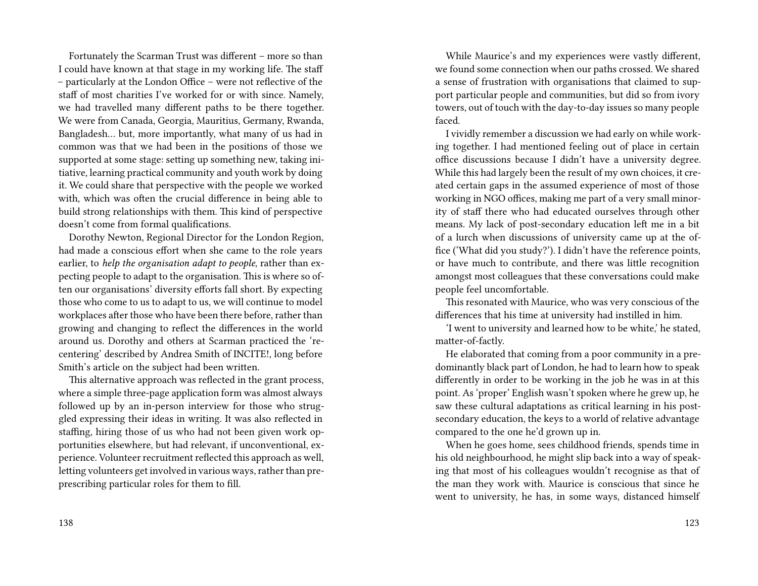Fortunately the Scarman Trust was different – more so than I could have known at that stage in my working life. The staff – particularly at the London Office – were not reflective of the staff of most charities I've worked for or with since. Namely, we had travelled many different paths to be there together. We were from Canada, Georgia, Mauritius, Germany, Rwanda, Bangladesh… but, more importantly, what many of us had in common was that we had been in the positions of those we supported at some stage: setting up something new, taking initiative, learning practical community and youth work by doing it. We could share that perspective with the people we worked with, which was often the crucial difference in being able to build strong relationships with them. This kind of perspective doesn't come from formal qualifications.

Dorothy Newton, Regional Director for the London Region, had made a conscious effort when she came to the role years earlier, to *help the organisation adapt to people*, rather than expecting people to adapt to the organisation. This is where so often our organisations' diversity efforts fall short. By expecting those who come to us to adapt to us, we will continue to model workplaces after those who have been there before, rather than growing and changing to reflect the differences in the world around us. Dorothy and others at Scarman practiced the 'recentering' described by Andrea Smith of INCITE!, long before Smith's article on the subject had been written.

This alternative approach was reflected in the grant process, where a simple three-page application form was almost always followed up by an in-person interview for those who struggled expressing their ideas in writing. It was also reflected in staffing, hiring those of us who had not been given work opportunities elsewhere, but had relevant, if unconventional, experience. Volunteer recruitment reflected this approach as well, letting volunteers get involved in various ways, rather than preprescribing particular roles for them to fill.

While Maurice's and my experiences were vastly different, we found some connection when our paths crossed. We shared a sense of frustration with organisations that claimed to support particular people and communities, but did so from ivory towers, out of touch with the day-to-day issues so many people faced.

I vividly remember a discussion we had early on while working together. I had mentioned feeling out of place in certain office discussions because I didn't have a university degree. While this had largely been the result of my own choices, it created certain gaps in the assumed experience of most of those working in NGO offices, making me part of a very small minority of staff there who had educated ourselves through other means. My lack of post-secondary education left me in a bit of a lurch when discussions of university came up at the office ('What did you study?'). I didn't have the reference points, or have much to contribute, and there was little recognition amongst most colleagues that these conversations could make people feel uncomfortable.

This resonated with Maurice, who was very conscious of the differences that his time at university had instilled in him.

'I went to university and learned how to be white,' he stated, matter-of-factly.

He elaborated that coming from a poor community in a predominantly black part of London, he had to learn how to speak differently in order to be working in the job he was in at this point. As 'proper' English wasn't spoken where he grew up, he saw these cultural adaptations as critical learning in his postsecondary education, the keys to a world of relative advantage compared to the one he'd grown up in.

When he goes home, sees childhood friends, spends time in his old neighbourhood, he might slip back into a way of speaking that most of his colleagues wouldn't recognise as that of the man they work with. Maurice is conscious that since he went to university, he has, in some ways, distanced himself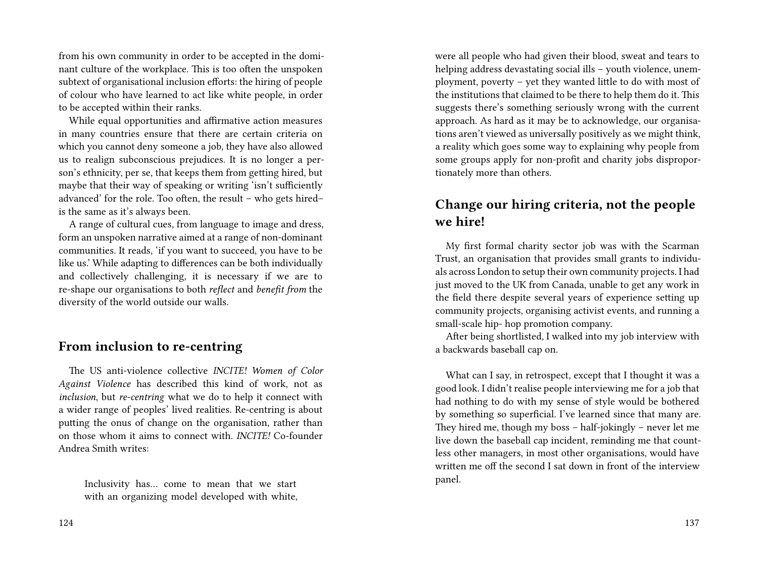from his own community in order to be accepted in the dominant culture of the workplace. This is too often the unspoken subtext of organisational inclusion efforts: the hiring of people of colour who have learned to act like white people, in order to be accepted within their ranks.

While equal opportunities and affirmative action measures in many countries ensure that there are certain criteria on which you cannot deny someone a job, they have also allowed us to realign subconscious prejudices. It is no longer a person's ethnicity, per se, that keeps them from getting hired, but maybe that their way of speaking or writing 'isn't sufficiently advanced' for the role. Too often, the result – who gets hired– is the same as it's always been.

A range of cultural cues, from language to image and dress, form an unspoken narrative aimed at a range of non-dominant communities. It reads, 'if you want to succeed, you have to be like us.' While adapting to differences can be both individually and collectively challenging, it is necessary if we are to re-shape our organisations to both *reflect* and *benefit from* the diversity of the world outside our walls.

## **From inclusion to re-centring**

The US anti-violence collective *INCITE! Women of Color Against Violence* has described this kind of work, not as *inclusion*, but *re-centring* what we do to help it connect with a wider range of peoples' lived realities. Re-centring is about putting the onus of change on the organisation, rather than on those whom it aims to connect with. *INCITE!* Co-founder Andrea Smith writes:

Inclusivity has… come to mean that we start with an organizing model developed with white, were all people who had given their blood, sweat and tears to helping address devastating social ills – youth violence, unemployment, poverty – yet they wanted little to do with most of the institutions that claimed to be there to help them do it. This suggests there's something seriously wrong with the current approach. As hard as it may be to acknowledge, our organisations aren't viewed as universally positively as we might think, a reality which goes some way to explaining why people from some groups apply for non-profit and charity jobs disproportionately more than others.

# **Change our hiring criteria, not the people we hire!**

My first formal charity sector job was with the Scarman Trust, an organisation that provides small grants to individuals across London to setup their own community projects. I had just moved to the UK from Canada, unable to get any work in the field there despite several years of experience setting up community projects, organising activist events, and running a small-scale hip- hop promotion company.

After being shortlisted, I walked into my job interview with a backwards baseball cap on.

What can I say, in retrospect, except that I thought it was a good look. I didn't realise people interviewing me for a job that had nothing to do with my sense of style would be bothered by something so superficial. I've learned since that many are. They hired me, though my boss – half-jokingly – never let me live down the baseball cap incident, reminding me that countless other managers, in most other organisations, would have written me off the second I sat down in front of the interview panel.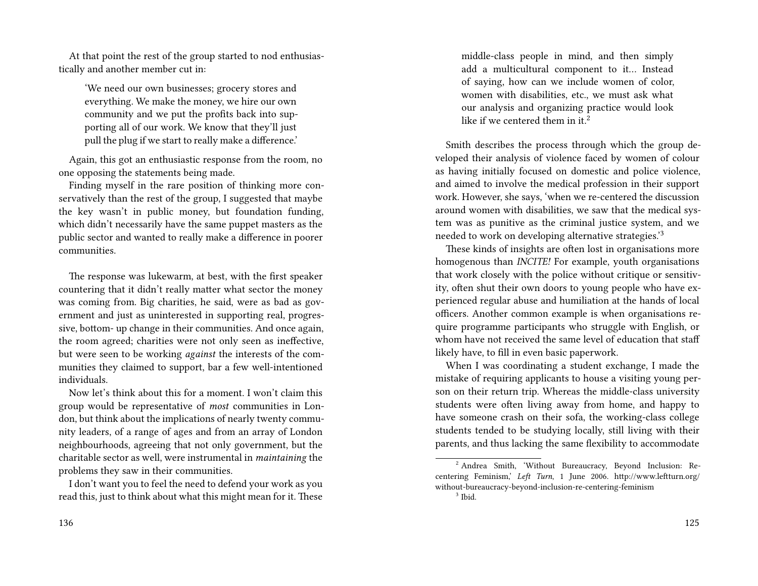At that point the rest of the group started to nod enthusiastically and another member cut in:

'We need our own businesses; grocery stores and everything. We make the money, we hire our own community and we put the profits back into supporting all of our work. We know that they'll just pull the plug if we start to really make a difference.'

Again, this got an enthusiastic response from the room, no one opposing the statements being made.

Finding myself in the rare position of thinking more conservatively than the rest of the group, I suggested that maybe the key wasn't in public money, but foundation funding, which didn't necessarily have the same puppet masters as the public sector and wanted to really make a difference in poorer communities.

The response was lukewarm, at best, with the first speaker countering that it didn't really matter what sector the money was coming from. Big charities, he said, were as bad as government and just as uninterested in supporting real, progressive, bottom- up change in their communities. And once again, the room agreed; charities were not only seen as ineffective, but were seen to be working *against* the interests of the communities they claimed to support, bar a few well-intentioned individuals.

Now let's think about this for a moment. I won't claim this group would be representative of *most* communities in London, but think about the implications of nearly twenty community leaders, of a range of ages and from an array of London neighbourhoods, agreeing that not only government, but the charitable sector as well, were instrumental in *maintaining* the problems they saw in their communities.

I don't want you to feel the need to defend your work as you read this, just to think about what this might mean for it. These

middle-class people in mind, and then simply add a multicultural component to it… Instead of saying, how can we include women of color, women with disabilities, etc., we must ask what our analysis and organizing practice would look like if we centered them in it.<sup>2</sup>

Smith describes the process through which the group developed their analysis of violence faced by women of colour as having initially focused on domestic and police violence, and aimed to involve the medical profession in their support work. However, she says, 'when we re-centered the discussion around women with disabilities, we saw that the medical system was as punitive as the criminal justice system, and we needed to work on developing alternative strategies.'<sup>3</sup>

These kinds of insights are often lost in organisations more homogenous than *INCITE!* For example, youth organisations that work closely with the police without critique or sensitivity, often shut their own doors to young people who have experienced regular abuse and humiliation at the hands of local officers. Another common example is when organisations require programme participants who struggle with English, or whom have not received the same level of education that staff likely have, to fill in even basic paperwork.

When I was coordinating a student exchange, I made the mistake of requiring applicants to house a visiting young person on their return trip. Whereas the middle-class university students were often living away from home, and happy to have someone crash on their sofa, the working-class college students tended to be studying locally, still living with their parents, and thus lacking the same flexibility to accommodate

<sup>2</sup> Andrea Smith, 'Without Bureaucracy, Beyond Inclusion: Recentering Feminism,' *Left Turn*, 1 June 2006. http://www.leftturn.org/ without-bureaucracy-beyond-inclusion-re-centering-feminism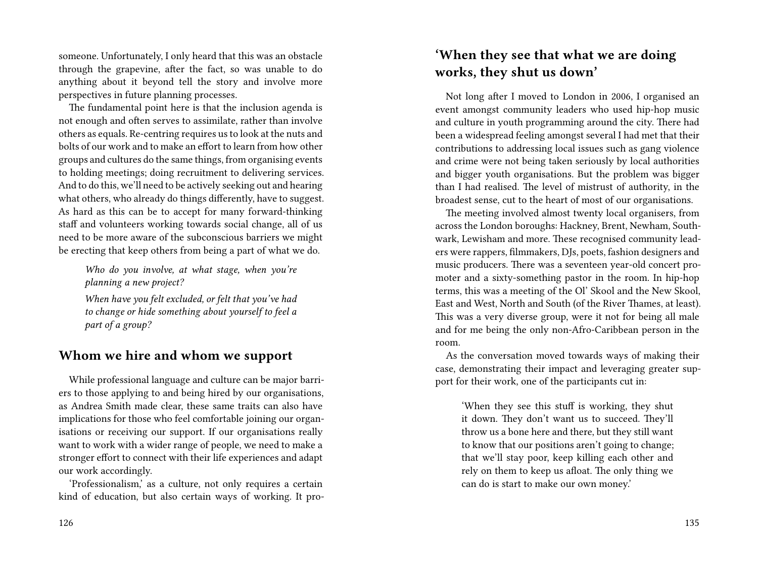someone. Unfortunately, I only heard that this was an obstacle through the grapevine, after the fact, so was unable to do anything about it beyond tell the story and involve more perspectives in future planning processes.

The fundamental point here is that the inclusion agenda is not enough and often serves to assimilate, rather than involve others as equals. Re-centring requires us to look at the nuts and bolts of our work and to make an effort to learn from how other groups and cultures do the same things, from organising events to holding meetings; doing recruitment to delivering services. And to do this, we'll need to be actively seeking out and hearing what others, who already do things differently, have to suggest. As hard as this can be to accept for many forward-thinking staff and volunteers working towards social change, all of us need to be more aware of the subconscious barriers we might be erecting that keep others from being a part of what we do.

*Who do you involve, at what stage, when you're planning a new project?*

*When have you felt excluded, or felt that you've had to change or hide something about yourself to feel a part of a group?*

### **Whom we hire and whom we support**

While professional language and culture can be major barriers to those applying to and being hired by our organisations, as Andrea Smith made clear, these same traits can also have implications for those who feel comfortable joining our organisations or receiving our support. If our organisations really want to work with a wider range of people, we need to make a stronger effort to connect with their life experiences and adapt our work accordingly.

'Professionalism,' as a culture, not only requires a certain kind of education, but also certain ways of working. It pro-

# **'When they see that what we are doing works, they shut us down'**

Not long after I moved to London in 2006, I organised an event amongst community leaders who used hip-hop music and culture in youth programming around the city. There had been a widespread feeling amongst several I had met that their contributions to addressing local issues such as gang violence and crime were not being taken seriously by local authorities and bigger youth organisations. But the problem was bigger than I had realised. The level of mistrust of authority, in the broadest sense, cut to the heart of most of our organisations.

The meeting involved almost twenty local organisers, from across the London boroughs: Hackney, Brent, Newham, Southwark, Lewisham and more. These recognised community leaders were rappers, filmmakers, DJs, poets, fashion designers and music producers. There was a seventeen year-old concert promoter and a sixty-something pastor in the room. In hip-hop terms, this was a meeting of the Ol' Skool and the New Skool, East and West, North and South (of the River Thames, at least). This was a very diverse group, were it not for being all male and for me being the only non-Afro-Caribbean person in the room.

As the conversation moved towards ways of making their case, demonstrating their impact and leveraging greater support for their work, one of the participants cut in:

'When they see this stuff is working, they shut it down. They don't want us to succeed. They'll throw us a bone here and there, but they still want to know that our positions aren't going to change; that we'll stay poor, keep killing each other and rely on them to keep us afloat. The only thing we can do is start to make our own money.'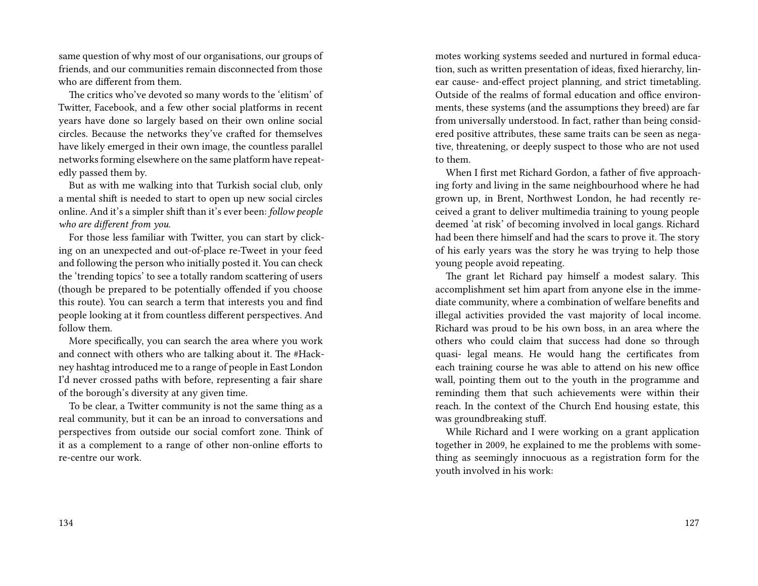same question of why most of our organisations, our groups of friends, and our communities remain disconnected from those who are different from them.

The critics who've devoted so many words to the 'elitism' of Twitter, Facebook, and a few other social platforms in recent years have done so largely based on their own online social circles. Because the networks they've crafted for themselves have likely emerged in their own image, the countless parallel networks forming elsewhere on the same platform have repeatedly passed them by.

But as with me walking into that Turkish social club, only a mental shift is needed to start to open up new social circles online. And it's a simpler shift than it's ever been: *follow people who are different from you*.

For those less familiar with Twitter, you can start by clicking on an unexpected and out-of-place re-Tweet in your feed and following the person who initially posted it. You can check the 'trending topics' to see a totally random scattering of users (though be prepared to be potentially offended if you choose this route). You can search a term that interests you and find people looking at it from countless different perspectives. And follow them.

More specifically, you can search the area where you work and connect with others who are talking about it. The #Hackney hashtag introduced me to a range of people in East London I'd never crossed paths with before, representing a fair share of the borough's diversity at any given time.

To be clear, a Twitter community is not the same thing as a real community, but it can be an inroad to conversations and perspectives from outside our social comfort zone. Think of it as a complement to a range of other non-online efforts to re-centre our work.

motes working systems seeded and nurtured in formal education, such as written presentation of ideas, fixed hierarchy, linear cause- and-effect project planning, and strict timetabling. Outside of the realms of formal education and office environments, these systems (and the assumptions they breed) are far from universally understood. In fact, rather than being considered positive attributes, these same traits can be seen as negative, threatening, or deeply suspect to those who are not used to them.

When I first met Richard Gordon, a father of five approaching forty and living in the same neighbourhood where he had grown up, in Brent, Northwest London, he had recently received a grant to deliver multimedia training to young people deemed 'at risk' of becoming involved in local gangs. Richard had been there himself and had the scars to prove it. The story of his early years was the story he was trying to help those young people avoid repeating.

The grant let Richard pay himself a modest salary. This accomplishment set him apart from anyone else in the immediate community, where a combination of welfare benefits and illegal activities provided the vast majority of local income. Richard was proud to be his own boss, in an area where the others who could claim that success had done so through quasi- legal means. He would hang the certificates from each training course he was able to attend on his new office wall, pointing them out to the youth in the programme and reminding them that such achievements were within their reach. In the context of the Church End housing estate, this was groundbreaking stuff.

While Richard and I were working on a grant application together in 2009, he explained to me the problems with something as seemingly innocuous as a registration form for the youth involved in his work: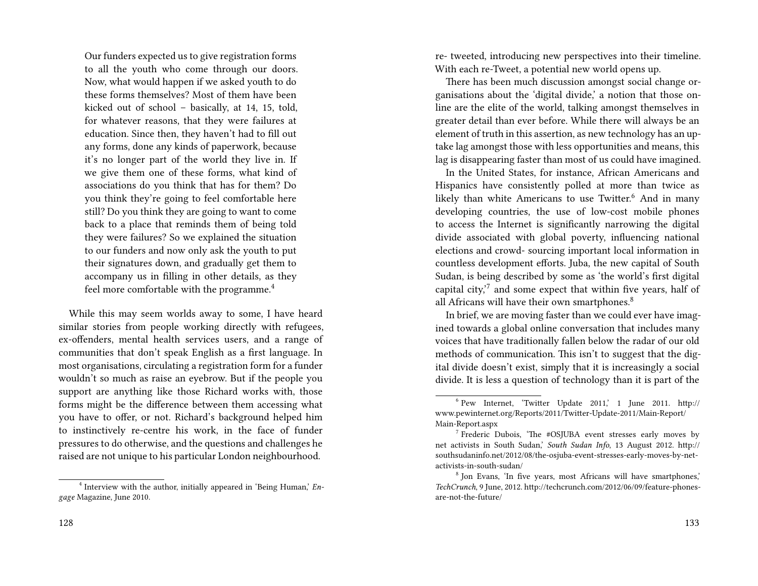Our funders expected us to give registration forms to all the youth who come through our doors. Now, what would happen if we asked youth to do these forms themselves? Most of them have been kicked out of school – basically, at 14, 15, told, for whatever reasons, that they were failures at education. Since then, they haven't had to fill out any forms, done any kinds of paperwork, because it's no longer part of the world they live in. If we give them one of these forms, what kind of associations do you think that has for them? Do you think they're going to feel comfortable here still? Do you think they are going to want to come back to a place that reminds them of being told they were failures? So we explained the situation to our funders and now only ask the youth to put their signatures down, and gradually get them to accompany us in filling in other details, as they feel more comfortable with the programme.<sup>4</sup>

While this may seem worlds away to some, I have heard similar stories from people working directly with refugees, ex-offenders, mental health services users, and a range of communities that don't speak English as a first language. In most organisations, circulating a registration form for a funder wouldn't so much as raise an eyebrow. But if the people you support are anything like those Richard works with, those forms might be the difference between them accessing what you have to offer, or not. Richard's background helped him to instinctively re-centre his work, in the face of funder pressures to do otherwise, and the questions and challenges he raised are not unique to his particular London neighbourhood.

4 Interview with the author, initially appeared in 'Being Human,' *Engage* Magazine, June 2010.

re- tweeted, introducing new perspectives into their timeline. With each re-Tweet, a potential new world opens up.

There has been much discussion amongst social change organisations about the 'digital divide,' a notion that those online are the elite of the world, talking amongst themselves in greater detail than ever before. While there will always be an element of truth in this assertion, as new technology has an uptake lag amongst those with less opportunities and means, this lag is disappearing faster than most of us could have imagined.

In the United States, for instance, African Americans and Hispanics have consistently polled at more than twice as likely than white Americans to use Twitter.<sup>6</sup> And in many developing countries, the use of low-cost mobile phones to access the Internet is significantly narrowing the digital divide associated with global poverty, influencing national elections and crowd- sourcing important local information in countless development efforts. Juba, the new capital of South Sudan, is being described by some as 'the world's first digital capital city, $7$  and some expect that within five years, half of all Africans will have their own smartphones.<sup>8</sup>

In brief, we are moving faster than we could ever have imagined towards a global online conversation that includes many voices that have traditionally fallen below the radar of our old methods of communication. This isn't to suggest that the digital divide doesn't exist, simply that it is increasingly a social divide. It is less a question of technology than it is part of the

<sup>6</sup> Pew Internet, 'Twitter Update 2011,' 1 June 2011. http:// www.pewinternet.org/Reports/2011/Twitter-Update-2011/Main-Report/ Main-Report.aspx

<sup>&</sup>lt;sup>7</sup> Frederic Dubois, 'The #OSJUBA event stresses early moves by net activists in South Sudan,' *South Sudan Info*, 13 August 2012. http:// southsudaninfo.net/2012/08/the-osjuba-event-stresses-early-moves-by-netactivists-in-south-sudan/

<sup>&</sup>lt;sup>8</sup> Jon Evans, 'In five years, most Africans will have smartphones,' *TechCrunch*, 9 June, 2012. http://techcrunch.com/2012/06/09/feature-phonesare-not-the-future/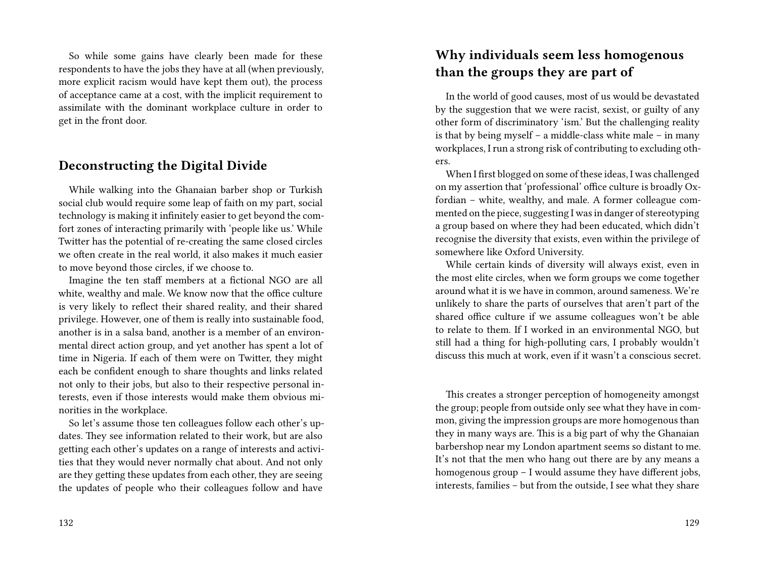So while some gains have clearly been made for these respondents to have the jobs they have at all (when previously, more explicit racism would have kept them out), the process of acceptance came at a cost, with the implicit requirement to assimilate with the dominant workplace culture in order to get in the front door.

### **Deconstructing the Digital Divide**

While walking into the Ghanaian barber shop or Turkish social club would require some leap of faith on my part, social technology is making it infinitely easier to get beyond the comfort zones of interacting primarily with 'people like us.' While Twitter has the potential of re-creating the same closed circles we often create in the real world, it also makes it much easier to move beyond those circles, if we choose to.

Imagine the ten staff members at a fictional NGO are all white, wealthy and male. We know now that the office culture is very likely to reflect their shared reality, and their shared privilege. However, one of them is really into sustainable food, another is in a salsa band, another is a member of an environmental direct action group, and yet another has spent a lot of time in Nigeria. If each of them were on Twitter, they might each be confident enough to share thoughts and links related not only to their jobs, but also to their respective personal interests, even if those interests would make them obvious minorities in the workplace.

So let's assume those ten colleagues follow each other's updates. They see information related to their work, but are also getting each other's updates on a range of interests and activities that they would never normally chat about. And not only are they getting these updates from each other, they are seeing the updates of people who their colleagues follow and have

## **Why individuals seem less homogenous than the groups they are part of**

In the world of good causes, most of us would be devastated by the suggestion that we were racist, sexist, or guilty of any other form of discriminatory 'ism.' But the challenging reality is that by being myself – a middle-class white male – in many workplaces, I run a strong risk of contributing to excluding others.

When I first blogged on some of these ideas, I was challenged on my assertion that 'professional' office culture is broadly Oxfordian – white, wealthy, and male. A former colleague commented on the piece, suggesting I was in danger of stereotyping a group based on where they had been educated, which didn't recognise the diversity that exists, even within the privilege of somewhere like Oxford University.

While certain kinds of diversity will always exist, even in the most elite circles, when we form groups we come together around what it is we have in common, around sameness. We're unlikely to share the parts of ourselves that aren't part of the shared office culture if we assume colleagues won't be able to relate to them. If I worked in an environmental NGO, but still had a thing for high-polluting cars, I probably wouldn't discuss this much at work, even if it wasn't a conscious secret.

This creates a stronger perception of homogeneity amongst the group; people from outside only see what they have in common, giving the impression groups are more homogenous than they in many ways are. This is a big part of why the Ghanaian barbershop near my London apartment seems so distant to me. It's not that the men who hang out there are by any means a homogenous group – I would assume they have different jobs, interests, families – but from the outside, I see what they share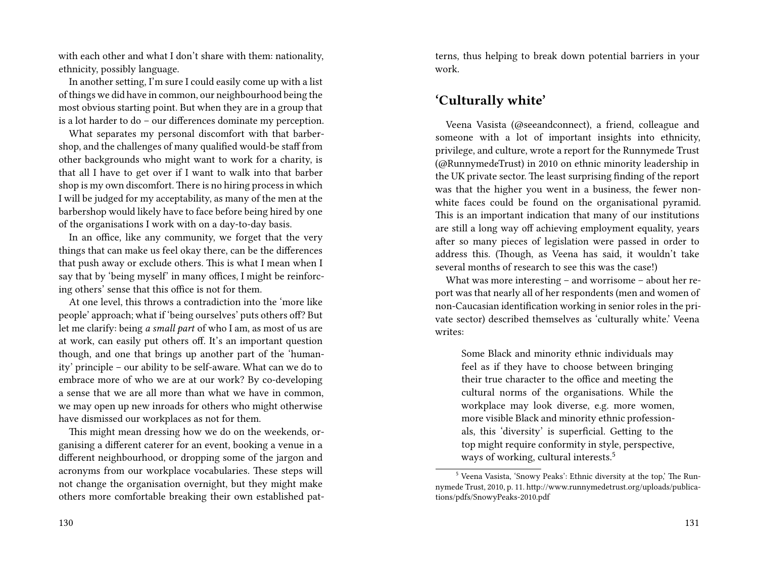with each other and what I don't share with them: nationality, ethnicity, possibly language.

In another setting, I'm sure I could easily come up with a list of things we did have in common, our neighbourhood being the most obvious starting point. But when they are in a group that is a lot harder to do – our differences dominate my perception.

What separates my personal discomfort with that barbershop, and the challenges of many qualified would-be staff from other backgrounds who might want to work for a charity, is that all I have to get over if I want to walk into that barber shop is my own discomfort. There is no hiring process in which I will be judged for my acceptability, as many of the men at the barbershop would likely have to face before being hired by one of the organisations I work with on a day-to-day basis.

In an office, like any community, we forget that the very things that can make us feel okay there, can be the differences that push away or exclude others. This is what I mean when I say that by 'being myself' in many offices, I might be reinforcing others' sense that this office is not for them.

At one level, this throws a contradiction into the 'more like people' approach; what if 'being ourselves' puts others off? But let me clarify: being *a small part* of who I am, as most of us are at work, can easily put others off. It's an important question though, and one that brings up another part of the 'humanity' principle – our ability to be self-aware. What can we do to embrace more of who we are at our work? By co-developing a sense that we are all more than what we have in common, we may open up new inroads for others who might otherwise have dismissed our workplaces as not for them.

This might mean dressing how we do on the weekends, organising a different caterer for an event, booking a venue in a different neighbourhood, or dropping some of the jargon and acronyms from our workplace vocabularies. These steps will not change the organisation overnight, but they might make others more comfortable breaking their own established pat-

130

terns, thus helping to break down potential barriers in your work.

### **'Culturally white'**

Veena Vasista (@seeandconnect), a friend, colleague and someone with a lot of important insights into ethnicity, privilege, and culture, wrote a report for the Runnymede Trust (@RunnymedeTrust) in 2010 on ethnic minority leadership in the UK private sector. The least surprising finding of the report was that the higher you went in a business, the fewer nonwhite faces could be found on the organisational pyramid. This is an important indication that many of our institutions are still a long way off achieving employment equality, years after so many pieces of legislation were passed in order to address this. (Though, as Veena has said, it wouldn't take several months of research to see this was the case!)

What was more interesting – and worrisome – about her report was that nearly all of her respondents (men and women of non-Caucasian identification working in senior roles in the private sector) described themselves as 'culturally white.' Veena writes:

Some Black and minority ethnic individuals may feel as if they have to choose between bringing their true character to the office and meeting the cultural norms of the organisations. While the workplace may look diverse, e.g. more women, more visible Black and minority ethnic professionals, this 'diversity' is superficial. Getting to the top might require conformity in style, perspective, ways of working, cultural interests.<sup>5</sup>

<sup>5</sup> Veena Vasista, 'Snowy Peaks': Ethnic diversity at the top,' The Runnymede Trust, 2010, p. 11. http://www.runnymedetrust.org/uploads/publications/pdfs/SnowyPeaks-2010.pdf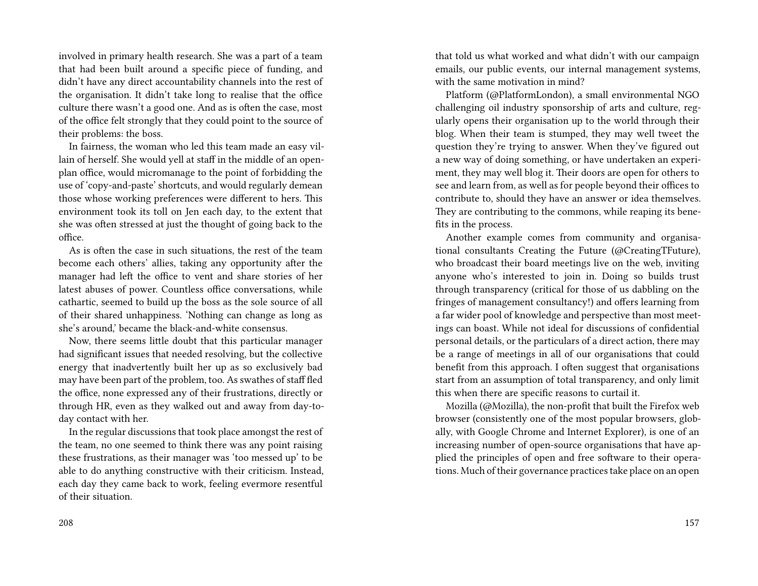involved in primary health research. She was a part of a team that had been built around a specific piece of funding, and didn't have any direct accountability channels into the rest of the organisation. It didn't take long to realise that the office culture there wasn't a good one. And as is often the case, most of the office felt strongly that they could point to the source of their problems: the boss.

In fairness, the woman who led this team made an easy villain of herself. She would yell at staff in the middle of an openplan office, would micromanage to the point of forbidding the use of 'copy-and-paste' shortcuts, and would regularly demean those whose working preferences were different to hers. This environment took its toll on Jen each day, to the extent that she was often stressed at just the thought of going back to the office.

As is often the case in such situations, the rest of the team become each others' allies, taking any opportunity after the manager had left the office to vent and share stories of her latest abuses of power. Countless office conversations, while cathartic, seemed to build up the boss as the sole source of all of their shared unhappiness. 'Nothing can change as long as she's around,' became the black-and-white consensus.

Now, there seems little doubt that this particular manager had significant issues that needed resolving, but the collective energy that inadvertently built her up as so exclusively bad may have been part of the problem, too. As swathes of staff fled the office, none expressed any of their frustrations, directly or through HR, even as they walked out and away from day-today contact with her.

In the regular discussions that took place amongst the rest of the team, no one seemed to think there was any point raising these frustrations, as their manager was 'too messed up' to be able to do anything constructive with their criticism. Instead, each day they came back to work, feeling evermore resentful of their situation.

that told us what worked and what didn't with our campaign emails, our public events, our internal management systems, with the same motivation in mind?

Platform (@PlatformLondon), a small environmental NGO challenging oil industry sponsorship of arts and culture, regularly opens their organisation up to the world through their blog. When their team is stumped, they may well tweet the question they're trying to answer. When they've figured out a new way of doing something, or have undertaken an experiment, they may well blog it. Their doors are open for others to see and learn from, as well as for people beyond their offices to contribute to, should they have an answer or idea themselves. They are contributing to the commons, while reaping its benefits in the process.

Another example comes from community and organisational consultants Creating the Future (@CreatingTFuture), who broadcast their board meetings live on the web, inviting anyone who's interested to join in. Doing so builds trust through transparency (critical for those of us dabbling on the fringes of management consultancy!) and offers learning from a far wider pool of knowledge and perspective than most meetings can boast. While not ideal for discussions of confidential personal details, or the particulars of a direct action, there may be a range of meetings in all of our organisations that could benefit from this approach. I often suggest that organisations start from an assumption of total transparency, and only limit this when there are specific reasons to curtail it.

Mozilla (@Mozilla), the non-profit that built the Firefox web browser (consistently one of the most popular browsers, globally, with Google Chrome and Internet Explorer), is one of an increasing number of open-source organisations that have applied the principles of open and free software to their operations. Much of their governance practices take place on an open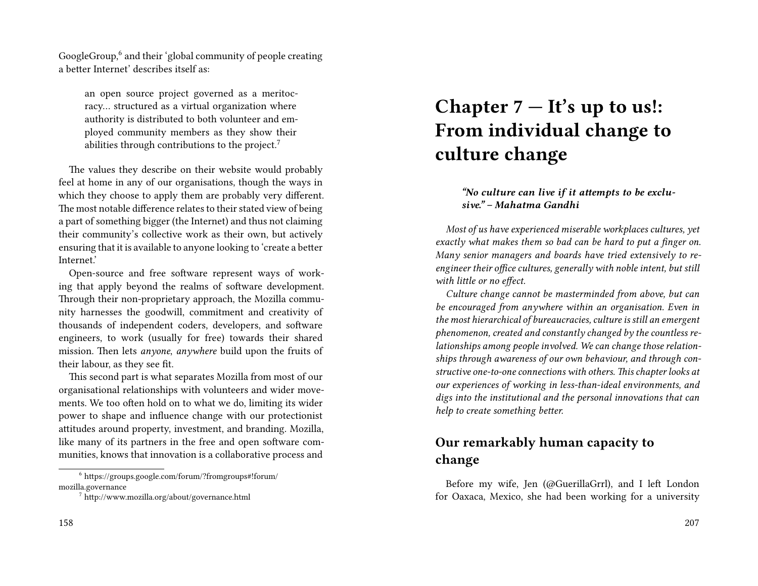GoogleGroup,<sup>6</sup> and their 'global community of people creating a better Internet' describes itself as:

an open source project governed as a meritocracy… structured as a virtual organization where authority is distributed to both volunteer and employed community members as they show their abilities through contributions to the project.<sup>7</sup>

The values they describe on their website would probably feel at home in any of our organisations, though the ways in which they choose to apply them are probably very different. The most notable difference relates to their stated view of being a part of something bigger (the Internet) and thus not claiming their community's collective work as their own, but actively ensuring that it is available to anyone looking to 'create a better Internet.'

Open-source and free software represent ways of working that apply beyond the realms of software development. Through their non-proprietary approach, the Mozilla community harnesses the goodwill, commitment and creativity of thousands of independent coders, developers, and software engineers, to work (usually for free) towards their shared mission. Then lets *anyone*, *anywhere* build upon the fruits of their labour, as they see fit.

This second part is what separates Mozilla from most of our organisational relationships with volunteers and wider movements. We too often hold on to what we do, limiting its wider power to shape and influence change with our protectionist attitudes around property, investment, and branding. Mozilla, like many of its partners in the free and open software communities, knows that innovation is a collaborative process and

# **Chapter 7 — It's up to us!: From individual change to culture change**

#### *"No culture can live if it attempts to be exclusive." – Mahatma Gandhi*

*Most of us have experienced miserable workplaces cultures, yet exactly what makes them so bad can be hard to put a finger on. Many senior managers and boards have tried extensively to reengineer their office cultures, generally with noble intent, but still with little or no effect.*

*Culture change cannot be masterminded from above, but can be encouraged from anywhere within an organisation. Even in the most hierarchical of bureaucracies, culture is still an emergent phenomenon, created and constantly changed by the countless relationships among people involved. We can change those relationships through awareness of our own behaviour, and through constructive one-to-one connections with others. This chapter looks at our experiences of working in less-than-ideal environments, and digs into the institutional and the personal innovations that can help to create something better.*

# **Our remarkably human capacity to change**

Before my wife, Jen (@GuerillaGrrl), and I left London for Oaxaca, Mexico, she had been working for a university

<sup>6</sup> https://groups.google.com/forum/?fromgroups#!forum/ mozilla.governance

<sup>7</sup> http://www.mozilla.org/about/governance.html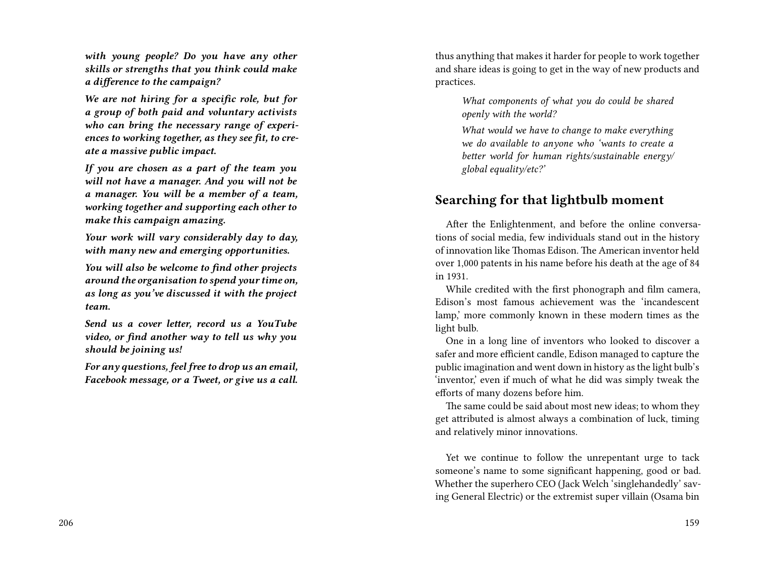*with young people? Do you have any other skills or strengths that you think could make a difference to the campaign?*

*We are not hiring for a specific role, but for a group of both paid and voluntary activists who can bring the necessary range of experiences to working together, as they see fit, to create a massive public impact.*

*If you are chosen as a part of the team you will not have a manager. And you will not be a manager. You will be a member of a team, working together and supporting each other to make this campaign amazing.*

*Your work will vary considerably day to day, with many new and emerging opportunities.*

*You will also be welcome to find other projects around the organisation to spend your time on, as long as you've discussed it with the project team.*

*Send us a cover letter, record us a YouTube video, or find another way to tell us why you should be joining us!*

*For any questions, feel free to drop us an email, Facebook message, or a Tweet, or give us a call.* thus anything that makes it harder for people to work together and share ideas is going to get in the way of new products and practices.

> *What components of what you do could be shared openly with the world?*

*What would we have to change to make everything we do available to anyone who 'wants to create a better world for human rights/sustainable energy/ global equality/etc?'*

### **Searching for that lightbulb moment**

After the Enlightenment, and before the online conversations of social media, few individuals stand out in the history of innovation like Thomas Edison. The American inventor held over 1,000 patents in his name before his death at the age of 84 in 1931.

While credited with the first phonograph and film camera, Edison's most famous achievement was the 'incandescent lamp,' more commonly known in these modern times as the light bulb.

One in a long line of inventors who looked to discover a safer and more efficient candle, Edison managed to capture the public imagination and went down in history as the light bulb's 'inventor,' even if much of what he did was simply tweak the efforts of many dozens before him.

The same could be said about most new ideas; to whom they get attributed is almost always a combination of luck, timing and relatively minor innovations.

Yet we continue to follow the unrepentant urge to tack someone's name to some significant happening, good or bad. Whether the superhero CEO (Jack Welch 'singlehandedly' saving General Electric) or the extremist super villain (Osama bin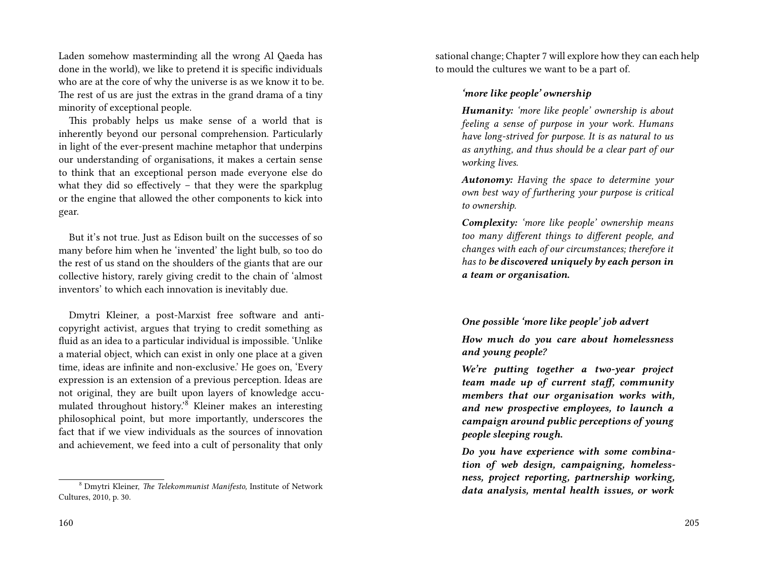Laden somehow masterminding all the wrong Al Qaeda has done in the world), we like to pretend it is specific individuals who are at the core of why the universe is as we know it to be. The rest of us are just the extras in the grand drama of a tiny minority of exceptional people.

This probably helps us make sense of a world that is inherently beyond our personal comprehension. Particularly in light of the ever-present machine metaphor that underpins our understanding of organisations, it makes a certain sense to think that an exceptional person made everyone else do what they did so effectively – that they were the sparkplug or the engine that allowed the other components to kick into gear.

But it's not true. Just as Edison built on the successes of so many before him when he 'invented' the light bulb, so too do the rest of us stand on the shoulders of the giants that are our collective history, rarely giving credit to the chain of 'almost inventors' to which each innovation is inevitably due.

Dmytri Kleiner, a post-Marxist free software and anticopyright activist, argues that trying to credit something as fluid as an idea to a particular individual is impossible. 'Unlike a material object, which can exist in only one place at a given time, ideas are infinite and non-exclusive.' He goes on, 'Every expression is an extension of a previous perception. Ideas are not original, they are built upon layers of knowledge accumulated throughout history.'<sup>8</sup> Kleiner makes an interesting philosophical point, but more importantly, underscores the fact that if we view individuals as the sources of innovation and achievement, we feed into a cult of personality that only

<sup>8</sup> Dmytri Kleiner, *The Telekommunist Manifesto,* Institute of Network Cultures, 2010, p. 30.

sational change; Chapter 7 will explore how they can each help to mould the cultures we want to be a part of.

#### *'more like people' ownership*

*Humanity: 'more like people' ownership is about feeling a sense of purpose in your work. Humans have long-strived for purpose. It is as natural to us as anything, and thus should be a clear part of our working lives.*

*Autonomy: Having the space to determine your own best way of furthering your purpose is critical to ownership.*

*Complexity: 'more like people' ownership means too many different things to different people, and changes with each of our circumstances; therefore it has to be discovered uniquely by each person in a team or organisation.*

#### *One possible 'more like people' job advert*

*How much do you care about homelessness and young people?*

*We're putting together a two-year project team made up of current staff, community members that our organisation works with, and new prospective employees, to launch a campaign around public perceptions of young people sleeping rough.*

*Do you have experience with some combination of web design, campaigning, homelessness, project reporting, partnership working, data analysis, mental health issues, or work*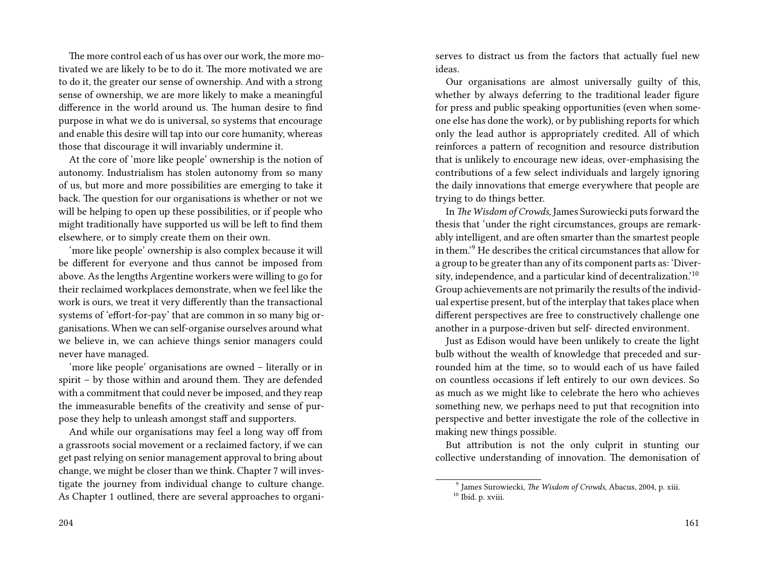The more control each of us has over our work, the more motivated we are likely to be to do it. The more motivated we are to do it, the greater our sense of ownership. And with a strong sense of ownership, we are more likely to make a meaningful difference in the world around us. The human desire to find purpose in what we do is universal, so systems that encourage and enable this desire will tap into our core humanity, whereas those that discourage it will invariably undermine it.

At the core of 'more like people' ownership is the notion of autonomy. Industrialism has stolen autonomy from so many of us, but more and more possibilities are emerging to take it back. The question for our organisations is whether or not we will be helping to open up these possibilities, or if people who might traditionally have supported us will be left to find them elsewhere, or to simply create them on their own.

'more like people' ownership is also complex because it will be different for everyone and thus cannot be imposed from above. As the lengths Argentine workers were willing to go for their reclaimed workplaces demonstrate, when we feel like the work is ours, we treat it very differently than the transactional systems of 'effort-for-pay' that are common in so many big organisations. When we can self-organise ourselves around what we believe in, we can achieve things senior managers could never have managed.

'more like people' organisations are owned – literally or in spirit – by those within and around them. They are defended with a commitment that could never be imposed, and they reap the immeasurable benefits of the creativity and sense of purpose they help to unleash amongst staff and supporters.

And while our organisations may feel a long way off from a grassroots social movement or a reclaimed factory, if we can get past relying on senior management approval to bring about change, we might be closer than we think. Chapter 7 will investigate the journey from individual change to culture change. As Chapter 1 outlined, there are several approaches to organi-

204

serves to distract us from the factors that actually fuel new ideas.

Our organisations are almost universally guilty of this, whether by always deferring to the traditional leader figure for press and public speaking opportunities (even when someone else has done the work), or by publishing reports for which only the lead author is appropriately credited. All of which reinforces a pattern of recognition and resource distribution that is unlikely to encourage new ideas, over-emphasising the contributions of a few select individuals and largely ignoring the daily innovations that emerge everywhere that people are trying to do things better.

In *The Wisdom of Crowds,* James Surowiecki puts forward the thesis that 'under the right circumstances, groups are remarkably intelligent, and are often smarter than the smartest people in them.'<sup>9</sup> He describes the critical circumstances that allow for a group to be greater than any of its component parts as: 'Diversity, independence, and a particular kind of decentralization.'<sup>10</sup> Group achievements are not primarily the results of the individual expertise present, but of the interplay that takes place when different perspectives are free to constructively challenge one another in a purpose-driven but self- directed environment.

Just as Edison would have been unlikely to create the light bulb without the wealth of knowledge that preceded and surrounded him at the time, so to would each of us have failed on countless occasions if left entirely to our own devices. So as much as we might like to celebrate the hero who achieves something new, we perhaps need to put that recognition into perspective and better investigate the role of the collective in making new things possible.

But attribution is not the only culprit in stunting our collective understanding of innovation. The demonisation of

<sup>9</sup> James Surowiecki, *The Wisdom of Crowds,* Abacus, 2004, p. xiii.  $10$  Ibid. p. xviii.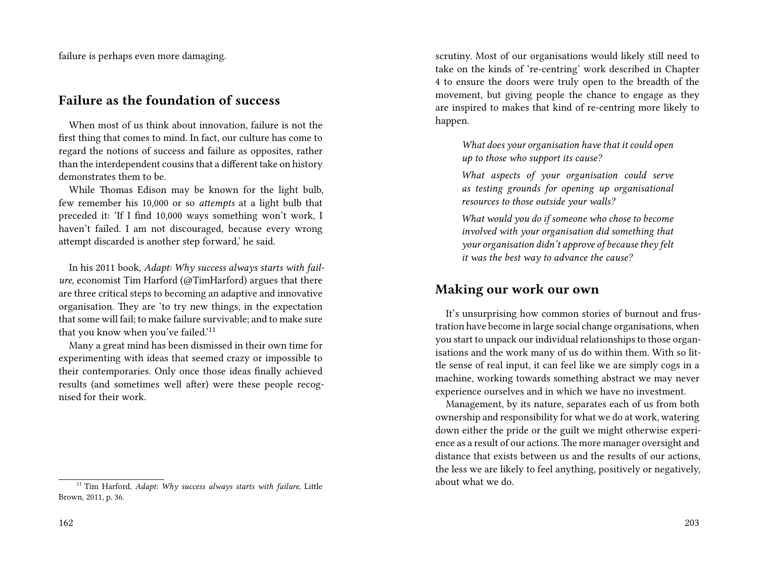failure is perhaps even more damaging.

### **Failure as the foundation of success**

When most of us think about innovation, failure is not the first thing that comes to mind. In fact, our culture has come to regard the notions of success and failure as opposites, rather than the interdependent cousins that a different take on history demonstrates them to be.

While Thomas Edison may be known for the light bulb, few remember his 10,000 or so *attempts* at a light bulb that preceded it: 'If I find 10,000 ways something won't work, I haven't failed. I am not discouraged, because every wrong attempt discarded is another step forward,' he said.

In his 2011 book, *Adapt: Why success always starts with failure,* economist Tim Harford (@TimHarford) argues that there are three critical steps to becoming an adaptive and innovative organisation. They are 'to try new things, in the expectation that some will fail; to make failure survivable; and to make sure that you know when you've failed.'<sup>11</sup>

Many a great mind has been dismissed in their own time for experimenting with ideas that seemed crazy or impossible to their contemporaries. Only once those ideas finally achieved results (and sometimes well after) were these people recognised for their work.

<sup>11</sup> Tim Harford, *Adapt: Why success always starts with failure,* Little Brown, 2011, p. 36.

scrutiny. Most of our organisations would likely still need to take on the kinds of 're-centring' work described in Chapter 4 to ensure the doors were truly open to the breadth of the movement, but giving people the chance to engage as they are inspired to makes that kind of re-centring more likely to happen.

> *What does your organisation have that it could open up to those who support its cause?*

> *What aspects of your organisation could serve as testing grounds for opening up organisational resources to those outside your walls?*

> *What would you do if someone who chose to become involved with your organisation did something that your organisation didn't approve of because they felt it was the best way to advance the cause?*

### **Making our work our own**

It's unsurprising how common stories of burnout and frustration have become in large social change organisations, when you start to unpack our individual relationships to those organisations and the work many of us do within them. With so little sense of real input, it can feel like we are simply cogs in a machine, working towards something abstract we may never experience ourselves and in which we have no investment.

Management, by its nature, separates each of us from both ownership and responsibility for what we do at work, watering down either the pride or the guilt we might otherwise experience as a result of our actions. The more manager oversight and distance that exists between us and the results of our actions, the less we are likely to feel anything, positively or negatively, about what we do.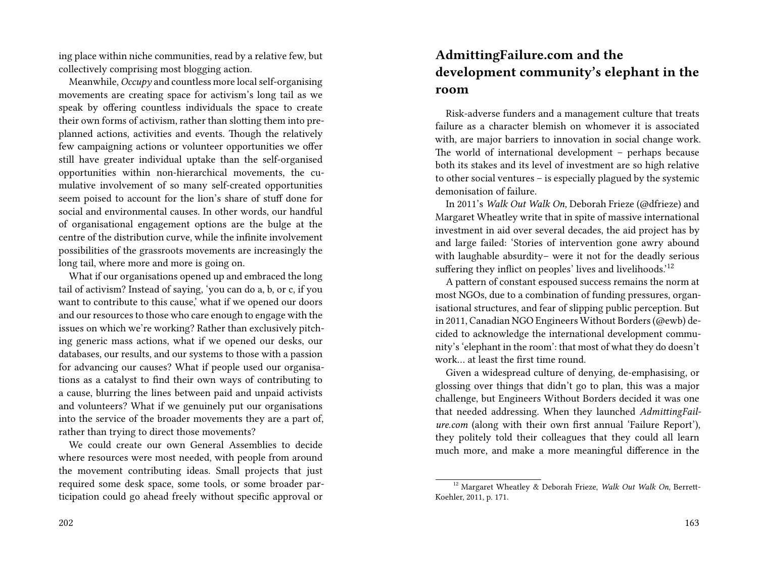ing place within niche communities, read by a relative few, but collectively comprising most blogging action.

Meanwhile, *Occupy* and countless more local self-organising movements are creating space for activism's long tail as we speak by offering countless individuals the space to create their own forms of activism, rather than slotting them into preplanned actions, activities and events. Though the relatively few campaigning actions or volunteer opportunities we offer still have greater individual uptake than the self-organised opportunities within non-hierarchical movements, the cumulative involvement of so many self-created opportunities seem poised to account for the lion's share of stuff done for social and environmental causes. In other words, our handful of organisational engagement options are the bulge at the centre of the distribution curve, while the infinite involvement possibilities of the grassroots movements are increasingly the long tail, where more and more is going on.

What if our organisations opened up and embraced the long tail of activism? Instead of saying, 'you can do a, b, or c, if you want to contribute to this cause,' what if we opened our doors and our resources to those who care enough to engage with the issues on which we're working? Rather than exclusively pitching generic mass actions, what if we opened our desks, our databases, our results, and our systems to those with a passion for advancing our causes? What if people used our organisations as a catalyst to find their own ways of contributing to a cause, blurring the lines between paid and unpaid activists and volunteers? What if we genuinely put our organisations into the service of the broader movements they are a part of, rather than trying to direct those movements?

We could create our own General Assemblies to decide where resources were most needed, with people from around the movement contributing ideas. Small projects that just required some desk space, some tools, or some broader participation could go ahead freely without specific approval or

# **AdmittingFailure.com and the development community's elephant in the room**

Risk-adverse funders and a management culture that treats failure as a character blemish on whomever it is associated with, are major barriers to innovation in social change work. The world of international development – perhaps because both its stakes and its level of investment are so high relative to other social ventures – is especially plagued by the systemic demonisation of failure.

In 2011's *Walk Out Walk On,* Deborah Frieze (@dfrieze) and Margaret Wheatley write that in spite of massive international investment in aid over several decades, the aid project has by and large failed: 'Stories of intervention gone awry abound with laughable absurdity– were it not for the deadly serious suffering they inflict on peoples' lives and livelihoods.'<sup>12</sup>

A pattern of constant espoused success remains the norm at most NGOs, due to a combination of funding pressures, organisational structures, and fear of slipping public perception. But in 2011, Canadian NGO Engineers Without Borders (@ewb) decided to acknowledge the international development community's 'elephant in the room': that most of what they do doesn't work… at least the first time round.

Given a widespread culture of denying, de-emphasising, or glossing over things that didn't go to plan, this was a major challenge, but Engineers Without Borders decided it was one that needed addressing. When they launched *AdmittingFailure.com* (along with their own first annual 'Failure Report'), they politely told their colleagues that they could all learn much more, and make a more meaningful difference in the

<sup>12</sup> Margaret Wheatley & Deborah Frieze, *Walk Out Walk On,* Berrett-Koehler, 2011, p. 171.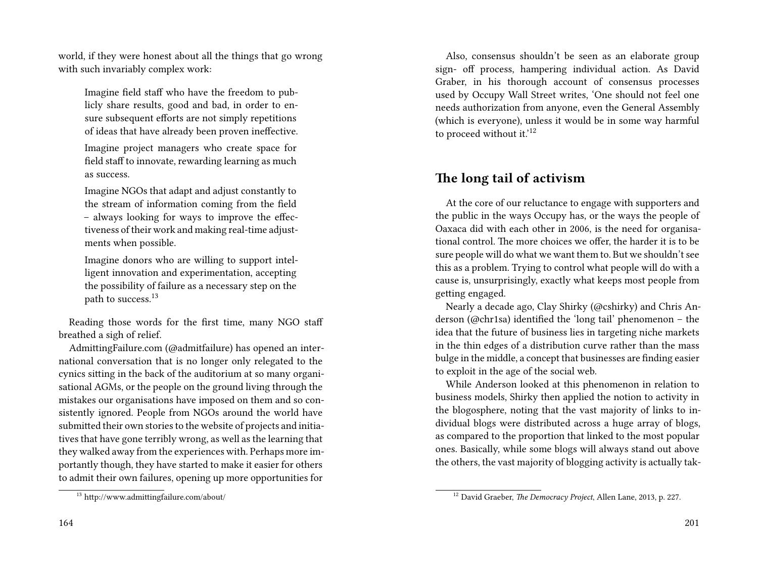world, if they were honest about all the things that go wrong with such invariably complex work:

Imagine field staff who have the freedom to publicly share results, good and bad, in order to ensure subsequent efforts are not simply repetitions of ideas that have already been proven ineffective.

Imagine project managers who create space for field staff to innovate, rewarding learning as much as success.

Imagine NGOs that adapt and adjust constantly to the stream of information coming from the field – always looking for ways to improve the effectiveness of their work and making real-time adjustments when possible.

Imagine donors who are willing to support intelligent innovation and experimentation, accepting the possibility of failure as a necessary step on the path to success.<sup>13</sup>

Reading those words for the first time, many NGO staff breathed a sigh of relief.

AdmittingFailure.com (@admitfailure) has opened an international conversation that is no longer only relegated to the cynics sitting in the back of the auditorium at so many organisational AGMs, or the people on the ground living through the mistakes our organisations have imposed on them and so consistently ignored. People from NGOs around the world have submitted their own stories to the website of projects and initiatives that have gone terribly wrong, as well as the learning that they walked away from the experiences with. Perhaps more importantly though, they have started to make it easier for others to admit their own failures, opening up more opportunities for

Also, consensus shouldn't be seen as an elaborate group sign- off process, hampering individual action. As David Graber, in his thorough account of consensus processes used by Occupy Wall Street writes, 'One should not feel one needs authorization from anyone, even the General Assembly (which is everyone), unless it would be in some way harmful to proceed without it.'<sup>12</sup>

### **The long tail of activism**

At the core of our reluctance to engage with supporters and the public in the ways Occupy has, or the ways the people of Oaxaca did with each other in 2006, is the need for organisational control. The more choices we offer, the harder it is to be sure people will do what we want them to. But we shouldn't see this as a problem. Trying to control what people will do with a cause is, unsurprisingly, exactly what keeps most people from getting engaged.

Nearly a decade ago, Clay Shirky (@cshirky) and Chris Anderson (@chr1sa) identified the 'long tail' phenomenon – the idea that the future of business lies in targeting niche markets in the thin edges of a distribution curve rather than the mass bulge in the middle, a concept that businesses are finding easier to exploit in the age of the social web.

While Anderson looked at this phenomenon in relation to business models, Shirky then applied the notion to activity in the blogosphere, noting that the vast majority of links to individual blogs were distributed across a huge array of blogs, as compared to the proportion that linked to the most popular ones. Basically, while some blogs will always stand out above the others, the vast majority of blogging activity is actually tak-

<sup>13</sup> http://www.admittingfailure.com/about/

<sup>12</sup> David Graeber, *The Democracy Project*, Allen Lane, 2013, p. 227.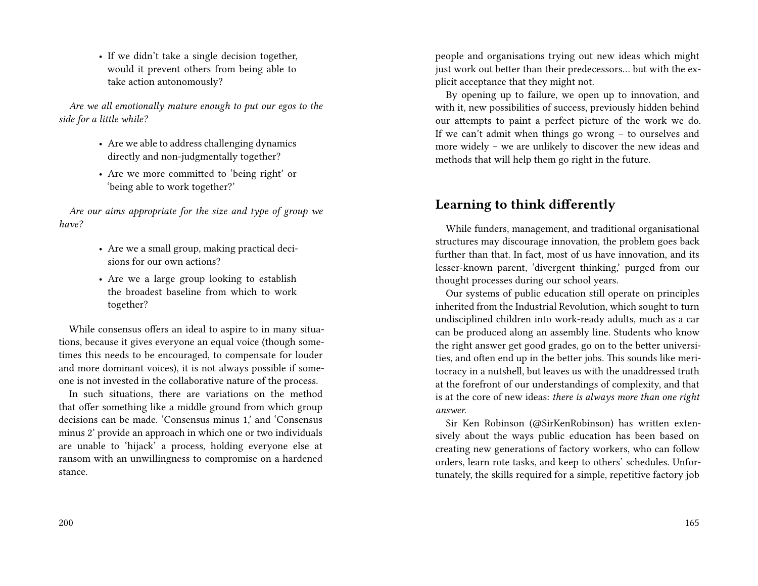• If we didn't take a single decision together, would it prevent others from being able to take action autonomously?

*Are we all emotionally mature enough to put our egos to the side for a little while?*

- Are we able to address challenging dynamics directly and non-judgmentally together?
- Are we more committed to 'being right' or 'being able to work together?'

*Are our aims appropriate for the size and type of group we have?*

- Are we a small group, making practical decisions for our own actions?
- Are we a large group looking to establish the broadest baseline from which to work together?

While consensus offers an ideal to aspire to in many situations, because it gives everyone an equal voice (though sometimes this needs to be encouraged, to compensate for louder and more dominant voices), it is not always possible if someone is not invested in the collaborative nature of the process.

In such situations, there are variations on the method that offer something like a middle ground from which group decisions can be made. 'Consensus minus 1,' and 'Consensus minus 2' provide an approach in which one or two individuals are unable to 'hijack' a process, holding everyone else at ransom with an unwillingness to compromise on a hardened stance.

people and organisations trying out new ideas which might just work out better than their predecessors… but with the explicit acceptance that they might not.

By opening up to failure, we open up to innovation, and with it, new possibilities of success, previously hidden behind our attempts to paint a perfect picture of the work we do. If we can't admit when things go wrong – to ourselves and more widely – we are unlikely to discover the new ideas and methods that will help them go right in the future.

# **Learning to think differently**

While funders, management, and traditional organisational structures may discourage innovation, the problem goes back further than that. In fact, most of us have innovation, and its lesser-known parent, 'divergent thinking,' purged from our thought processes during our school years.

Our systems of public education still operate on principles inherited from the Industrial Revolution, which sought to turn undisciplined children into work-ready adults, much as a car can be produced along an assembly line. Students who know the right answer get good grades, go on to the better universities, and often end up in the better jobs. This sounds like meritocracy in a nutshell, but leaves us with the unaddressed truth at the forefront of our understandings of complexity, and that is at the core of new ideas: *there is always more than one right answer.*

Sir Ken Robinson (@SirKenRobinson) has written extensively about the ways public education has been based on creating new generations of factory workers, who can follow orders, learn rote tasks, and keep to others' schedules. Unfortunately, the skills required for a simple, repetitive factory job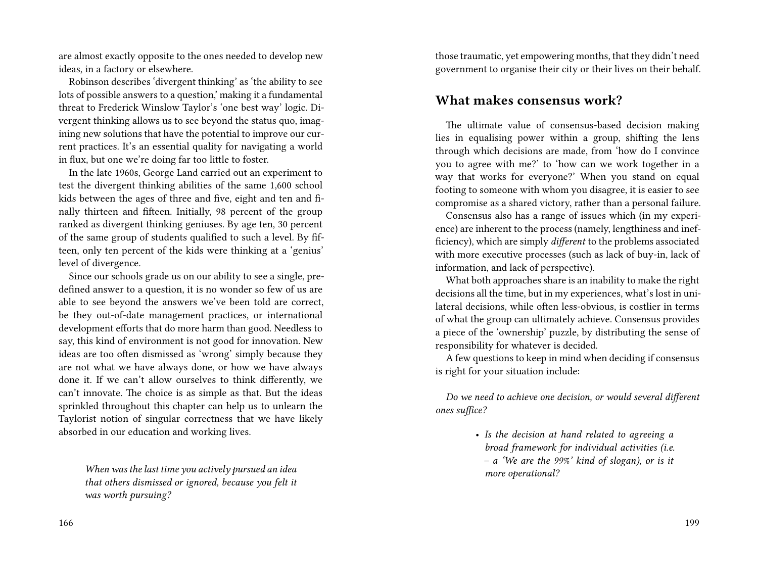are almost exactly opposite to the ones needed to develop new ideas, in a factory or elsewhere.

Robinson describes 'divergent thinking' as 'the ability to see lots of possible answers to a question,' making it a fundamental threat to Frederick Winslow Taylor's 'one best way' logic. Divergent thinking allows us to see beyond the status quo, imagining new solutions that have the potential to improve our current practices. It's an essential quality for navigating a world in flux, but one we're doing far too little to foster.

In the late 1960s, George Land carried out an experiment to test the divergent thinking abilities of the same 1,600 school kids between the ages of three and five, eight and ten and finally thirteen and fifteen. Initially, 98 percent of the group ranked as divergent thinking geniuses. By age ten, 30 percent of the same group of students qualified to such a level. By fifteen, only ten percent of the kids were thinking at a 'genius' level of divergence.

Since our schools grade us on our ability to see a single, predefined answer to a question, it is no wonder so few of us are able to see beyond the answers we've been told are correct, be they out-of-date management practices, or international development efforts that do more harm than good. Needless to say, this kind of environment is not good for innovation. New ideas are too often dismissed as 'wrong' simply because they are not what we have always done, or how we have always done it. If we can't allow ourselves to think differently, we can't innovate. The choice is as simple as that. But the ideas sprinkled throughout this chapter can help us to unlearn the Taylorist notion of singular correctness that we have likely absorbed in our education and working lives.

*When was the last time you actively pursued an idea that others dismissed or ignored, because you felt it was worth pursuing?*

166

those traumatic, yet empowering months, that they didn't need government to organise their city or their lives on their behalf.

### **What makes consensus work?**

The ultimate value of consensus-based decision making lies in equalising power within a group, shifting the lens through which decisions are made, from 'how do I convince you to agree with me?' to 'how can we work together in a way that works for everyone?' When you stand on equal footing to someone with whom you disagree, it is easier to see compromise as a shared victory, rather than a personal failure.

Consensus also has a range of issues which (in my experience) are inherent to the process (namely, lengthiness and inefficiency), which are simply *different* to the problems associated with more executive processes (such as lack of buy-in, lack of information, and lack of perspective).

What both approaches share is an inability to make the right decisions all the time, but in my experiences, what's lost in unilateral decisions, while often less-obvious, is costlier in terms of what the group can ultimately achieve. Consensus provides a piece of the 'ownership' puzzle, by distributing the sense of responsibility for whatever is decided.

A few questions to keep in mind when deciding if consensus is right for your situation include:

*Do we need to achieve one decision, or would several different ones suffice?*

> • *Is the decision at hand related to agreeing a broad framework for individual activities (i.e. – a 'We are the 99%' kind of slogan), or is it more operational?*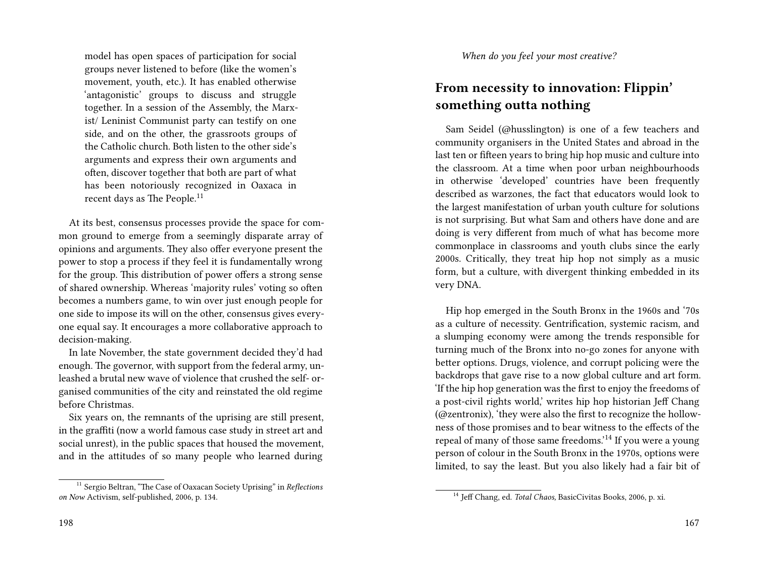model has open spaces of participation for social groups never listened to before (like the women's movement, youth, etc.). It has enabled otherwise 'antagonistic' groups to discuss and struggle together. In a session of the Assembly, the Marxist/ Leninist Communist party can testify on one side, and on the other, the grassroots groups of the Catholic church. Both listen to the other side's arguments and express their own arguments and often, discover together that both are part of what has been notoriously recognized in Oaxaca in recent days as The People.<sup>11</sup>

At its best, consensus processes provide the space for common ground to emerge from a seemingly disparate array of opinions and arguments. They also offer everyone present the power to stop a process if they feel it is fundamentally wrong for the group. This distribution of power offers a strong sense of shared ownership. Whereas 'majority rules' voting so often becomes a numbers game, to win over just enough people for one side to impose its will on the other, consensus gives everyone equal say. It encourages a more collaborative approach to decision-making.

In late November, the state government decided they'd had enough. The governor, with support from the federal army, unleashed a brutal new wave of violence that crushed the self- organised communities of the city and reinstated the old regime before Christmas.

Six years on, the remnants of the uprising are still present, in the graffiti (now a world famous case study in street art and social unrest), in the public spaces that housed the movement, and in the attitudes of so many people who learned during *When do you feel your most creative?*

# **From necessity to innovation: Flippin' something outta nothing**

Sam Seidel (@husslington) is one of a few teachers and community organisers in the United States and abroad in the last ten or fifteen years to bring hip hop music and culture into the classroom. At a time when poor urban neighbourhoods in otherwise 'developed' countries have been frequently described as warzones, the fact that educators would look to the largest manifestation of urban youth culture for solutions is not surprising. But what Sam and others have done and are doing is very different from much of what has become more commonplace in classrooms and youth clubs since the early 2000s. Critically, they treat hip hop not simply as a music form, but a culture, with divergent thinking embedded in its very DNA.

Hip hop emerged in the South Bronx in the 1960s and '70s as a culture of necessity. Gentrification, systemic racism, and a slumping economy were among the trends responsible for turning much of the Bronx into no-go zones for anyone with better options. Drugs, violence, and corrupt policing were the backdrops that gave rise to a now global culture and art form. 'If the hip hop generation was the first to enjoy the freedoms of a post-civil rights world,' writes hip hop historian Jeff Chang (@zentronix), 'they were also the first to recognize the hollowness of those promises and to bear witness to the effects of the repeal of many of those same freedoms.'<sup>14</sup> If you were a young person of colour in the South Bronx in the 1970s, options were limited, to say the least. But you also likely had a fair bit of

<sup>&</sup>lt;sup>11</sup> Sergio Beltran, "The Case of Oaxacan Society Uprising" in *Reflections on Now* Activism, self-published, 2006, p. 134.

<sup>14</sup> Jeff Chang, ed. *Total Chaos,* BasicCivitas Books, 2006, p. xi.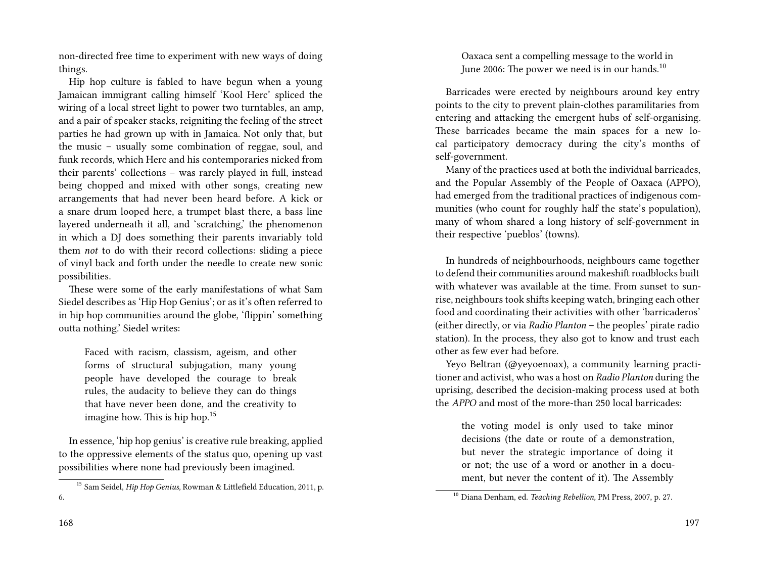non-directed free time to experiment with new ways of doing things.

Hip hop culture is fabled to have begun when a young Jamaican immigrant calling himself 'Kool Herc' spliced the wiring of a local street light to power two turntables, an amp, and a pair of speaker stacks, reigniting the feeling of the street parties he had grown up with in Jamaica. Not only that, but the music – usually some combination of reggae, soul, and funk records, which Herc and his contemporaries nicked from their parents' collections – was rarely played in full, instead being chopped and mixed with other songs, creating new arrangements that had never been heard before. A kick or a snare drum looped here, a trumpet blast there, a bass line layered underneath it all, and 'scratching,' the phenomenon in which a DJ does something their parents invariably told them *not* to do with their record collections: sliding a piece of vinyl back and forth under the needle to create new sonic possibilities.

These were some of the early manifestations of what Sam Siedel describes as 'Hip Hop Genius'; or as it's often referred to in hip hop communities around the globe, 'flippin' something outta nothing.' Siedel writes:

Faced with racism, classism, ageism, and other forms of structural subjugation, many young people have developed the courage to break rules, the audacity to believe they can do things that have never been done, and the creativity to imagine how. This is hip hop.<sup>15</sup>

In essence, 'hip hop genius' is creative rule breaking, applied to the oppressive elements of the status quo, opening up vast possibilities where none had previously been imagined.

Oaxaca sent a compelling message to the world in June 2006: The power we need is in our hands.<sup>10</sup>

Barricades were erected by neighbours around key entry points to the city to prevent plain-clothes paramilitaries from entering and attacking the emergent hubs of self-organising. These barricades became the main spaces for a new local participatory democracy during the city's months of self-government.

Many of the practices used at both the individual barricades, and the Popular Assembly of the People of Oaxaca (APPO), had emerged from the traditional practices of indigenous communities (who count for roughly half the state's population), many of whom shared a long history of self-government in their respective 'pueblos' (towns).

In hundreds of neighbourhoods, neighbours came together to defend their communities around makeshift roadblocks built with whatever was available at the time. From sunset to sunrise, neighbours took shifts keeping watch, bringing each other food and coordinating their activities with other 'barricaderos' (either directly, or via *Radio Planton* – the peoples' pirate radio station). In the process, they also got to know and trust each other as few ever had before.

Yeyo Beltran (@yeyoenoax), a community learning practitioner and activist, who was a host on *Radio Planton* during the uprising, described the decision-making process used at both the *APPO* and most of the more-than 250 local barricades:

the voting model is only used to take minor decisions (the date or route of a demonstration, but never the strategic importance of doing it or not; the use of a word or another in a document, but never the content of it). The Assembly

<sup>15</sup> Sam Seidel, *Hip Hop Genius,* Rowman & Littlefield Education, 2011, p. 6.

<sup>10</sup> Diana Denham, ed. *Teaching Rebellion,* PM Press, 2007, p. 27.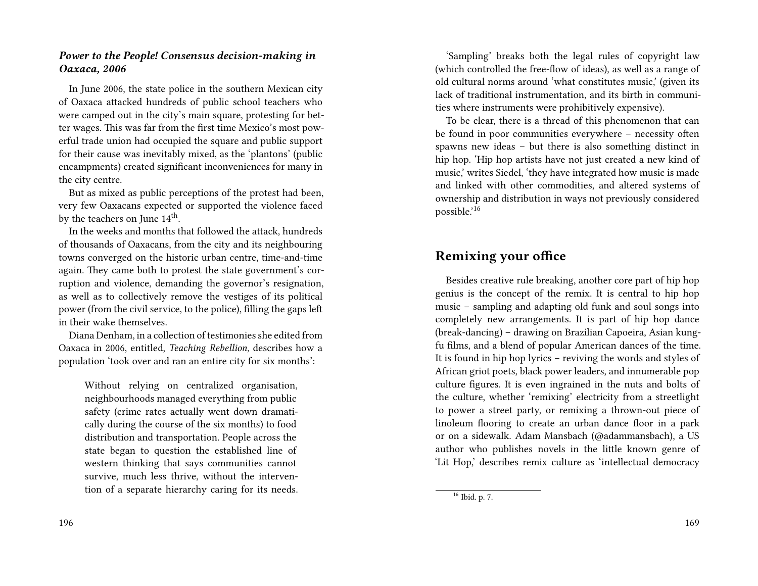#### *Power to the People! Consensus decision-making in Oaxaca, 2006*

In June 2006, the state police in the southern Mexican city of Oaxaca attacked hundreds of public school teachers who were camped out in the city's main square, protesting for better wages. This was far from the first time Mexico's most powerful trade union had occupied the square and public support for their cause was inevitably mixed, as the 'plantons' (public encampments) created significant inconveniences for many in the city centre.

But as mixed as public perceptions of the protest had been, very few Oaxacans expected or supported the violence faced by the teachers on June 14 $^{\rm th}$ .

In the weeks and months that followed the attack, hundreds of thousands of Oaxacans, from the city and its neighbouring towns converged on the historic urban centre, time-and-time again. They came both to protest the state government's corruption and violence, demanding the governor's resignation, as well as to collectively remove the vestiges of its political power (from the civil service, to the police), filling the gaps left in their wake themselves.

Diana Denham, in a collection of testimonies she edited from Oaxaca in 2006, entitled, *Teaching Rebellion*, describes how a population 'took over and ran an entire city for six months':

Without relying on centralized organisation, neighbourhoods managed everything from public safety (crime rates actually went down dramatically during the course of the six months) to food distribution and transportation. People across the state began to question the established line of western thinking that says communities cannot survive, much less thrive, without the intervention of a separate hierarchy caring for its needs.

'Sampling' breaks both the legal rules of copyright law (which controlled the free-flow of ideas), as well as a range of old cultural norms around 'what constitutes music,' (given its lack of traditional instrumentation, and its birth in communities where instruments were prohibitively expensive).

To be clear, there is a thread of this phenomenon that can be found in poor communities everywhere – necessity often spawns new ideas – but there is also something distinct in hip hop. 'Hip hop artists have not just created a new kind of music,' writes Siedel, 'they have integrated how music is made and linked with other commodities, and altered systems of ownership and distribution in ways not previously considered possible.'<sup>16</sup>

### **Remixing your office**

Besides creative rule breaking, another core part of hip hop genius is the concept of the remix. It is central to hip hop music – sampling and adapting old funk and soul songs into completely new arrangements. It is part of hip hop dance (break-dancing) – drawing on Brazilian Capoeira, Asian kungfu films, and a blend of popular American dances of the time. It is found in hip hop lyrics – reviving the words and styles of African griot poets, black power leaders, and innumerable pop culture figures. It is even ingrained in the nuts and bolts of the culture, whether 'remixing' electricity from a streetlight to power a street party, or remixing a thrown-out piece of linoleum flooring to create an urban dance floor in a park or on a sidewalk. Adam Mansbach (@adammansbach), a US author who publishes novels in the little known genre of 'Lit Hop,' describes remix culture as 'intellectual democracy

<sup>16</sup> Ibid. p. 7.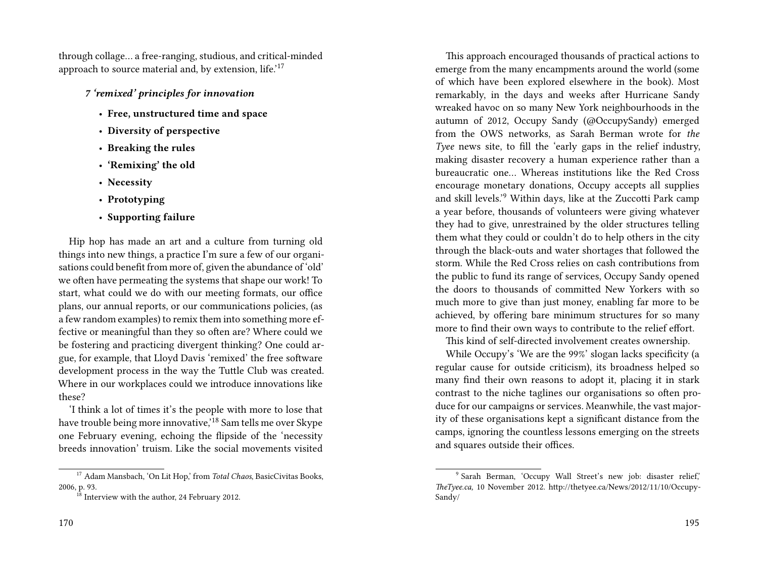through collage… a free-ranging, studious, and critical-minded approach to source material and, by extension, life.'<sup>17</sup>

*7 'remixed' principles for innovation*

- **Free, unstructured time and space**
- **Diversity of perspective**
- **Breaking the rules**
- **'Remixing' the old**
- **Necessity**
- **Prototyping**
- **Supporting failure**

Hip hop has made an art and a culture from turning old things into new things, a practice I'm sure a few of our organisations could benefit from more of, given the abundance of 'old' we often have permeating the systems that shape our work! To start, what could we do with our meeting formats, our office plans, our annual reports, or our communications policies, (as a few random examples) to remix them into something more effective or meaningful than they so often are? Where could we be fostering and practicing divergent thinking? One could argue, for example, that Lloyd Davis 'remixed' the free software development process in the way the Tuttle Club was created. Where in our workplaces could we introduce innovations like these?

'I think a lot of times it's the people with more to lose that have trouble being more innovative,'<sup>18</sup> Sam tells me over Skype one February evening, echoing the flipside of the 'necessity breeds innovation' truism. Like the social movements visited

This approach encouraged thousands of practical actions to emerge from the many encampments around the world (some of which have been explored elsewhere in the book). Most remarkably, in the days and weeks after Hurricane Sandy wreaked havoc on so many New York neighbourhoods in the autumn of 2012, Occupy Sandy (@OccupySandy) emerged from the OWS networks, as Sarah Berman wrote for *the Tyee* news site, to fill the 'early gaps in the relief industry, making disaster recovery a human experience rather than a bureaucratic one… Whereas institutions like the Red Cross encourage monetary donations, Occupy accepts all supplies and skill levels.'<sup>9</sup> Within days, like at the Zuccotti Park camp a year before, thousands of volunteers were giving whatever they had to give, unrestrained by the older structures telling them what they could or couldn't do to help others in the city through the black-outs and water shortages that followed the storm. While the Red Cross relies on cash contributions from the public to fund its range of services, Occupy Sandy opened the doors to thousands of committed New Yorkers with so much more to give than just money, enabling far more to be achieved, by offering bare minimum structures for so many more to find their own ways to contribute to the relief effort.

This kind of self-directed involvement creates ownership.

While Occupy's 'We are the 99%' slogan lacks specificity (a regular cause for outside criticism), its broadness helped so many find their own reasons to adopt it, placing it in stark contrast to the niche taglines our organisations so often produce for our campaigns or services. Meanwhile, the vast majority of these organisations kept a significant distance from the camps, ignoring the countless lessons emerging on the streets and squares outside their offices.

<sup>17</sup> Adam Mansbach, 'On Lit Hop,' from *Total Chaos*, BasicCivitas Books, 2006, p. 93.

 $1^{\hat{8}}$  Interview with the author, 24 February 2012.

<sup>&</sup>lt;sup>9</sup> Sarah Berman, 'Occupy Wall Street's new job: disaster relief,' *TheTyee.ca,* 10 November 2012. http://thetyee.ca/News/2012/11/10/Occupy-Sandy/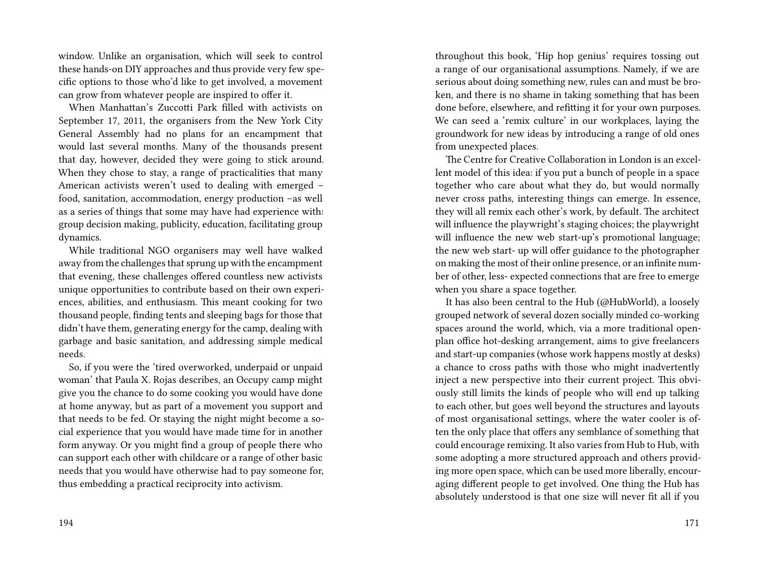window. Unlike an organisation, which will seek to control these hands-on DIY approaches and thus provide very few specific options to those who'd like to get involved, a movement can grow from whatever people are inspired to offer it.

When Manhattan's Zuccotti Park filled with activists on September 17, 2011, the organisers from the New York City General Assembly had no plans for an encampment that would last several months. Many of the thousands present that day, however, decided they were going to stick around. When they chose to stay, a range of practicalities that many American activists weren't used to dealing with emerged – food, sanitation, accommodation, energy production –as well as a series of things that some may have had experience with: group decision making, publicity, education, facilitating group dynamics.

While traditional NGO organisers may well have walked away from the challenges that sprung up with the encampment that evening, these challenges offered countless new activists unique opportunities to contribute based on their own experiences, abilities, and enthusiasm. This meant cooking for two thousand people, finding tents and sleeping bags for those that didn't have them, generating energy for the camp, dealing with garbage and basic sanitation, and addressing simple medical needs.

So, if you were the 'tired overworked, underpaid or unpaid woman' that Paula X. Rojas describes, an Occupy camp might give you the chance to do some cooking you would have done at home anyway, but as part of a movement you support and that needs to be fed. Or staying the night might become a social experience that you would have made time for in another form anyway. Or you might find a group of people there who can support each other with childcare or a range of other basic needs that you would have otherwise had to pay someone for, thus embedding a practical reciprocity into activism.

throughout this book, 'Hip hop genius' requires tossing out a range of our organisational assumptions. Namely, if we are serious about doing something new, rules can and must be broken, and there is no shame in taking something that has been done before, elsewhere, and refitting it for your own purposes. We can seed a 'remix culture' in our workplaces, laying the groundwork for new ideas by introducing a range of old ones from unexpected places.

The Centre for Creative Collaboration in London is an excellent model of this idea: if you put a bunch of people in a space together who care about what they do, but would normally never cross paths, interesting things can emerge. In essence, they will all remix each other's work, by default. The architect will influence the playwright's staging choices; the playwright will influence the new web start-up's promotional language; the new web start- up will offer guidance to the photographer on making the most of their online presence, or an infinite number of other, less- expected connections that are free to emerge when you share a space together.

It has also been central to the Hub (@HubWorld), a loosely grouped network of several dozen socially minded co-working spaces around the world, which, via a more traditional openplan office hot-desking arrangement, aims to give freelancers and start-up companies (whose work happens mostly at desks) a chance to cross paths with those who might inadvertently inject a new perspective into their current project. This obviously still limits the kinds of people who will end up talking to each other, but goes well beyond the structures and layouts of most organisational settings, where the water cooler is often the only place that offers any semblance of something that could encourage remixing. It also varies from Hub to Hub, with some adopting a more structured approach and others providing more open space, which can be used more liberally, encouraging different people to get involved. One thing the Hub has absolutely understood is that one size will never fit all if you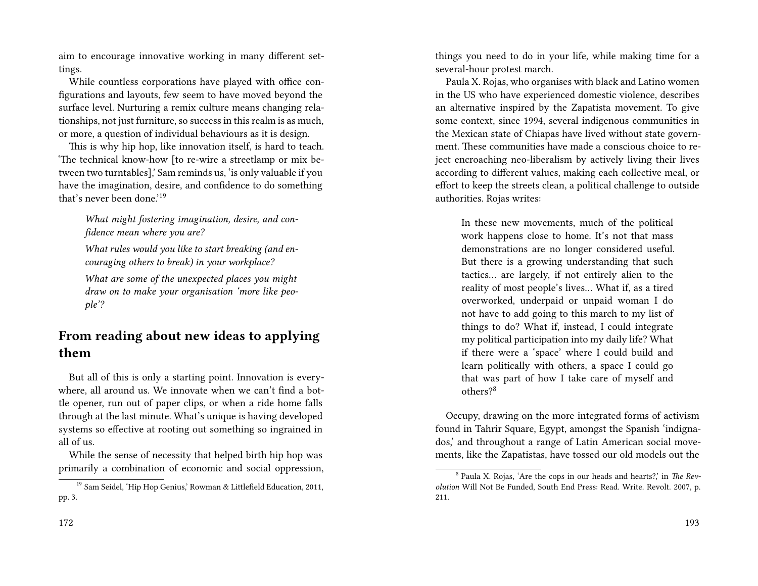aim to encourage innovative working in many different settings.

While countless corporations have played with office configurations and layouts, few seem to have moved beyond the surface level. Nurturing a remix culture means changing relationships, not just furniture, so success in this realm is as much, or more, a question of individual behaviours as it is design.

This is why hip hop, like innovation itself, is hard to teach. 'The technical know-how [to re-wire a streetlamp or mix between two turntables],' Sam reminds us, 'is only valuable if you have the imagination, desire, and confidence to do something that's never been done.<sup>'19</sup>

*What might fostering imagination, desire, and confidence mean where you are?*

*What rules would you like to start breaking (and encouraging others to break) in your workplace?*

*What are some of the unexpected places you might draw on to make your organisation 'more like people'?*

# **From reading about new ideas to applying them**

But all of this is only a starting point. Innovation is everywhere, all around us. We innovate when we can't find a bottle opener, run out of paper clips, or when a ride home falls through at the last minute. What's unique is having developed systems so effective at rooting out something so ingrained in all of us.

While the sense of necessity that helped birth hip hop was primarily a combination of economic and social oppression, things you need to do in your life, while making time for a several-hour protest march.

Paula X. Rojas, who organises with black and Latino women in the US who have experienced domestic violence, describes an alternative inspired by the Zapatista movement. To give some context, since 1994, several indigenous communities in the Mexican state of Chiapas have lived without state government. These communities have made a conscious choice to reject encroaching neo-liberalism by actively living their lives according to different values, making each collective meal, or effort to keep the streets clean, a political challenge to outside authorities. Rojas writes:

In these new movements, much of the political work happens close to home. It's not that mass demonstrations are no longer considered useful. But there is a growing understanding that such tactics… are largely, if not entirely alien to the reality of most people's lives… What if, as a tired overworked, underpaid or unpaid woman I do not have to add going to this march to my list of things to do? What if, instead, I could integrate my political participation into my daily life? What if there were a 'space' where I could build and learn politically with others, a space I could go that was part of how I take care of myself and others?<sup>8</sup>

Occupy, drawing on the more integrated forms of activism found in Tahrir Square, Egypt, amongst the Spanish 'indignados,' and throughout a range of Latin American social movements, like the Zapatistas, have tossed our old models out the

<sup>&</sup>lt;sup>19</sup> Sam Seidel, 'Hip Hop Genius,' Rowman & Littlefield Education, 2011, pp. 3.

<sup>8</sup> Paula X. Rojas, 'Are the cops in our heads and hearts?,' in *The Revolution* Will Not Be Funded, South End Press: Read. Write. Revolt. 2007, p. 211.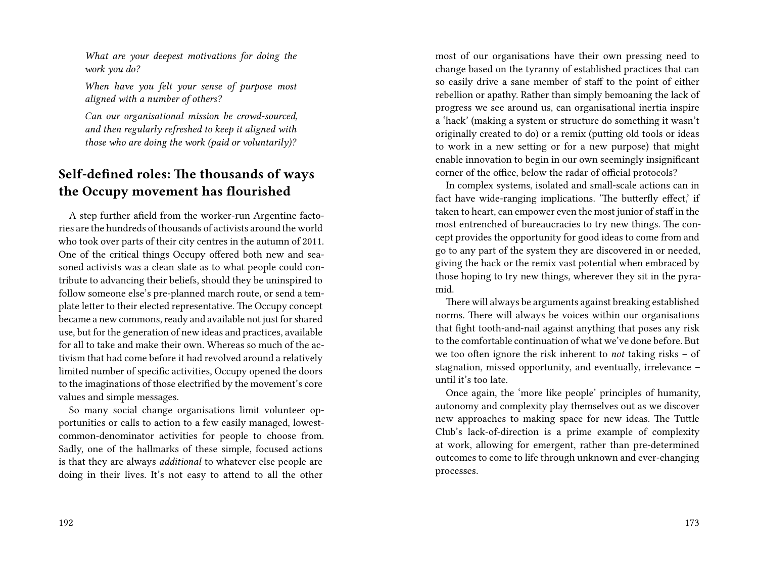*What are your deepest motivations for doing the work you do?*

*When have you felt your sense of purpose most aligned with a number of others?*

*Can our organisational mission be crowd-sourced, and then regularly refreshed to keep it aligned with those who are doing the work (paid or voluntarily)?*

# **Self-defined roles: The thousands of ways the Occupy movement has flourished**

A step further afield from the worker-run Argentine factories are the hundreds of thousands of activists around the world who took over parts of their city centres in the autumn of 2011. One of the critical things Occupy offered both new and seasoned activists was a clean slate as to what people could contribute to advancing their beliefs, should they be uninspired to follow someone else's pre-planned march route, or send a template letter to their elected representative. The Occupy concept became a new commons, ready and available not just for shared use, but for the generation of new ideas and practices, available for all to take and make their own. Whereas so much of the activism that had come before it had revolved around a relatively limited number of specific activities, Occupy opened the doors to the imaginations of those electrified by the movement's core values and simple messages.

So many social change organisations limit volunteer opportunities or calls to action to a few easily managed, lowestcommon-denominator activities for people to choose from. Sadly, one of the hallmarks of these simple, focused actions is that they are always *additional* to whatever else people are doing in their lives. It's not easy to attend to all the other

most of our organisations have their own pressing need to change based on the tyranny of established practices that can so easily drive a sane member of staff to the point of either rebellion or apathy. Rather than simply bemoaning the lack of progress we see around us, can organisational inertia inspire a 'hack' (making a system or structure do something it wasn't originally created to do) or a remix (putting old tools or ideas to work in a new setting or for a new purpose) that might enable innovation to begin in our own seemingly insignificant corner of the office, below the radar of official protocols?

In complex systems, isolated and small-scale actions can in fact have wide-ranging implications. 'The butterfly effect,' if taken to heart, can empower even the most junior of staff in the most entrenched of bureaucracies to try new things. The concept provides the opportunity for good ideas to come from and go to any part of the system they are discovered in or needed, giving the hack or the remix vast potential when embraced by those hoping to try new things, wherever they sit in the pyramid.

There will always be arguments against breaking established norms. There will always be voices within our organisations that fight tooth-and-nail against anything that poses any risk to the comfortable continuation of what we've done before. But we too often ignore the risk inherent to *not* taking risks – of stagnation, missed opportunity, and eventually, irrelevance – until it's too late.

Once again, the 'more like people' principles of humanity, autonomy and complexity play themselves out as we discover new approaches to making space for new ideas. The Tuttle Club's lack-of-direction is a prime example of complexity at work, allowing for emergent, rather than pre-determined outcomes to come to life through unknown and ever-changing processes.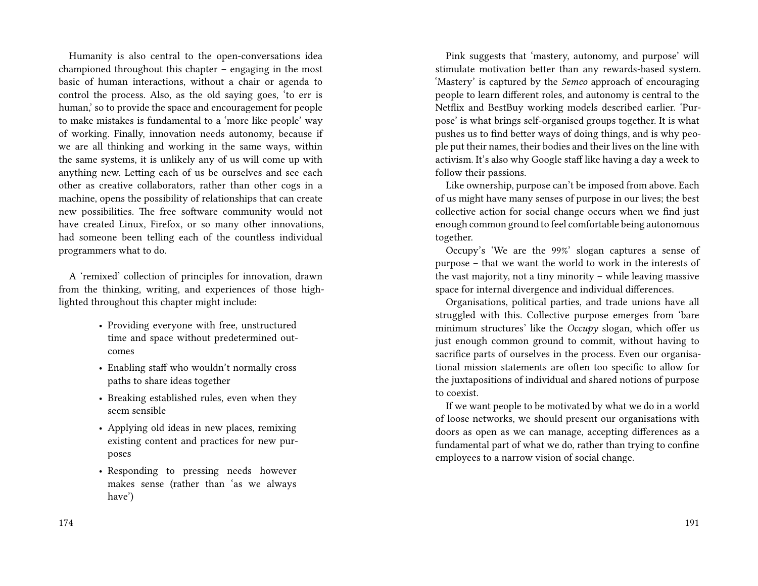Humanity is also central to the open-conversations idea championed throughout this chapter – engaging in the most basic of human interactions, without a chair or agenda to control the process. Also, as the old saying goes, 'to err is human,' so to provide the space and encouragement for people to make mistakes is fundamental to a 'more like people' way of working. Finally, innovation needs autonomy, because if we are all thinking and working in the same ways, within the same systems, it is unlikely any of us will come up with anything new. Letting each of us be ourselves and see each other as creative collaborators, rather than other cogs in a machine, opens the possibility of relationships that can create new possibilities. The free software community would not have created Linux, Firefox, or so many other innovations, had someone been telling each of the countless individual programmers what to do.

A 'remixed' collection of principles for innovation, drawn from the thinking, writing, and experiences of those highlighted throughout this chapter might include:

- Providing everyone with free, unstructured time and space without predetermined outcomes
- Enabling staff who wouldn't normally cross paths to share ideas together
- Breaking established rules, even when they seem sensible
- Applying old ideas in new places, remixing existing content and practices for new purposes
- Responding to pressing needs however makes sense (rather than 'as we always have')

Pink suggests that 'mastery, autonomy, and purpose' will stimulate motivation better than any rewards-based system. 'Mastery' is captured by the *Semco* approach of encouraging people to learn different roles, and autonomy is central to the Netflix and BestBuy working models described earlier. 'Purpose' is what brings self-organised groups together. It is what pushes us to find better ways of doing things, and is why people put their names, their bodies and their lives on the line with activism. It's also why Google staff like having a day a week to follow their passions.

Like ownership, purpose can't be imposed from above. Each of us might have many senses of purpose in our lives; the best collective action for social change occurs when we find just enough common ground to feel comfortable being autonomous together.

Occupy's 'We are the 99%' slogan captures a sense of purpose – that we want the world to work in the interests of the vast majority, not a tiny minority – while leaving massive space for internal divergence and individual differences.

Organisations, political parties, and trade unions have all struggled with this. Collective purpose emerges from 'bare minimum structures' like the *Occupy* slogan, which offer us just enough common ground to commit, without having to sacrifice parts of ourselves in the process. Even our organisational mission statements are often too specific to allow for the juxtapositions of individual and shared notions of purpose to coexist.

If we want people to be motivated by what we do in a world of loose networks, we should present our organisations with doors as open as we can manage, accepting differences as a fundamental part of what we do, rather than trying to confine employees to a narrow vision of social change.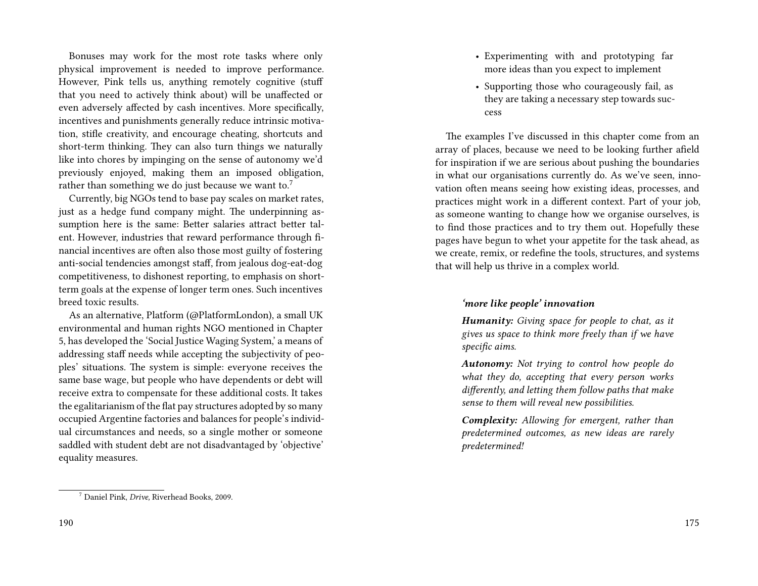Bonuses may work for the most rote tasks where only physical improvement is needed to improve performance. However, Pink tells us, anything remotely cognitive (stuff that you need to actively think about) will be unaffected or even adversely affected by cash incentives. More specifically, incentives and punishments generally reduce intrinsic motivation, stifle creativity, and encourage cheating, shortcuts and short-term thinking. They can also turn things we naturally like into chores by impinging on the sense of autonomy we'd previously enjoyed, making them an imposed obligation, rather than something we do just because we want to.<sup>7</sup>

Currently, big NGOs tend to base pay scales on market rates, just as a hedge fund company might. The underpinning assumption here is the same: Better salaries attract better talent. However, industries that reward performance through financial incentives are often also those most guilty of fostering anti-social tendencies amongst staff, from jealous dog-eat-dog competitiveness, to dishonest reporting, to emphasis on shortterm goals at the expense of longer term ones. Such incentives breed toxic results.

As an alternative, Platform (@PlatformLondon), a small UK environmental and human rights NGO mentioned in Chapter 5, has developed the 'Social Justice Waging System,' a means of addressing staff needs while accepting the subjectivity of peoples' situations. The system is simple: everyone receives the same base wage, but people who have dependents or debt will receive extra to compensate for these additional costs. It takes the egalitarianism of the flat pay structures adopted by so many occupied Argentine factories and balances for people's individual circumstances and needs, so a single mother or someone saddled with student debt are not disadvantaged by 'objective' equality measures.

- Experimenting with and prototyping far more ideas than you expect to implement
- Supporting those who courageously fail, as they are taking a necessary step towards success

The examples I've discussed in this chapter come from an array of places, because we need to be looking further afield for inspiration if we are serious about pushing the boundaries in what our organisations currently do. As we've seen, innovation often means seeing how existing ideas, processes, and practices might work in a different context. Part of your job, as someone wanting to change how we organise ourselves, is to find those practices and to try them out. Hopefully these pages have begun to whet your appetite for the task ahead, as we create, remix, or redefine the tools, structures, and systems that will help us thrive in a complex world.

#### *'more like people' innovation*

*Humanity: Giving space for people to chat, as it gives us space to think more freely than if we have specific aims.*

*Autonomy: Not trying to control how people do what they do, accepting that every person works differently, and letting them follow paths that make sense to them will reveal new possibilities.*

*Complexity: Allowing for emergent, rather than predetermined outcomes, as new ideas are rarely predetermined!*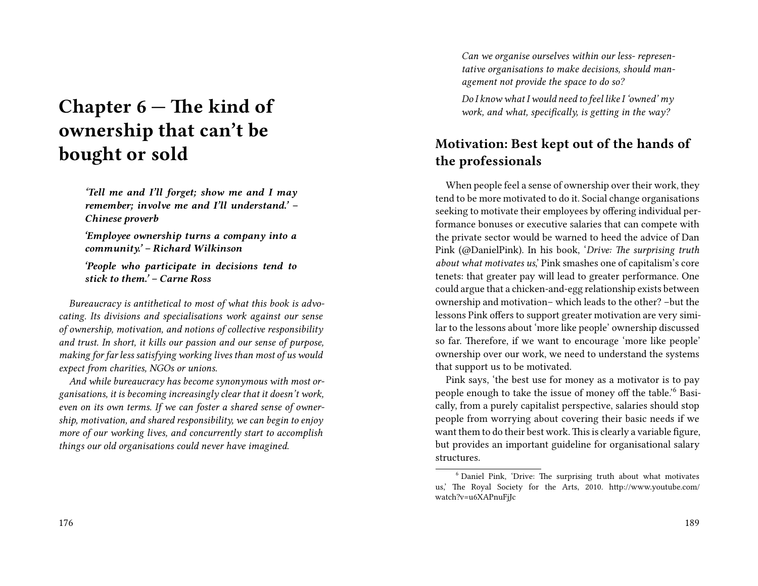# **Chapter 6 — The kind of ownership that can't be bought or sold**

*'Tell me and I'll forget; show me and I may remember; involve me and I'll understand.' – Chinese proverb*

*'Employee ownership turns a company into a community.' – Richard Wilkinson*

*'People who participate in decisions tend to stick to them.' – Carne Ross*

*Bureaucracy is antithetical to most of what this book is advocating. Its divisions and specialisations work against our sense of ownership, motivation, and notions of collective responsibility and trust. In short, it kills our passion and our sense of purpose, making for far less satisfying working lives than most of us would expect from charities, NGOs or unions.*

*And while bureaucracy has become synonymous with most organisations, it is becoming increasingly clear that it doesn't work, even on its own terms. If we can foster a shared sense of ownership, motivation, and shared responsibility, we can begin to enjoy more of our working lives, and concurrently start to accomplish things our old organisations could never have imagined.*

*Can we organise ourselves within our less- representative organisations to make decisions, should management not provide the space to do so?*

*Do I know what I would need to feel like I 'owned' my work, and what, specifically, is getting in the way?*

# **Motivation: Best kept out of the hands of the professionals**

When people feel a sense of ownership over their work, they tend to be more motivated to do it. Social change organisations seeking to motivate their employees by offering individual performance bonuses or executive salaries that can compete with the private sector would be warned to heed the advice of Dan Pink (@DanielPink). In his book, '*Drive: The surprising truth about what motivates us*,' Pink smashes one of capitalism's core tenets: that greater pay will lead to greater performance. One could argue that a chicken-and-egg relationship exists between ownership and motivation– which leads to the other? –but the lessons Pink offers to support greater motivation are very similar to the lessons about 'more like people' ownership discussed so far. Therefore, if we want to encourage 'more like people' ownership over our work, we need to understand the systems that support us to be motivated.

Pink says, 'the best use for money as a motivator is to pay people enough to take the issue of money off the table.'<sup>6</sup> Basically, from a purely capitalist perspective, salaries should stop people from worrying about covering their basic needs if we want them to do their best work. This is clearly a variable figure, but provides an important guideline for organisational salary structures.

<sup>6</sup> Daniel Pink, 'Drive: The surprising truth about what motivates us,' The Royal Society for the Arts, 2010. http://www.youtube.com/ watch?v=u6XAPnuFjJc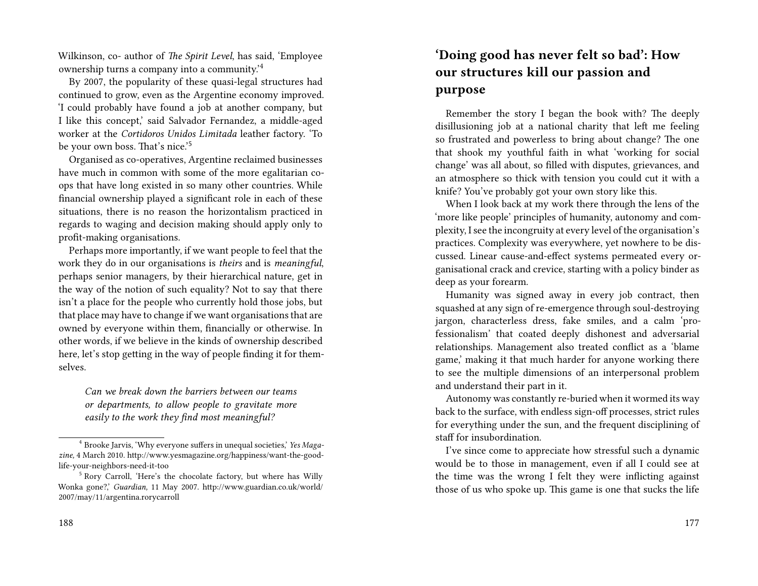Wilkinson, co- author of *The Spirit Level*, has said, 'Employee ownership turns a company into a community.'<sup>4</sup>

By 2007, the popularity of these quasi-legal structures had continued to grow, even as the Argentine economy improved. 'I could probably have found a job at another company, but I like this concept,' said Salvador Fernandez, a middle-aged worker at the *Cortidoros Unidos Limitada* leather factory. 'To be your own boss. That's nice.'<sup>5</sup>

Organised as co-operatives, Argentine reclaimed businesses have much in common with some of the more egalitarian coops that have long existed in so many other countries. While financial ownership played a significant role in each of these situations, there is no reason the horizontalism practiced in regards to waging and decision making should apply only to profit-making organisations.

Perhaps more importantly, if we want people to feel that the work they do in our organisations is *theirs* and is *meaningful*, perhaps senior managers, by their hierarchical nature, get in the way of the notion of such equality? Not to say that there isn't a place for the people who currently hold those jobs, but that place may have to change if we want organisations that are owned by everyone within them, financially or otherwise. In other words, if we believe in the kinds of ownership described here, let's stop getting in the way of people finding it for themselves.

*Can we break down the barriers between our teams or departments, to allow people to gravitate more easily to the work they find most meaningful?*

# **'Doing good has never felt so bad': How our structures kill our passion and purpose**

Remember the story I began the book with? The deeply disillusioning job at a national charity that left me feeling so frustrated and powerless to bring about change? The one that shook my youthful faith in what 'working for social change' was all about, so filled with disputes, grievances, and an atmosphere so thick with tension you could cut it with a knife? You've probably got your own story like this.

When I look back at my work there through the lens of the 'more like people' principles of humanity, autonomy and complexity, I see the incongruity at every level of the organisation's practices. Complexity was everywhere, yet nowhere to be discussed. Linear cause-and-effect systems permeated every organisational crack and crevice, starting with a policy binder as deep as your forearm.

Humanity was signed away in every job contract, then squashed at any sign of re-emergence through soul-destroying jargon, characterless dress, fake smiles, and a calm 'professionalism' that coated deeply dishonest and adversarial relationships. Management also treated conflict as a 'blame game,' making it that much harder for anyone working there to see the multiple dimensions of an interpersonal problem and understand their part in it.

Autonomy was constantly re-buried when it wormed its way back to the surface, with endless sign-off processes, strict rules for everything under the sun, and the frequent disciplining of staff for insubordination.

<sup>4</sup> Brooke Jarvis, 'Why everyone suffers in unequal societies,' *Yes Magazine,* 4 March 2010. http://www.yesmagazine.org/happiness/want-the-goodlife-your-neighbors-need-it-too

<sup>5</sup> Rory Carroll, 'Here's the chocolate factory, but where has Willy Wonka gone?,' *Guardian,* 11 May 2007. http://www.guardian.co.uk/world/ 2007/may/11/argentina.rorycarroll

I've since come to appreciate how stressful such a dynamic would be to those in management, even if all I could see at the time was the wrong I felt they were inflicting against those of us who spoke up. This game is one that sucks the life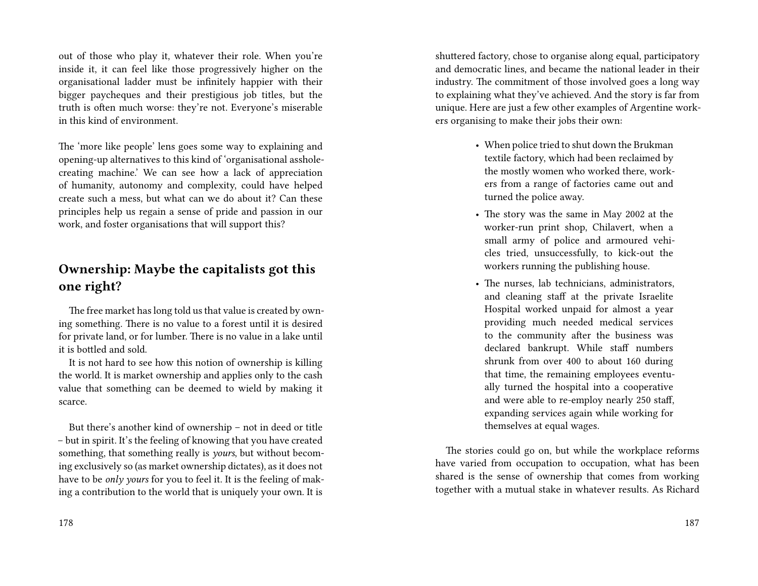out of those who play it, whatever their role. When you're inside it, it can feel like those progressively higher on the organisational ladder must be infinitely happier with their bigger paycheques and their prestigious job titles, but the truth is often much worse: they're not. Everyone's miserable in this kind of environment.

The 'more like people' lens goes some way to explaining and opening-up alternatives to this kind of 'organisational assholecreating machine.' We can see how a lack of appreciation of humanity, autonomy and complexity, could have helped create such a mess, but what can we do about it? Can these principles help us regain a sense of pride and passion in our work, and foster organisations that will support this?

# **Ownership: Maybe the capitalists got this one right?**

The free market has long told us that value is created by owning something. There is no value to a forest until it is desired for private land, or for lumber. There is no value in a lake until it is bottled and sold.

It is not hard to see how this notion of ownership is killing the world. It is market ownership and applies only to the cash value that something can be deemed to wield by making it scarce.

But there's another kind of ownership – not in deed or title – but in spirit. It's the feeling of knowing that you have created something, that something really is *yours*, but without becoming exclusively so (as market ownership dictates), as it does not have to be *only yours* for you to feel it. It is the feeling of making a contribution to the world that is uniquely your own. It is

shuttered factory, chose to organise along equal, participatory and democratic lines, and became the national leader in their industry. The commitment of those involved goes a long way to explaining what they've achieved. And the story is far from unique. Here are just a few other examples of Argentine workers organising to make their jobs their own:

- When police tried to shut down the Brukman textile factory, which had been reclaimed by the mostly women who worked there, workers from a range of factories came out and turned the police away.
- The story was the same in May 2002 at the worker-run print shop, Chilavert, when a small army of police and armoured vehicles tried, unsuccessfully, to kick-out the workers running the publishing house.
- The nurses, lab technicians, administrators, and cleaning staff at the private Israelite Hospital worked unpaid for almost a year providing much needed medical services to the community after the business was declared bankrupt. While staff numbers shrunk from over 400 to about 160 during that time, the remaining employees eventually turned the hospital into a cooperative and were able to re-employ nearly 250 staff, expanding services again while working for themselves at equal wages.

The stories could go on, but while the workplace reforms have varied from occupation to occupation, what has been shared is the sense of ownership that comes from working together with a mutual stake in whatever results. As Richard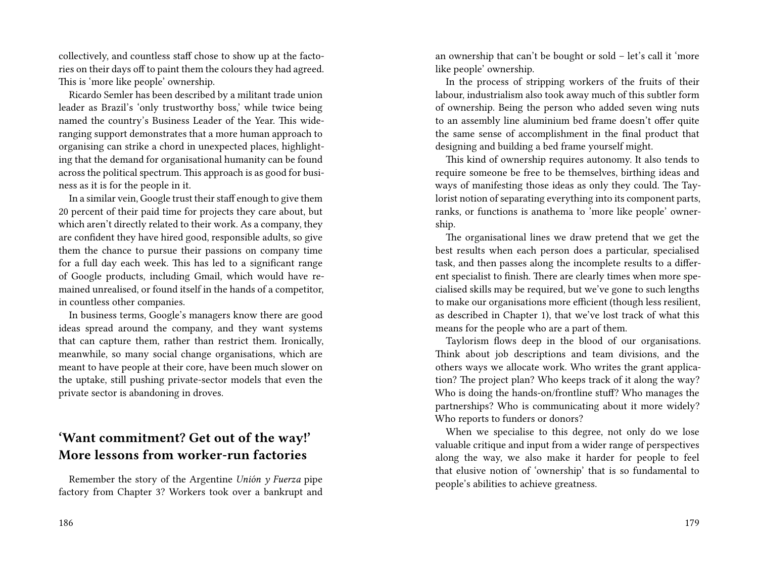collectively, and countless staff chose to show up at the factories on their days off to paint them the colours they had agreed. This is 'more like people' ownership.

Ricardo Semler has been described by a militant trade union leader as Brazil's 'only trustworthy boss,' while twice being named the country's Business Leader of the Year. This wideranging support demonstrates that a more human approach to organising can strike a chord in unexpected places, highlighting that the demand for organisational humanity can be found across the political spectrum. This approach is as good for business as it is for the people in it.

In a similar vein, Google trust their staff enough to give them 20 percent of their paid time for projects they care about, but which aren't directly related to their work. As a company, they are confident they have hired good, responsible adults, so give them the chance to pursue their passions on company time for a full day each week. This has led to a significant range of Google products, including Gmail, which would have remained unrealised, or found itself in the hands of a competitor, in countless other companies.

In business terms, Google's managers know there are good ideas spread around the company, and they want systems that can capture them, rather than restrict them. Ironically, meanwhile, so many social change organisations, which are meant to have people at their core, have been much slower on the uptake, still pushing private-sector models that even the private sector is abandoning in droves.

# **'Want commitment? Get out of the way!' More lessons from worker-run factories**

Remember the story of the Argentine *Unión y Fuerza* pipe factory from Chapter 3? Workers took over a bankrupt and an ownership that can't be bought or sold – let's call it 'more like people' ownership.

In the process of stripping workers of the fruits of their labour, industrialism also took away much of this subtler form of ownership. Being the person who added seven wing nuts to an assembly line aluminium bed frame doesn't offer quite the same sense of accomplishment in the final product that designing and building a bed frame yourself might.

This kind of ownership requires autonomy. It also tends to require someone be free to be themselves, birthing ideas and ways of manifesting those ideas as only they could. The Taylorist notion of separating everything into its component parts, ranks, or functions is anathema to 'more like people' ownership.

The organisational lines we draw pretend that we get the best results when each person does a particular, specialised task, and then passes along the incomplete results to a different specialist to finish. There are clearly times when more specialised skills may be required, but we've gone to such lengths to make our organisations more efficient (though less resilient, as described in Chapter 1), that we've lost track of what this means for the people who are a part of them.

Taylorism flows deep in the blood of our organisations. Think about job descriptions and team divisions, and the others ways we allocate work. Who writes the grant application? The project plan? Who keeps track of it along the way? Who is doing the hands-on/frontline stuff? Who manages the partnerships? Who is communicating about it more widely? Who reports to funders or donors?

When we specialise to this degree, not only do we lose valuable critique and input from a wider range of perspectives along the way, we also make it harder for people to feel that elusive notion of 'ownership' that is so fundamental to people's abilities to achieve greatness.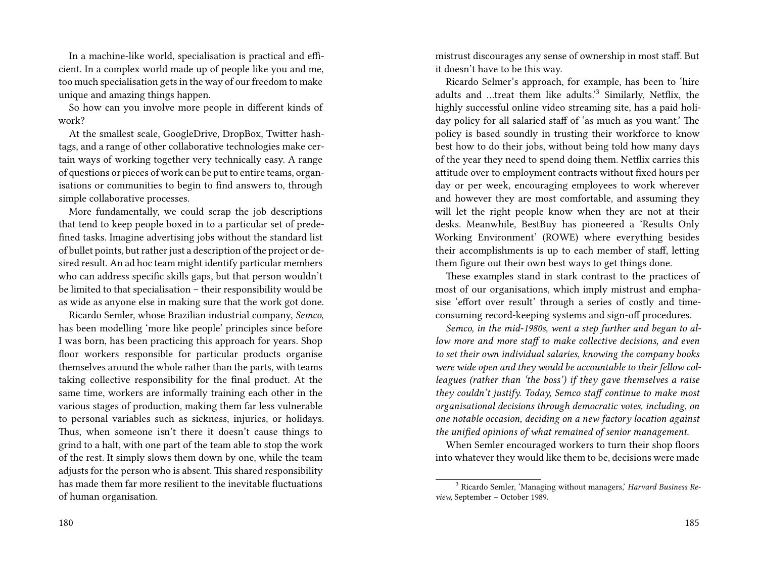In a machine-like world, specialisation is practical and efficient. In a complex world made up of people like you and me, too much specialisation gets in the way of our freedom to make unique and amazing things happen.

So how can you involve more people in different kinds of work?

At the smallest scale, GoogleDrive, DropBox, Twitter hashtags, and a range of other collaborative technologies make certain ways of working together very technically easy. A range of questions or pieces of work can be put to entire teams, organisations or communities to begin to find answers to, through simple collaborative processes.

More fundamentally, we could scrap the job descriptions that tend to keep people boxed in to a particular set of predefined tasks. Imagine advertising jobs without the standard list of bullet points, but rather just a description of the project or desired result. An ad hoc team might identify particular members who can address specific skills gaps, but that person wouldn't be limited to that specialisation – their responsibility would be as wide as anyone else in making sure that the work got done.

Ricardo Semler, whose Brazilian industrial company, *Semco*, has been modelling 'more like people' principles since before I was born, has been practicing this approach for years. Shop floor workers responsible for particular products organise themselves around the whole rather than the parts, with teams taking collective responsibility for the final product. At the same time, workers are informally training each other in the various stages of production, making them far less vulnerable to personal variables such as sickness, injuries, or holidays. Thus, when someone isn't there it doesn't cause things to grind to a halt, with one part of the team able to stop the work of the rest. It simply slows them down by one, while the team adjusts for the person who is absent. This shared responsibility has made them far more resilient to the inevitable fluctuations of human organisation.

mistrust discourages any sense of ownership in most staff. But it doesn't have to be this way.

Ricardo Selmer's approach, for example, has been to 'hire adults and …treat them like adults.'<sup>3</sup> Similarly, Netflix, the highly successful online video streaming site, has a paid holiday policy for all salaried staff of 'as much as you want.' The policy is based soundly in trusting their workforce to know best how to do their jobs, without being told how many days of the year they need to spend doing them. Netflix carries this attitude over to employment contracts without fixed hours per day or per week, encouraging employees to work wherever and however they are most comfortable, and assuming they will let the right people know when they are not at their desks. Meanwhile, BestBuy has pioneered a 'Results Only Working Environment' (ROWE) where everything besides their accomplishments is up to each member of staff, letting them figure out their own best ways to get things done.

These examples stand in stark contrast to the practices of most of our organisations, which imply mistrust and emphasise 'effort over result' through a series of costly and timeconsuming record-keeping systems and sign-off procedures.

*Semco, in the mid-1980s, went a step further and began to allow more and more staff to make collective decisions, and even to set their own individual salaries, knowing the company books were wide open and they would be accountable to their fellow colleagues (rather than 'the boss') if they gave themselves a raise they couldn't justify. Today, Semco staff continue to make most organisational decisions through democratic votes, including, on one notable occasion, deciding on a new factory location against the unified opinions of what remained of senior management.*

When Semler encouraged workers to turn their shop floors into whatever they would like them to be, decisions were made

<sup>3</sup> Ricardo Semler, 'Managing without managers,' *Harvard Business Review,* September – October 1989.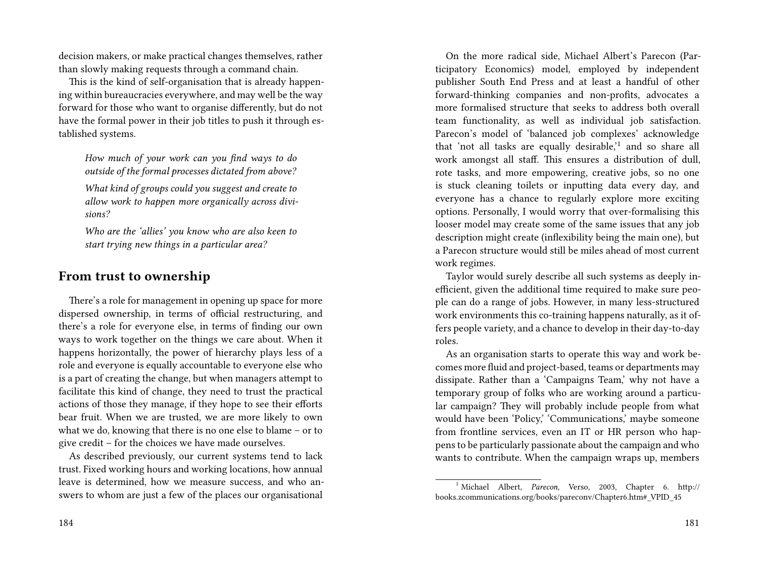decision makers, or make practical changes themselves, rather than slowly making requests through a command chain.

This is the kind of self-organisation that is already happening within bureaucracies everywhere, and may well be the way forward for those who want to organise differently, but do not have the formal power in their job titles to push it through established systems.

*How much of your work can you find ways to do outside of the formal processes dictated from above?*

*What kind of groups could you suggest and create to allow work to happen more organically across divisions?*

*Who are the 'allies' you know who are also keen to start trying new things in a particular area?*

### **From trust to ownership**

There's a role for management in opening up space for more dispersed ownership, in terms of official restructuring, and there's a role for everyone else, in terms of finding our own ways to work together on the things we care about. When it happens horizontally, the power of hierarchy plays less of a role and everyone is equally accountable to everyone else who is a part of creating the change, but when managers attempt to facilitate this kind of change, they need to trust the practical actions of those they manage, if they hope to see their efforts bear fruit. When we are trusted, we are more likely to own what we do, knowing that there is no one else to blame – or to give credit – for the choices we have made ourselves.

As described previously, our current systems tend to lack trust. Fixed working hours and working locations, how annual leave is determined, how we measure success, and who answers to whom are just a few of the places our organisational

On the more radical side, Michael Albert's Parecon (Participatory Economics) model, employed by independent publisher South End Press and at least a handful of other forward-thinking companies and non-profits, advocates a more formalised structure that seeks to address both overall team functionality, as well as individual job satisfaction. Parecon's model of 'balanced job complexes' acknowledge that 'not all tasks are equally desirable,'<sup>1</sup> and so share all work amongst all staff. This ensures a distribution of dull, rote tasks, and more empowering, creative jobs, so no one is stuck cleaning toilets or inputting data every day, and everyone has a chance to regularly explore more exciting options. Personally, I would worry that over-formalising this looser model may create some of the same issues that any job description might create (inflexibility being the main one), but a Parecon structure would still be miles ahead of most current work regimes.

Taylor would surely describe all such systems as deeply inefficient, given the additional time required to make sure people can do a range of jobs. However, in many less-structured work environments this co-training happens naturally, as it offers people variety, and a chance to develop in their day-to-day roles.

As an organisation starts to operate this way and work becomes more fluid and project-based, teams or departments may dissipate. Rather than a 'Campaigns Team,' why not have a temporary group of folks who are working around a particular campaign? They will probably include people from what would have been 'Policy,' 'Communications,' maybe someone from frontline services, even an IT or HR person who happens to be particularly passionate about the campaign and who wants to contribute. When the campaign wraps up, members

<sup>1</sup> Michael Albert, *Parecon,* Verso, 2003, Chapter 6. http:// books.zcommunications.org/books/pareconv/Chapter6.htm#\_VPID\_45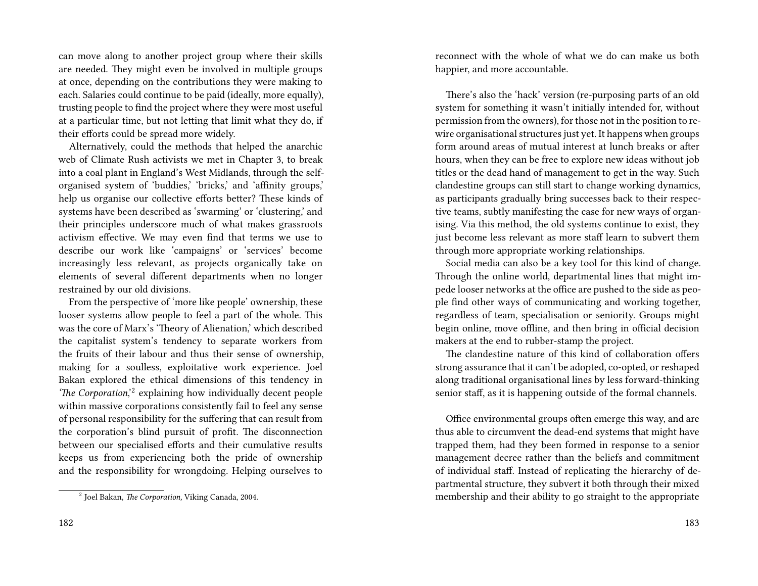can move along to another project group where their skills are needed. They might even be involved in multiple groups at once, depending on the contributions they were making to each. Salaries could continue to be paid (ideally, more equally), trusting people to find the project where they were most useful at a particular time, but not letting that limit what they do, if their efforts could be spread more widely.

Alternatively, could the methods that helped the anarchic web of Climate Rush activists we met in Chapter 3, to break into a coal plant in England's West Midlands, through the selforganised system of 'buddies,' 'bricks,' and 'affinity groups,' help us organise our collective efforts better? These kinds of systems have been described as 'swarming' or 'clustering,' and their principles underscore much of what makes grassroots activism effective. We may even find that terms we use to describe our work like 'campaigns' or 'services' become increasingly less relevant, as projects organically take on elements of several different departments when no longer restrained by our old divisions.

From the perspective of 'more like people' ownership, these looser systems allow people to feel a part of the whole. This was the core of Marx's 'Theory of Alienation,' which described the capitalist system's tendency to separate workers from the fruits of their labour and thus their sense of ownership, making for a soulless, exploitative work experience. Joel Bakan explored the ethical dimensions of this tendency in 'The Corporation,<sup>2</sup> explaining how individually decent people within massive corporations consistently fail to feel any sense of personal responsibility for the suffering that can result from the corporation's blind pursuit of profit. The disconnection between our specialised efforts and their cumulative results keeps us from experiencing both the pride of ownership and the responsibility for wrongdoing. Helping ourselves to

reconnect with the whole of what we do can make us both happier, and more accountable.

There's also the 'hack' version (re-purposing parts of an old system for something it wasn't initially intended for, without permission from the owners), for those not in the position to rewire organisational structures just yet. It happens when groups form around areas of mutual interest at lunch breaks or after hours, when they can be free to explore new ideas without job titles or the dead hand of management to get in the way. Such clandestine groups can still start to change working dynamics, as participants gradually bring successes back to their respective teams, subtly manifesting the case for new ways of organising. Via this method, the old systems continue to exist, they just become less relevant as more staff learn to subvert them through more appropriate working relationships.

Social media can also be a key tool for this kind of change. Through the online world, departmental lines that might impede looser networks at the office are pushed to the side as people find other ways of communicating and working together, regardless of team, specialisation or seniority. Groups might begin online, move offline, and then bring in official decision makers at the end to rubber-stamp the project.

The clandestine nature of this kind of collaboration offers strong assurance that it can't be adopted, co-opted, or reshaped along traditional organisational lines by less forward-thinking senior staff, as it is happening outside of the formal channels.

Office environmental groups often emerge this way, and are thus able to circumvent the dead-end systems that might have trapped them, had they been formed in response to a senior management decree rather than the beliefs and commitment of individual staff. Instead of replicating the hierarchy of departmental structure, they subvert it both through their mixed membership and their ability to go straight to the appropriate

<sup>2</sup> Joel Bakan, *The Corporation,* Viking Canada, 2004.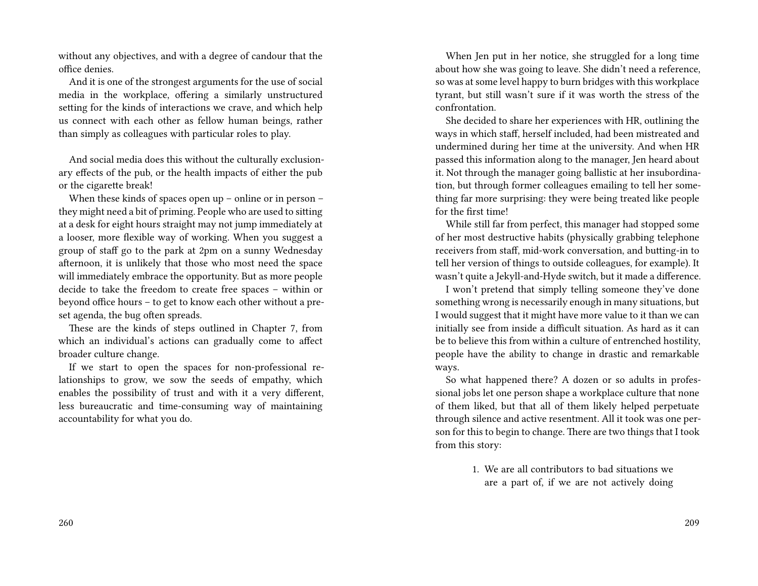without any objectives, and with a degree of candour that the office denies.

And it is one of the strongest arguments for the use of social media in the workplace, offering a similarly unstructured setting for the kinds of interactions we crave, and which help us connect with each other as fellow human beings, rather than simply as colleagues with particular roles to play.

And social media does this without the culturally exclusionary effects of the pub, or the health impacts of either the pub or the cigarette break!

When these kinds of spaces open up – online or in person – they might need a bit of priming. People who are used to sitting at a desk for eight hours straight may not jump immediately at a looser, more flexible way of working. When you suggest a group of staff go to the park at 2pm on a sunny Wednesday afternoon, it is unlikely that those who most need the space will immediately embrace the opportunity. But as more people decide to take the freedom to create free spaces – within or beyond office hours – to get to know each other without a preset agenda, the bug often spreads.

These are the kinds of steps outlined in Chapter 7, from which an individual's actions can gradually come to affect broader culture change.

If we start to open the spaces for non-professional relationships to grow, we sow the seeds of empathy, which enables the possibility of trust and with it a very different, less bureaucratic and time-consuming way of maintaining accountability for what you do.

When Jen put in her notice, she struggled for a long time about how she was going to leave. She didn't need a reference, so was at some level happy to burn bridges with this workplace tyrant, but still wasn't sure if it was worth the stress of the confrontation.

She decided to share her experiences with HR, outlining the ways in which staff, herself included, had been mistreated and undermined during her time at the university. And when HR passed this information along to the manager, Jen heard about it. Not through the manager going ballistic at her insubordination, but through former colleagues emailing to tell her something far more surprising: they were being treated like people for the first time!

While still far from perfect, this manager had stopped some of her most destructive habits (physically grabbing telephone receivers from staff, mid-work conversation, and butting-in to tell her version of things to outside colleagues, for example). It wasn't quite a Jekyll-and-Hyde switch, but it made a difference.

I won't pretend that simply telling someone they've done something wrong is necessarily enough in many situations, but I would suggest that it might have more value to it than we can initially see from inside a difficult situation. As hard as it can be to believe this from within a culture of entrenched hostility, people have the ability to change in drastic and remarkable ways.

So what happened there? A dozen or so adults in professional jobs let one person shape a workplace culture that none of them liked, but that all of them likely helped perpetuate through silence and active resentment. All it took was one person for this to begin to change. There are two things that I took from this story:

> 1. We are all contributors to bad situations we are a part of, if we are not actively doing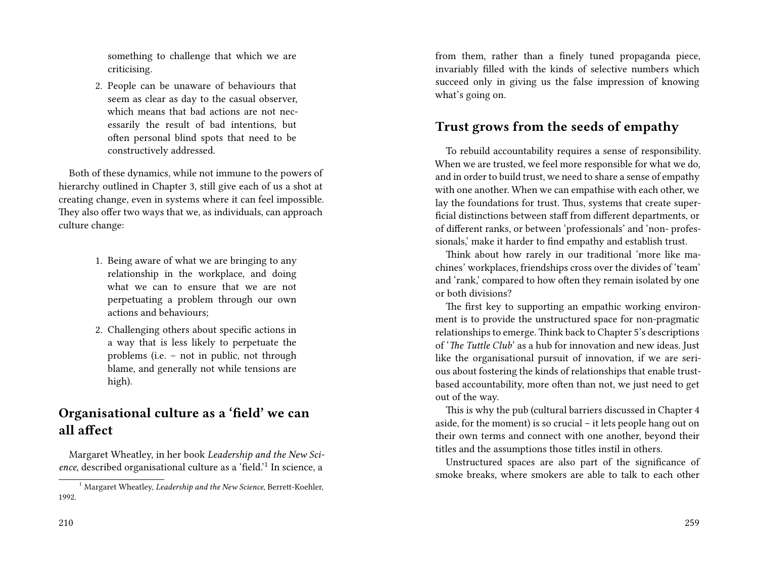something to challenge that which we are criticising.

2. People can be unaware of behaviours that seem as clear as day to the casual observer, which means that bad actions are not necessarily the result of bad intentions, but often personal blind spots that need to be constructively addressed.

Both of these dynamics, while not immune to the powers of hierarchy outlined in Chapter 3, still give each of us a shot at creating change, even in systems where it can feel impossible. They also offer two ways that we, as individuals, can approach culture change:

- 1. Being aware of what we are bringing to any relationship in the workplace, and doing what we can to ensure that we are not perpetuating a problem through our own actions and behaviours;
- 2. Challenging others about specific actions in a way that is less likely to perpetuate the problems (i.e. – not in public, not through blame, and generally not while tensions are high).

# **Organisational culture as a 'field' we can all affect**

Margaret Wheatley, in her book *Leadership and the New Sci*ence, described organisational culture as a 'field.'<sup>1</sup> In science, a

from them, rather than a finely tuned propaganda piece, invariably filled with the kinds of selective numbers which succeed only in giving us the false impression of knowing what's going on.

### **Trust grows from the seeds of empathy**

To rebuild accountability requires a sense of responsibility. When we are trusted, we feel more responsible for what we do, and in order to build trust, we need to share a sense of empathy with one another. When we can empathise with each other, we lay the foundations for trust. Thus, systems that create superficial distinctions between staff from different departments, or of different ranks, or between 'professionals' and 'non- professionals,' make it harder to find empathy and establish trust.

Think about how rarely in our traditional 'more like machines' workplaces, friendships cross over the divides of 'team' and 'rank,' compared to how often they remain isolated by one or both divisions?

The first key to supporting an empathic working environment is to provide the unstructured space for non-pragmatic relationships to emerge. Think back to Chapter 5's descriptions of '*The Tuttle Club*' as a hub for innovation and new ideas. Just like the organisational pursuit of innovation, if we are serious about fostering the kinds of relationships that enable trustbased accountability, more often than not, we just need to get out of the way.

This is why the pub (cultural barriers discussed in Chapter 4 aside, for the moment) is so crucial – it lets people hang out on their own terms and connect with one another, beyond their titles and the assumptions those titles instil in others.

Unstructured spaces are also part of the significance of smoke breaks, where smokers are able to talk to each other

<sup>1</sup> Margaret Wheatley, *Leadership and the New Science*, Berrett-Koehler, 1992.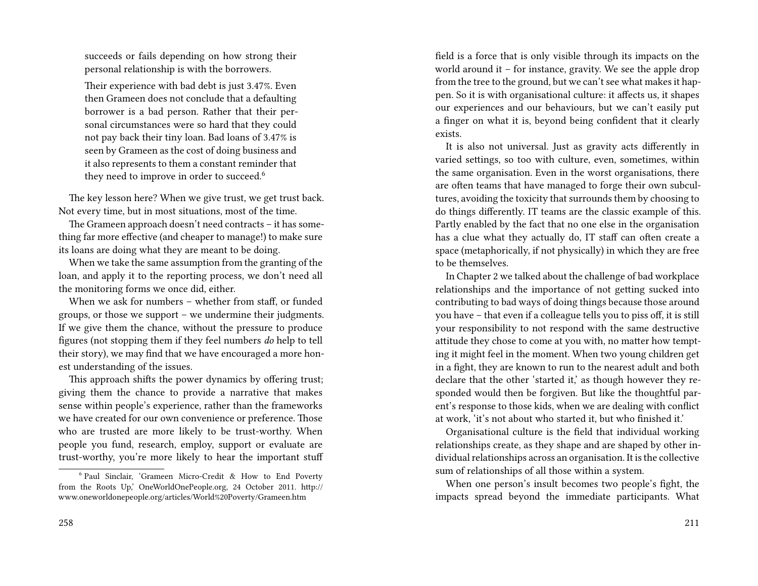succeeds or fails depending on how strong their personal relationship is with the borrowers.

Their experience with bad debt is just 3.47%. Even then Grameen does not conclude that a defaulting borrower is a bad person. Rather that their personal circumstances were so hard that they could not pay back their tiny loan. Bad loans of 3.47% is seen by Grameen as the cost of doing business and it also represents to them a constant reminder that they need to improve in order to succeed.<sup>6</sup>

The key lesson here? When we give trust, we get trust back. Not every time, but in most situations, most of the time.

The Grameen approach doesn't need contracts – it has something far more effective (and cheaper to manage!) to make sure its loans are doing what they are meant to be doing.

When we take the same assumption from the granting of the loan, and apply it to the reporting process, we don't need all the monitoring forms we once did, either.

When we ask for numbers – whether from staff, or funded groups, or those we support – we undermine their judgments. If we give them the chance, without the pressure to produce figures (not stopping them if they feel numbers *do* help to tell their story), we may find that we have encouraged a more honest understanding of the issues.

This approach shifts the power dynamics by offering trust; giving them the chance to provide a narrative that makes sense within people's experience, rather than the frameworks we have created for our own convenience or preference. Those who are trusted are more likely to be trust-worthy. When people you fund, research, employ, support or evaluate are trust-worthy, you're more likely to hear the important stuff field is a force that is only visible through its impacts on the world around it – for instance, gravity. We see the apple drop from the tree to the ground, but we can't see what makes it happen. So it is with organisational culture: it affects us, it shapes our experiences and our behaviours, but we can't easily put a finger on what it is, beyond being confident that it clearly exists.

It is also not universal. Just as gravity acts differently in varied settings, so too with culture, even, sometimes, within the same organisation. Even in the worst organisations, there are often teams that have managed to forge their own subcultures, avoiding the toxicity that surrounds them by choosing to do things differently. IT teams are the classic example of this. Partly enabled by the fact that no one else in the organisation has a clue what they actually do, IT staff can often create a space (metaphorically, if not physically) in which they are free to be themselves.

In Chapter 2 we talked about the challenge of bad workplace relationships and the importance of not getting sucked into contributing to bad ways of doing things because those around you have – that even if a colleague tells you to piss off, it is still your responsibility to not respond with the same destructive attitude they chose to come at you with, no matter how tempting it might feel in the moment. When two young children get in a fight, they are known to run to the nearest adult and both declare that the other 'started it,' as though however they responded would then be forgiven. But like the thoughtful parent's response to those kids, when we are dealing with conflict at work, 'it's not about who started it, but who finished it.'

Organisational culture is the field that individual working relationships create, as they shape and are shaped by other individual relationships across an organisation. It is the collective sum of relationships of all those within a system.

When one person's insult becomes two people's fight, the impacts spread beyond the immediate participants. What

<sup>6</sup> Paul Sinclair, 'Grameen Micro-Credit & How to End Poverty from the Roots Up,' OneWorldOnePeople.org, 24 October 2011. http:// www.oneworldonepeople.org/articles/World%20Poverty/Grameen.htm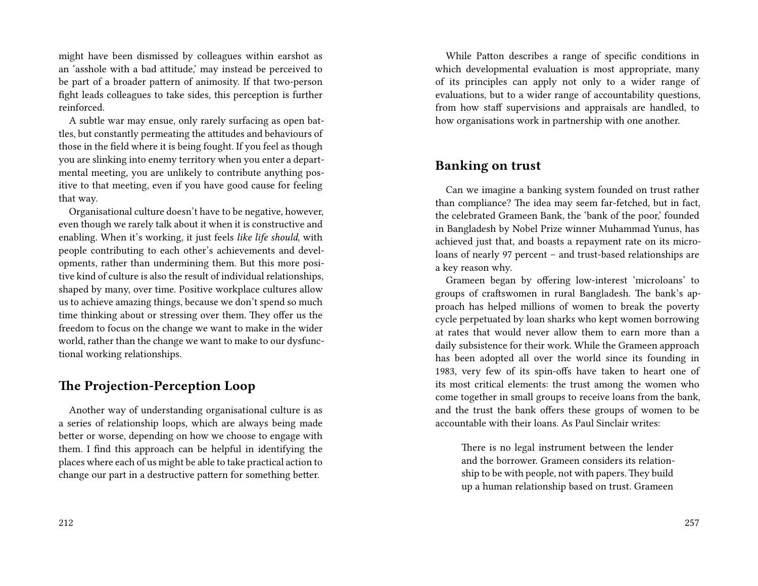might have been dismissed by colleagues within earshot as an 'asshole with a bad attitude,' may instead be perceived to be part of a broader pattern of animosity. If that two-person fight leads colleagues to take sides, this perception is further reinforced.

A subtle war may ensue, only rarely surfacing as open battles, but constantly permeating the attitudes and behaviours of those in the field where it is being fought. If you feel as though you are slinking into enemy territory when you enter a departmental meeting, you are unlikely to contribute anything positive to that meeting, even if you have good cause for feeling that way.

Organisational culture doesn't have to be negative, however, even though we rarely talk about it when it is constructive and enabling. When it's working, it just feels *like life should*, with people contributing to each other's achievements and developments, rather than undermining them. But this more positive kind of culture is also the result of individual relationships, shaped by many, over time. Positive workplace cultures allow us to achieve amazing things, because we don't spend so much time thinking about or stressing over them. They offer us the freedom to focus on the change we want to make in the wider world, rather than the change we want to make to our dysfunctional working relationships.

### **The Projection-Perception Loop**

Another way of understanding organisational culture is as a series of relationship loops, which are always being made better or worse, depending on how we choose to engage with them. I find this approach can be helpful in identifying the places where each of us might be able to take practical action to change our part in a destructive pattern for something better.

While Patton describes a range of specific conditions in which developmental evaluation is most appropriate, many of its principles can apply not only to a wider range of evaluations, but to a wider range of accountability questions, from how staff supervisions and appraisals are handled, to how organisations work in partnership with one another.

### **Banking on trust**

Can we imagine a banking system founded on trust rather than compliance? The idea may seem far-fetched, but in fact, the celebrated Grameen Bank, the 'bank of the poor,' founded in Bangladesh by Nobel Prize winner Muhammad Yunus, has achieved just that, and boasts a repayment rate on its microloans of nearly 97 percent – and trust-based relationships are a key reason why.

Grameen began by offering low-interest 'microloans' to groups of craftswomen in rural Bangladesh. The bank's approach has helped millions of women to break the poverty cycle perpetuated by loan sharks who kept women borrowing at rates that would never allow them to earn more than a daily subsistence for their work. While the Grameen approach has been adopted all over the world since its founding in 1983, very few of its spin-offs have taken to heart one of its most critical elements: the trust among the women who come together in small groups to receive loans from the bank, and the trust the bank offers these groups of women to be accountable with their loans. As Paul Sinclair writes:

There is no legal instrument between the lender and the borrower. Grameen considers its relationship to be with people, not with papers. They build up a human relationship based on trust. Grameen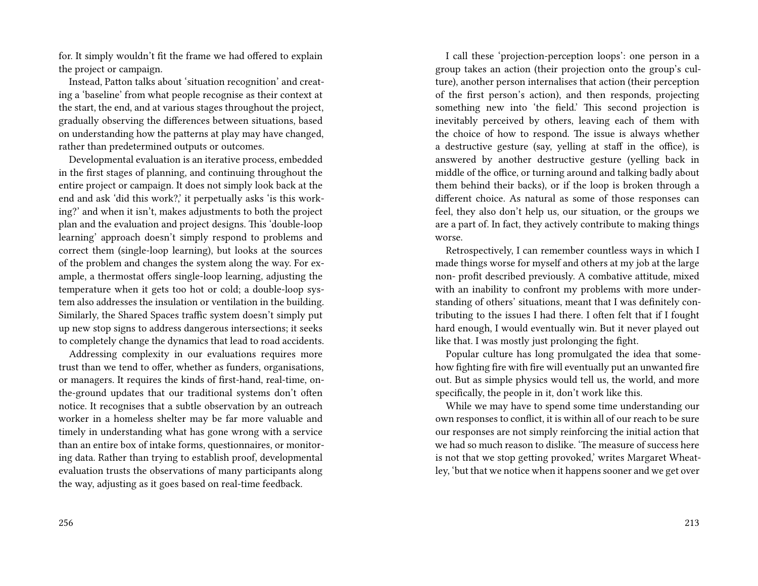for. It simply wouldn't fit the frame we had offered to explain the project or campaign.

Instead, Patton talks about 'situation recognition' and creating a 'baseline' from what people recognise as their context at the start, the end, and at various stages throughout the project, gradually observing the differences between situations, based on understanding how the patterns at play may have changed, rather than predetermined outputs or outcomes.

Developmental evaluation is an iterative process, embedded in the first stages of planning, and continuing throughout the entire project or campaign. It does not simply look back at the end and ask 'did this work?,' it perpetually asks 'is this working?' and when it isn't, makes adjustments to both the project plan and the evaluation and project designs. This 'double-loop learning' approach doesn't simply respond to problems and correct them (single-loop learning), but looks at the sources of the problem and changes the system along the way. For example, a thermostat offers single-loop learning, adjusting the temperature when it gets too hot or cold; a double-loop system also addresses the insulation or ventilation in the building. Similarly, the Shared Spaces traffic system doesn't simply put up new stop signs to address dangerous intersections; it seeks to completely change the dynamics that lead to road accidents.

Addressing complexity in our evaluations requires more trust than we tend to offer, whether as funders, organisations, or managers. It requires the kinds of first-hand, real-time, onthe-ground updates that our traditional systems don't often notice. It recognises that a subtle observation by an outreach worker in a homeless shelter may be far more valuable and timely in understanding what has gone wrong with a service than an entire box of intake forms, questionnaires, or monitoring data. Rather than trying to establish proof, developmental evaluation trusts the observations of many participants along the way, adjusting as it goes based on real-time feedback.

I call these 'projection-perception loops': one person in a group takes an action (their projection onto the group's culture), another person internalises that action (their perception of the first person's action), and then responds, projecting something new into 'the field.' This second projection is inevitably perceived by others, leaving each of them with the choice of how to respond. The issue is always whether a destructive gesture (say, yelling at staff in the office), is answered by another destructive gesture (yelling back in middle of the office, or turning around and talking badly about them behind their backs), or if the loop is broken through a different choice. As natural as some of those responses can feel, they also don't help us, our situation, or the groups we are a part of. In fact, they actively contribute to making things worse.

Retrospectively, I can remember countless ways in which I made things worse for myself and others at my job at the large non- profit described previously. A combative attitude, mixed with an inability to confront my problems with more understanding of others' situations, meant that I was definitely contributing to the issues I had there. I often felt that if I fought hard enough, I would eventually win. But it never played out like that. I was mostly just prolonging the fight.

Popular culture has long promulgated the idea that somehow fighting fire with fire will eventually put an unwanted fire out. But as simple physics would tell us, the world, and more specifically, the people in it, don't work like this.

While we may have to spend some time understanding our own responses to conflict, it is within all of our reach to be sure our responses are not simply reinforcing the initial action that we had so much reason to dislike. 'The measure of success here is not that we stop getting provoked,' writes Margaret Wheatley, 'but that we notice when it happens sooner and we get over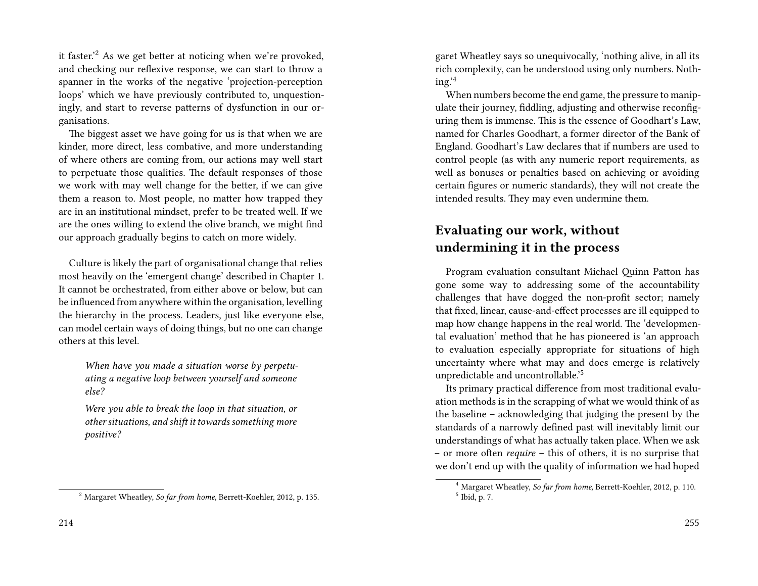it faster.'<sup>2</sup> As we get better at noticing when we're provoked, and checking our reflexive response, we can start to throw a spanner in the works of the negative 'projection-perception loops' which we have previously contributed to, unquestioningly, and start to reverse patterns of dysfunction in our organisations.

The biggest asset we have going for us is that when we are kinder, more direct, less combative, and more understanding of where others are coming from, our actions may well start to perpetuate those qualities. The default responses of those we work with may well change for the better, if we can give them a reason to. Most people, no matter how trapped they are in an institutional mindset, prefer to be treated well. If we are the ones willing to extend the olive branch, we might find our approach gradually begins to catch on more widely.

Culture is likely the part of organisational change that relies most heavily on the 'emergent change' described in Chapter 1. It cannot be orchestrated, from either above or below, but can be influenced from anywhere within the organisation, levelling the hierarchy in the process. Leaders, just like everyone else, can model certain ways of doing things, but no one can change others at this level.

*When have you made a situation worse by perpetuating a negative loop between yourself and someone else?*

*Were you able to break the loop in that situation, or other situations, and shift it towards something more positive?*

garet Wheatley says so unequivocally, 'nothing alive, in all its rich complexity, can be understood using only numbers. Nothing.'<sup>4</sup>

When numbers become the end game, the pressure to manipulate their journey, fiddling, adjusting and otherwise reconfiguring them is immense. This is the essence of Goodhart's Law, named for Charles Goodhart, a former director of the Bank of England. Goodhart's Law declares that if numbers are used to control people (as with any numeric report requirements, as well as bonuses or penalties based on achieving or avoiding certain figures or numeric standards), they will not create the intended results. They may even undermine them.

## **Evaluating our work, without undermining it in the process**

Program evaluation consultant Michael Quinn Patton has gone some way to addressing some of the accountability challenges that have dogged the non-profit sector; namely that fixed, linear, cause-and-effect processes are ill equipped to map how change happens in the real world. The 'developmental evaluation' method that he has pioneered is 'an approach to evaluation especially appropriate for situations of high uncertainty where what may and does emerge is relatively unpredictable and uncontrollable.'<sup>5</sup>

Its primary practical difference from most traditional evaluation methods is in the scrapping of what we would think of as the baseline – acknowledging that judging the present by the standards of a narrowly defined past will inevitably limit our understandings of what has actually taken place. When we ask – or more often *require* – this of others, it is no surprise that we don't end up with the quality of information we had hoped

<sup>2</sup> Margaret Wheatley, *So far from home*, Berrett-Koehler, 2012, p. 135.

<sup>4</sup> Margaret Wheatley, *So far from home,* Berrett-Koehler, 2012, p. 110. 5 Ibid, p. 7.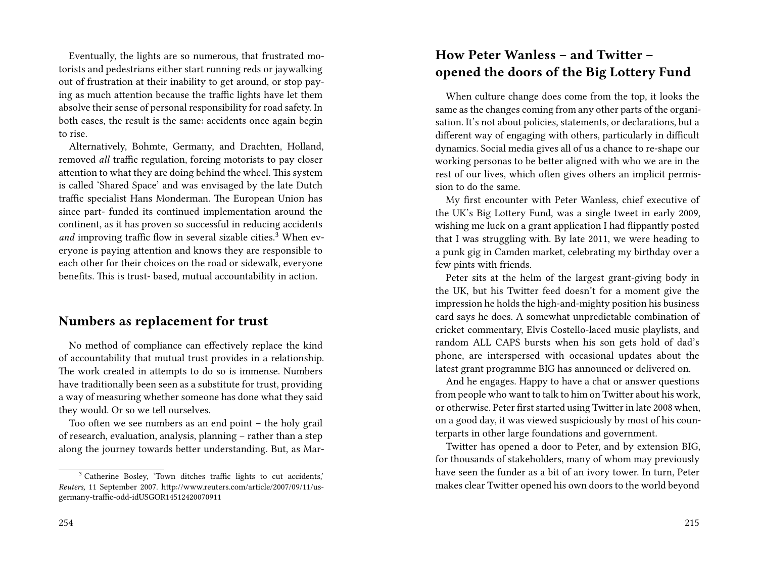Eventually, the lights are so numerous, that frustrated motorists and pedestrians either start running reds or jaywalking out of frustration at their inability to get around, or stop paying as much attention because the traffic lights have let them absolve their sense of personal responsibility for road safety. In both cases, the result is the same: accidents once again begin to rise.

Alternatively, Bohmte, Germany, and Drachten, Holland, removed *all* traffic regulation, forcing motorists to pay closer attention to what they are doing behind the wheel. This system is called 'Shared Space' and was envisaged by the late Dutch traffic specialist Hans Monderman. The European Union has since part- funded its continued implementation around the continent, as it has proven so successful in reducing accidents and improving traffic flow in several sizable cities.<sup>3</sup> When everyone is paying attention and knows they are responsible to each other for their choices on the road or sidewalk, everyone benefits. This is trust- based, mutual accountability in action.

### **Numbers as replacement for trust**

No method of compliance can effectively replace the kind of accountability that mutual trust provides in a relationship. The work created in attempts to do so is immense. Numbers have traditionally been seen as a substitute for trust, providing a way of measuring whether someone has done what they said they would. Or so we tell ourselves.

Too often we see numbers as an end point – the holy grail of research, evaluation, analysis, planning – rather than a step along the journey towards better understanding. But, as Mar-

## **How Peter Wanless – and Twitter – opened the doors of the Big Lottery Fund**

When culture change does come from the top, it looks the same as the changes coming from any other parts of the organisation. It's not about policies, statements, or declarations, but a different way of engaging with others, particularly in difficult dynamics. Social media gives all of us a chance to re-shape our working personas to be better aligned with who we are in the rest of our lives, which often gives others an implicit permission to do the same.

My first encounter with Peter Wanless, chief executive of the UK's Big Lottery Fund, was a single tweet in early 2009, wishing me luck on a grant application I had flippantly posted that I was struggling with. By late 2011, we were heading to a punk gig in Camden market, celebrating my birthday over a few pints with friends.

Peter sits at the helm of the largest grant-giving body in the UK, but his Twitter feed doesn't for a moment give the impression he holds the high-and-mighty position his business card says he does. A somewhat unpredictable combination of cricket commentary, Elvis Costello-laced music playlists, and random ALL CAPS bursts when his son gets hold of dad's phone, are interspersed with occasional updates about the latest grant programme BIG has announced or delivered on.

And he engages. Happy to have a chat or answer questions from people who want to talk to him on Twitter about his work, or otherwise. Peter first started using Twitter in late 2008 when, on a good day, it was viewed suspiciously by most of his counterparts in other large foundations and government.

Twitter has opened a door to Peter, and by extension BIG, for thousands of stakeholders, many of whom may previously have seen the funder as a bit of an ivory tower. In turn, Peter makes clear Twitter opened his own doors to the world beyond

<sup>3</sup> Catherine Bosley, 'Town ditches traffic lights to cut accidents,' *Reuters,* 11 September 2007. http://www.reuters.com/article/2007/09/11/usgermany-traffic-odd-idUSGOR14512420070911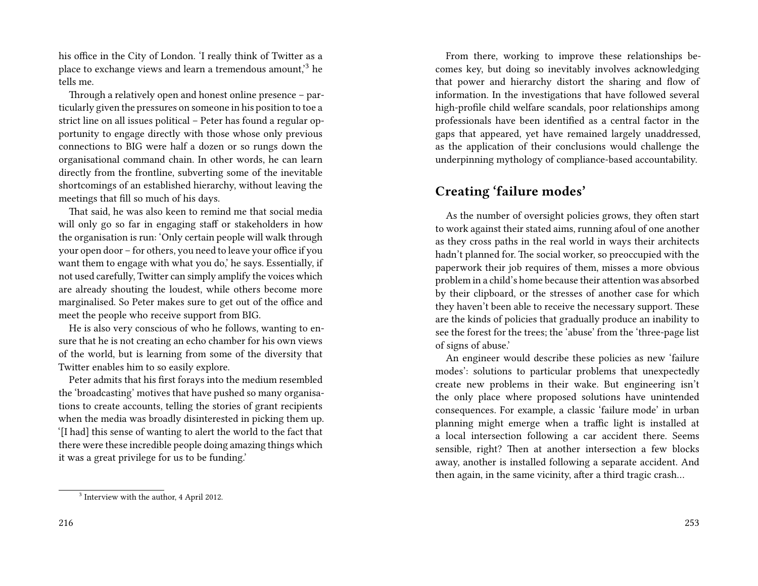his office in the City of London. 'I really think of Twitter as a place to exchange views and learn a tremendous amount,'<sup>3</sup> he tells me.

Through a relatively open and honest online presence – particularly given the pressures on someone in his position to toe a strict line on all issues political – Peter has found a regular opportunity to engage directly with those whose only previous connections to BIG were half a dozen or so rungs down the organisational command chain. In other words, he can learn directly from the frontline, subverting some of the inevitable shortcomings of an established hierarchy, without leaving the meetings that fill so much of his days.

That said, he was also keen to remind me that social media will only go so far in engaging staff or stakeholders in how the organisation is run: 'Only certain people will walk through your open door – for others, you need to leave your office if you want them to engage with what you do,' he says. Essentially, if not used carefully, Twitter can simply amplify the voices which are already shouting the loudest, while others become more marginalised. So Peter makes sure to get out of the office and meet the people who receive support from BIG.

He is also very conscious of who he follows, wanting to ensure that he is not creating an echo chamber for his own views of the world, but is learning from some of the diversity that Twitter enables him to so easily explore.

Peter admits that his first forays into the medium resembled the 'broadcasting' motives that have pushed so many organisations to create accounts, telling the stories of grant recipients when the media was broadly disinterested in picking them up. '[I had] this sense of wanting to alert the world to the fact that there were these incredible people doing amazing things which it was a great privilege for us to be funding.'

From there, working to improve these relationships becomes key, but doing so inevitably involves acknowledging that power and hierarchy distort the sharing and flow of information. In the investigations that have followed several high-profile child welfare scandals, poor relationships among professionals have been identified as a central factor in the gaps that appeared, yet have remained largely unaddressed, as the application of their conclusions would challenge the underpinning mythology of compliance-based accountability.

## **Creating 'failure modes'**

As the number of oversight policies grows, they often start to work against their stated aims, running afoul of one another as they cross paths in the real world in ways their architects hadn't planned for. The social worker, so preoccupied with the paperwork their job requires of them, misses a more obvious problem in a child's home because their attention was absorbed by their clipboard, or the stresses of another case for which they haven't been able to receive the necessary support. These are the kinds of policies that gradually produce an inability to see the forest for the trees; the 'abuse' from the 'three-page list of signs of abuse.'

An engineer would describe these policies as new 'failure modes': solutions to particular problems that unexpectedly create new problems in their wake. But engineering isn't the only place where proposed solutions have unintended consequences. For example, a classic 'failure mode' in urban planning might emerge when a traffic light is installed at a local intersection following a car accident there. Seems sensible, right? Then at another intersection a few blocks away, another is installed following a separate accident. And then again, in the same vicinity, after a third tragic crash…

<sup>&</sup>lt;sup>3</sup> Interview with the author, 4 April 2012.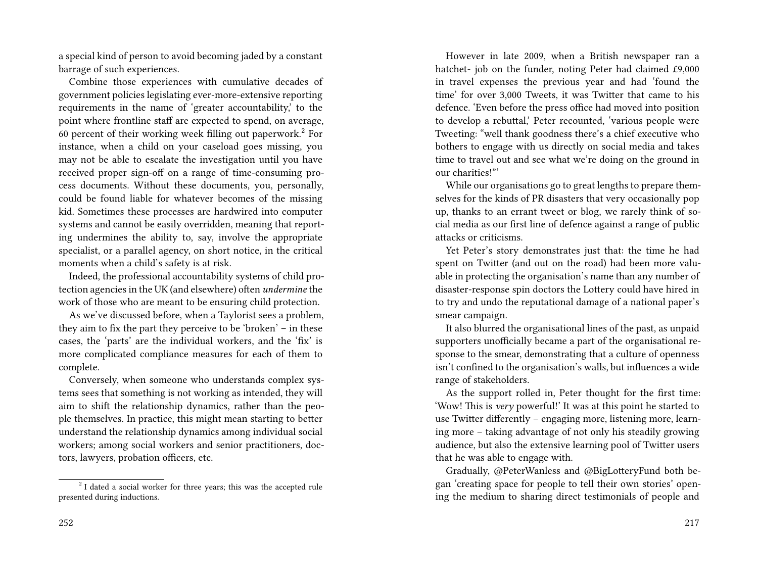a special kind of person to avoid becoming jaded by a constant barrage of such experiences.

Combine those experiences with cumulative decades of government policies legislating ever-more-extensive reporting requirements in the name of 'greater accountability,' to the point where frontline staff are expected to spend, on average, 60 percent of their working week filling out paperwork.<sup>2</sup> For instance, when a child on your caseload goes missing, you may not be able to escalate the investigation until you have received proper sign-off on a range of time-consuming process documents. Without these documents, you, personally, could be found liable for whatever becomes of the missing kid. Sometimes these processes are hardwired into computer systems and cannot be easily overridden, meaning that reporting undermines the ability to, say, involve the appropriate specialist, or a parallel agency, on short notice, in the critical moments when a child's safety is at risk.

Indeed, the professional accountability systems of child protection agencies in the UK (and elsewhere) often *undermine* the work of those who are meant to be ensuring child protection.

As we've discussed before, when a Taylorist sees a problem, they aim to fix the part they perceive to be 'broken' – in these cases, the 'parts' are the individual workers, and the 'fix' is more complicated compliance measures for each of them to complete.

Conversely, when someone who understands complex systems sees that something is not working as intended, they will aim to shift the relationship dynamics, rather than the people themselves. In practice, this might mean starting to better understand the relationship dynamics among individual social workers; among social workers and senior practitioners, doctors, lawyers, probation officers, etc.

 $2$  I dated a social worker for three years; this was the accepted rule presented during inductions.

However in late 2009, when a British newspaper ran a hatchet- job on the funder, noting Peter had claimed £9,000 in travel expenses the previous year and had 'found the time' for over 3,000 Tweets, it was Twitter that came to his defence. 'Even before the press office had moved into position to develop a rebuttal,' Peter recounted, 'various people were Tweeting: "well thank goodness there's a chief executive who bothers to engage with us directly on social media and takes time to travel out and see what we're doing on the ground in our charities!"'

While our organisations go to great lengths to prepare themselves for the kinds of PR disasters that very occasionally pop up, thanks to an errant tweet or blog, we rarely think of social media as our first line of defence against a range of public attacks or criticisms.

Yet Peter's story demonstrates just that: the time he had spent on Twitter (and out on the road) had been more valuable in protecting the organisation's name than any number of disaster-response spin doctors the Lottery could have hired in to try and undo the reputational damage of a national paper's smear campaign.

It also blurred the organisational lines of the past, as unpaid supporters unofficially became a part of the organisational response to the smear, demonstrating that a culture of openness isn't confined to the organisation's walls, but influences a wide range of stakeholders.

As the support rolled in, Peter thought for the first time: 'Wow! This is *very* powerful!' It was at this point he started to use Twitter differently – engaging more, listening more, learning more – taking advantage of not only his steadily growing audience, but also the extensive learning pool of Twitter users that he was able to engage with.

Gradually, @PeterWanless and @BigLotteryFund both began 'creating space for people to tell their own stories' opening the medium to sharing direct testimonials of people and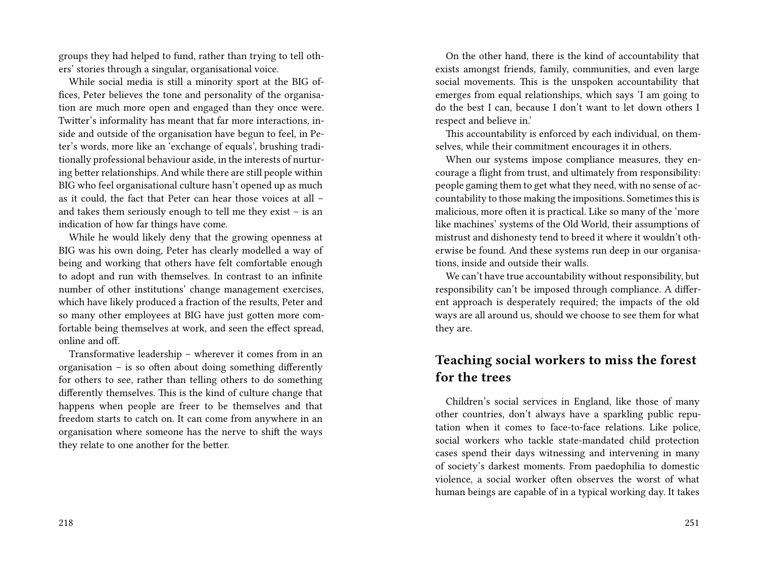groups they had helped to fund, rather than trying to tell others' stories through a singular, organisational voice.

While social media is still a minority sport at the BIG offices, Peter believes the tone and personality of the organisation are much more open and engaged than they once were. Twitter's informality has meant that far more interactions, inside and outside of the organisation have begun to feel, in Peter's words, more like an 'exchange of equals', brushing traditionally professional behaviour aside, in the interests of nurturing better relationships. And while there are still people within BIG who feel organisational culture hasn't opened up as much as it could, the fact that Peter can hear those voices at all – and takes them seriously enough to tell me they exist – is an indication of how far things have come.

While he would likely deny that the growing openness at BIG was his own doing, Peter has clearly modelled a way of being and working that others have felt comfortable enough to adopt and run with themselves. In contrast to an infinite number of other institutions' change management exercises, which have likely produced a fraction of the results, Peter and so many other employees at BIG have just gotten more comfortable being themselves at work, and seen the effect spread, online and off.

Transformative leadership – wherever it comes from in an organisation – is so often about doing something differently for others to see, rather than telling others to do something differently themselves. This is the kind of culture change that happens when people are freer to be themselves and that freedom starts to catch on. It can come from anywhere in an organisation where someone has the nerve to shift the ways they relate to one another for the better.

On the other hand, there is the kind of accountability that exists amongst friends, family, communities, and even large social movements. This is the unspoken accountability that emerges from equal relationships, which says 'I am going to do the best I can, because I don't want to let down others I respect and believe in.'

This accountability is enforced by each individual, on themselves, while their commitment encourages it in others.

When our systems impose compliance measures, they encourage a flight from trust, and ultimately from responsibility: people gaming them to get what they need, with no sense of accountability to those making the impositions. Sometimes this is malicious, more often it is practical. Like so many of the 'more like machines' systems of the Old World, their assumptions of mistrust and dishonesty tend to breed it where it wouldn't otherwise be found. And these systems run deep in our organisations, inside and outside their walls.

We can't have true accountability without responsibility, but responsibility can't be imposed through compliance. A different approach is desperately required; the impacts of the old ways are all around us, should we choose to see them for what they are.

## **Teaching social workers to miss the forest for the trees**

Children's social services in England, like those of many other countries, don't always have a sparkling public reputation when it comes to face-to-face relations. Like police, social workers who tackle state-mandated child protection cases spend their days witnessing and intervening in many of society's darkest moments. From paedophilia to domestic violence, a social worker often observes the worst of what human beings are capable of in a typical working day. It takes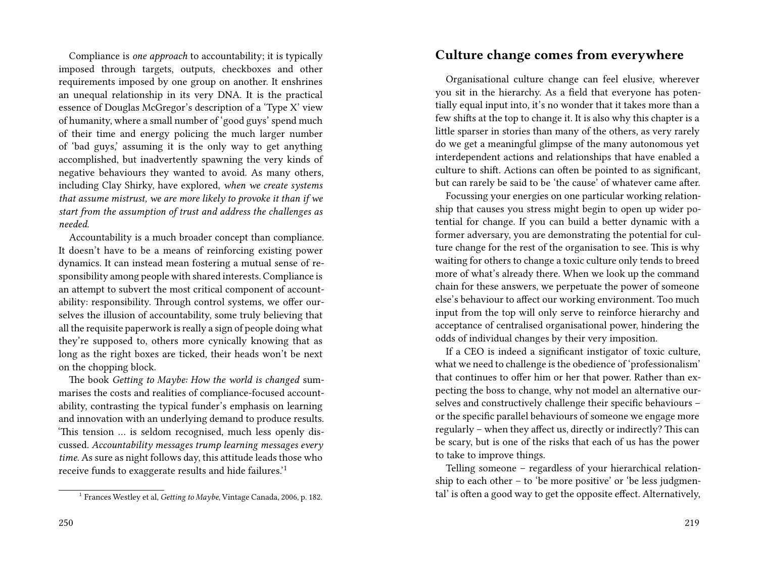Compliance is *one approach* to accountability; it is typically imposed through targets, outputs, checkboxes and other requirements imposed by one group on another. It enshrines an unequal relationship in its very DNA. It is the practical essence of Douglas McGregor's description of a 'Type X' view of humanity, where a small number of 'good guys' spend much of their time and energy policing the much larger number of 'bad guys,' assuming it is the only way to get anything accomplished, but inadvertently spawning the very kinds of negative behaviours they wanted to avoid. As many others, including Clay Shirky, have explored, *when we create systems that assume mistrust, we are more likely to provoke it than if we start from the assumption of trust and address the challenges as needed.*

Accountability is a much broader concept than compliance. It doesn't have to be a means of reinforcing existing power dynamics. It can instead mean fostering a mutual sense of responsibility among people with shared interests. Compliance is an attempt to subvert the most critical component of accountability: responsibility. Through control systems, we offer ourselves the illusion of accountability, some truly believing that all the requisite paperwork is really a sign of people doing what they're supposed to, others more cynically knowing that as long as the right boxes are ticked, their heads won't be next on the chopping block.

The book *Getting to Maybe: How the world is changed* summarises the costs and realities of compliance-focused accountability, contrasting the typical funder's emphasis on learning and innovation with an underlying demand to produce results. 'This tension … is seldom recognised, much less openly discussed. *Accountability messages trump learning messages every time*. As sure as night follows day, this attitude leads those who receive funds to exaggerate results and hide failures.'<sup>1</sup>

## **Culture change comes from everywhere**

Organisational culture change can feel elusive, wherever you sit in the hierarchy. As a field that everyone has potentially equal input into, it's no wonder that it takes more than a few shifts at the top to change it. It is also why this chapter is a little sparser in stories than many of the others, as very rarely do we get a meaningful glimpse of the many autonomous yet interdependent actions and relationships that have enabled a culture to shift. Actions can often be pointed to as significant, but can rarely be said to be 'the cause' of whatever came after.

Focussing your energies on one particular working relationship that causes you stress might begin to open up wider potential for change. If you can build a better dynamic with a former adversary, you are demonstrating the potential for culture change for the rest of the organisation to see. This is why waiting for others to change a toxic culture only tends to breed more of what's already there. When we look up the command chain for these answers, we perpetuate the power of someone else's behaviour to affect our working environment. Too much input from the top will only serve to reinforce hierarchy and acceptance of centralised organisational power, hindering the odds of individual changes by their very imposition.

If a CEO is indeed a significant instigator of toxic culture, what we need to challenge is the obedience of 'professionalism' that continues to offer him or her that power. Rather than expecting the boss to change, why not model an alternative ourselves and constructively challenge their specific behaviours – or the specific parallel behaviours of someone we engage more regularly – when they affect us, directly or indirectly? This can be scary, but is one of the risks that each of us has the power to take to improve things.

Telling someone – regardless of your hierarchical relationship to each other – to 'be more positive' or 'be less judgmental' is often a good way to get the opposite effect. Alternatively,

<sup>&</sup>lt;sup>1</sup> Frances Westley et al, *Getting to Maybe*, Vintage Canada, 2006, p. 182.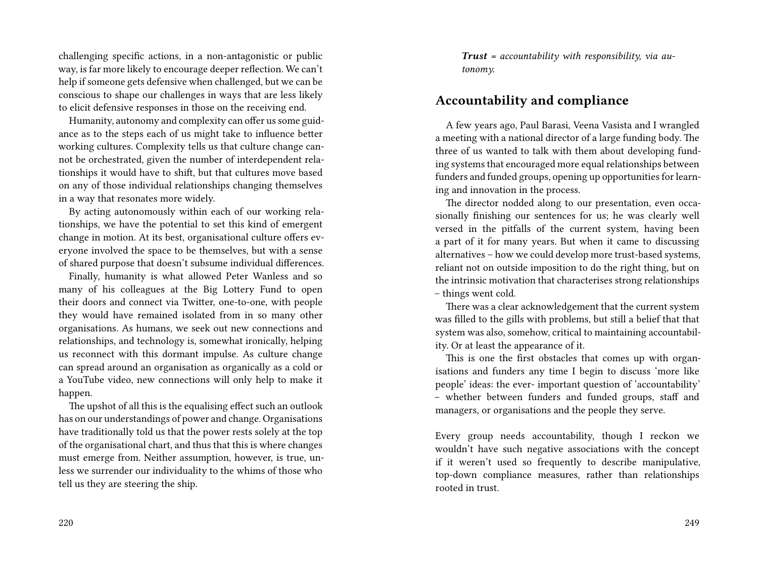challenging specific actions, in a non-antagonistic or public way, is far more likely to encourage deeper reflection. We can't help if someone gets defensive when challenged, but we can be conscious to shape our challenges in ways that are less likely to elicit defensive responses in those on the receiving end.

Humanity, autonomy and complexity can offer us some guidance as to the steps each of us might take to influence better working cultures. Complexity tells us that culture change cannot be orchestrated, given the number of interdependent relationships it would have to shift, but that cultures move based on any of those individual relationships changing themselves in a way that resonates more widely.

By acting autonomously within each of our working relationships, we have the potential to set this kind of emergent change in motion. At its best, organisational culture offers everyone involved the space to be themselves, but with a sense of shared purpose that doesn't subsume individual differences.

Finally, humanity is what allowed Peter Wanless and so many of his colleagues at the Big Lottery Fund to open their doors and connect via Twitter, one-to-one, with people they would have remained isolated from in so many other organisations. As humans, we seek out new connections and relationships, and technology is, somewhat ironically, helping us reconnect with this dormant impulse. As culture change can spread around an organisation as organically as a cold or a YouTube video, new connections will only help to make it happen.

The upshot of all this is the equalising effect such an outlook has on our understandings of power and change. Organisations have traditionally told us that the power rests solely at the top of the organisational chart, and thus that this is where changes must emerge from. Neither assumption, however, is true, unless we surrender our individuality to the whims of those who tell us they are steering the ship.

220

*Trust = accountability with responsibility, via autonomy.*

#### **Accountability and compliance**

A few years ago, Paul Barasi, Veena Vasista and I wrangled a meeting with a national director of a large funding body. The three of us wanted to talk with them about developing funding systems that encouraged more equal relationships between funders and funded groups, opening up opportunities for learning and innovation in the process.

The director nodded along to our presentation, even occasionally finishing our sentences for us; he was clearly well versed in the pitfalls of the current system, having been a part of it for many years. But when it came to discussing alternatives – how we could develop more trust-based systems, reliant not on outside imposition to do the right thing, but on the intrinsic motivation that characterises strong relationships – things went cold.

There was a clear acknowledgement that the current system was filled to the gills with problems, but still a belief that that system was also, somehow, critical to maintaining accountability. Or at least the appearance of it.

This is one the first obstacles that comes up with organisations and funders any time I begin to discuss 'more like people' ideas: the ever- important question of 'accountability' – whether between funders and funded groups, staff and managers, or organisations and the people they serve.

Every group needs accountability, though I reckon we wouldn't have such negative associations with the concept if it weren't used so frequently to describe manipulative, top-down compliance measures, rather than relationships rooted in trust.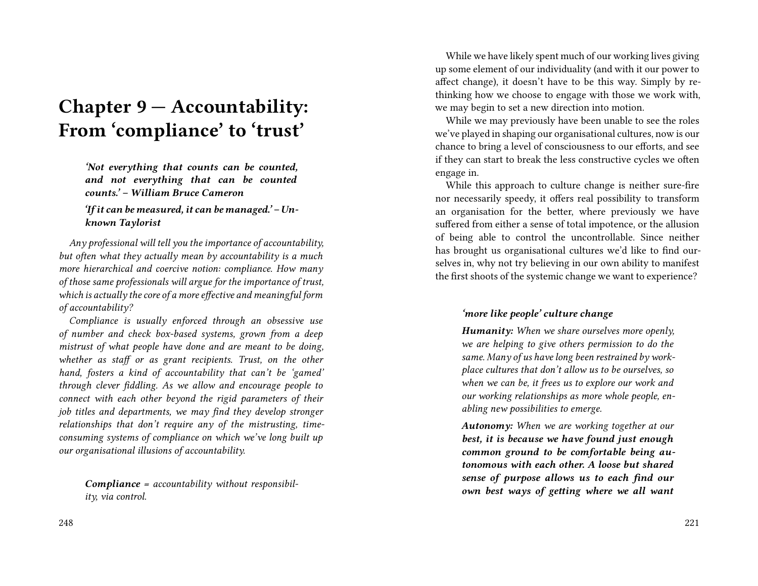# **Chapter 9 — Accountability: From 'compliance' to 'trust'**

*'Not everything that counts can be counted, and not everything that can be counted counts.' – William Bruce Cameron*

#### *'If it can be measured, it can be managed.' – Unknown Taylorist*

*Any professional will tell you the importance of accountability, but often what they actually mean by accountability is a much more hierarchical and coercive notion: compliance. How many of those same professionals will argue for the importance of trust, which is actually the core of a more effective and meaningful form of accountability?*

*Compliance is usually enforced through an obsessive use of number and check box-based systems, grown from a deep mistrust of what people have done and are meant to be doing, whether as staff or as grant recipients. Trust, on the other hand, fosters a kind of accountability that can't be 'gamed' through clever fiddling. As we allow and encourage people to connect with each other beyond the rigid parameters of their job titles and departments, we may find they develop stronger relationships that don't require any of the mistrusting, timeconsuming systems of compliance on which we've long built up our organisational illusions of accountability.*

*Compliance = accountability without responsibility, via control.*

While we have likely spent much of our working lives giving up some element of our individuality (and with it our power to affect change), it doesn't have to be this way. Simply by rethinking how we choose to engage with those we work with, we may begin to set a new direction into motion.

While we may previously have been unable to see the roles we've played in shaping our organisational cultures, now is our chance to bring a level of consciousness to our efforts, and see if they can start to break the less constructive cycles we often engage in.

While this approach to culture change is neither sure-fire nor necessarily speedy, it offers real possibility to transform an organisation for the better, where previously we have suffered from either a sense of total impotence, or the allusion of being able to control the uncontrollable. Since neither has brought us organisational cultures we'd like to find ourselves in, why not try believing in our own ability to manifest the first shoots of the systemic change we want to experience?

#### *'more like people' culture change*

*Humanity: When we share ourselves more openly, we are helping to give others permission to do the same. Many of us have long been restrained by workplace cultures that don't allow us to be ourselves, so when we can be, it frees us to explore our work and our working relationships as more whole people, enabling new possibilities to emerge.*

*Autonomy: When we are working together at our best, it is because we have found just enough common ground to be comfortable being autonomous with each other. A loose but shared sense of purpose allows us to each find our own best ways of getting where we all want*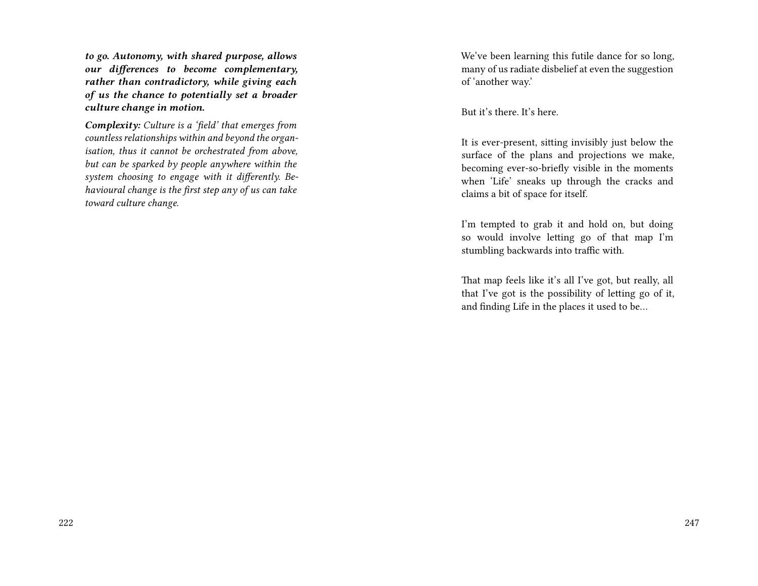*to go. Autonomy, with shared purpose, allows our differences to become complementary, rather than contradictory, while giving each of us the chance to potentially set a broader culture change in motion.*

*Complexity: Culture is a 'field' that emerges from countless relationships within and beyond the organisation, thus it cannot be orchestrated from above, but can be sparked by people anywhere within the system choosing to engage with it differently. Behavioural change is the first step any of us can take toward culture change.*

We've been learning this futile dance for so long, many of us radiate disbelief at even the suggestion of 'another way.'

But it's there. It's here.

It is ever-present, sitting invisibly just below the surface of the plans and projections we make, becoming ever-so-briefly visible in the moments when 'Life' sneaks up through the cracks and claims a bit of space for itself.

I'm tempted to grab it and hold on, but doing so would involve letting go of that map I'm stumbling backwards into traffic with.

That map feels like it's all I've got, but really, all that I've got is the possibility of letting go of it, and finding Life in the places it used to be…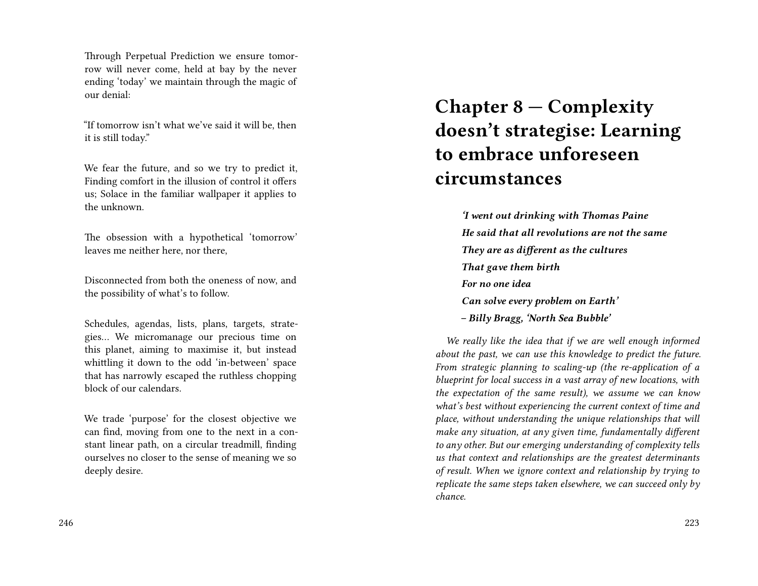Through Perpetual Prediction we ensure tomorrow will never come, held at bay by the never ending 'today' we maintain through the magic of our denial:

"If tomorrow isn't what we've said it will be, then it is still today."

We fear the future, and so we try to predict it, Finding comfort in the illusion of control it offers us; Solace in the familiar wallpaper it applies to the unknown.

The obsession with a hypothetical 'tomorrow' leaves me neither here, nor there,

Disconnected from both the oneness of now, and the possibility of what's to follow.

Schedules, agendas, lists, plans, targets, strategies… We micromanage our precious time on this planet, aiming to maximise it, but instead whittling it down to the odd 'in-between' space that has narrowly escaped the ruthless chopping block of our calendars.

We trade 'purpose' for the closest objective we can find, moving from one to the next in a constant linear path, on a circular treadmill, finding ourselves no closer to the sense of meaning we so deeply desire.

# **Chapter 8 — Complexity doesn't strategise: Learning to embrace unforeseen circumstances**

*'I went out drinking with Thomas Paine He said that all revolutions are not the same They are as different as the cultures That gave them birth For no one idea Can solve every problem on Earth' – Billy Bragg, 'North Sea Bubble'*

*We really like the idea that if we are well enough informed about the past, we can use this knowledge to predict the future. From strategic planning to scaling-up (the re-application of a blueprint for local success in a vast array of new locations, with the expectation of the same result), we assume we can know what's best without experiencing the current context of time and place, without understanding the unique relationships that will make any situation, at any given time, fundamentally different to any other. But our emerging understanding of complexity tells us that context and relationships are the greatest determinants of result. When we ignore context and relationship by trying to replicate the same steps taken elsewhere, we can succeed only by chance.*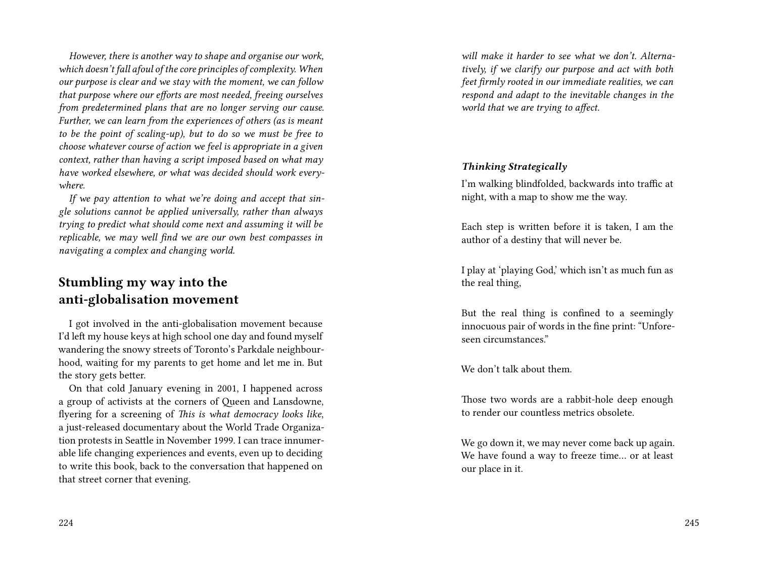*However, there is another way to shape and organise our work, which doesn't fall afoul of the core principles of complexity. When our purpose is clear and we stay with the moment, we can follow that purpose where our efforts are most needed, freeing ourselves from predetermined plans that are no longer serving our cause. Further, we can learn from the experiences of others (as is meant to be the point of scaling-up), but to do so we must be free to choose whatever course of action we feel is appropriate in a given context, rather than having a script imposed based on what may have worked elsewhere, or what was decided should work everywhere.*

*If we pay attention to what we're doing and accept that single solutions cannot be applied universally, rather than always trying to predict what should come next and assuming it will be replicable, we may well find we are our own best compasses in navigating a complex and changing world.*

## **Stumbling my way into the anti-globalisation movement**

I got involved in the anti-globalisation movement because I'd left my house keys at high school one day and found myself wandering the snowy streets of Toronto's Parkdale neighbourhood, waiting for my parents to get home and let me in. But the story gets better.

On that cold January evening in 2001, I happened across a group of activists at the corners of Queen and Lansdowne, flyering for a screening of *This is what democracy looks like*, a just-released documentary about the World Trade Organization protests in Seattle in November 1999. I can trace innumerable life changing experiences and events, even up to deciding to write this book, back to the conversation that happened on that street corner that evening.

*will make it harder to see what we don't. Alternatively, if we clarify our purpose and act with both feet firmly rooted in our immediate realities, we can respond and adapt to the inevitable changes in the world that we are trying to affect.*

#### *Thinking Strategically*

I'm walking blindfolded, backwards into traffic at night, with a map to show me the way.

Each step is written before it is taken, I am the author of a destiny that will never be.

I play at 'playing God,' which isn't as much fun as the real thing,

But the real thing is confined to a seemingly innocuous pair of words in the fine print: "Unforeseen circumstances."

We don't talk about them.

Those two words are a rabbit-hole deep enough to render our countless metrics obsolete.

We go down it, we may never come back up again. We have found a way to freeze time… or at least our place in it.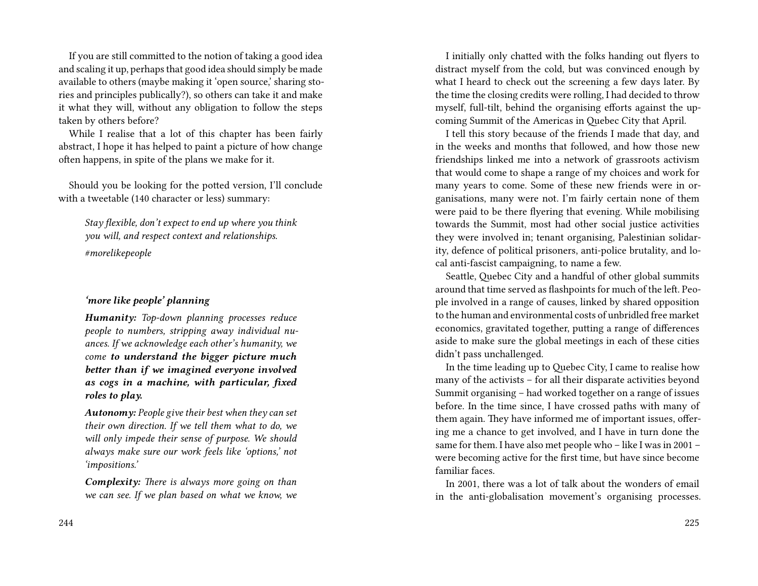If you are still committed to the notion of taking a good idea and scaling it up, perhaps that good idea should simply be made available to others (maybe making it 'open source,' sharing stories and principles publically?), so others can take it and make it what they will, without any obligation to follow the steps taken by others before?

While I realise that a lot of this chapter has been fairly abstract, I hope it has helped to paint a picture of how change often happens, in spite of the plans we make for it.

Should you be looking for the potted version, I'll conclude with a tweetable (140 character or less) summary:

*Stay flexible, don't expect to end up where you think you will, and respect context and relationships. #morelikepeople*

#### *'more like people' planning*

*Humanity: Top-down planning processes reduce people to numbers, stripping away individual nuances. If we acknowledge each other's humanity, we come to understand the bigger picture much better than if we imagined everyone involved as cogs in a machine, with particular, fixed roles to play.*

*Autonomy: People give their best when they can set their own direction. If we tell them what to do, we will only impede their sense of purpose. We should always make sure our work feels like 'options,' not 'impositions.'*

*Complexity: There is always more going on than we can see. If we plan based on what we know, we*

I initially only chatted with the folks handing out flyers to distract myself from the cold, but was convinced enough by what I heard to check out the screening a few days later. By the time the closing credits were rolling, I had decided to throw myself, full-tilt, behind the organising efforts against the upcoming Summit of the Americas in Quebec City that April.

I tell this story because of the friends I made that day, and in the weeks and months that followed, and how those new friendships linked me into a network of grassroots activism that would come to shape a range of my choices and work for many years to come. Some of these new friends were in organisations, many were not. I'm fairly certain none of them were paid to be there flyering that evening. While mobilising towards the Summit, most had other social justice activities they were involved in; tenant organising, Palestinian solidarity, defence of political prisoners, anti-police brutality, and local anti-fascist campaigning, to name a few.

Seattle, Quebec City and a handful of other global summits around that time served as flashpoints for much of the left. People involved in a range of causes, linked by shared opposition to the human and environmental costs of unbridled free market economics, gravitated together, putting a range of differences aside to make sure the global meetings in each of these cities didn't pass unchallenged.

In the time leading up to Quebec City, I came to realise how many of the activists – for all their disparate activities beyond Summit organising – had worked together on a range of issues before. In the time since, I have crossed paths with many of them again. They have informed me of important issues, offering me a chance to get involved, and I have in turn done the same for them. I have also met people who – like I was in 2001 – were becoming active for the first time, but have since become familiar faces.

In 2001, there was a lot of talk about the wonders of email in the anti-globalisation movement's organising processes.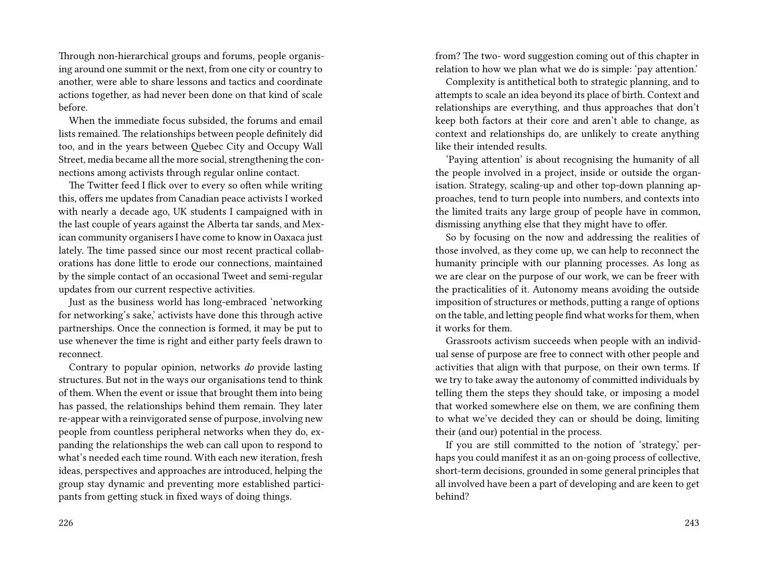Through non-hierarchical groups and forums, people organising around one summit or the next, from one city or country to another, were able to share lessons and tactics and coordinate actions together, as had never been done on that kind of scale before.

When the immediate focus subsided, the forums and email lists remained. The relationships between people definitely did too, and in the years between Quebec City and Occupy Wall Street, media became all the more social, strengthening the connections among activists through regular online contact.

The Twitter feed I flick over to every so often while writing this, offers me updates from Canadian peace activists I worked with nearly a decade ago, UK students I campaigned with in the last couple of years against the Alberta tar sands, and Mexican community organisers I have come to know in Oaxaca just lately. The time passed since our most recent practical collaborations has done little to erode our connections, maintained by the simple contact of an occasional Tweet and semi-regular updates from our current respective activities.

Just as the business world has long-embraced 'networking for networking's sake,' activists have done this through active partnerships. Once the connection is formed, it may be put to use whenever the time is right and either party feels drawn to reconnect.

Contrary to popular opinion, networks *do* provide lasting structures. But not in the ways our organisations tend to think of them. When the event or issue that brought them into being has passed, the relationships behind them remain. They later re-appear with a reinvigorated sense of purpose, involving new people from countless peripheral networks when they do, expanding the relationships the web can call upon to respond to what's needed each time round. With each new iteration, fresh ideas, perspectives and approaches are introduced, helping the group stay dynamic and preventing more established participants from getting stuck in fixed ways of doing things.

from? The two- word suggestion coming out of this chapter in relation to how we plan what we do is simple: 'pay attention.'

Complexity is antithetical both to strategic planning, and to attempts to scale an idea beyond its place of birth. Context and relationships are everything, and thus approaches that don't keep both factors at their core and aren't able to change, as context and relationships do, are unlikely to create anything like their intended results.

'Paying attention' is about recognising the humanity of all the people involved in a project, inside or outside the organisation. Strategy, scaling-up and other top-down planning approaches, tend to turn people into numbers, and contexts into the limited traits any large group of people have in common, dismissing anything else that they might have to offer.

So by focusing on the now and addressing the realities of those involved, as they come up, we can help to reconnect the humanity principle with our planning processes. As long as we are clear on the purpose of our work, we can be freer with the practicalities of it. Autonomy means avoiding the outside imposition of structures or methods, putting a range of options on the table, and letting people find what works for them, when it works for them.

Grassroots activism succeeds when people with an individual sense of purpose are free to connect with other people and activities that align with that purpose, on their own terms. If we try to take away the autonomy of committed individuals by telling them the steps they should take, or imposing a model that worked somewhere else on them, we are confining them to what we've decided they can or should be doing, limiting their (and our) potential in the process.

If you are still committed to the notion of 'strategy,' perhaps you could manifest it as an on-going process of collective, short-term decisions, grounded in some general principles that all involved have been a part of developing and are keen to get behind?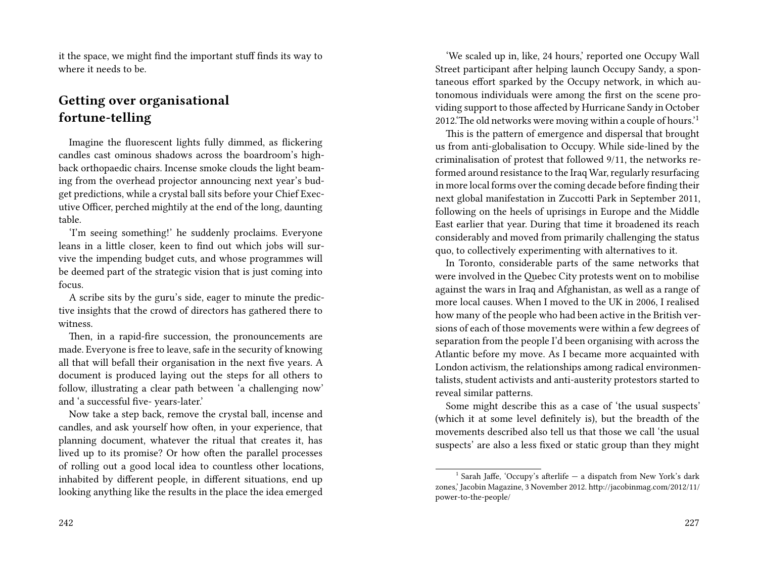it the space, we might find the important stuff finds its way to where it needs to be.

## **Getting over organisational fortune-telling**

Imagine the fluorescent lights fully dimmed, as flickering candles cast ominous shadows across the boardroom's highback orthopaedic chairs. Incense smoke clouds the light beaming from the overhead projector announcing next year's budget predictions, while a crystal ball sits before your Chief Executive Officer, perched mightily at the end of the long, daunting table.

'I'm seeing something!' he suddenly proclaims. Everyone leans in a little closer, keen to find out which jobs will survive the impending budget cuts, and whose programmes will be deemed part of the strategic vision that is just coming into focus.

A scribe sits by the guru's side, eager to minute the predictive insights that the crowd of directors has gathered there to witness.

Then, in a rapid-fire succession, the pronouncements are made. Everyone is free to leave, safe in the security of knowing all that will befall their organisation in the next five years. A document is produced laying out the steps for all others to follow, illustrating a clear path between 'a challenging now' and 'a successful five- years-later.'

Now take a step back, remove the crystal ball, incense and candles, and ask yourself how often, in your experience, that planning document, whatever the ritual that creates it, has lived up to its promise? Or how often the parallel processes of rolling out a good local idea to countless other locations, inhabited by different people, in different situations, end up looking anything like the results in the place the idea emerged

'We scaled up in, like, 24 hours,' reported one Occupy Wall Street participant after helping launch Occupy Sandy, a spontaneous effort sparked by the Occupy network, in which autonomous individuals were among the first on the scene providing support to those affected by Hurricane Sandy in October 2012.'The old networks were moving within a couple of hours.'<sup>1</sup>

This is the pattern of emergence and dispersal that brought us from anti-globalisation to Occupy. While side-lined by the criminalisation of protest that followed 9/11, the networks reformed around resistance to the Iraq War, regularly resurfacing in more local forms over the coming decade before finding their next global manifestation in Zuccotti Park in September 2011, following on the heels of uprisings in Europe and the Middle East earlier that year. During that time it broadened its reach considerably and moved from primarily challenging the status quo, to collectively experimenting with alternatives to it.

In Toronto, considerable parts of the same networks that were involved in the Quebec City protests went on to mobilise against the wars in Iraq and Afghanistan, as well as a range of more local causes. When I moved to the UK in 2006, I realised how many of the people who had been active in the British versions of each of those movements were within a few degrees of separation from the people I'd been organising with across the Atlantic before my move. As I became more acquainted with London activism, the relationships among radical environmentalists, student activists and anti-austerity protestors started to reveal similar patterns.

Some might describe this as a case of 'the usual suspects' (which it at some level definitely is), but the breadth of the movements described also tell us that those we call 'the usual suspects' are also a less fixed or static group than they might

<sup>&</sup>lt;sup>1</sup> Sarah Jaffe, 'Occupy's afterlife  $-$  a dispatch from New York's dark zones,' Jacobin Magazine, 3 November 2012. http://jacobinmag.com/2012/11/ power-to-the-people/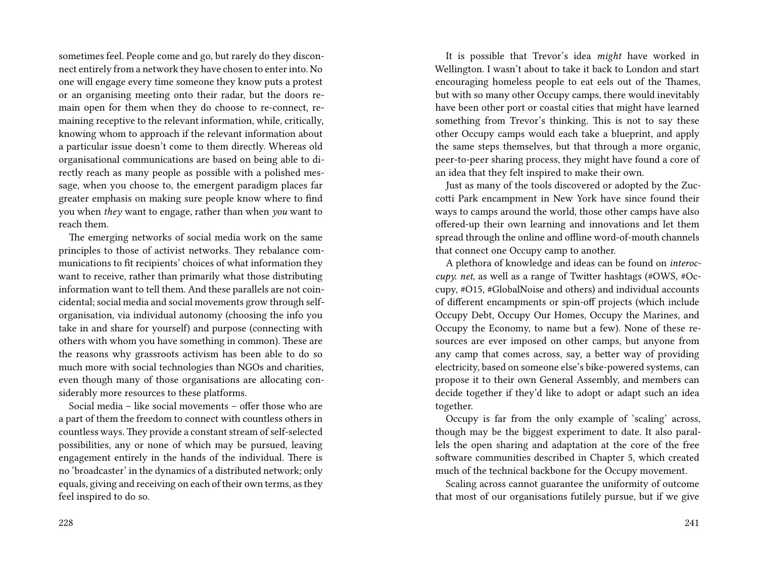sometimes feel. People come and go, but rarely do they disconnect entirely from a network they have chosen to enter into. No one will engage every time someone they know puts a protest or an organising meeting onto their radar, but the doors remain open for them when they do choose to re-connect, remaining receptive to the relevant information, while, critically, knowing whom to approach if the relevant information about a particular issue doesn't come to them directly. Whereas old organisational communications are based on being able to directly reach as many people as possible with a polished message, when you choose to, the emergent paradigm places far greater emphasis on making sure people know where to find you when *they* want to engage, rather than when *you* want to reach them.

The emerging networks of social media work on the same principles to those of activist networks. They rebalance communications to fit recipients' choices of what information they want to receive, rather than primarily what those distributing information want to tell them. And these parallels are not coincidental; social media and social movements grow through selforganisation, via individual autonomy (choosing the info you take in and share for yourself) and purpose (connecting with others with whom you have something in common). These are the reasons why grassroots activism has been able to do so much more with social technologies than NGOs and charities, even though many of those organisations are allocating considerably more resources to these platforms.

Social media – like social movements – offer those who are a part of them the freedom to connect with countless others in countless ways. They provide a constant stream of self-selected possibilities, any or none of which may be pursued, leaving engagement entirely in the hands of the individual. There is no 'broadcaster' in the dynamics of a distributed network; only equals, giving and receiving on each of their own terms, as they feel inspired to do so.

It is possible that Trevor's idea *might* have worked in Wellington. I wasn't about to take it back to London and start encouraging homeless people to eat eels out of the Thames, but with so many other Occupy camps, there would inevitably have been other port or coastal cities that might have learned something from Trevor's thinking. This is not to say these other Occupy camps would each take a blueprint, and apply the same steps themselves, but that through a more organic, peer-to-peer sharing process, they might have found a core of an idea that they felt inspired to make their own.

Just as many of the tools discovered or adopted by the Zuccotti Park encampment in New York have since found their ways to camps around the world, those other camps have also offered-up their own learning and innovations and let them spread through the online and offline word-of-mouth channels that connect one Occupy camp to another.

A plethora of knowledge and ideas can be found on *interoccupy. net*, as well as a range of Twitter hashtags (#OWS, #Occupy, #O15, #GlobalNoise and others) and individual accounts of different encampments or spin-off projects (which include Occupy Debt, Occupy Our Homes, Occupy the Marines, and Occupy the Economy, to name but a few). None of these resources are ever imposed on other camps, but anyone from any camp that comes across, say, a better way of providing electricity, based on someone else's bike-powered systems, can propose it to their own General Assembly, and members can decide together if they'd like to adopt or adapt such an idea together.

Occupy is far from the only example of 'scaling' across, though may be the biggest experiment to date. It also parallels the open sharing and adaptation at the core of the free software communities described in Chapter 5, which created much of the technical backbone for the Occupy movement.

Scaling across cannot guarantee the uniformity of outcome that most of our organisations futilely pursue, but if we give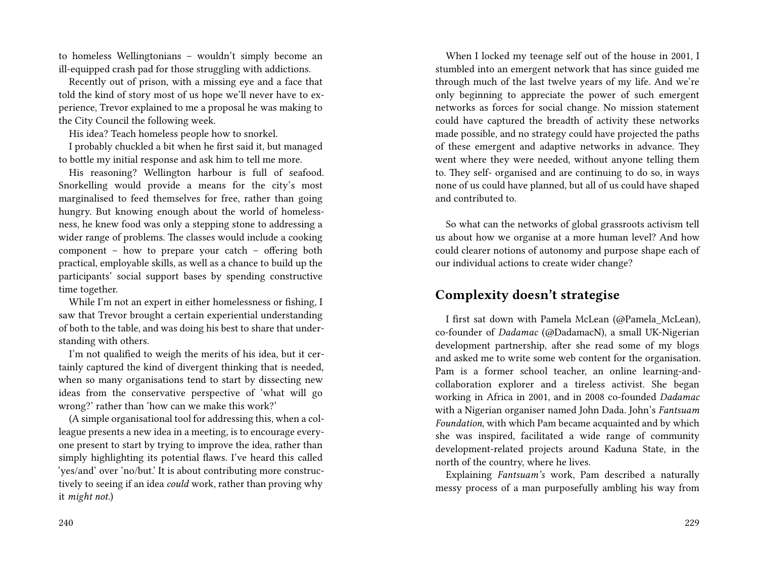to homeless Wellingtonians – wouldn't simply become an ill-equipped crash pad for those struggling with addictions.

Recently out of prison, with a missing eye and a face that told the kind of story most of us hope we'll never have to experience, Trevor explained to me a proposal he was making to the City Council the following week.

His idea? Teach homeless people how to snorkel.

I probably chuckled a bit when he first said it, but managed to bottle my initial response and ask him to tell me more.

His reasoning? Wellington harbour is full of seafood. Snorkelling would provide a means for the city's most marginalised to feed themselves for free, rather than going hungry. But knowing enough about the world of homelessness, he knew food was only a stepping stone to addressing a wider range of problems. The classes would include a cooking component – how to prepare your catch – offering both practical, employable skills, as well as a chance to build up the participants' social support bases by spending constructive time together.

While I'm not an expert in either homelessness or fishing, I saw that Trevor brought a certain experiential understanding of both to the table, and was doing his best to share that understanding with others.

I'm not qualified to weigh the merits of his idea, but it certainly captured the kind of divergent thinking that is needed, when so many organisations tend to start by dissecting new ideas from the conservative perspective of 'what will go wrong?' rather than 'how can we make this work?'

(A simple organisational tool for addressing this, when a colleague presents a new idea in a meeting, is to encourage everyone present to start by trying to improve the idea, rather than simply highlighting its potential flaws. I've heard this called 'yes/and' over 'no/but.' It is about contributing more constructively to seeing if an idea *could* work, rather than proving why it *might not*.)

When I locked my teenage self out of the house in 2001, I stumbled into an emergent network that has since guided me through much of the last twelve years of my life. And we're only beginning to appreciate the power of such emergent networks as forces for social change. No mission statement could have captured the breadth of activity these networks made possible, and no strategy could have projected the paths of these emergent and adaptive networks in advance. They went where they were needed, without anyone telling them to. They self- organised and are continuing to do so, in ways none of us could have planned, but all of us could have shaped and contributed to.

So what can the networks of global grassroots activism tell us about how we organise at a more human level? And how could clearer notions of autonomy and purpose shape each of our individual actions to create wider change?

## **Complexity doesn't strategise**

I first sat down with Pamela McLean (@Pamela\_McLean), co-founder of *Dadamac* (@DadamacN), a small UK-Nigerian development partnership, after she read some of my blogs and asked me to write some web content for the organisation. Pam is a former school teacher, an online learning-andcollaboration explorer and a tireless activist. She began working in Africa in 2001, and in 2008 co-founded *Dadamac* with a Nigerian organiser named John Dada. John's *Fantsuam Foundation*, with which Pam became acquainted and by which she was inspired, facilitated a wide range of community development-related projects around Kaduna State, in the north of the country, where he lives.

Explaining *Fantsuam's* work, Pam described a naturally messy process of a man purposefully ambling his way from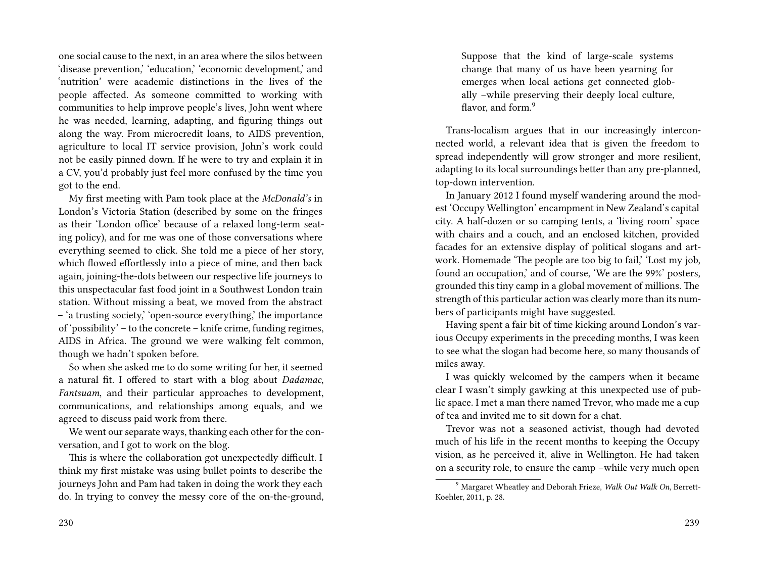one social cause to the next, in an area where the silos between 'disease prevention,' 'education,' 'economic development,' and 'nutrition' were academic distinctions in the lives of the people affected. As someone committed to working with communities to help improve people's lives, John went where he was needed, learning, adapting, and figuring things out along the way. From microcredit loans, to AIDS prevention, agriculture to local IT service provision, John's work could not be easily pinned down. If he were to try and explain it in a CV, you'd probably just feel more confused by the time you got to the end.

My first meeting with Pam took place at the *McDonald's* in London's Victoria Station (described by some on the fringes as their 'London office' because of a relaxed long-term seating policy), and for me was one of those conversations where everything seemed to click. She told me a piece of her story, which flowed effortlessly into a piece of mine, and then back again, joining-the-dots between our respective life journeys to this unspectacular fast food joint in a Southwest London train station. Without missing a beat, we moved from the abstract – 'a trusting society,' 'open-source everything,' the importance of 'possibility' – to the concrete – knife crime, funding regimes, AIDS in Africa. The ground we were walking felt common, though we hadn't spoken before.

So when she asked me to do some writing for her, it seemed a natural fit. I offered to start with a blog about *Dadamac*, *Fantsuam*, and their particular approaches to development, communications, and relationships among equals, and we agreed to discuss paid work from there.

We went our separate ways, thanking each other for the conversation, and I got to work on the blog.

This is where the collaboration got unexpectedly difficult. I think my first mistake was using bullet points to describe the journeys John and Pam had taken in doing the work they each do. In trying to convey the messy core of the on-the-ground,

230

Suppose that the kind of large-scale systems change that many of us have been yearning for emerges when local actions get connected globally –while preserving their deeply local culture, flavor, and form.<sup>9</sup>

Trans-localism argues that in our increasingly interconnected world, a relevant idea that is given the freedom to spread independently will grow stronger and more resilient, adapting to its local surroundings better than any pre-planned, top-down intervention.

In January 2012 I found myself wandering around the modest 'Occupy Wellington' encampment in New Zealand's capital city. A half-dozen or so camping tents, a 'living room' space with chairs and a couch, and an enclosed kitchen, provided facades for an extensive display of political slogans and artwork. Homemade 'The people are too big to fail,' 'Lost my job, found an occupation,' and of course, 'We are the 99%' posters, grounded this tiny camp in a global movement of millions. The strength of this particular action was clearly more than its numbers of participants might have suggested.

Having spent a fair bit of time kicking around London's various Occupy experiments in the preceding months, I was keen to see what the slogan had become here, so many thousands of miles away.

I was quickly welcomed by the campers when it became clear I wasn't simply gawking at this unexpected use of public space. I met a man there named Trevor, who made me a cup of tea and invited me to sit down for a chat.

Trevor was not a seasoned activist, though had devoted much of his life in the recent months to keeping the Occupy vision, as he perceived it, alive in Wellington. He had taken on a security role, to ensure the camp –while very much open

<sup>9</sup> Margaret Wheatley and Deborah Frieze, *Walk Out Walk On*, Berrett-Koehler, 2011, p. 28.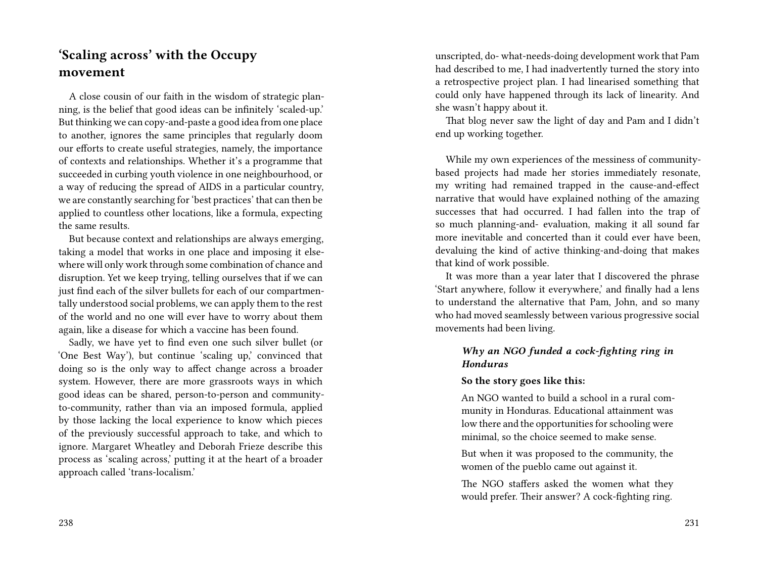## **'Scaling across' with the Occupy movement**

A close cousin of our faith in the wisdom of strategic planning, is the belief that good ideas can be infinitely 'scaled-up.' But thinking we can copy-and-paste a good idea from one place to another, ignores the same principles that regularly doom our efforts to create useful strategies, namely, the importance of contexts and relationships. Whether it's a programme that succeeded in curbing youth violence in one neighbourhood, or a way of reducing the spread of AIDS in a particular country, we are constantly searching for 'best practices' that can then be applied to countless other locations, like a formula, expecting the same results.

But because context and relationships are always emerging, taking a model that works in one place and imposing it elsewhere will only work through some combination of chance and disruption. Yet we keep trying, telling ourselves that if we can just find each of the silver bullets for each of our compartmentally understood social problems, we can apply them to the rest of the world and no one will ever have to worry about them again, like a disease for which a vaccine has been found.

Sadly, we have yet to find even one such silver bullet (or 'One Best Way'), but continue 'scaling up,' convinced that doing so is the only way to affect change across a broader system. However, there are more grassroots ways in which good ideas can be shared, person-to-person and communityto-community, rather than via an imposed formula, applied by those lacking the local experience to know which pieces of the previously successful approach to take, and which to ignore. Margaret Wheatley and Deborah Frieze describe this process as 'scaling across,' putting it at the heart of a broader approach called 'trans-localism.'

unscripted, do- what-needs-doing development work that Pam had described to me, I had inadvertently turned the story into a retrospective project plan. I had linearised something that could only have happened through its lack of linearity. And she wasn't happy about it.

That blog never saw the light of day and Pam and I didn't end up working together.

While my own experiences of the messiness of communitybased projects had made her stories immediately resonate, my writing had remained trapped in the cause-and-effect narrative that would have explained nothing of the amazing successes that had occurred. I had fallen into the trap of so much planning-and- evaluation, making it all sound far more inevitable and concerted than it could ever have been, devaluing the kind of active thinking-and-doing that makes that kind of work possible.

It was more than a year later that I discovered the phrase 'Start anywhere, follow it everywhere,' and finally had a lens to understand the alternative that Pam, John, and so many who had moved seamlessly between various progressive social movements had been living.

#### *Why an NGO funded a cock-fighting ring in Honduras*

#### **So the story goes like this:**

An NGO wanted to build a school in a rural community in Honduras. Educational attainment was low there and the opportunities for schooling were minimal, so the choice seemed to make sense.

But when it was proposed to the community, the women of the pueblo came out against it.

The NGO staffers asked the women what they would prefer. Their answer? A cock-fighting ring.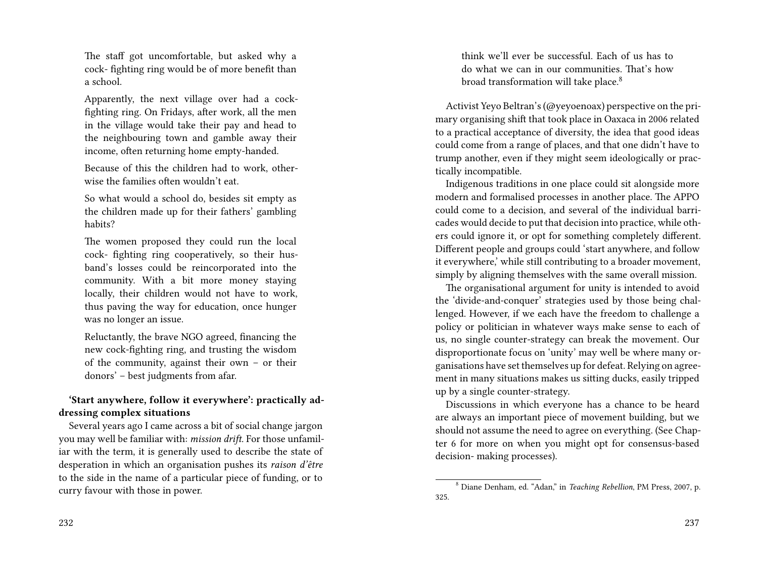The staff got uncomfortable, but asked why a cock- fighting ring would be of more benefit than a school.

Apparently, the next village over had a cockfighting ring. On Fridays, after work, all the men in the village would take their pay and head to the neighbouring town and gamble away their income, often returning home empty-handed.

Because of this the children had to work, otherwise the families often wouldn't eat.

So what would a school do, besides sit empty as the children made up for their fathers' gambling habits?

The women proposed they could run the local cock- fighting ring cooperatively, so their husband's losses could be reincorporated into the community. With a bit more money staying locally, their children would not have to work, thus paving the way for education, once hunger was no longer an issue.

Reluctantly, the brave NGO agreed, financing the new cock-fighting ring, and trusting the wisdom of the community, against their own – or their donors' – best judgments from afar.

#### **'Start anywhere, follow it everywhere': practically addressing complex situations**

Several years ago I came across a bit of social change jargon you may well be familiar with: *mission drift.* For those unfamiliar with the term, it is generally used to describe the state of desperation in which an organisation pushes its *raison d'être* to the side in the name of a particular piece of funding, or to curry favour with those in power.

think we'll ever be successful. Each of us has to do what we can in our communities. That's how broad transformation will take place.<sup>8</sup>

Activist Yeyo Beltran's (@yeyoenoax) perspective on the primary organising shift that took place in Oaxaca in 2006 related to a practical acceptance of diversity, the idea that good ideas could come from a range of places, and that one didn't have to trump another, even if they might seem ideologically or practically incompatible.

Indigenous traditions in one place could sit alongside more modern and formalised processes in another place. The APPO could come to a decision, and several of the individual barricades would decide to put that decision into practice, while others could ignore it, or opt for something completely different. Different people and groups could 'start anywhere, and follow it everywhere,' while still contributing to a broader movement, simply by aligning themselves with the same overall mission.

The organisational argument for unity is intended to avoid the 'divide-and-conquer' strategies used by those being challenged. However, if we each have the freedom to challenge a policy or politician in whatever ways make sense to each of us, no single counter-strategy can break the movement. Our disproportionate focus on 'unity' may well be where many organisations have set themselves up for defeat. Relying on agreement in many situations makes us sitting ducks, easily tripped up by a single counter-strategy.

Discussions in which everyone has a chance to be heard are always an important piece of movement building, but we should not assume the need to agree on everything. (See Chapter 6 for more on when you might opt for consensus-based decision- making processes).

<sup>8</sup> Diane Denham, ed. "Adan," in *Teaching Rebellion*, PM Press, 2007, p. 325.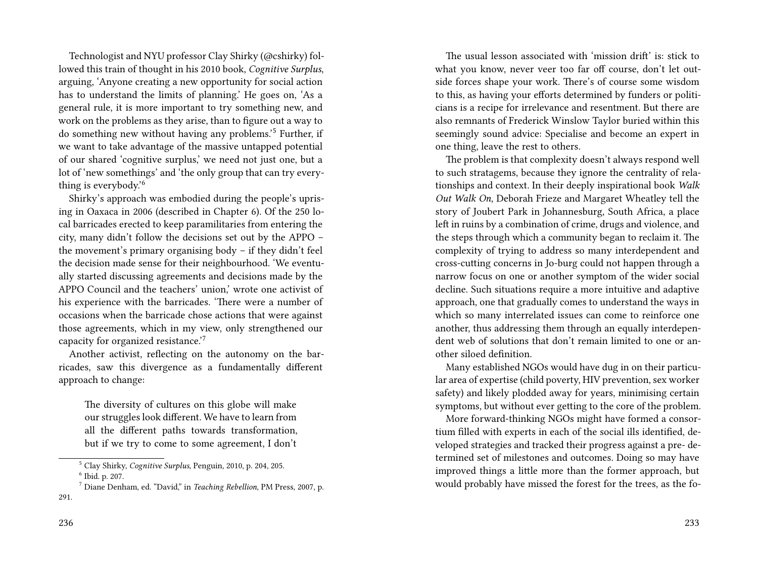Technologist and NYU professor Clay Shirky (@cshirky) followed this train of thought in his 2010 book, *Cognitive Surplus*, arguing, 'Anyone creating a new opportunity for social action has to understand the limits of planning.' He goes on, 'As a general rule, it is more important to try something new, and work on the problems as they arise, than to figure out a way to do something new without having any problems.'<sup>5</sup> Further, if we want to take advantage of the massive untapped potential of our shared 'cognitive surplus,' we need not just one, but a lot of 'new somethings' and 'the only group that can try everything is everybody.'<sup>6</sup>

Shirky's approach was embodied during the people's uprising in Oaxaca in 2006 (described in Chapter 6). Of the 250 local barricades erected to keep paramilitaries from entering the city, many didn't follow the decisions set out by the APPO – the movement's primary organising body – if they didn't feel the decision made sense for their neighbourhood. 'We eventually started discussing agreements and decisions made by the APPO Council and the teachers' union,' wrote one activist of his experience with the barricades. 'There were a number of occasions when the barricade chose actions that were against those agreements, which in my view, only strengthened our capacity for organized resistance.'<sup>7</sup>

Another activist, reflecting on the autonomy on the barricades, saw this divergence as a fundamentally different approach to change:

The diversity of cultures on this globe will make our struggles look different. We have to learn from all the different paths towards transformation, but if we try to come to some agreement, I don't

The usual lesson associated with 'mission drift' is: stick to what you know, never veer too far off course, don't let outside forces shape your work. There's of course some wisdom to this, as having your efforts determined by funders or politicians is a recipe for irrelevance and resentment. But there are also remnants of Frederick Winslow Taylor buried within this seemingly sound advice: Specialise and become an expert in one thing, leave the rest to others.

The problem is that complexity doesn't always respond well to such stratagems, because they ignore the centrality of relationships and context. In their deeply inspirational book *Walk Out Walk On*, Deborah Frieze and Margaret Wheatley tell the story of Joubert Park in Johannesburg, South Africa, a place left in ruins by a combination of crime, drugs and violence, and the steps through which a community began to reclaim it. The complexity of trying to address so many interdependent and cross-cutting concerns in Jo-burg could not happen through a narrow focus on one or another symptom of the wider social decline. Such situations require a more intuitive and adaptive approach, one that gradually comes to understand the ways in which so many interrelated issues can come to reinforce one another, thus addressing them through an equally interdependent web of solutions that don't remain limited to one or another siloed definition.

Many established NGOs would have dug in on their particular area of expertise (child poverty, HIV prevention, sex worker safety) and likely plodded away for years, minimising certain symptoms, but without ever getting to the core of the problem.

More forward-thinking NGOs might have formed a consortium filled with experts in each of the social ills identified, developed strategies and tracked their progress against a pre- determined set of milestones and outcomes. Doing so may have improved things a little more than the former approach, but would probably have missed the forest for the trees, as the fo-

<sup>5</sup> Clay Shirky, *Cognitive Surplus*, Penguin, 2010, p. 204, 205. 6 Ibid. p. 207.

<sup>7</sup> Diane Denham, ed. "David," in *Teaching Rebellion*, PM Press, 2007, p. 291.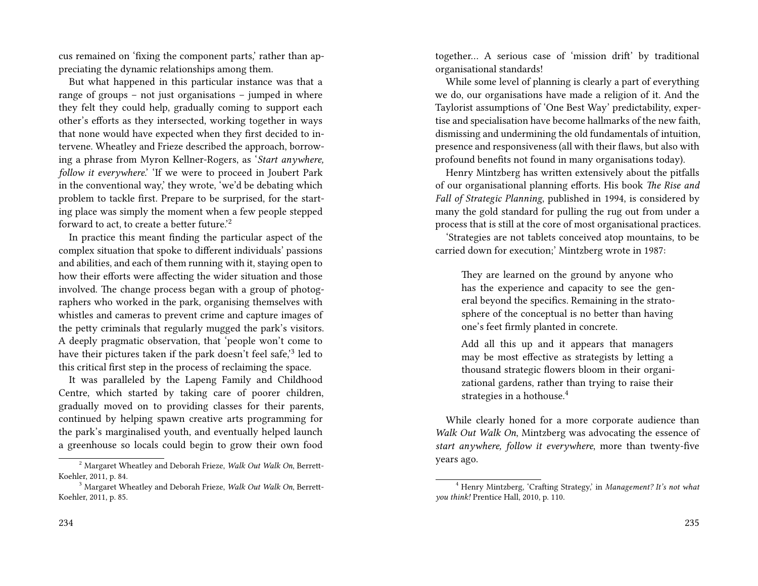cus remained on 'fixing the component parts,' rather than appreciating the dynamic relationships among them.

But what happened in this particular instance was that a range of groups – not just organisations – jumped in where they felt they could help, gradually coming to support each other's efforts as they intersected, working together in ways that none would have expected when they first decided to intervene. Wheatley and Frieze described the approach, borrowing a phrase from Myron Kellner-Rogers, as '*Start anywhere, follow it everywhere*.' 'If we were to proceed in Joubert Park in the conventional way,' they wrote, 'we'd be debating which problem to tackle first. Prepare to be surprised, for the starting place was simply the moment when a few people stepped forward to act, to create a better future.'<sup>2</sup>

In practice this meant finding the particular aspect of the complex situation that spoke to different individuals' passions and abilities, and each of them running with it, staying open to how their efforts were affecting the wider situation and those involved. The change process began with a group of photographers who worked in the park, organising themselves with whistles and cameras to prevent crime and capture images of the petty criminals that regularly mugged the park's visitors. A deeply pragmatic observation, that 'people won't come to have their pictures taken if the park doesn't feel safe,<sup>3</sup> led to this critical first step in the process of reclaiming the space.

It was paralleled by the Lapeng Family and Childhood Centre, which started by taking care of poorer children, gradually moved on to providing classes for their parents, continued by helping spawn creative arts programming for the park's marginalised youth, and eventually helped launch a greenhouse so locals could begin to grow their own food

together… A serious case of 'mission drift' by traditional organisational standards!

While some level of planning is clearly a part of everything we do, our organisations have made a religion of it. And the Taylorist assumptions of 'One Best Way' predictability, expertise and specialisation have become hallmarks of the new faith, dismissing and undermining the old fundamentals of intuition, presence and responsiveness (all with their flaws, but also with profound benefits not found in many organisations today).

Henry Mintzberg has written extensively about the pitfalls of our organisational planning efforts. His book *The Rise and Fall of Strategic Planning*, published in 1994, is considered by many the gold standard for pulling the rug out from under a process that is still at the core of most organisational practices.

'Strategies are not tablets conceived atop mountains, to be carried down for execution;' Mintzberg wrote in 1987:

They are learned on the ground by anyone who has the experience and capacity to see the general beyond the specifics. Remaining in the stratosphere of the conceptual is no better than having one's feet firmly planted in concrete.

Add all this up and it appears that managers may be most effective as strategists by letting a thousand strategic flowers bloom in their organizational gardens, rather than trying to raise their strategies in a hothouse.<sup>4</sup>

While clearly honed for a more corporate audience than *Walk Out Walk On*, Mintzberg was advocating the essence of *start anywhere, follow it everywhere*, more than twenty-five years ago.

<sup>2</sup> Margaret Wheatley and Deborah Frieze, *Walk Out Walk On*, Berrett-Koehler, 2011, p. 84.

<sup>3</sup> Margaret Wheatley and Deborah Frieze, *Walk Out Walk On*, Berrett-Koehler, 2011, p. 85.

<sup>4</sup> Henry Mintzberg, 'Crafting Strategy,' in *Management? It's not what you think!* Prentice Hall, 2010, p. 110.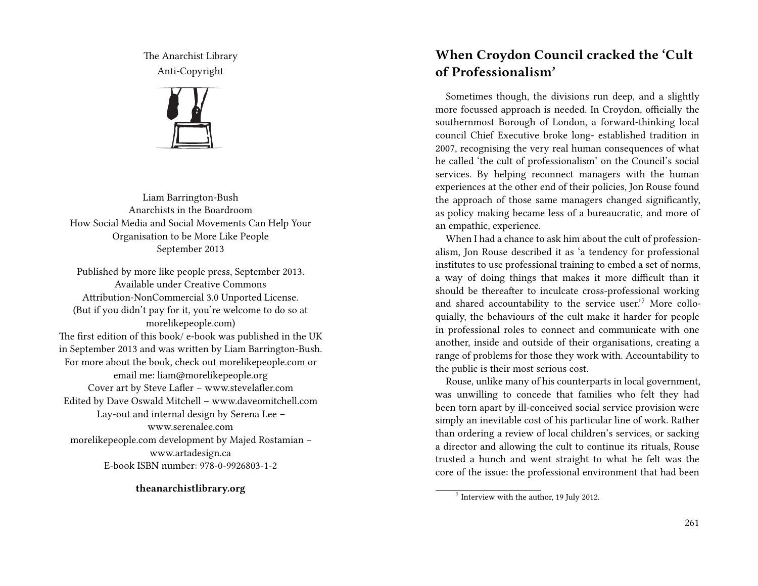The Anarchist Library Anti-Copyright



Liam Barrington-Bush Anarchists in the Boardroom How Social Media and Social Movements Can Help Your Organisation to be More Like People September 2013

Published by more like people press, September 2013. Available under Creative Commons Attribution-NonCommercial 3.0 Unported License. (But if you didn't pay for it, you're welcome to do so at morelikepeople.com) The first edition of this book/ e-book was published in the UK in September 2013 and was written by Liam Barrington-Bush. For more about the book, check out morelikepeople.com or email me: liam@morelikepeople.org Cover art by Steve Lafler – www.stevelafler.com Edited by Dave Oswald Mitchell – www.daveomitchell.com Lay-out and internal design by Serena Lee – www.serenalee.com morelikepeople.com development by Majed Rostamian – www.artadesign.ca E-book ISBN number: 978-0-9926803-1-2

**theanarchistlibrary.org**

## **When Croydon Council cracked the 'Cult of Professionalism'**

Sometimes though, the divisions run deep, and a slightly more focussed approach is needed. In Croydon, officially the southernmost Borough of London, a forward-thinking local council Chief Executive broke long- established tradition in 2007, recognising the very real human consequences of what he called 'the cult of professionalism' on the Council's social services. By helping reconnect managers with the human experiences at the other end of their policies, Jon Rouse found the approach of those same managers changed significantly, as policy making became less of a bureaucratic, and more of an empathic, experience.

When I had a chance to ask him about the cult of professionalism, Jon Rouse described it as 'a tendency for professional institutes to use professional training to embed a set of norms, a way of doing things that makes it more difficult than it should be thereafter to inculcate cross-professional working and shared accountability to the service user.'<sup>7</sup> More colloquially, the behaviours of the cult make it harder for people in professional roles to connect and communicate with one another, inside and outside of their organisations, creating a range of problems for those they work with. Accountability to the public is their most serious cost.

Rouse, unlike many of his counterparts in local government, was unwilling to concede that families who felt they had been torn apart by ill-conceived social service provision were simply an inevitable cost of his particular line of work. Rather than ordering a review of local children's services, or sacking a director and allowing the cult to continue its rituals, Rouse trusted a hunch and went straight to what he felt was the core of the issue: the professional environment that had been

 $7$  Interview with the author, 19 July 2012.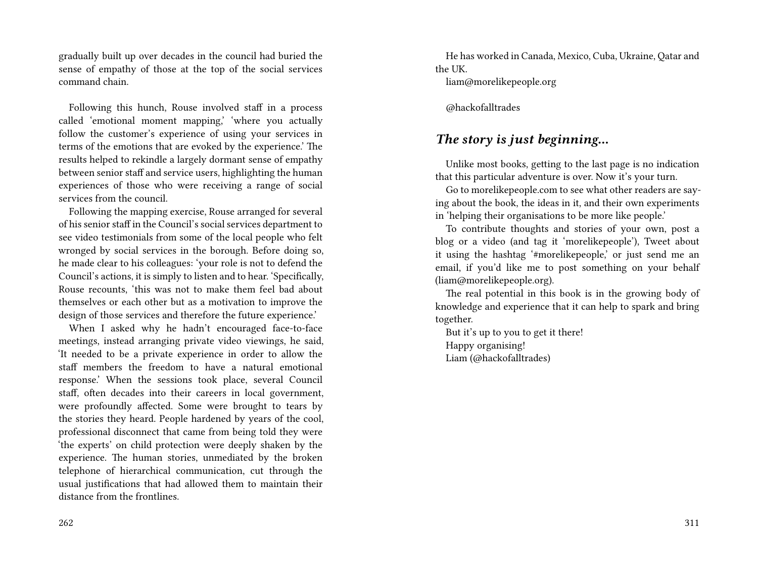gradually built up over decades in the council had buried the sense of empathy of those at the top of the social services command chain.

Following this hunch, Rouse involved staff in a process called 'emotional moment mapping,' 'where you actually follow the customer's experience of using your services in terms of the emotions that are evoked by the experience.' The results helped to rekindle a largely dormant sense of empathy between senior staff and service users, highlighting the human experiences of those who were receiving a range of social services from the council.

Following the mapping exercise, Rouse arranged for several of his senior staff in the Council's social services department to see video testimonials from some of the local people who felt wronged by social services in the borough. Before doing so, he made clear to his colleagues: 'your role is not to defend the Council's actions, it is simply to listen and to hear. 'Specifically, Rouse recounts, 'this was not to make them feel bad about themselves or each other but as a motivation to improve the design of those services and therefore the future experience.'

When I asked why he hadn't encouraged face-to-face meetings, instead arranging private video viewings, he said, 'It needed to be a private experience in order to allow the staff members the freedom to have a natural emotional response.' When the sessions took place, several Council staff, often decades into their careers in local government, were profoundly affected. Some were brought to tears by the stories they heard. People hardened by years of the cool, professional disconnect that came from being told they were 'the experts' on child protection were deeply shaken by the experience. The human stories, unmediated by the broken telephone of hierarchical communication, cut through the usual justifications that had allowed them to maintain their distance from the frontlines.

He has worked in Canada, Mexico, Cuba, Ukraine, Qatar and the UK.

liam@morelikepeople.org

@hackofalltrades

#### *The story is just beginning…*

Unlike most books, getting to the last page is no indication that this particular adventure is over. Now it's your turn.

Go to morelikepeople.com to see what other readers are saying about the book, the ideas in it, and their own experiments in 'helping their organisations to be more like people.'

To contribute thoughts and stories of your own, post a blog or a video (and tag it 'morelikepeople'), Tweet about it using the hashtag '#morelikepeople,' or just send me an email, if you'd like me to post something on your behalf (liam@morelikepeople.org).

The real potential in this book is in the growing body of knowledge and experience that it can help to spark and bring together.

But it's up to you to get it there! Happy organising! Liam (@hackofalltrades)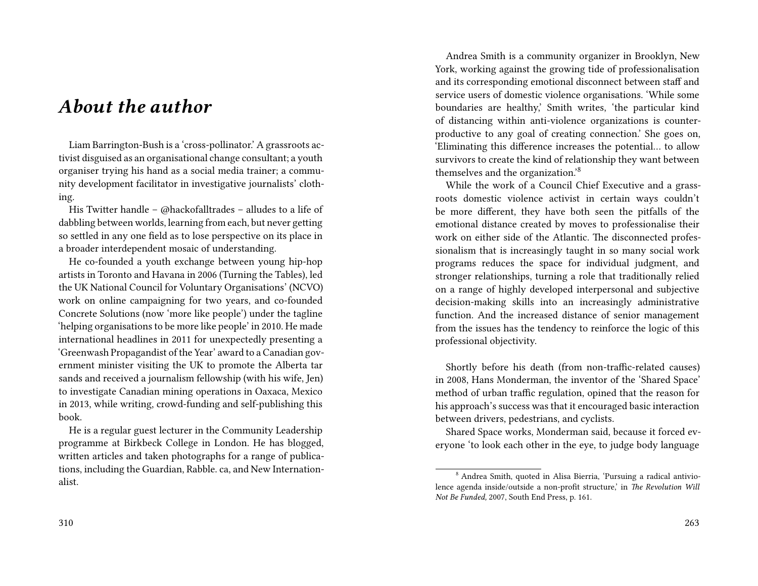## *About the author*

Liam Barrington-Bush is a 'cross-pollinator.' A grassroots activist disguised as an organisational change consultant; a youth organiser trying his hand as a social media trainer; a community development facilitator in investigative journalists' clothing.

His Twitter handle – @hackofalltrades – alludes to a life of dabbling between worlds, learning from each, but never getting so settled in any one field as to lose perspective on its place in a broader interdependent mosaic of understanding.

He co-founded a youth exchange between young hip-hop artists in Toronto and Havana in 2006 (Turning the Tables), led the UK National Council for Voluntary Organisations' (NCVO) work on online campaigning for two years, and co-founded Concrete Solutions (now 'more like people') under the tagline 'helping organisations to be more like people' in 2010. He made international headlines in 2011 for unexpectedly presenting a 'Greenwash Propagandist of the Year' award to a Canadian government minister visiting the UK to promote the Alberta tar sands and received a journalism fellowship (with his wife, Jen) to investigate Canadian mining operations in Oaxaca, Mexico in 2013, while writing, crowd-funding and self-publishing this book.

He is a regular guest lecturer in the Community Leadership programme at Birkbeck College in London. He has blogged, written articles and taken photographs for a range of publications, including the Guardian, Rabble. ca, and New Internationalist.

Andrea Smith is a community organizer in Brooklyn, New York, working against the growing tide of professionalisation and its corresponding emotional disconnect between staff and service users of domestic violence organisations. 'While some boundaries are healthy,' Smith writes, 'the particular kind of distancing within anti-violence organizations is counterproductive to any goal of creating connection.' She goes on, 'Eliminating this difference increases the potential… to allow survivors to create the kind of relationship they want between themselves and the organization.'<sup>8</sup>

While the work of a Council Chief Executive and a grassroots domestic violence activist in certain ways couldn't be more different, they have both seen the pitfalls of the emotional distance created by moves to professionalise their work on either side of the Atlantic. The disconnected professionalism that is increasingly taught in so many social work programs reduces the space for individual judgment, and stronger relationships, turning a role that traditionally relied on a range of highly developed interpersonal and subjective decision-making skills into an increasingly administrative function. And the increased distance of senior management from the issues has the tendency to reinforce the logic of this professional objectivity.

Shortly before his death (from non-traffic-related causes) in 2008, Hans Monderman, the inventor of the 'Shared Space' method of urban traffic regulation, opined that the reason for his approach's success was that it encouraged basic interaction between drivers, pedestrians, and cyclists.

Shared Space works, Monderman said, because it forced everyone 'to look each other in the eye, to judge body language

<sup>8</sup> Andrea Smith, quoted in Alisa Bierria, 'Pursuing a radical antiviolence agenda inside/outside a non-profit structure,' in *The Revolution Will Not Be Funded,* 2007, South End Press, p. 161.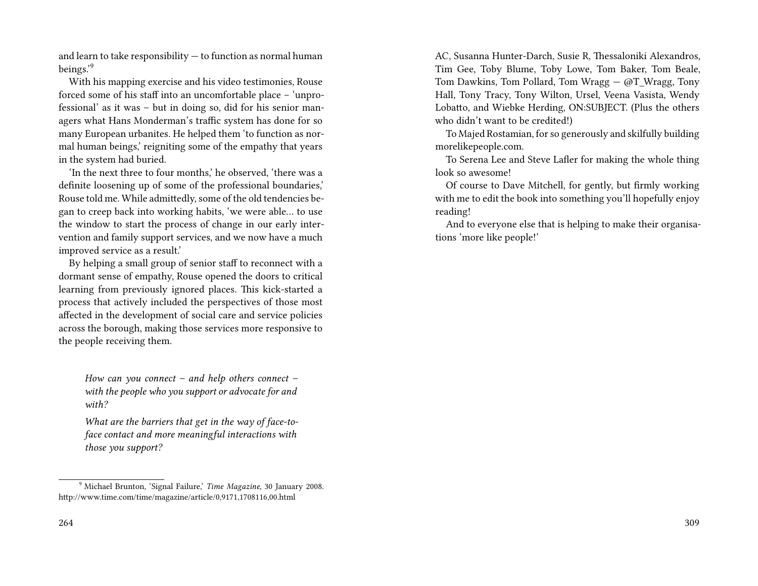and learn to take responsibility — to function as normal human beings.'<sup>9</sup>

With his mapping exercise and his video testimonies, Rouse forced some of his staff into an uncomfortable place – 'unprofessional' as it was – but in doing so, did for his senior managers what Hans Monderman's traffic system has done for so many European urbanites. He helped them 'to function as normal human beings,' reigniting some of the empathy that years in the system had buried.

'In the next three to four months,' he observed, 'there was a definite loosening up of some of the professional boundaries,' Rouse told me. While admittedly, some of the old tendencies began to creep back into working habits, 'we were able… to use the window to start the process of change in our early intervention and family support services, and we now have a much improved service as a result.'

By helping a small group of senior staff to reconnect with a dormant sense of empathy, Rouse opened the doors to critical learning from previously ignored places. This kick-started a process that actively included the perspectives of those most affected in the development of social care and service policies across the borough, making those services more responsive to the people receiving them.

*How can you connect – and help others connect – with the people who you support or advocate for and with?*

*What are the barriers that get in the way of face-toface contact and more meaningful interactions with those you support?*

264

AC, Susanna Hunter-Darch, Susie R, Thessaloniki Alexandros, Tim Gee, Toby Blume, Toby Lowe, Tom Baker, Tom Beale, Tom Dawkins, Tom Pollard, Tom Wragg — @T\_Wragg, Tony Hall, Tony Tracy, Tony Wilton, Ursel, Veena Vasista, Wendy Lobatto, and Wiebke Herding, ON:SUBJECT. (Plus the others who didn't want to be credited!)

To Majed Rostamian, for so generously and skilfully building morelikepeople.com.

To Serena Lee and Steve Lafler for making the whole thing look so awesome!

Of course to Dave Mitchell, for gently, but firmly working with me to edit the book into something you'll hopefully enjoy reading!

And to everyone else that is helping to make their organisations 'more like people!'

<sup>9</sup> Michael Brunton, 'Signal Failure,' *Time Magazine,* 30 January 2008. http://www.time.com/time/magazine/article/0,9171,1708116,00.html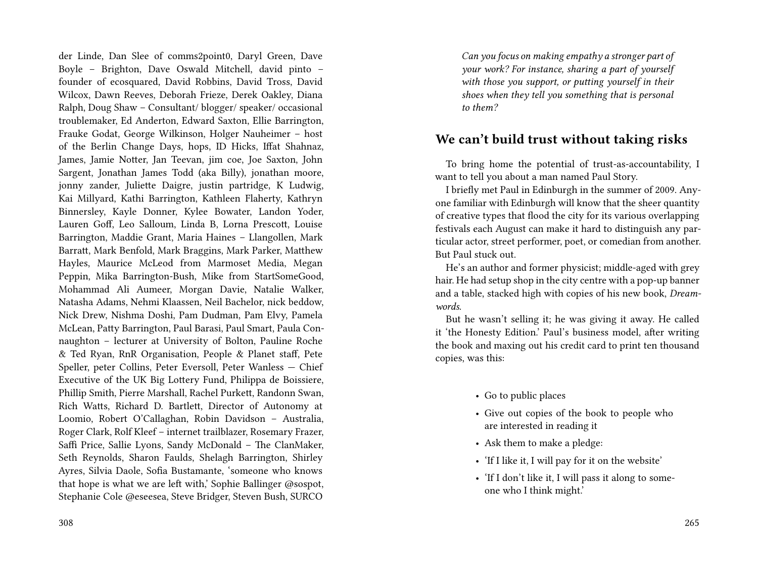der Linde, Dan Slee of comms2point0, Daryl Green, Dave Boyle – Brighton, Dave Oswald Mitchell, david pinto – founder of ecosquared, David Robbins, David Tross, David Wilcox, Dawn Reeves, Deborah Frieze, Derek Oakley, Diana Ralph, Doug Shaw – Consultant/ blogger/ speaker/ occasional troublemaker, Ed Anderton, Edward Saxton, Ellie Barrington, Frauke Godat, George Wilkinson, Holger Nauheimer – host of the Berlin Change Days, hops, ID Hicks, Iffat Shahnaz, James, Jamie Notter, Jan Teevan, jim coe, Joe Saxton, John Sargent, Jonathan James Todd (aka Billy), jonathan moore, jonny zander, Juliette Daigre, justin partridge, K Ludwig, Kai Millyard, Kathi Barrington, Kathleen Flaherty, Kathryn Binnersley, Kayle Donner, Kylee Bowater, Landon Yoder, Lauren Goff, Leo Salloum, Linda B, Lorna Prescott, Louise Barrington, Maddie Grant, Maria Haines – Llangollen, Mark Barratt, Mark Benfold, Mark Braggins, Mark Parker, Matthew Hayles, Maurice McLeod from Marmoset Media, Megan Peppin, Mika Barrington-Bush, Mike from StartSomeGood, Mohammad Ali Aumeer, Morgan Davie, Natalie Walker, Natasha Adams, Nehmi Klaassen, Neil Bachelor, nick beddow, Nick Drew, Nishma Doshi, Pam Dudman, Pam Elvy, Pamela McLean, Patty Barrington, Paul Barasi, Paul Smart, Paula Connaughton – lecturer at University of Bolton, Pauline Roche & Ted Ryan, RnR Organisation, People & Planet staff, Pete Speller, peter Collins, Peter Eversoll, Peter Wanless — Chief Executive of the UK Big Lottery Fund, Philippa de Boissiere, Phillip Smith, Pierre Marshall, Rachel Purkett, Randonn Swan, Rich Watts, Richard D. Bartlett, Director of Autonomy at Loomio, Robert O'Callaghan, Robin Davidson – Australia, Roger Clark, Rolf Kleef – internet trailblazer, Rosemary Frazer, Saffi Price, Sallie Lyons, Sandy McDonald – The ClanMaker, Seth Reynolds, Sharon Faulds, Shelagh Barrington, Shirley Ayres, Silvia Daole, Sofia Bustamante, 'someone who knows that hope is what we are left with,' Sophie Ballinger @sospot, Stephanie Cole @eseesea, Steve Bridger, Steven Bush, SURCO

*Can you focus on making empathy a stronger part of your work? For instance, sharing a part of yourself with those you support, or putting yourself in their shoes when they tell you something that is personal to them?*

## **We can't build trust without taking risks**

To bring home the potential of trust-as-accountability, I want to tell you about a man named Paul Story.

I briefly met Paul in Edinburgh in the summer of 2009. Anyone familiar with Edinburgh will know that the sheer quantity of creative types that flood the city for its various overlapping festivals each August can make it hard to distinguish any particular actor, street performer, poet, or comedian from another. But Paul stuck out.

He's an author and former physicist; middle-aged with grey hair. He had setup shop in the city centre with a pop-up banner and a table, stacked high with copies of his new book, *Dreamwords*.

But he wasn't selling it; he was giving it away. He called it 'the Honesty Edition.' Paul's business model, after writing the book and maxing out his credit card to print ten thousand copies, was this:

- Go to public places
- Give out copies of the book to people who are interested in reading it
- Ask them to make a pledge:
- 'If I like it, I will pay for it on the website'
- 'If I don't like it, I will pass it along to someone who I think might.'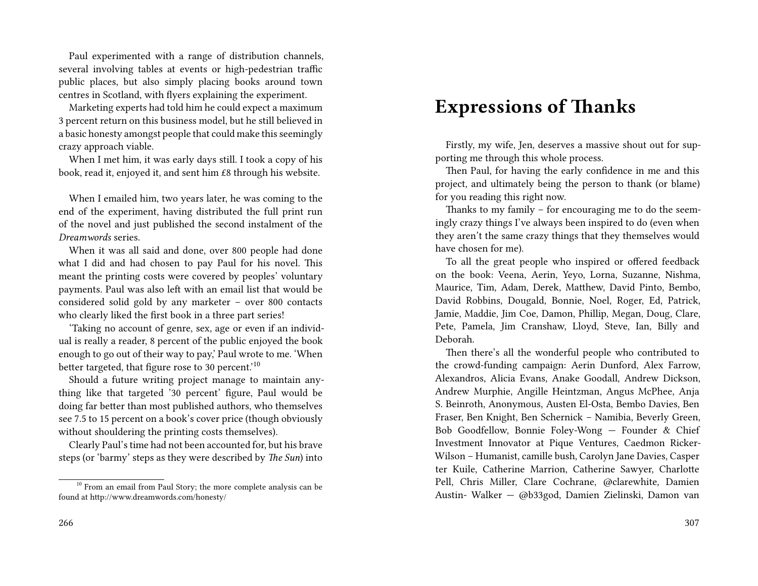Paul experimented with a range of distribution channels, several involving tables at events or high-pedestrian traffic public places, but also simply placing books around town centres in Scotland, with flyers explaining the experiment.

Marketing experts had told him he could expect a maximum 3 percent return on this business model, but he still believed in a basic honesty amongst people that could make this seemingly crazy approach viable.

When I met him, it was early days still. I took a copy of his book, read it, enjoyed it, and sent him £8 through his website.

When I emailed him, two years later, he was coming to the end of the experiment, having distributed the full print run of the novel and just published the second instalment of the *Dreamwords* series.

When it was all said and done, over 800 people had done what I did and had chosen to pay Paul for his novel. This meant the printing costs were covered by peoples' voluntary payments. Paul was also left with an email list that would be considered solid gold by any marketer – over 800 contacts who clearly liked the first book in a three part series!

'Taking no account of genre, sex, age or even if an individual is really a reader, 8 percent of the public enjoyed the book enough to go out of their way to pay,' Paul wrote to me. 'When better targeted, that figure rose to 30 percent.'<sup>10</sup>

Should a future writing project manage to maintain anything like that targeted '30 percent' figure, Paul would be doing far better than most published authors, who themselves see 7.5 to 15 percent on a book's cover price (though obviously without shouldering the printing costs themselves).

Clearly Paul's time had not been accounted for, but his brave steps (or 'barmy' steps as they were described by *The Sun*) into

#### 266

## **Expressions of Thanks**

Firstly, my wife, Jen, deserves a massive shout out for supporting me through this whole process.

Then Paul, for having the early confidence in me and this project, and ultimately being the person to thank (or blame) for you reading this right now.

Thanks to my family – for encouraging me to do the seemingly crazy things I've always been inspired to do (even when they aren't the same crazy things that they themselves would have chosen for me).

To all the great people who inspired or offered feedback on the book: Veena, Aerin, Yeyo, Lorna, Suzanne, Nishma, Maurice, Tim, Adam, Derek, Matthew, David Pinto, Bembo, David Robbins, Dougald, Bonnie, Noel, Roger, Ed, Patrick, Jamie, Maddie, Jim Coe, Damon, Phillip, Megan, Doug, Clare, Pete, Pamela, Jim Cranshaw, Lloyd, Steve, Ian, Billy and Deborah.

Then there's all the wonderful people who contributed to the crowd-funding campaign: Aerin Dunford, Alex Farrow, Alexandros, Alicia Evans, Anake Goodall, Andrew Dickson, Andrew Murphie, Angille Heintzman, Angus McPhee, Anja S. Beinroth, Anonymous, Austen El-Osta, Bembo Davies, Ben Fraser, Ben Knight, Ben Schernick – Namibia, Beverly Green, Bob Goodfellow, Bonnie Foley-Wong — Founder & Chief Investment Innovator at Pique Ventures, Caedmon Ricker-Wilson – Humanist, camille bush, Carolyn Jane Davies, Casper ter Kuile, Catherine Marrion, Catherine Sawyer, Charlotte Pell, Chris Miller, Clare Cochrane, @clarewhite, Damien Austin- Walker — @b33god, Damien Zielinski, Damon van

 $10$  From an email from Paul Story; the more complete analysis can be found at http://www.dreamwords.com/honesty/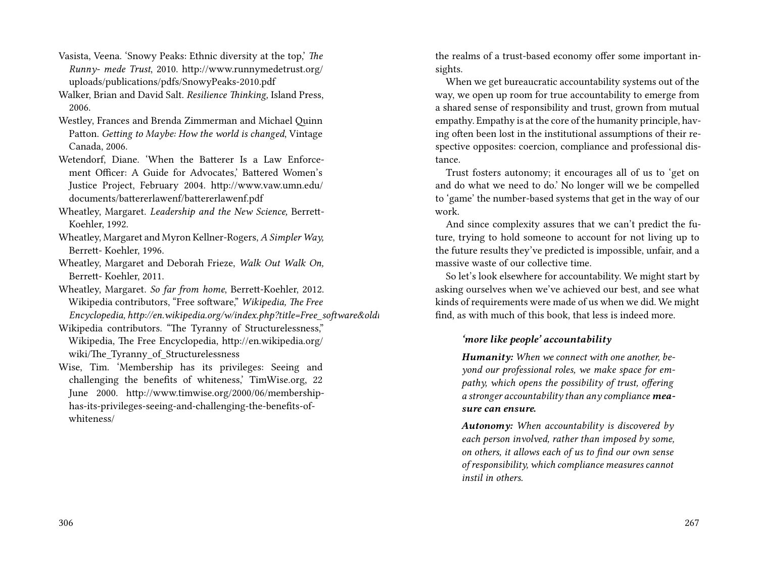- Vasista, Veena. 'Snowy Peaks: Ethnic diversity at the top,' *The Runny- mede Trust*, 2010. http://www.runnymedetrust.org/ uploads/publications/pdfs/SnowyPeaks-2010.pdf
- Walker, Brian and David Salt. *Resilience Thinking,* Island Press, 2006.
- Westley, Frances and Brenda Zimmerman and Michael Quinn Patton. *Getting to Maybe: How the world is changed*, Vintage Canada, 2006.
- Wetendorf, Diane. 'When the Batterer Is a Law Enforcement Officer: A Guide for Advocates,' Battered Women's Justice Project, February 2004. http://www.vaw.umn.edu/ documents/battererlawenf/battererlawenf.pdf
- Wheatley, Margaret. *Leadership and the New Science,* Berrett-Koehler, 1992.
- Wheatley, Margaret and Myron Kellner-Rogers, *A Simpler Way,* Berrett- Koehler, 1996.
- Wheatley, Margaret and Deborah Frieze, *Walk Out Walk On,* Berrett- Koehler, 2011.
- Wheatley, Margaret. *So far from home*, Berrett-Koehler, 2012. Wikipedia contributors, "Free software," *Wikipedia, The Free Encyclopedia, http://en.wikipedia.org/w/index.php?title=Free\_software&oldi*
- Wikipedia contributors. "The Tyranny of Structurelessness," Wikipedia, The Free Encyclopedia, http://en.wikipedia.org/ wiki/The Tyranny of Structurelessness
- Wise, Tim. 'Membership has its privileges: Seeing and challenging the benefits of whiteness,' TimWise.org, 22 June 2000. http://www.timwise.org/2000/06/membershiphas-its-privileges-seeing-and-challenging-the-benefits-ofwhiteness/

the realms of a trust-based economy offer some important insights.

When we get bureaucratic accountability systems out of the way, we open up room for true accountability to emerge from a shared sense of responsibility and trust, grown from mutual empathy. Empathy is at the core of the humanity principle, having often been lost in the institutional assumptions of their respective opposites: coercion, compliance and professional distance.

Trust fosters autonomy; it encourages all of us to 'get on and do what we need to do.' No longer will we be compelled to 'game' the number-based systems that get in the way of our work.

And since complexity assures that we can't predict the future, trying to hold someone to account for not living up to the future results they've predicted is impossible, unfair, and a massive waste of our collective time.

So let's look elsewhere for accountability. We might start by asking ourselves when we've achieved our best, and see what kinds of requirements were made of us when we did. We might find, as with much of this book, that less is indeed more.

#### *'more like people' accountability*

*Humanity: When we connect with one another, beyond our professional roles, we make space for empathy, which opens the possibility of trust, offering a stronger accountability than any compliance measure can ensure.*

*Autonomy: When accountability is discovered by each person involved, rather than imposed by some, on others, it allows each of us to find our own sense of responsibility, which compliance measures cannot instil in others.*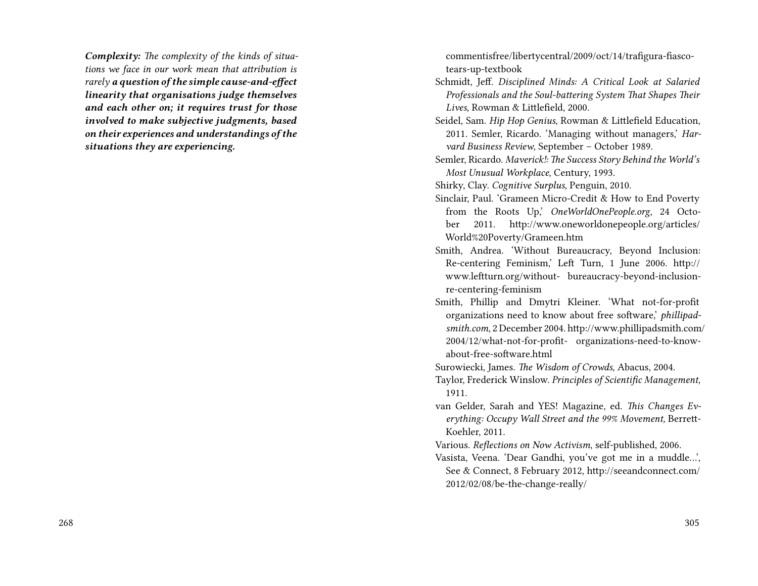*Complexity: The complexity of the kinds of situations we face in our work mean that attribution is rarely a question of the simple cause-and-effect linearity that organisations judge themselves and each other on; it requires trust for those involved to make subjective judgments, based on their experiences and understandings of the situations they are experiencing.*

commentisfree/libertycentral/2009/oct/14/trafigura-fiascotears-up-textbook

- Schmidt, Jeff. *Disciplined Minds: A Critical Look at Salaried Professionals and the Soul-battering System That Shapes Their Lives,* Rowman & Littlefield, 2000.
- Seidel, Sam. *Hip Hop Genius*, Rowman & Littlefield Education, 2011. Semler, Ricardo. 'Managing without managers,' *Harvard Business Review*, September – October 1989.
- Semler, Ricardo. *Maverick!: The Success Story Behind the World's Most Unusual Workplace*, Century, 1993.

Shirky, Clay. *Cognitive Surplus,* Penguin, 2010.

- Sinclair, Paul. 'Grameen Micro-Credit & How to End Poverty from the Roots Up,' *OneWorldOnePeople.org*, 24 October 2011. http://www.oneworldonepeople.org/articles/ World%20Poverty/Grameen.htm
- Smith, Andrea. 'Without Bureaucracy, Beyond Inclusion: Re-centering Feminism,' Left Turn, 1 June 2006. http:// www.leftturn.org/without- bureaucracy-beyond-inclusionre-centering-feminism
- Smith, Phillip and Dmytri Kleiner. 'What not-for-profit organizations need to know about free software,' *phillipadsmith.com*, 2 December 2004. http://www.phillipadsmith.com/ 2004/12/what-not-for-profit- organizations-need-to-knowabout-free-software.html
- Surowiecki, James. *The Wisdom of Crowds,* Abacus, 2004.
- Taylor, Frederick Winslow. *Principles of Scientific Management,* 1911.
- van Gelder, Sarah and YES! Magazine, ed. *This Changes Everything: Occupy Wall Street and the 99% Movement,* Berrett-Koehler, 2011.

Various. *Reflections on Now Activism*, self-published, 2006.

Vasista, Veena. 'Dear Gandhi, you've got me in a muddle…', See & Connect, 8 February 2012, http://seeandconnect.com/ 2012/02/08/be-the-change-really/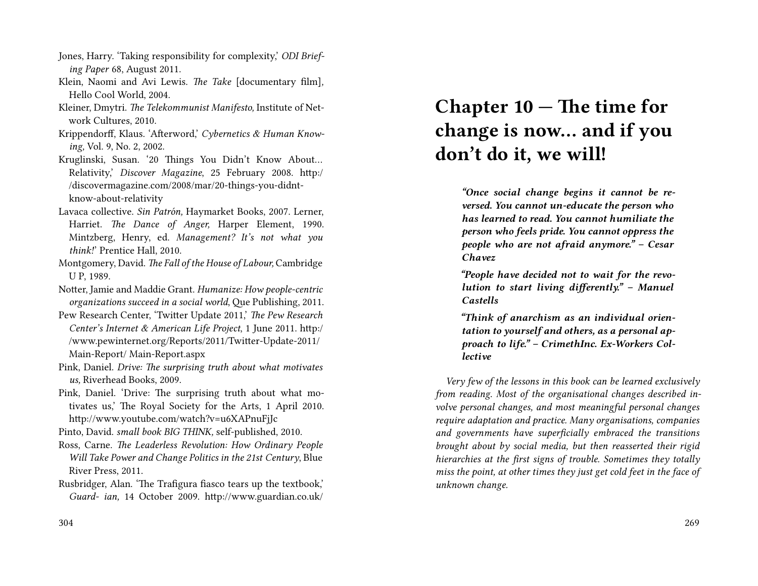- Jones, Harry. 'Taking responsibility for complexity,' *ODI Briefing Paper* 68, August 2011.
- Klein, Naomi and Avi Lewis. *The Take* [documentary film]*,* Hello Cool World, 2004.
- Kleiner, Dmytri. *The Telekommunist Manifesto,* Institute of Network Cultures, 2010.
- Krippendorff, Klaus. 'Afterword,' *Cybernetics & Human Knowing,* Vol. 9, No. 2, 2002.
- Kruglinski, Susan. '20 Things You Didn't Know About… Relativity,' *Discover Magazine*, 25 February 2008. http:/ /discovermagazine.com/2008/mar/20-things-you-didntknow-about-relativity
- Lavaca collective. *Sin Patrón,* Haymarket Books, 2007. Lerner, Harriet. *The Dance of Anger,* Harper Element, 1990. Mintzberg, Henry, ed. *Management? It's not what you think!*' Prentice Hall, 2010.
- Montgomery, David. *The Fall of the House of Labour,* Cambridge U P, 1989.
- Notter, Jamie and Maddie Grant. *Humanize: How people-centric organizations succeed in a social world*, Que Publishing, 2011.
- Pew Research Center, 'Twitter Update 2011,' *The Pew Research Center's Internet & American Life Project*, 1 June 2011. http:/ /www.pewinternet.org/Reports/2011/Twitter-Update-2011/ Main-Report/ Main-Report.aspx
- Pink, Daniel. *Drive: The surprising truth about what motivates us,* Riverhead Books, 2009.
- Pink, Daniel. 'Drive: The surprising truth about what motivates us,' The Royal Society for the Arts, 1 April 2010. http://www.youtube.com/watch?v=u6XAPnuFjJc
- Pinto, David. *small book BIG THINK,* self-published, 2010.
- Ross, Carne. *The Leaderless Revolution: How Ordinary People Will Take Power and Change Politics in the 21st Century*, Blue River Press, 2011.
- Rusbridger, Alan. 'The Trafigura fiasco tears up the textbook,' *Guard- ian,* 14 October 2009. http://www.guardian.co.uk/

# **Chapter 10 — The time for change is now… and if you don't do it, we will!**

*"Once social change begins it cannot be reversed. You cannot un-educate the person who has learned to read. You cannot humiliate the person who feels pride. You cannot oppress the people who are not afraid anymore." – Cesar Chavez*

*"People have decided not to wait for the revolution to start living differently." – Manuel Castells*

*"Think of anarchism as an individual orientation to yourself and others, as a personal approach to life." – CrimethInc. Ex-Workers Collective*

*Very few of the lessons in this book can be learned exclusively from reading. Most of the organisational changes described involve personal changes, and most meaningful personal changes require adaptation and practice. Many organisations, companies and governments have superficially embraced the transitions brought about by social media, but then reasserted their rigid hierarchies at the first signs of trouble. Sometimes they totally miss the point, at other times they just get cold feet in the face of unknown change.*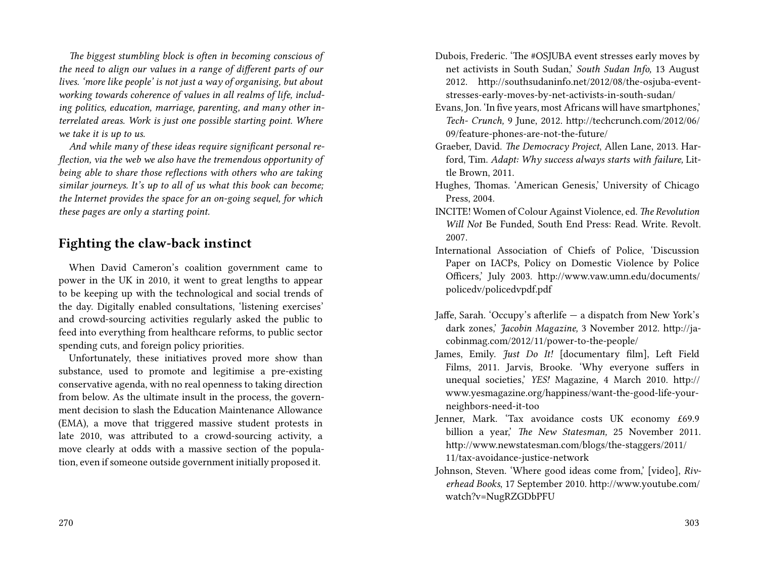*The biggest stumbling block is often in becoming conscious of the need to align our values in a range of different parts of our lives. 'more like people' is not just a way of organising, but about working towards coherence of values in all realms of life, including politics, education, marriage, parenting, and many other interrelated areas. Work is just one possible starting point. Where we take it is up to us.*

*And while many of these ideas require significant personal reflection, via the web we also have the tremendous opportunity of being able to share those reflections with others who are taking similar journeys. It's up to all of us what this book can become; the Internet provides the space for an on-going sequel, for which these pages are only a starting point.*

### **Fighting the claw-back instinct**

When David Cameron's coalition government came to power in the UK in 2010, it went to great lengths to appear to be keeping up with the technological and social trends of the day. Digitally enabled consultations, 'listening exercises' and crowd-sourcing activities regularly asked the public to feed into everything from healthcare reforms, to public sector spending cuts, and foreign policy priorities.

Unfortunately, these initiatives proved more show than substance, used to promote and legitimise a pre-existing conservative agenda, with no real openness to taking direction from below. As the ultimate insult in the process, the government decision to slash the Education Maintenance Allowance (EMA), a move that triggered massive student protests in late 2010, was attributed to a crowd-sourcing activity, a move clearly at odds with a massive section of the population, even if someone outside government initially proposed it.

- Dubois, Frederic. 'The #OSJUBA event stresses early moves by net activists in South Sudan,' *South Sudan Info,* 13 August 2012. http://southsudaninfo.net/2012/08/the-osjuba-eventstresses-early-moves-by-net-activists-in-south-sudan/
- Evans, Jon. 'In five years, most Africans will have smartphones,' *Tech- Crunch,* 9 June, 2012. http://techcrunch.com/2012/06/ 09/feature-phones-are-not-the-future/
- Graeber, David. *The Democracy Project*, Allen Lane, 2013. Harford, Tim. *Adapt: Why success always starts with failure,* Little Brown, 2011.
- Hughes, Thomas. 'American Genesis,' University of Chicago Press, 2004.
- INCITE! Women of Colour Against Violence, ed. *The Revolution Will Not* Be Funded, South End Press: Read. Write. Revolt. 2007.
- International Association of Chiefs of Police, 'Discussion Paper on IACPs, Policy on Domestic Violence by Police Officers,' July 2003. http://www.vaw.umn.edu/documents/ policedv/policedvpdf.pdf
- Jaffe, Sarah. 'Occupy's afterlife a dispatch from New York's dark zones,' *Jacobin Magazine,* 3 November 2012. http://jacobinmag.com/2012/11/power-to-the-people/
- James, Emily. *Just Do It!* [documentary film], Left Field Films, 2011. Jarvis, Brooke. 'Why everyone suffers in unequal societies,' *YES!* Magazine, 4 March 2010. http:// www.yesmagazine.org/happiness/want-the-good-life-yourneighbors-need-it-too
- Jenner, Mark. 'Tax avoidance costs UK economy £69.9 billion a year,' *The New Statesman,* 25 November 2011. http://www.newstatesman.com/blogs/the-staggers/2011/ 11/tax-avoidance-justice-network
- Johnson, Steven. 'Where good ideas come from,' [video], *Riverhead Books*, 17 September 2010. http://www.youtube.com/ watch?v=NugRZGDbPFU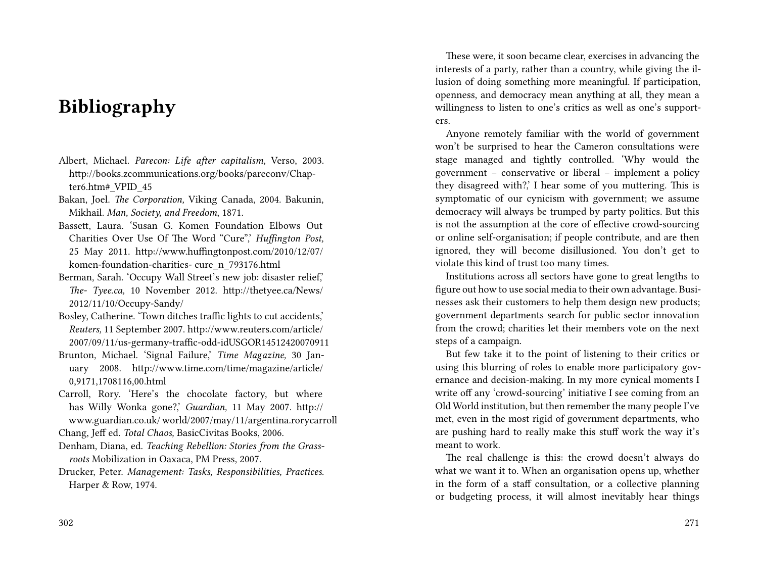## **Bibliography**

- Albert, Michael. *Parecon: Life after capitalism,* Verso, 2003. http://books.zcommunications.org/books/pareconv/Chapter6.htm#\_VPID\_45
- Bakan, Joel. *The Corporation,* Viking Canada, 2004. Bakunin, Mikhail. *Man, Society, and Freedom*, 1871.
- Bassett, Laura. 'Susan G. Komen Foundation Elbows Out Charities Over Use Of The Word "Cure",' *Huffington Post,* 25 May 2011. http://www.huffingtonpost.com/2010/12/07/ komen-foundation-charities- cure\_n\_793176.html
- Berman, Sarah. 'Occupy Wall Street's new job: disaster relief,' *The- Tyee.ca,* 10 November 2012. http://thetyee.ca/News/ 2012/11/10/Occupy-Sandy/
- Bosley, Catherine. 'Town ditches traffic lights to cut accidents,' *Reuters,* 11 September 2007. http://www.reuters.com/article/ 2007/09/11/us-germany-traffic-odd-idUSGOR14512420070911
- Brunton, Michael. 'Signal Failure,' *Time Magazine,* 30 January 2008. http://www.time.com/time/magazine/article/ 0,9171,1708116,00.html
- Carroll, Rory. 'Here's the chocolate factory, but where has Willy Wonka gone?,' *Guardian,* 11 May 2007. http:// www.guardian.co.uk/ world/2007/may/11/argentina.rorycarroll
- Chang, Jeff ed. *Total Chaos,* BasicCivitas Books, 2006.
- Denham, Diana, ed. *Teaching Rebellion: Stories from the Grassroots* Mobilization in Oaxaca, PM Press, 2007.
- Drucker, Peter. *Management: Tasks, Responsibilities, Practices.* Harper & Row, 1974.

These were, it soon became clear, exercises in advancing the interests of a party, rather than a country, while giving the illusion of doing something more meaningful. If participation, openness, and democracy mean anything at all, they mean a willingness to listen to one's critics as well as one's supporters.

Anyone remotely familiar with the world of government won't be surprised to hear the Cameron consultations were stage managed and tightly controlled. 'Why would the government – conservative or liberal – implement a policy they disagreed with?,' I hear some of you muttering. This is symptomatic of our cynicism with government; we assume democracy will always be trumped by party politics. But this is not the assumption at the core of effective crowd-sourcing or online self-organisation; if people contribute, and are then ignored, they will become disillusioned. You don't get to violate this kind of trust too many times.

Institutions across all sectors have gone to great lengths to figure out how to use social media to their own advantage. Businesses ask their customers to help them design new products; government departments search for public sector innovation from the crowd; charities let their members vote on the next steps of a campaign.

But few take it to the point of listening to their critics or using this blurring of roles to enable more participatory governance and decision-making. In my more cynical moments I write off any 'crowd-sourcing' initiative I see coming from an Old World institution, but then remember the many people I've met, even in the most rigid of government departments, who are pushing hard to really make this stuff work the way it's meant to work.

The real challenge is this: the crowd doesn't always do what we want it to. When an organisation opens up, whether in the form of a staff consultation, or a collective planning or budgeting process, it will almost inevitably hear things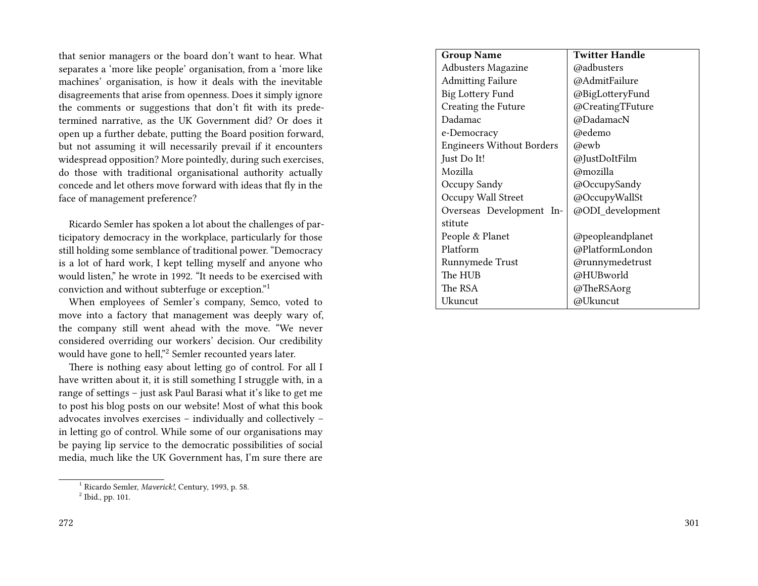that senior managers or the board don't want to hear. What separates a 'more like people' organisation, from a 'more like machines' organisation, is how it deals with the inevitable disagreements that arise from openness. Does it simply ignore the comments or suggestions that don't fit with its predetermined narrative, as the UK Government did? Or does it open up a further debate, putting the Board position forward, but not assuming it will necessarily prevail if it encounters widespread opposition? More pointedly, during such exercises, do those with traditional organisational authority actually concede and let others move forward with ideas that fly in the face of management preference?

Ricardo Semler has spoken a lot about the challenges of participatory democracy in the workplace, particularly for those still holding some semblance of traditional power. "Democracy is a lot of hard work, I kept telling myself and anyone who would listen," he wrote in 1992. "It needs to be exercised with conviction and without subterfuge or exception."<sup>1</sup>

When employees of Semler's company, Semco, voted to move into a factory that management was deeply wary of, the company still went ahead with the move. "We never considered overriding our workers' decision. Our credibility would have gone to hell,"<sup>2</sup> Semler recounted years later.

There is nothing easy about letting go of control. For all I have written about it, it is still something I struggle with, in a range of settings – just ask Paul Barasi what it's like to get me to post his blog posts on our website! Most of what this book advocates involves exercises – individually and collectively – in letting go of control. While some of our organisations may be paying lip service to the democratic possibilities of social media, much like the UK Government has, I'm sure there are

| <b>Group Name</b>                | <b>Twitter Handle</b> |
|----------------------------------|-----------------------|
| <b>Adbusters Magazine</b>        | @adbusters            |
| <b>Admitting Failure</b>         | @AdmitFailure         |
| Big Lottery Fund                 | @BigLotteryFund       |
| Creating the Future              | @CreatingTFuture      |
| Dadamac                          | @DadamacN             |
| e-Democracy                      | @edemo                |
| <b>Engineers Without Borders</b> | @ewb                  |
| Just Do It!                      | @JustDoItFilm         |
| Mozilla                          | @mozilla              |
| Occupy Sandy                     | @OccupySandy          |
| Occupy Wall Street               | @OccupyWallSt         |
| Overseas Development In-         | @ODI_development      |
| stitute                          |                       |
| People & Planet                  | @peopleandplanet      |
| Platform                         | @PlatformLondon       |
| Runnymede Trust                  | @runnymedetrust       |
| The HUB                          | @HUBworld             |
| The RSA                          | @TheRSAorg            |
| Ukuncut                          | @Ukuncut              |

<sup>1</sup> Ricardo Semler, *Maverick!*, Century, 1993, p. 58.

 $2$  Ibid., pp. 101.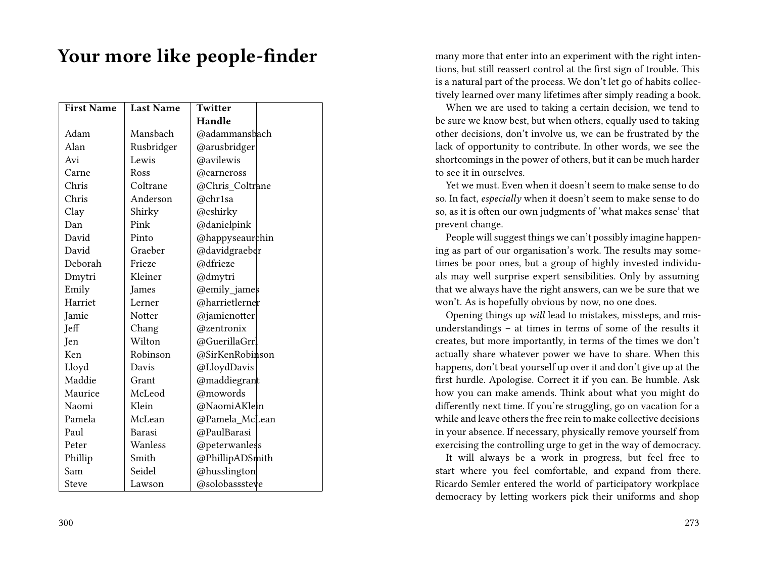## **Your more like people-finder**

| <b>First Name</b> | <b>Last Name</b> | Twitter         |
|-------------------|------------------|-----------------|
|                   |                  | Handle          |
| Adam              | Mansbach         | @adammansbach   |
| Alan              | Rusbridger       | @arusbridger    |
| Avi               | Lewis            | @avilewis       |
| Carne             | Ross             | @carneross      |
| Chris             | Coltrane         | @Chris Coltrane |
| Chris             | Anderson         | @chr1sa         |
| Clay              | Shirky           | @cshirky        |
| Dan               | Pink             | @danielpink     |
| David             | Pinto            | @happyseaurchin |
| David             | Graeber          | @davidgraeber   |
| Deborah           | Frieze           | @dfrieze        |
| Dmytri            | Kleiner          | @dmytri         |
| Emily             | James            | @emily_james    |
| Harriet           | Lerner           | @harrietlerner  |
| Jamie             | <b>Notter</b>    | @jamienotter    |
| Jeff              | Chang            | @zentronix      |
| Jen               | Wilton           | @GuerillaGrrl   |
| Ken               | Robinson         | @SirKenRobinson |
| Lloyd             | Davis            | @LloydDavis     |
| Maddie            | Grant            | @maddiegrant    |
| Maurice           | McLeod           | @mowords        |
| Naomi             | Klein            | @NaomiAKlein    |
| Pamela            | McLean           | @Pamela_McLean  |
| Paul              | Barasi           | @PaulBarasi     |
| Peter             | Wanless          | @peterwanless   |
| Phillip           | Smith            | @PhillipADSmith |
| Sam               | Seidel           | @husslington    |
| <b>Steve</b>      | Lawson           | @solobasssteve  |

many more that enter into an experiment with the right intentions, but still reassert control at the first sign of trouble. This is a natural part of the process. We don't let go of habits collectively learned over many lifetimes after simply reading a book.

When we are used to taking a certain decision, we tend to be sure we know best, but when others, equally used to taking other decisions, don't involve us, we can be frustrated by the lack of opportunity to contribute. In other words, we see the shortcomings in the power of others, but it can be much harder to see it in ourselves.

Yet we must. Even when it doesn't seem to make sense to do so. In fact, *especially* when it doesn't seem to make sense to do so, as it is often our own judgments of 'what makes sense' that prevent change.

People will suggest things we can't possibly imagine happening as part of our organisation's work. The results may sometimes be poor ones, but a group of highly invested individuals may well surprise expert sensibilities. Only by assuming that we always have the right answers, can we be sure that we won't. As is hopefully obvious by now, no one does.

Opening things up *will* lead to mistakes, missteps, and misunderstandings – at times in terms of some of the results it creates, but more importantly, in terms of the times we don't actually share whatever power we have to share. When this happens, don't beat yourself up over it and don't give up at the first hurdle. Apologise. Correct it if you can. Be humble. Ask how you can make amends. Think about what you might do differently next time. If you're struggling, go on vacation for a while and leave others the free rein to make collective decisions in your absence. If necessary, physically remove yourself from exercising the controlling urge to get in the way of democracy.

It will always be a work in progress, but feel free to start where you feel comfortable, and expand from there. Ricardo Semler entered the world of participatory workplace democracy by letting workers pick their uniforms and shop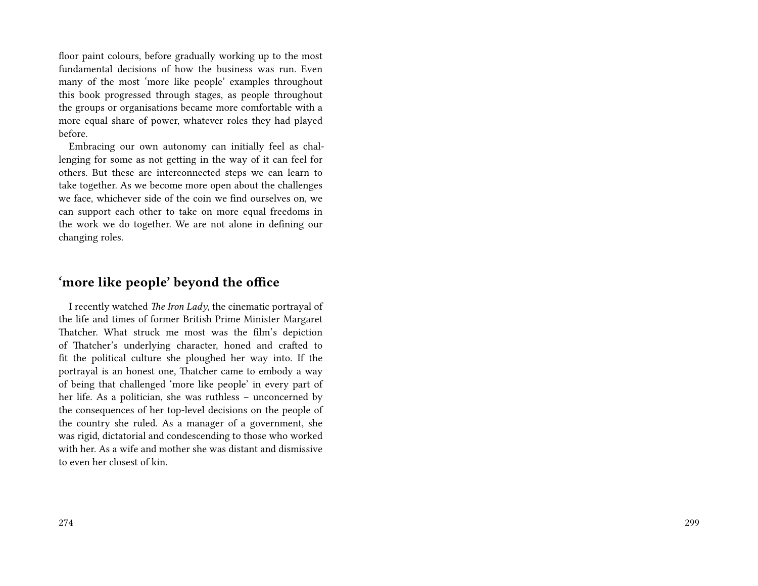floor paint colours, before gradually working up to the most fundamental decisions of how the business was run. Even many of the most 'more like people' examples throughout this book progressed through stages, as people throughout the groups or organisations became more comfortable with a more equal share of power, whatever roles they had played before.

Embracing our own autonomy can initially feel as challenging for some as not getting in the way of it can feel for others. But these are interconnected steps we can learn to take together. As we become more open about the challenges we face, whichever side of the coin we find ourselves on, we can support each other to take on more equal freedoms in the work we do together. We are not alone in defining our changing roles.

### **'more like people' beyond the office**

I recently watched *The Iron Lady*, the cinematic portrayal of the life and times of former British Prime Minister Margaret Thatcher. What struck me most was the film's depiction of Thatcher's underlying character, honed and crafted to fit the political culture she ploughed her way into. If the portrayal is an honest one, Thatcher came to embody a way of being that challenged 'more like people' in every part of her life. As a politician, she was ruthless – unconcerned by the consequences of her top-level decisions on the people of the country she ruled. As a manager of a government, she was rigid, dictatorial and condescending to those who worked with her. As a wife and mother she was distant and dismissive to even her closest of kin.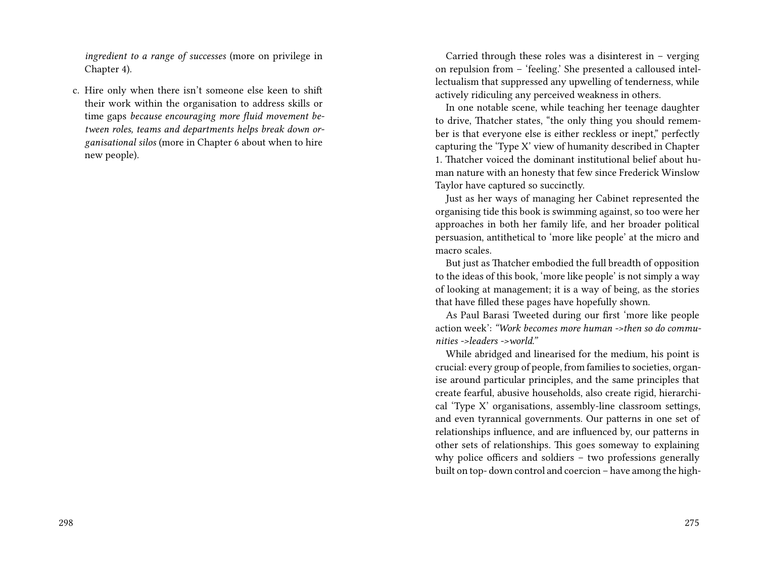*ingredient to a range of successes* (more on privilege in Chapter 4).

c. Hire only when there isn't someone else keen to shift their work within the organisation to address skills or time gaps *because encouraging more fluid movement between roles, teams and departments helps break down organisational silos* (more in Chapter 6 about when to hire new people).

Carried through these roles was a disinterest in – verging on repulsion from – 'feeling.' She presented a calloused intellectualism that suppressed any upwelling of tenderness, while actively ridiculing any perceived weakness in others.

In one notable scene, while teaching her teenage daughter to drive, Thatcher states, "the only thing you should remember is that everyone else is either reckless or inept," perfectly capturing the 'Type X' view of humanity described in Chapter 1. Thatcher voiced the dominant institutional belief about human nature with an honesty that few since Frederick Winslow Taylor have captured so succinctly.

Just as her ways of managing her Cabinet represented the organising tide this book is swimming against, so too were her approaches in both her family life, and her broader political persuasion, antithetical to 'more like people' at the micro and macro scales.

But just as Thatcher embodied the full breadth of opposition to the ideas of this book, 'more like people' is not simply a way of looking at management; it is a way of being, as the stories that have filled these pages have hopefully shown.

As Paul Barasi Tweeted during our first 'more like people action week': *"Work becomes more human ->then so do communities ->leaders ->world."*

While abridged and linearised for the medium, his point is crucial: every group of people, from families to societies, organise around particular principles, and the same principles that create fearful, abusive households, also create rigid, hierarchical 'Type X' organisations, assembly-line classroom settings, and even tyrannical governments. Our patterns in one set of relationships influence, and are influenced by, our patterns in other sets of relationships. This goes someway to explaining why police officers and soldiers – two professions generally built on top- down control and coercion – have among the high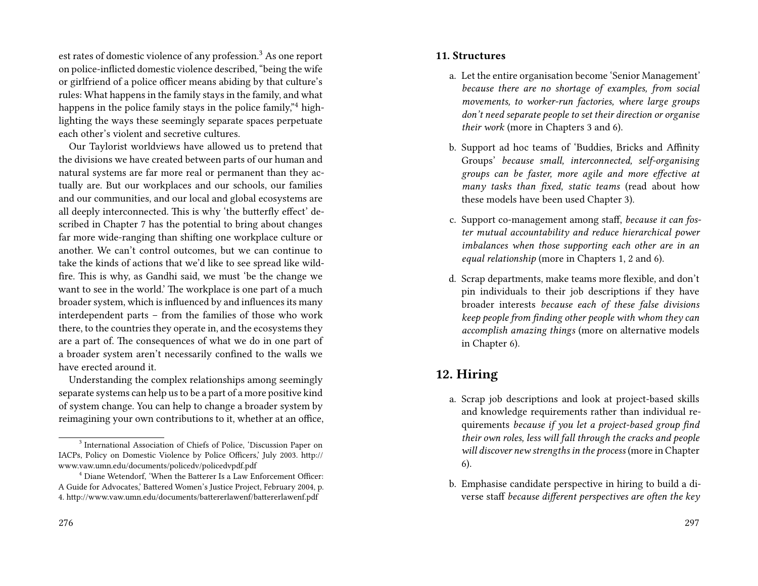est rates of domestic violence of any profession.<sup>3</sup> As one report on police-inflicted domestic violence described, "being the wife or girlfriend of a police officer means abiding by that culture's rules: What happens in the family stays in the family, and what happens in the police family stays in the police family,"<sup>4</sup> highlighting the ways these seemingly separate spaces perpetuate each other's violent and secretive cultures.

Our Taylorist worldviews have allowed us to pretend that the divisions we have created between parts of our human and natural systems are far more real or permanent than they actually are. But our workplaces and our schools, our families and our communities, and our local and global ecosystems are all deeply interconnected. This is why 'the butterfly effect' described in Chapter 7 has the potential to bring about changes far more wide-ranging than shifting one workplace culture or another. We can't control outcomes, but we can continue to take the kinds of actions that we'd like to see spread like wildfire. This is why, as Gandhi said, we must 'be the change we want to see in the world.' The workplace is one part of a much broader system, which is influenced by and influences its many interdependent parts – from the families of those who work there, to the countries they operate in, and the ecosystems they are a part of. The consequences of what we do in one part of a broader system aren't necessarily confined to the walls we have erected around it.

Understanding the complex relationships among seemingly separate systems can help us to be a part of a more positive kind of system change. You can help to change a broader system by reimagining your own contributions to it, whether at an office,

#### **11. Structures**

- a. Let the entire organisation become 'Senior Management' *because there are no shortage of examples, from social movements, to worker-run factories, where large groups don't need separate people to set their direction or organise their work* (more in Chapters 3 and 6).
- b. Support ad hoc teams of 'Buddies, Bricks and Affinity Groups' *because small, interconnected, self-organising groups can be faster, more agile and more effective at many tasks than fixed, static teams* (read about how these models have been used Chapter 3).
- c. Support co-management among staff, *because it can foster mutual accountability and reduce hierarchical power imbalances when those supporting each other are in an equal relationship* (more in Chapters 1, 2 and 6).
- d. Scrap departments, make teams more flexible, and don't pin individuals to their job descriptions if they have broader interests *because each of these false divisions keep people from finding other people with whom they can accomplish amazing things* (more on alternative models in Chapter 6).

### **12. Hiring**

- a. Scrap job descriptions and look at project-based skills and knowledge requirements rather than individual requirements *because if you let a project-based group find their own roles, less will fall through the cracks and people will discover new strengths in the process* (more in Chapter 6).
- b. Emphasise candidate perspective in hiring to build a diverse staff *because different perspectives are often the key*

<sup>&</sup>lt;sup>3</sup> International Association of Chiefs of Police, 'Discussion Paper on IACPs, Policy on Domestic Violence by Police Officers,' July 2003. http:// www.vaw.umn.edu/documents/policedv/policedvpdf.pdf

<sup>4</sup> Diane Wetendorf, 'When the Batterer Is a Law Enforcement Officer: A Guide for Advocates,' Battered Women's Justice Project, February 2004, p. 4. http://www.vaw.umn.edu/documents/battererlawenf/battererlawenf.pdf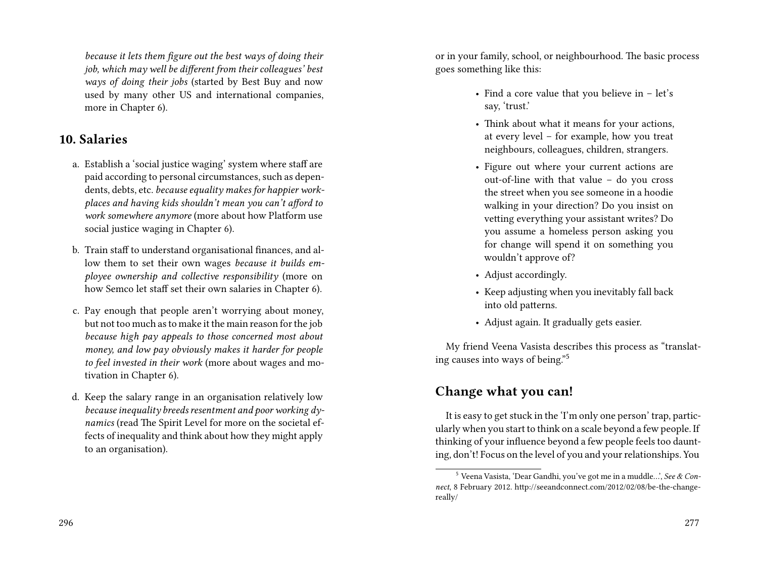*because it lets them figure out the best ways of doing their job, which may well be different from their colleagues' best ways of doing their jobs* (started by Best Buy and now used by many other US and international companies, more in Chapter 6).

## **10. Salaries**

- a. Establish a 'social justice waging' system where staff are paid according to personal circumstances, such as dependents, debts, etc. *because equality makes for happier workplaces and having kids shouldn't mean you can't afford to work somewhere anymore* (more about how Platform use social justice waging in Chapter 6).
- b. Train staff to understand organisational finances, and allow them to set their own wages *because it builds employee ownership and collective responsibility* (more on how Semco let staff set their own salaries in Chapter 6).
- c. Pay enough that people aren't worrying about money, but not too much as to make it the main reason for the job *because high pay appeals to those concerned most about money, and low pay obviously makes it harder for people to feel invested in their work* (more about wages and motivation in Chapter 6).
- d. Keep the salary range in an organisation relatively low *because inequality breeds resentment and poor working dynamics* (read The Spirit Level for more on the societal effects of inequality and think about how they might apply to an organisation).

or in your family, school, or neighbourhood. The basic process goes something like this:

- Find a core value that you believe in let's say, 'trust.'
- Think about what it means for your actions, at every level – for example, how you treat neighbours, colleagues, children, strangers.
- Figure out where your current actions are out-of-line with that value – do you cross the street when you see someone in a hoodie walking in your direction? Do you insist on vetting everything your assistant writes? Do you assume a homeless person asking you for change will spend it on something you wouldn't approve of?
- Adjust accordingly.
- Keep adjusting when you inevitably fall back into old patterns.
- Adjust again. It gradually gets easier.

My friend Veena Vasista describes this process as "translating causes into ways of being."<sup>5</sup>

# **Change what you can!**

It is easy to get stuck in the 'I'm only one person' trap, particularly when you start to think on a scale beyond a few people. If thinking of your influence beyond a few people feels too daunting, don't! Focus on the level of you and your relationships. You

<sup>5</sup> Veena Vasista, 'Dear Gandhi, you've got me in a muddle…', *See & Connect*, 8 February 2012. http://seeandconnect.com/2012/02/08/be-the-changereally/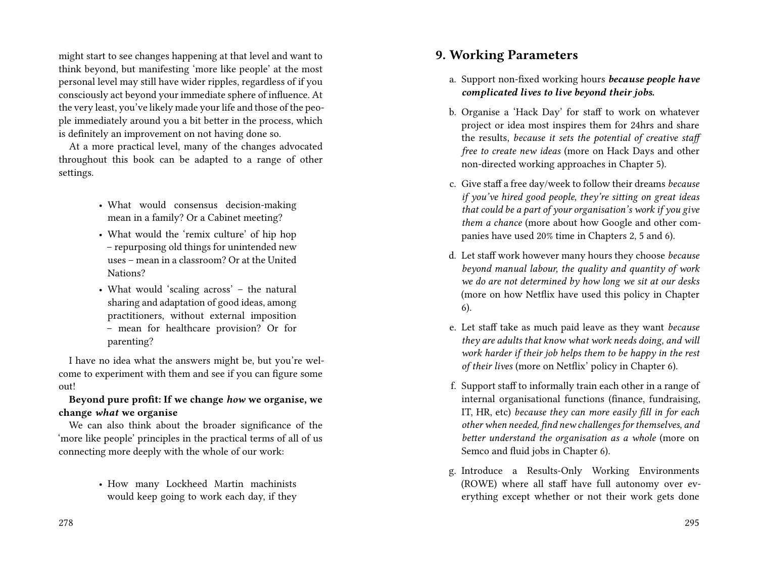might start to see changes happening at that level and want to think beyond, but manifesting 'more like people' at the most personal level may still have wider ripples, regardless of if you consciously act beyond your immediate sphere of influence. At the very least, you've likely made your life and those of the people immediately around you a bit better in the process, which is definitely an improvement on not having done so.

At a more practical level, many of the changes advocated throughout this book can be adapted to a range of other settings.

- What would consensus decision-making mean in a family? Or a Cabinet meeting?
- What would the 'remix culture' of hip hop – repurposing old things for unintended new uses – mean in a classroom? Or at the United Nations?
- What would 'scaling across' the natural sharing and adaptation of good ideas, among practitioners, without external imposition – mean for healthcare provision? Or for parenting?

I have no idea what the answers might be, but you're welcome to experiment with them and see if you can figure some out!

#### **Beyond pure profit: If we change** *how* **we organise, we change** *what* **we organise**

We can also think about the broader significance of the 'more like people' principles in the practical terms of all of us connecting more deeply with the whole of our work:

> • How many Lockheed Martin machinists would keep going to work each day, if they

#### 278

## **9. Working Parameters**

- a. Support non-fixed working hours *because people have complicated lives to live beyond their jobs.*
- b. Organise a 'Hack Day' for staff to work on whatever project or idea most inspires them for 24hrs and share the results, *because it sets the potential of creative staff free to create new ideas* (more on Hack Days and other non-directed working approaches in Chapter 5).
- c. Give staff a free day/week to follow their dreams *because if you've hired good people, they're sitting on great ideas that could be a part of your organisation's work if you give them a chance* (more about how Google and other companies have used 20% time in Chapters 2, 5 and 6).
- d. Let staff work however many hours they choose *because beyond manual labour, the quality and quantity of work we do are not determined by how long we sit at our desks* (more on how Netflix have used this policy in Chapter 6).
- e. Let staff take as much paid leave as they want *because they are adults that know what work needs doing, and will work harder if their job helps them to be happy in the rest of their lives* (more on Netflix' policy in Chapter 6).
- f. Support staff to informally train each other in a range of internal organisational functions (finance, fundraising, IT, HR, etc) *because they can more easily fill in for each other when needed, find new challenges for themselves, and better understand the organisation as a whole* (more on Semco and fluid jobs in Chapter 6).
- g. Introduce a Results-Only Working Environments (ROWE) where all staff have full autonomy over everything except whether or not their work gets done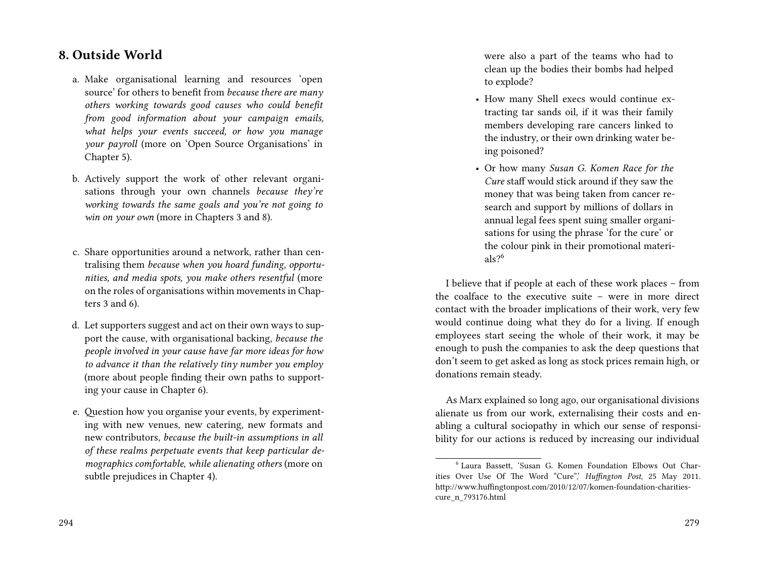## **8. Outside World**

- a. Make organisational learning and resources 'open source' for others to benefit from *because there are many others working towards good causes who could benefit from good information about your campaign emails, what helps your events succeed, or how you manage your payroll* (more on 'Open Source Organisations' in Chapter 5).
- b. Actively support the work of other relevant organisations through your own channels *because they're working towards the same goals and you're not going to win on your own* (more in Chapters 3 and 8).
- c. Share opportunities around a network, rather than centralising them *because when you hoard funding, opportunities, and media spots, you make others resentful* (more on the roles of organisations within movements in Chapters 3 and 6).
- d. Let supporters suggest and act on their own ways to support the cause, with organisational backing, *because the people involved in your cause have far more ideas for how to advance it than the relatively tiny number you employ* (more about people finding their own paths to supporting your cause in Chapter 6).
- e. Question how you organise your events, by experimenting with new venues, new catering, new formats and new contributors, *because the built-in assumptions in all of these realms perpetuate events that keep particular demographics comfortable, while alienating others* (more on subtle prejudices in Chapter 4).

were also a part of the teams who had to clean up the bodies their bombs had helped to explode?

- How many Shell execs would continue extracting tar sands oil, if it was their family members developing rare cancers linked to the industry, or their own drinking water being poisoned?
- Or how many *Susan G. Komen Race for the Cure* staff would stick around if they saw the money that was being taken from cancer research and support by millions of dollars in annual legal fees spent suing smaller organisations for using the phrase 'for the cure' or the colour pink in their promotional materi $als?$ <sup>6</sup>

I believe that if people at each of these work places – from the coalface to the executive suite – were in more direct contact with the broader implications of their work, very few would continue doing what they do for a living. If enough employees start seeing the whole of their work, it may be enough to push the companies to ask the deep questions that don't seem to get asked as long as stock prices remain high, or donations remain steady.

As Marx explained so long ago, our organisational divisions alienate us from our work, externalising their costs and enabling a cultural sociopathy in which our sense of responsibility for our actions is reduced by increasing our individual

<sup>6</sup> Laura Bassett, 'Susan G. Komen Foundation Elbows Out Charities Over Use Of The Word "Cure", *Huffington Post*, 25 May 2011. http://www.huffingtonpost.com/2010/12/07/komen-foundation-charitiescure\_n\_793176.html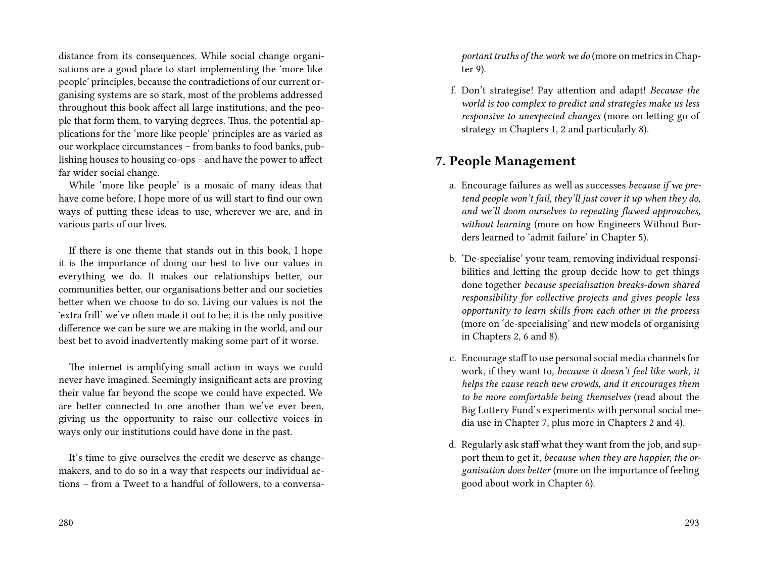distance from its consequences. While social change organisations are a good place to start implementing the 'more like people' principles, because the contradictions of our current organising systems are so stark, most of the problems addressed throughout this book affect all large institutions, and the people that form them, to varying degrees. Thus, the potential applications for the 'more like people' principles are as varied as our workplace circumstances – from banks to food banks, publishing houses to housing co-ops – and have the power to affect far wider social change.

While 'more like people' is a mosaic of many ideas that have come before, I hope more of us will start to find our own ways of putting these ideas to use, wherever we are, and in various parts of our lives.

If there is one theme that stands out in this book, I hope it is the importance of doing our best to live our values in everything we do. It makes our relationships better, our communities better, our organisations better and our societies better when we choose to do so. Living our values is not the 'extra frill' we've often made it out to be; it is the only positive difference we can be sure we are making in the world, and our best bet to avoid inadvertently making some part of it worse.

The internet is amplifying small action in ways we could never have imagined. Seemingly insignificant acts are proving their value far beyond the scope we could have expected. We are better connected to one another than we've ever been, giving us the opportunity to raise our collective voices in ways only our institutions could have done in the past.

It's time to give ourselves the credit we deserve as changemakers, and to do so in a way that respects our individual actions – from a Tweet to a handful of followers, to a conversa-

280

*portant truths of the work we do* (more on metrics in Chapter 9).

f. Don't strategise! Pay attention and adapt! *Because the world is too complex to predict and strategies make us less responsive to unexpected changes* (more on letting go of strategy in Chapters 1, 2 and particularly 8).

## **7. People Management**

- a. Encourage failures as well as successes *because if we pretend people won't fail, they'll just cover it up when they do, and we'll doom ourselves to repeating flawed approaches, without learning* (more on how Engineers Without Borders learned to 'admit failure' in Chapter 5).
- b. 'De-specialise' your team, removing individual responsibilities and letting the group decide how to get things done together *because specialisation breaks-down shared responsibility for collective projects and gives people less opportunity to learn skills from each other in the process* (more on 'de-specialising' and new models of organising in Chapters 2, 6 and 8).
- c. Encourage staff to use personal social media channels for work, if they want to, *because it doesn't feel like work, it helps the cause reach new crowds, and it encourages them to be more comfortable being themselves* (read about the Big Lottery Fund's experiments with personal social media use in Chapter 7, plus more in Chapters 2 and 4).
- d. Regularly ask staff what they want from the job, and support them to get it, *because when they are happier, the organisation does better* (more on the importance of feeling good about work in Chapter 6).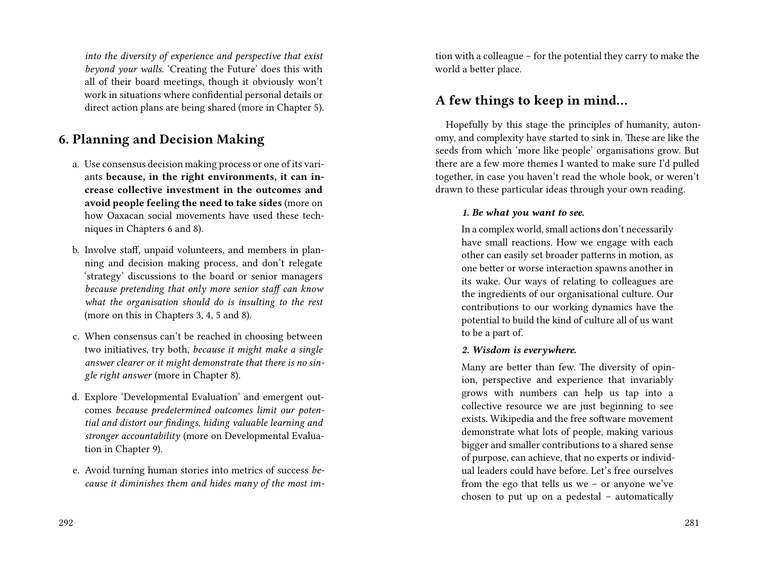*into the diversity of experience and perspective that exist beyond your walls.* 'Creating the Future' does this with all of their board meetings, though it obviously won't work in situations where confidential personal details or direct action plans are being shared (more in Chapter 5).

## **6. Planning and Decision Making**

- a. Use consensus decision making process or one of its variants **because, in the right environments, it can increase collective investment in the outcomes and avoid people feeling the need to take sides** (more on how Oaxacan social movements have used these techniques in Chapters 6 and 8).
- b. Involve staff, unpaid volunteers, and members in planning and decision making process, and don't relegate 'strategy' discussions to the board or senior managers *because pretending that only more senior staff can know what the organisation should do is insulting to the rest* (more on this in Chapters 3, 4, 5 and 8).
- c. When consensus can't be reached in choosing between two initiatives, try both, *because it might make a single answer clearer or it might demonstrate that there is no single right answer* (more in Chapter 8).
- d. Explore 'Developmental Evaluation' and emergent outcomes *because predetermined outcomes limit our potential and distort our findings, hiding valuable learning and stronger accountability* (more on Developmental Evaluation in Chapter 9).
- e. Avoid turning human stories into metrics of success *because it diminishes them and hides many of the most im-*

tion with a colleague – for the potential they carry to make the world a better place.

## **A few things to keep in mind…**

Hopefully by this stage the principles of humanity, autonomy, and complexity have started to sink in. These are like the seeds from which 'more like people' organisations grow. But there are a few more themes I wanted to make sure I'd pulled together, in case you haven't read the whole book, or weren't drawn to these particular ideas through your own reading.

#### *1. Be what you want to see.*

In a complex world, small actions don't necessarily have small reactions. How we engage with each other can easily set broader patterns in motion, as one better or worse interaction spawns another in its wake. Our ways of relating to colleagues are the ingredients of our organisational culture. Our contributions to our working dynamics have the potential to build the kind of culture all of us want to be a part of.

#### *2. Wisdom is everywhere.*

Many are better than few. The diversity of opinion, perspective and experience that invariably grows with numbers can help us tap into a collective resource we are just beginning to see exists. Wikipedia and the free software movement demonstrate what lots of people, making various bigger and smaller contributions to a shared sense of purpose, can achieve, that no experts or individual leaders could have before. Let's free ourselves from the ego that tells us we – or anyone we've chosen to put up on a pedestal – automatically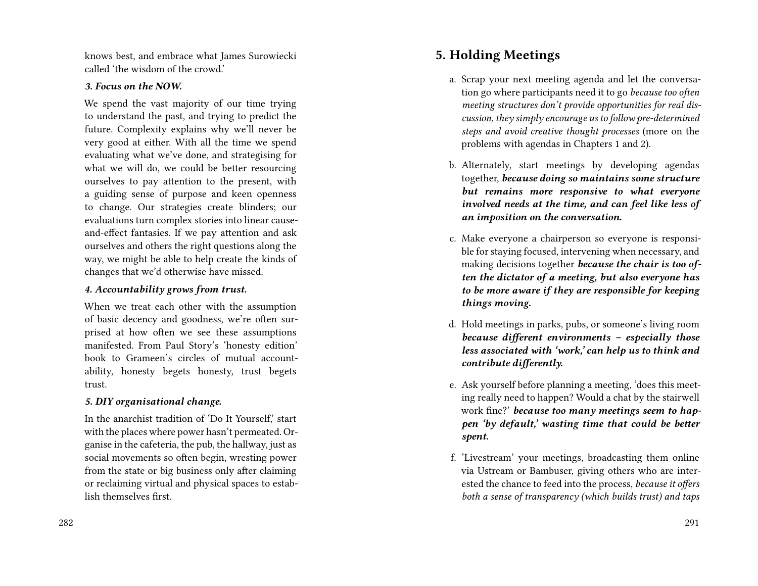knows best, and embrace what James Surowiecki called 'the wisdom of the crowd.'

#### *3. Focus on the NOW.*

We spend the vast majority of our time trying to understand the past, and trying to predict the future. Complexity explains why we'll never be very good at either. With all the time we spend evaluating what we've done, and strategising for what we will do, we could be better resourcing ourselves to pay attention to the present, with a guiding sense of purpose and keen openness to change. Our strategies create blinders; our evaluations turn complex stories into linear causeand-effect fantasies. If we pay attention and ask ourselves and others the right questions along the way, we might be able to help create the kinds of changes that we'd otherwise have missed.

#### *4. Accountability grows from trust.*

When we treat each other with the assumption of basic decency and goodness, we're often surprised at how often we see these assumptions manifested. From Paul Story's 'honesty edition' book to Grameen's circles of mutual accountability, honesty begets honesty, trust begets trust.

#### *5. DIY organisational change.*

In the anarchist tradition of 'Do It Yourself,' start with the places where power hasn't permeated. Organise in the cafeteria, the pub, the hallway, just as social movements so often begin, wresting power from the state or big business only after claiming or reclaiming virtual and physical spaces to establish themselves first.

# **5. Holding Meetings**

- a. Scrap your next meeting agenda and let the conversation go where participants need it to go *because too often meeting structures don't provide opportunities for real discussion, they simply encourage us to follow pre-determined steps and avoid creative thought processes* (more on the problems with agendas in Chapters 1 and 2).
- b. Alternately, start meetings by developing agendas together, *because doing so maintains some structure but remains more responsive to what everyone involved needs at the time, and can feel like less of an imposition on the conversation.*
- c. Make everyone a chairperson so everyone is responsible for staying focused, intervening when necessary, and making decisions together *because the chair is too often the dictator of a meeting, but also everyone has to be more aware if they are responsible for keeping things moving.*
- d. Hold meetings in parks, pubs, or someone's living room *because different environments – especially those less associated with 'work,' can help us to think and contribute differently.*
- e. Ask yourself before planning a meeting, 'does this meeting really need to happen? Would a chat by the stairwell work fine?' *because too many meetings seem to happen 'by default,' wasting time that could be better spent.*
- f. 'Livestream' your meetings, broadcasting them online via Ustream or Bambuser, giving others who are interested the chance to feed into the process, *because it offers both a sense of transparency (which builds trust) and taps*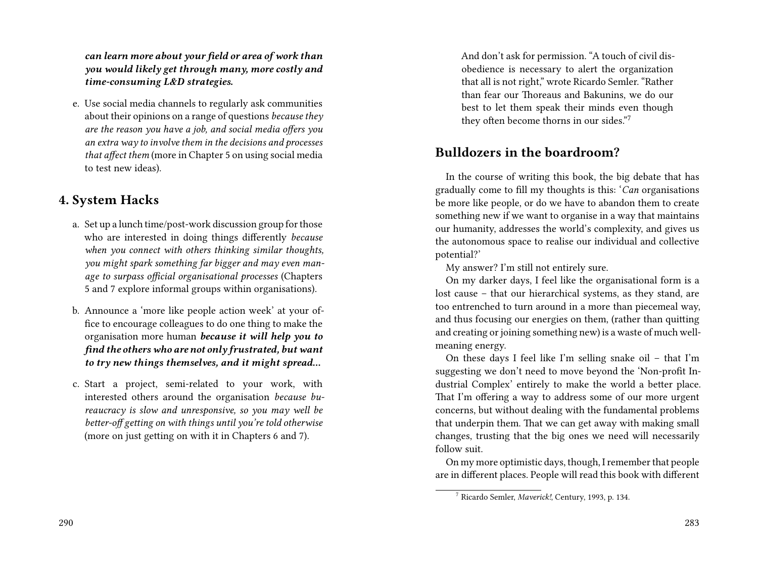*can learn more about your field or area of work than you would likely get through many, more costly and time-consuming L&D strategies.*

e. Use social media channels to regularly ask communities about their opinions on a range of questions *because they are the reason you have a job, and social media offers you an extra way to involve them in the decisions and processes that affect them* (more in Chapter 5 on using social media to test new ideas).

## **4. System Hacks**

- a. Set up a lunch time/post-work discussion group for those who are interested in doing things differently *because when you connect with others thinking similar thoughts, you might spark something far bigger and may even manage to surpass official organisational processes* (Chapters 5 and 7 explore informal groups within organisations).
- b. Announce a 'more like people action week' at your office to encourage colleagues to do one thing to make the organisation more human *because it will help you to find the others who are not only frustrated, but want to try new things themselves, and it might spread…*
- c. Start a project, semi-related to your work, with interested others around the organisation *because bureaucracy is slow and unresponsive, so you may well be better-off getting on with things until you're told otherwise* (more on just getting on with it in Chapters 6 and 7).

And don't ask for permission. "A touch of civil disobedience is necessary to alert the organization that all is not right," wrote Ricardo Semler. "Rather than fear our Thoreaus and Bakunins, we do our best to let them speak their minds even though they often become thorns in our sides."<sup>7</sup>

## **Bulldozers in the boardroom?**

In the course of writing this book, the big debate that has gradually come to fill my thoughts is this: '*Can* organisations be more like people, or do we have to abandon them to create something new if we want to organise in a way that maintains our humanity, addresses the world's complexity, and gives us the autonomous space to realise our individual and collective potential?'

My answer? I'm still not entirely sure.

On my darker days, I feel like the organisational form is a lost cause – that our hierarchical systems, as they stand, are too entrenched to turn around in a more than piecemeal way, and thus focusing our energies on them, (rather than quitting and creating or joining something new) is a waste of much wellmeaning energy.

On these days I feel like I'm selling snake oil – that I'm suggesting we don't need to move beyond the 'Non-profit Industrial Complex' entirely to make the world a better place. That I'm offering a way to address some of our more urgent concerns, but without dealing with the fundamental problems that underpin them. That we can get away with making small changes, trusting that the big ones we need will necessarily follow suit.

On my more optimistic days, though, I remember that people are in different places. People will read this book with different

<sup>7</sup> Ricardo Semler, *Maverick!*, Century, 1993, p. 134.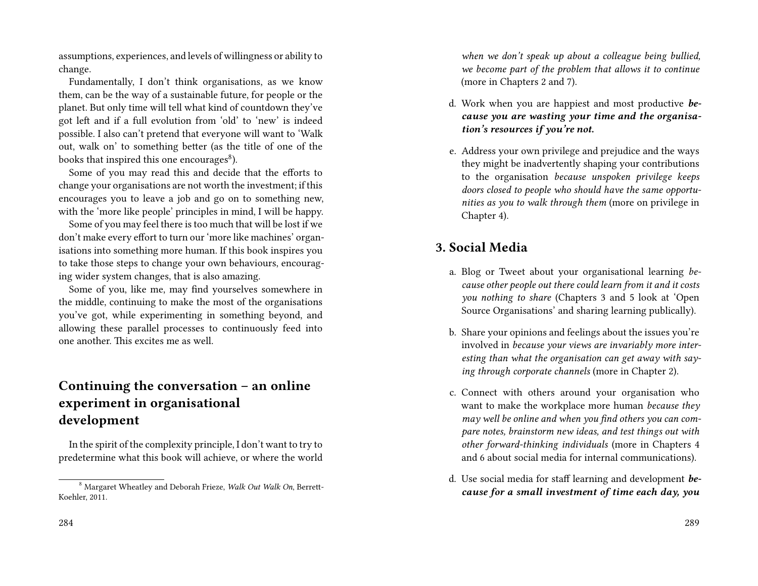assumptions, experiences, and levels of willingness or ability to change.

Fundamentally, I don't think organisations, as we know them, can be the way of a sustainable future, for people or the planet. But only time will tell what kind of countdown they've got left and if a full evolution from 'old' to 'new' is indeed possible. I also can't pretend that everyone will want to 'Walk out, walk on' to something better (as the title of one of the books that inspired this one encourages<sup>8</sup>).

Some of you may read this and decide that the efforts to change your organisations are not worth the investment; if this encourages you to leave a job and go on to something new, with the 'more like people' principles in mind, I will be happy.

Some of you may feel there is too much that will be lost if we don't make every effort to turn our 'more like machines' organisations into something more human. If this book inspires you to take those steps to change your own behaviours, encouraging wider system changes, that is also amazing.

Some of you, like me, may find yourselves somewhere in the middle, continuing to make the most of the organisations you've got, while experimenting in something beyond, and allowing these parallel processes to continuously feed into one another. This excites me as well.

# **Continuing the conversation – an online experiment in organisational development**

In the spirit of the complexity principle, I don't want to try to predetermine what this book will achieve, or where the world

284

*when we don't speak up about a colleague being bullied, we become part of the problem that allows it to continue* (more in Chapters 2 and 7).

- d. Work when you are happiest and most productive *because you are wasting your time and the organisation's resources if you're not.*
- e. Address your own privilege and prejudice and the ways they might be inadvertently shaping your contributions to the organisation *because unspoken privilege keeps doors closed to people who should have the same opportunities as you to walk through them* (more on privilege in Chapter 4).

# **3. Social Media**

- a. Blog or Tweet about your organisational learning *because other people out there could learn from it and it costs you nothing to share* (Chapters 3 and 5 look at 'Open Source Organisations' and sharing learning publically).
- b. Share your opinions and feelings about the issues you're involved in *because your views are invariably more interesting than what the organisation can get away with saying through corporate channels* (more in Chapter 2).
- c. Connect with others around your organisation who want to make the workplace more human *because they may well be online and when you find others you can compare notes, brainstorm new ideas, and test things out with other forward-thinking individuals* (more in Chapters 4 and 6 about social media for internal communications).
- d. Use social media for staff learning and development *because for a small investment of time each day, you*

<sup>8</sup> Margaret Wheatley and Deborah Frieze, *Walk Out Walk On*, Berrett-Koehler, 2011.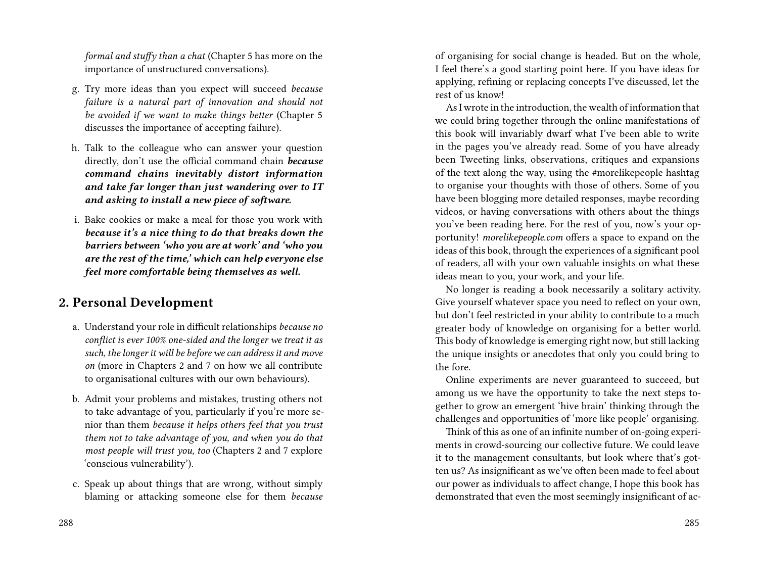*formal and stuffy than a chat* (Chapter 5 has more on the importance of unstructured conversations).

- g. Try more ideas than you expect will succeed *because failure is a natural part of innovation and should not be avoided if we want to make things better* (Chapter 5 discusses the importance of accepting failure).
- h. Talk to the colleague who can answer your question directly, don't use the official command chain *because command chains inevitably distort information and take far longer than just wandering over to IT and asking to install a new piece of software.*
- i. Bake cookies or make a meal for those you work with *because it's a nice thing to do that breaks down the barriers between 'who you are at work' and 'who you are the rest of the time,' which can help everyone else feel more comfortable being themselves as well.*

## **2. Personal Development**

- a. Understand your role in difficult relationships *because no conflict is ever 100% one-sided and the longer we treat it as such, the longer it will be before we can address it and move on* (more in Chapters 2 and 7 on how we all contribute to organisational cultures with our own behaviours).
- b. Admit your problems and mistakes, trusting others not to take advantage of you, particularly if you're more senior than them *because it helps others feel that you trust them not to take advantage of you, and when you do that most people will trust you, too* (Chapters 2 and 7 explore 'conscious vulnerability').
- c. Speak up about things that are wrong, without simply blaming or attacking someone else for them *because*

of organising for social change is headed. But on the whole, I feel there's a good starting point here. If you have ideas for applying, refining or replacing concepts I've discussed, let the rest of us know!

As I wrote in the introduction, the wealth of information that we could bring together through the online manifestations of this book will invariably dwarf what I've been able to write in the pages you've already read. Some of you have already been Tweeting links, observations, critiques and expansions of the text along the way, using the #morelikepeople hashtag to organise your thoughts with those of others. Some of you have been blogging more detailed responses, maybe recording videos, or having conversations with others about the things you've been reading here. For the rest of you, now's your opportunity! *morelikepeople.com* offers a space to expand on the ideas of this book, through the experiences of a significant pool of readers, all with your own valuable insights on what these ideas mean to you, your work, and your life.

No longer is reading a book necessarily a solitary activity. Give yourself whatever space you need to reflect on your own, but don't feel restricted in your ability to contribute to a much greater body of knowledge on organising for a better world. This body of knowledge is emerging right now, but still lacking the unique insights or anecdotes that only you could bring to the fore.

Online experiments are never guaranteed to succeed, but among us we have the opportunity to take the next steps together to grow an emergent 'hive brain' thinking through the challenges and opportunities of 'more like people' organising.

Think of this as one of an infinite number of on-going experiments in crowd-sourcing our collective future. We could leave it to the management consultants, but look where that's gotten us? As insignificant as we've often been made to feel about our power as individuals to affect change, I hope this book has demonstrated that even the most seemingly insignificant of ac